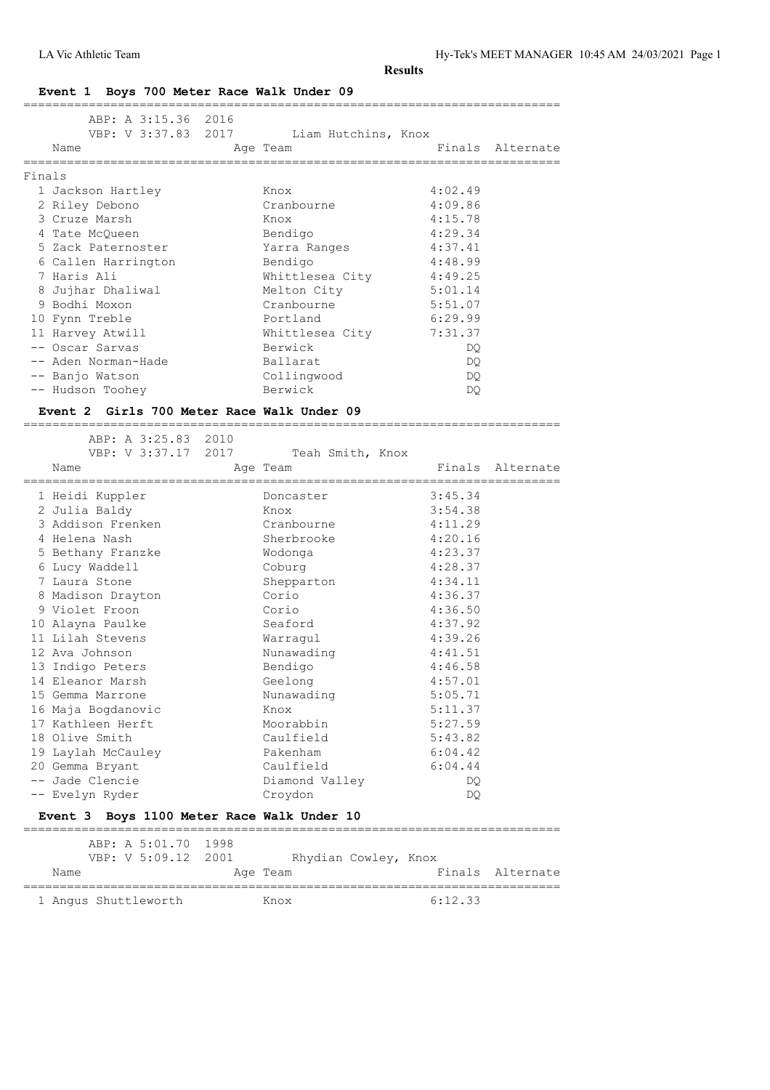#### **Event 1 Boys 700 Meter Race Walk Under 09**

|        | ABP: A 3:15.36 2016                        |      |                                     |                            |                  |
|--------|--------------------------------------------|------|-------------------------------------|----------------------------|------------------|
|        | VBP: V 3:37.83 2017                        |      | Liam Hutchins, Knox                 |                            |                  |
|        | Name                                       |      | Age Team                            |                            | Finals Alternate |
| Finals | =============                              |      |                                     | . _______________________  |                  |
|        | 1 Jackson Hartley                          |      | Knox                                | 4:02.49                    |                  |
|        | 2 Riley Debono                             |      | Cranbourne                          | 4:09.86                    |                  |
|        | 3 Cruze Marsh                              |      | Knox                                | 4:15.78                    |                  |
|        | 4 Tate McOueen                             |      | Bendigo                             | 4:29.34                    |                  |
|        | 5 Zack Paternoster                         |      | Yarra Ranges                        | 4:37.41                    |                  |
|        | 6 Callen Harrington                        |      | Bendigo                             | 4:48.99                    |                  |
|        | 7 Haris Ali                                |      | Whittlesea City                     | 4:49.25                    |                  |
|        | 8 Jujhar Dhaliwal                          |      | Melton City                         | 5:01.14                    |                  |
|        | 9 Bodhi Moxon                              |      | Cranbourne                          | 5:51.07                    |                  |
|        | 10 Fynn Treble                             |      | Portland                            | 6:29.99                    |                  |
|        | 11 Harvey Atwill                           |      | Whittlesea City                     | 7:31.37                    |                  |
|        | -- Oscar Sarvas                            |      | Berwick                             | DQ.                        |                  |
|        | -- Aden Norman-Hade                        |      | Ballarat                            | DQ.                        |                  |
|        | -- Banjo Watson                            |      | Collingwood                         | DQ                         |                  |
|        | -- Hudson Toohey                           |      | Berwick                             | DQ.                        |                  |
|        | Event 2 Girls 700 Meter Race Walk Under 09 |      |                                     |                            |                  |
|        | -------------------------------            |      |                                     |                            |                  |
|        | ABP: A 3:25.83 2010                        |      |                                     |                            |                  |
|        | VBP: V 3:37.17 2017                        |      | Teah Smith, Knox                    |                            |                  |
|        | Name<br>=====================              |      | Age Team<br>======================= | ========================== | Finals Alternate |
|        | 1 Heidi Kuppler                            |      | Doncaster                           | 3:45.34                    |                  |
|        | 2 Julia Baldy                              |      | Knox                                | 3:54.38                    |                  |
|        | 3 Addison Frenken                          |      | Cranbourne                          | 4:11.29                    |                  |
|        | 4 Helena Nash                              |      | Sherbrooke                          | 4:20.16                    |                  |
|        | 5 Bethany Franzke                          |      | Wodonga                             | 4:23.37                    |                  |
|        | 6 Lucy Waddell                             |      | Coburg                              | 4:28.37                    |                  |
|        | 7 Laura Stone                              |      | Shepparton                          | 4:34.11                    |                  |
|        | 8 Madison Drayton                          |      | Corio                               | 4:36.37                    |                  |
|        | 9 Violet Froon                             |      | Corio                               | 4:36.50                    |                  |
|        | 10 Alayna Paulke                           |      | Seaford                             | 4:37.92                    |                  |
|        | 11 Lilah Stevens                           |      | Warragul                            | 4:39.26                    |                  |
|        | 12 Ava Johnson                             |      | Nunawading                          | 4:41.51                    |                  |
|        | 13 Indigo Peters                           |      | Bendigo                             | 4:46.58                    |                  |
|        | 14 Eleanor Marsh                           |      | Geelong                             | 4:57.01                    |                  |
|        | 15 Gemma Marrone                           |      | Nunawading                          | 5:05.71                    |                  |
|        | 16 Maja Bogdanovic                         |      | Knox                                | 5:11.37                    |                  |
|        | 17 Kathleen Herft                          |      | Moorabbin                           | 5:27.59                    |                  |
|        | 18 Olive Smith                             |      | Caulfield                           | 5:43.82                    |                  |
|        | 19 Laylah McCauley                         |      | Pakenham                            | 6:04.42                    |                  |
|        | 20 Gemma Bryant                            |      | Caulfield                           | 6:04.44                    |                  |
|        | -- Jade Clencie                            |      | Diamond Valley                      | DQ.                        |                  |
|        | -- Evelyn Ryder                            |      | Croydon                             | DQ                         |                  |
|        | Event 3 Boys 1100 Meter Race Walk Under 10 |      |                                     |                            |                  |
|        | ABP: A 5:01.70                             | 1998 |                                     |                            |                  |
|        | VBP: V 5:09.12                             | 2001 | Rhydian Cowley, Knox                |                            |                  |
|        | Name                                       |      | Age Team                            | Finals                     | Alternate        |

========================================================================== 1 Angus Shuttleworth Knox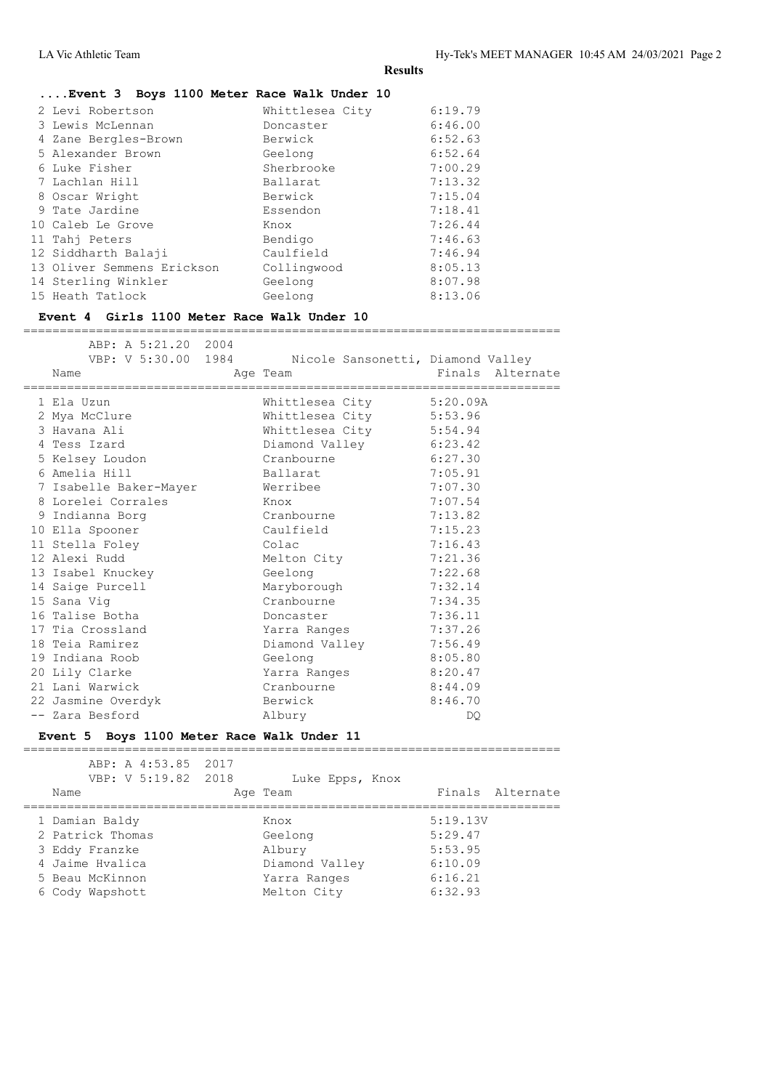# **....Event 3 Boys 1100 Meter Race Walk Under 10**

| 2 Levi Robertson<br>3 Lewis McLennan<br>4 Zane Bergles-Brown<br>5 Alexander Brown<br>6 Luke Fisher<br>7 Lachlan Hill<br>8 Oscar Wright<br>9 Tate Jardine<br>10 Caleb Le Grove<br>11 Tahj Peters<br>12 Siddharth Balaji<br>13 Oliver Semmens Erickson<br>14 Sterling Winkler | Whittlesea City<br>Doncaster<br>Berwick<br>Geelong<br>Sherbrooke<br>Ballarat<br>Berwick<br>Essendon<br>Knox<br>Bendigo<br>Caulfield<br>Collingwood<br>Geelong | 6:19.79<br>6:46.00<br>6:52.63<br>6:52.64<br>7:00.29<br>7:13.32<br>7:15.04<br>7:18.41<br>7:26.44<br>7:46.63<br>7:46.94<br>8:05.13<br>8:07.98 |
|-----------------------------------------------------------------------------------------------------------------------------------------------------------------------------------------------------------------------------------------------------------------------------|---------------------------------------------------------------------------------------------------------------------------------------------------------------|---------------------------------------------------------------------------------------------------------------------------------------------|
| 15 Heath Tatlock                                                                                                                                                                                                                                                            | Geelong                                                                                                                                                       | 8:13.06                                                                                                                                     |
|                                                                                                                                                                                                                                                                             |                                                                                                                                                               |                                                                                                                                             |

# **Event 4 Girls 1100 Meter Race Walk Under 10**

==========================================================================

| ABP: A 5:21.20 2004<br>Name                   | VBP: V 5:30.00 1984 Nicole Sansonetti, Diamond Valley<br>Age Team | Finals Alternate<br>================================= |
|-----------------------------------------------|-------------------------------------------------------------------|-------------------------------------------------------|
| 1 Ela Uzun                                    | Whittlesea City 5:20.09A                                          |                                                       |
| 2 Mya McClure                                 | Whittlesea City 5:53.96                                           |                                                       |
| 3 Havana Ali                                  | Whittlesea City 5:54.94                                           |                                                       |
| 4 Tess Izard                                  | Diamond Valley 6:23.42                                            |                                                       |
| 5 Kelsey Loudon                               | Cranbourne                                                        | 6:27.30                                               |
| 6 Amelia Hill                                 | Ballarat                                                          | 7:05.91                                               |
| 7 Isabelle Baker-Mayer               Werribee |                                                                   | 7:07.30                                               |
| 8 Lorelei Corrales                            | Knox                                                              | 7:07.54                                               |
| 9 Indianna Borg                               | Cranbourne                                                        | 7:13.82                                               |
| 10 Ella Spooner                               | Caulfield                                                         | 7:15.23                                               |
| 11 Stella Foley                               | Colac                                                             | 7:16.43                                               |
| 12 Alexi Rudd                                 | Melton City                                                       | 7:21.36                                               |
| 13 Isabel Knuckey                             | Geelong                                                           | 7:22.68                                               |
| 14 Saige Purcell                              | Maryborough                                                       | 7:32.14                                               |
| 15 Sana Vig                                   | Cranbourne                                                        | 7:34.35                                               |
| 16 Talise Botha                               | Doncaster                                                         | 7:36.11                                               |
| 17 Tia Crossland                              | Yarra Ranges                                                      | 7:37.26                                               |
| 18 Teia Ramirez                               | Diamond Valley                                                    | 7:56.49                                               |
| 19 Indiana Roob                               | Geelong                                                           | 8:05.80                                               |
| 20 Lily Clarke                                | Yarra Ranges                                                      | 8:20.47                                               |
| 21 Lani Warwick                               | Cranbourne                                                        | 8:44.09                                               |
| 22 Jasmine Overdyk                            | Berwick                                                           | 8:46.70                                               |
| -- Zara Besford                               | Albury                                                            | DQ.                                                   |

#### **Event 5 Boys 1100 Meter Race Walk Under 11**

| ABP: A 4:53.85 2017<br>VBP: V 5:19.82 2018<br>Name                                         | Luke Epps, Knox<br>Age Team                                 | Finals Alternate                                     |  |
|--------------------------------------------------------------------------------------------|-------------------------------------------------------------|------------------------------------------------------|--|
| 1 Damian Baldy<br>2 Patrick Thomas<br>3 Eddy Franzke<br>4 Jaime Hvalica<br>5 Beau McKinnon | Knox<br>Geelong<br>Albury<br>Diamond Valley<br>Yarra Ranges | 5:19.13V<br>5:29.47<br>5:53.95<br>6:10.09<br>6:16.21 |  |
| 6 Cody Wapshott                                                                            | Melton City                                                 | 6:32.93                                              |  |
|                                                                                            |                                                             |                                                      |  |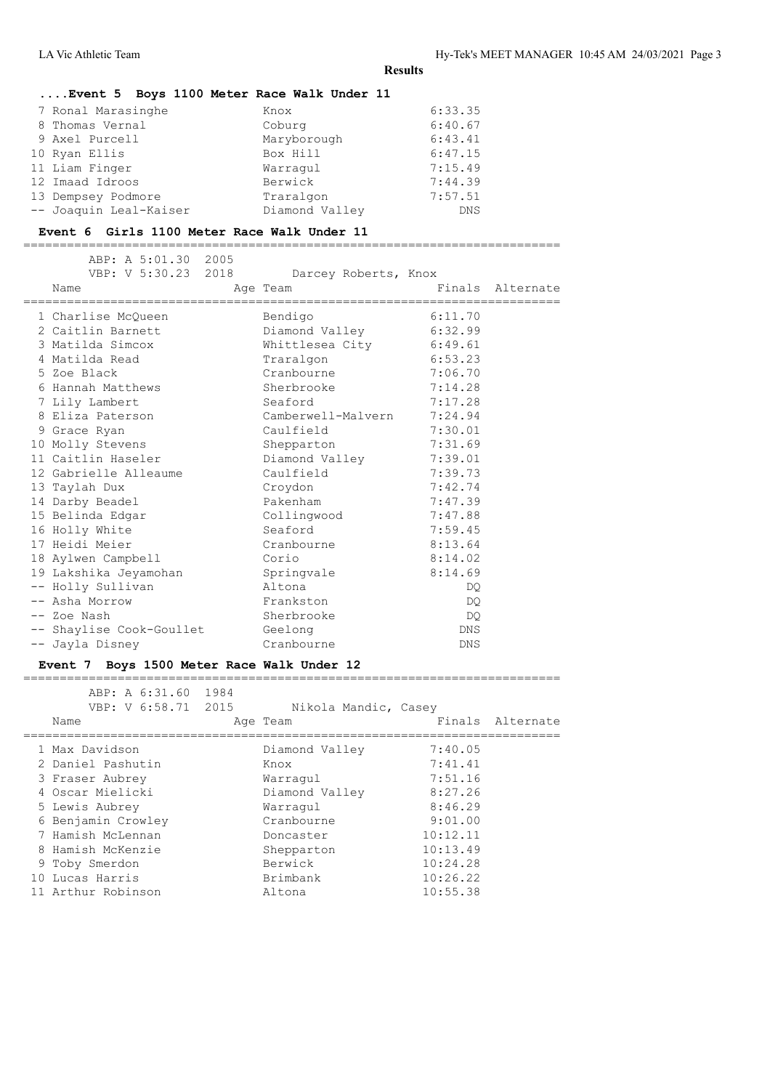# **....Event 5 Boys 1100 Meter Race Walk Under 11**

| 7 Ronal Marasinghe     | Knox           | 6:33.35    |
|------------------------|----------------|------------|
| 8 Thomas Vernal        | Coburg         | 6:40.67    |
| 9 Axel Purcell         | Maryborough    | 6:43.41    |
| 10 Ryan Ellis          | Box Hill       | 6:47.15    |
| 11 Liam Finger         | Warraqul       | 7:15.49    |
| 12 Imaad Idroos        | Berwick        | 7:44.39    |
| 13 Dempsey Podmore     | Traralgon      | 7:57.51    |
| -- Joaquin Leal-Kaiser | Diamond Valley | <b>DNS</b> |

#### **Event 6 Girls 1100 Meter Race Walk Under 11**

==========================================================================

|  | ABP: A 5:01.30 2005<br>VBP: V 5:30.23 2018<br>Name |        | Darcey Roberts, Knox<br>Age Team |            | Finals Alternate |
|--|----------------------------------------------------|--------|----------------------------------|------------|------------------|
|  | 1 Charlise McQueen                                 |        | Bendigo                          | 6:11.70    |                  |
|  | 2 Caitlin Barnett                                  |        | Diamond Valley 6:32.99           |            |                  |
|  | 3 Matilda Simcox                                   |        | Whittlesea City 6:49.61          |            |                  |
|  | 4 Matilda Read                                     |        | Traralgon                        | 6:53.23    |                  |
|  | 5 Zoe Black                                        |        | Cranbourne                       | 7:06.70    |                  |
|  | 6 Hannah Matthews                                  |        | Sherbrooke                       | 7:14.28    |                  |
|  | 7 Lily Lambert                                     |        | Seaford                          | 7:17.28    |                  |
|  | 8 Eliza Paterson                                   |        | Camberwell-Malvern 7:24.94       |            |                  |
|  | 9 Grace Ryan                                       |        | Caulfield                        | 7:30.01    |                  |
|  | 10 Molly Stevens                                   |        | Shepparton                       | 7:31.69    |                  |
|  | 11 Caitlin Haseler                                 |        | Diamond Valley 7:39.01           |            |                  |
|  | 12 Gabrielle Alleaume                              |        | Caulfield                        | 7:39.73    |                  |
|  | 13 Taylah Dux                                      |        | Croydon                          | 7:42.74    |                  |
|  | 14 Darby Beadel                                    |        | Pakenham                         | 7:47.39    |                  |
|  | 15 Belinda Edgar                                   |        | Collingwood                      | 7:47.88    |                  |
|  | 16 Holly White                                     |        | Seaford                          | 7:59.45    |                  |
|  | 17 Heidi Meier                                     |        | Cranbourne                       | 8:13.64    |                  |
|  | 18 Aylwen Campbell                                 |        | Corio                            | 8:14.02    |                  |
|  | 19 Lakshika Jeyamohan                              |        | Springvale                       | 8:14.69    |                  |
|  | -- Holly Sullivan                                  | Altona |                                  | DQ.        |                  |
|  | -- Asha Morrow                                     |        | Frankston                        | DQ.        |                  |
|  | -- Zoe Nash                                        |        | Sherbrooke                       | DQ.        |                  |
|  | -- Shaylise Cook-Goullet                           |        | Geelong                          | DNS        |                  |
|  | -- Jayla Disney                                    |        | Cranbourne                       | <b>DNS</b> |                  |
|  |                                                    |        |                                  |            |                  |

#### **Event 7 Boys 1500 Meter Race Walk Under 12**

| ABP: A 6:31.60 1984 |                      |          |                  |
|---------------------|----------------------|----------|------------------|
| VBP: V 6:58.71 2015 | Nikola Mandic, Casey |          |                  |
| Name                | Age Team             |          | Finals Alternate |
| 1 Max Davidson      | Diamond Valley       | 7:40.05  |                  |
| 2 Daniel Pashutin   | Knox                 | 7:41.41  |                  |
| 3 Fraser Aubrey     | Warraqul             | 7:51.16  |                  |
| 4 Oscar Mielicki    | Diamond Valley       | 8:27.26  |                  |
| 5 Lewis Aubrey      | Warraqul             | 8:46.29  |                  |
| 6 Benjamin Crowley  | Cranbourne           | 9:01.00  |                  |
| 7 Hamish McLennan   | Doncaster            | 10:12.11 |                  |
| 8 Hamish McKenzie   | Shepparton           | 10:13.49 |                  |
| 9 Toby Smerdon      | Berwick              | 10:24.28 |                  |
| 10 Lucas Harris     | Brimbank             | 10:26.22 |                  |
| 11 Arthur Robinson  | Altona               | 10:55.38 |                  |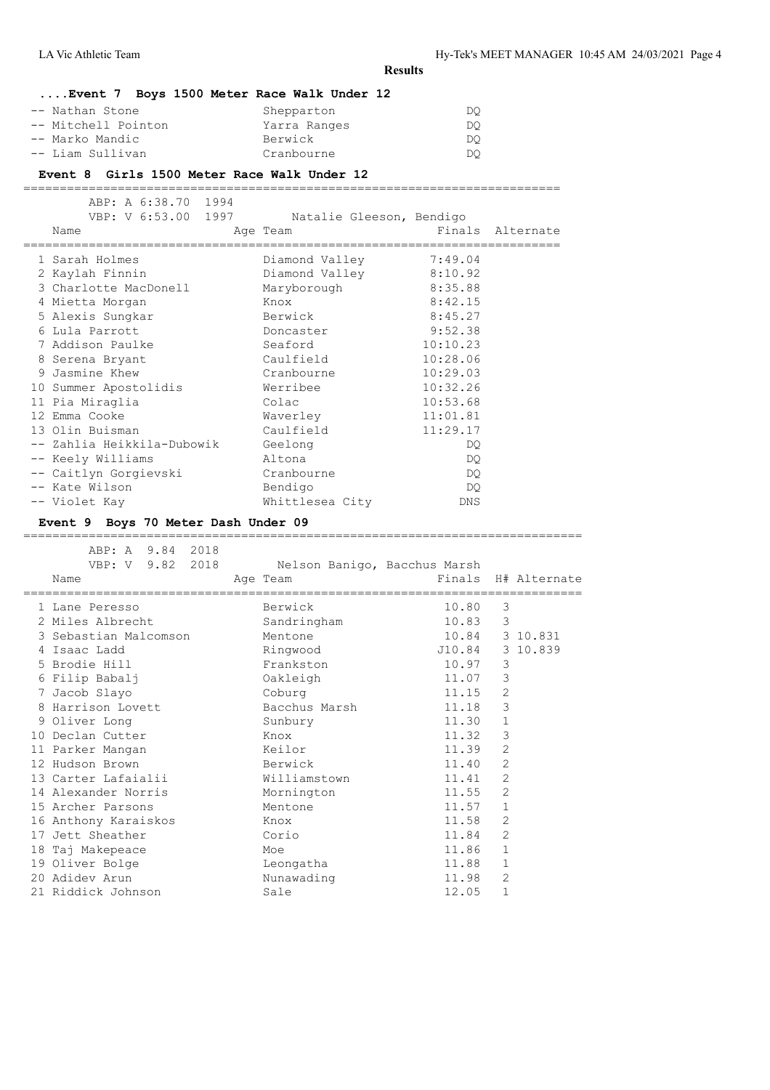# **....Event 7 Boys 1500 Meter Race Walk Under 12**

| Shepparton   | DO. |
|--------------|-----|
| Yarra Ranges | DO. |
| Berwick      | DO. |
| Cranbourne   | DO. |
|              |     |

#### **Event 8 Girls 1500 Meter Race Walk Under 12**

==========================================================================

| ABP: A 6:38.70 1994<br>VBP: V 6:53.00 1997<br>Name<br>==================================== | Natalie Gleeson, Bendigo<br>Age Team | ============================== | Finals Alternate |
|--------------------------------------------------------------------------------------------|--------------------------------------|--------------------------------|------------------|
| 1 Sarah Holmes                                                                             | Diamond Valley                       | 7:49.04                        |                  |
| 2 Kaylah Finnin                                                                            | Diamond Valley 8:10.92               |                                |                  |
| 3 Charlotte MacDonell                                                                      | Maryborough                          | 8:35.88                        |                  |
| 4 Mietta Morgan                                                                            | Knox                                 | 8:42.15                        |                  |
| 5 Alexis Sungkar                                                                           | Berwick                              | 8:45.27                        |                  |
| 6 Lula Parrott                                                                             | Doncaster                            | 9:52.38                        |                  |
| 7 Addison Paulke                                                                           | Seaford                              | 10:10.23                       |                  |
| 8 Serena Bryant                                                                            | Caulfield                            | 10:28.06                       |                  |
| 9 Jasmine Khew                                                                             | Cranbourne                           | 10:29.03                       |                  |
| 10 Summer Apostolidis                                                                      | Werribee                             | 10:32.26                       |                  |
| 11 Pia Miraglia                                                                            | Colac                                | 10:53.68                       |                  |
| 12 Emma Cooke                                                                              | Waverley                             | 11:01.81                       |                  |
| 13 Olin Buisman                                                                            | Caulfield                            | 11:29.17                       |                  |
| -- Zahlia Heikkila-Dubowik                                                                 | Geelong                              | DQ.                            |                  |
| -- Keely Williams                                                                          | Altona                               | DQ.                            |                  |
| -- Caitlyn Gorgievski                                                                      | Cranbourne                           | DQ.                            |                  |
| -- Kate Wilson                                                                             | Bendigo                              | DQ.                            |                  |
| -- Violet Kay                                                                              | Whittlesea City                      | DNS                            |                  |

# **Event 9 Boys 70 Meter Dash Under 09**

| ABP: A 9.84 2018<br>VBP: V 9.82 2018<br>Name | Nelson Banigo, Bacchus Marsh<br>Age Team |        |                | Finals H# Alternate |
|----------------------------------------------|------------------------------------------|--------|----------------|---------------------|
| 1 Lane Peresso                               | Berwick                                  | 10.80  | 3              |                     |
| 2 Miles Albrecht                             | Sandringham                              | 10.83  | 3              |                     |
| 3 Sebastian Malcomson                        | Mentone                                  |        |                | 10.84 3 10.831      |
| 4 Isaac Ladd                                 | Ringwood                                 | J10.84 |                | 3 10.839            |
| 5 Brodie Hill                                | Frankston                                | 10.97  | 3              |                     |
| 6 Filip Babalj                               | Oakleigh                                 | 11.07  | 3              |                     |
| 7 Jacob Slayo                                | Coburg                                   | 11.15  | 2              |                     |
| 8 Harrison Lovett                            | Bacchus Marsh                            | 11.18  | 3              |                     |
| 9 Oliver Long                                | Sunbury                                  | 11.30  | $\mathbf{1}$   |                     |
| 10 Declan Cutter                             | Knox                                     | 11.32  | 3              |                     |
| 11 Parker Mangan                             | Keilor                                   | 11.39  | 2              |                     |
| 12 Hudson Brown                              | Berwick                                  | 11.40  | 2              |                     |
| 13 Carter Lafaialii                          | Williamstown                             | 11.41  | 2              |                     |
| 14 Alexander Norris                          | Mornington                               | 11.55  | 2              |                     |
| 15 Archer Parsons                            | Mentone                                  | 11.57  | 1              |                     |
| 16 Anthony Karaiskos                         | Knox                                     | 11.58  | $\overline{2}$ |                     |
| 17 Jett Sheather                             | Corio                                    | 11.84  | 2              |                     |
| 18 Taj Makepeace                             | Moe                                      | 11.86  | $\mathbf{1}$   |                     |
| 19 Oliver Bolge                              | Leongatha                                | 11.88  | 1              |                     |
| 20 Adidey Arun                               | Nunawading                               | 11.98  | 2              |                     |
| 21 Riddick Johnson                           | Sale                                     | 12.05  | $\mathbf{1}$   |                     |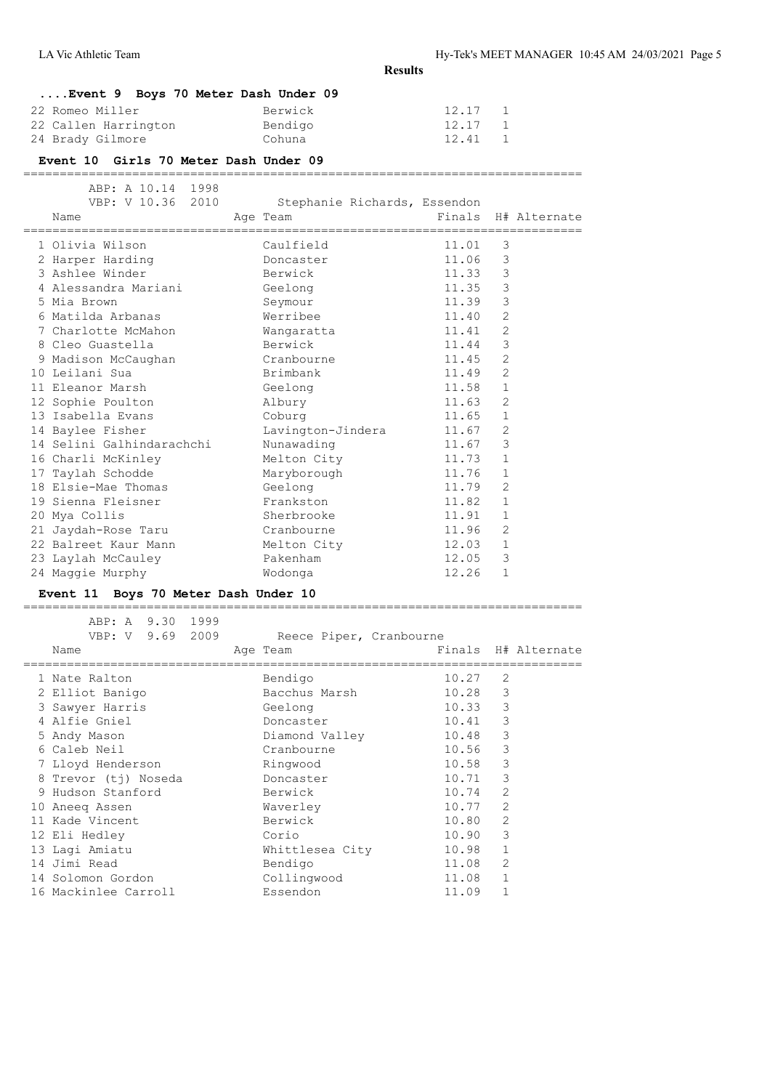| Event 9 Boys 70 Meter Dash Under 09 |         |         |  |
|-------------------------------------|---------|---------|--|
| 22 Romeo Miller                     | Berwick | 12.17 1 |  |
| 22 Callen Harrington                | Bendigo | 12.17 1 |  |
| 24 Brady Gilmore                    | Cohuna  | 12.41 1 |  |

#### **Event 10 Girls 70 Meter Dash Under 09**

=============================================================================

| ABP: A 10.14 1998<br>VBP: V 10.36 2010<br>Name | Stephanie Richards, Essendon<br>Age Team and the state of the state of the state of the state of the state of the state of the state of the state of the state of the state of the state of the state of the state of the state of the state of the state of t |       |                | Finals H# Alternate |
|------------------------------------------------|----------------------------------------------------------------------------------------------------------------------------------------------------------------------------------------------------------------------------------------------------------------|-------|----------------|---------------------|
| 1 Olivia Wilson                                | Caulfield                                                                                                                                                                                                                                                      | 11.01 | 3              |                     |
| 2 Harper Harding                               | Doncaster                                                                                                                                                                                                                                                      | 11.06 | 3              |                     |
| 3 Ashlee Winder                                | Berwick                                                                                                                                                                                                                                                        | 11.33 | $\mathcal{S}$  |                     |
|                                                |                                                                                                                                                                                                                                                                | 11.35 | 3              |                     |
| 5 Mia Brown                                    | Seymour                                                                                                                                                                                                                                                        | 11.39 | 3              |                     |
| 6 Matilda Arbanas                              | Werribee                                                                                                                                                                                                                                                       | 11.40 | $\overline{2}$ |                     |
| 7 Charlotte McMahon                            | Wangaratta                                                                                                                                                                                                                                                     | 11.41 | 2              |                     |
| 8 Cleo Guastella                               | Berwick                                                                                                                                                                                                                                                        | 11.44 | 3              |                     |
| 9 Madison McCaughan Cranbourne                 |                                                                                                                                                                                                                                                                | 11.45 | 2              |                     |
| 10 Leilani Sua                                 | Brimbank                                                                                                                                                                                                                                                       | 11.49 | 2              |                     |
| 11 Eleanor Marsh                               | Geelong                                                                                                                                                                                                                                                        | 11.58 | $\mathbf{1}$   |                     |
| 12 Sophie Poulton albury                       |                                                                                                                                                                                                                                                                | 11.63 | 2              |                     |
| 13 Isabella Evans                              | Coburg                                                                                                                                                                                                                                                         | 11.65 | $\mathbf{1}$   |                     |
| 14 Baylee Fisher                               | Lavington-Jindera                                                                                                                                                                                                                                              | 11.67 | 2              |                     |
| 14 Selini Galhindarachchi                      | Nunawading                                                                                                                                                                                                                                                     | 11.67 | 3              |                     |
| 16 Charli McKinley                             | Melton City                                                                                                                                                                                                                                                    | 11.73 | $\mathbf{1}$   |                     |
| 17 Taylah Schodde                              | Maryborough                                                                                                                                                                                                                                                    | 11.76 | $\mathbf{1}$   |                     |
| 18 Elsie-Mae Thomas Geelong                    |                                                                                                                                                                                                                                                                | 11.79 | $\overline{2}$ |                     |
| 19 Sienna Fleisner Mann Frankston              |                                                                                                                                                                                                                                                                | 11.82 | $\mathbf{1}$   |                     |
| 20 Mya Collis                                  | Sherbrooke                                                                                                                                                                                                                                                     | 11.91 | $\mathbf{1}$   |                     |
| 21 Jaydah-Rose Taru Cranbourne                 |                                                                                                                                                                                                                                                                | 11.96 | 2              |                     |
| 22 Balreet Kaur Mann                           | Melton City                                                                                                                                                                                                                                                    | 12.03 | $\mathbf{1}$   |                     |
| 23 Laylah McCauley                             | Pakenham                                                                                                                                                                                                                                                       | 12.05 | 3              |                     |
| 24 Maggie Murphy                               | Wodonga                                                                                                                                                                                                                                                        | 12.26 | $\mathbf{1}$   |                     |
|                                                |                                                                                                                                                                                                                                                                |       |                |                     |

# **Event 11 Boys 70 Meter Dash Under 10**

| ABP: A 9.30 1999         |                                     |       |                |                     |
|--------------------------|-------------------------------------|-------|----------------|---------------------|
| VBP: V 9.69 2009<br>Name | Reece Piper, Cranbourne<br>Age Team |       |                | Finals H# Alternate |
| 1 Nate Ralton            | Bendigo                             | 10.27 | $\overline{2}$ |                     |
| 2 Elliot Banigo          | Bacchus Marsh                       | 10.28 | 3              |                     |
| 3 Sawyer Harris          | Geelong                             | 10.33 | 3              |                     |
| 4 Alfie Gniel            | Doncaster                           | 10.41 | 3              |                     |
| 5 Andy Mason             | Diamond Valley                      | 10.48 | 3              |                     |
| 6 Caleb Neil             | Cranbourne                          | 10.56 | 3              |                     |
| 7 Lloyd Henderson        | Ringwood                            | 10.58 | 3              |                     |
| 8 Trevor (tj) Noseda     | Doncaster                           | 10.71 | 3              |                     |
| 9 Hudson Stanford        | Berwick                             | 10.74 | $\overline{2}$ |                     |
| 10 Aneeg Assen           | Waverley                            | 10.77 | $\overline{2}$ |                     |
| 11 Kade Vincent          | Berwick                             | 10.80 | $\overline{2}$ |                     |
| 12 Eli Hedley            | Corio                               | 10.90 | 3              |                     |
| 13 Lagi Amiatu           | Whittlesea City                     | 10.98 | $\mathbf{1}$   |                     |
| 14 Jimi Read             | Bendigo                             | 11.08 | 2              |                     |
| 14 Solomon Gordon        | Collingwood                         | 11.08 | $\mathbf{1}$   |                     |
| 16 Mackinlee Carroll     | Essendon                            | 11.09 |                |                     |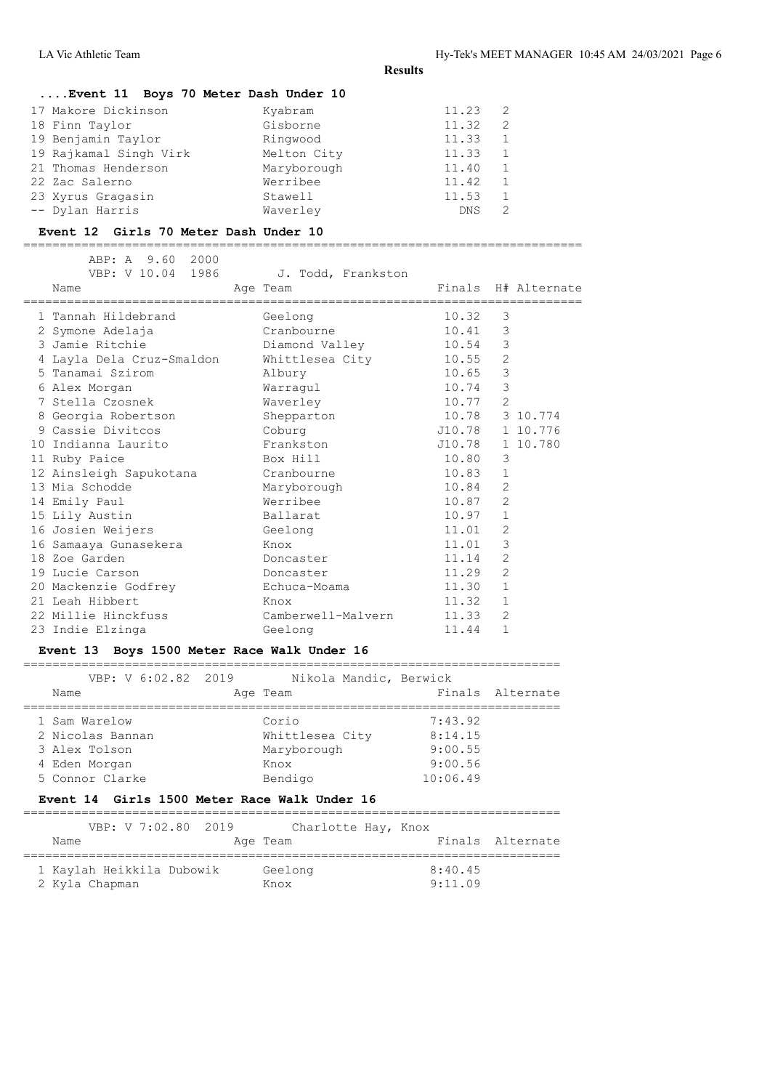# **....Event 11 Boys 70 Meter Dash Under 10**

| 17 Makore Dickinson    | Kyabram     | 11.23      | -2             |
|------------------------|-------------|------------|----------------|
| 18 Finn Taylor         | Gisborne    | 11.32      | 2              |
| 19 Benjamin Taylor     | Ringwood    | 11.33      | 1              |
| 19 Rajkamal Singh Virk | Melton City | 11.33      | <sup>1</sup>   |
| 21 Thomas Henderson    | Maryborough | 11.40      | $\overline{1}$ |
| 22 Zac Salerno         | Werribee    | 11.42      | 1              |
| 23 Xyrus Gragasin      | Stawell     | 11.53      |                |
| -- Dylan Harris        | Waverley    | <b>DNS</b> |                |

#### **Event 12 Girls 70 Meter Dash Under 10**

=============================================================================

| ABP: A 9.60 2000<br>VBP: V 10.04 1986<br>Name | J. Todd, Frankston<br>Age Team | Finals H# Alternate |                |          |
|-----------------------------------------------|--------------------------------|---------------------|----------------|----------|
| 1 Tannah Hildebrand                           | Geelong                        | 10.32               | 3              |          |
| 2 Symone Adelaja                              | Cranbourne                     | 10.41 3             |                |          |
| 3 Jamie Ritchie                               | Diamond Valley                 | 10.54               | 3              |          |
| 4 Layla Dela Cruz-Smaldon                     | Whittlesea City                | 10.55               | 2              |          |
| 5 Tanamai Szirom                              | Albury                         | 10.65               | $\mathcal{S}$  |          |
| 6 Alex Morgan                                 | Warragul                       | 10.74               | 3              |          |
| 7 Stella Czosnek                              | Waverley                       | 10.77 2             |                |          |
| 8 Georgia Robertson                           | Shepparton                     | 10.78 3 10.774      |                |          |
| 9 Cassie Divitcos                             | Coburg                         | J10.78              |                | 1 10.776 |
| 10 Indianna Laurito                           | Frankston                      | J10.78 1 10.780     |                |          |
| 11 Ruby Paice                                 | Box Hill                       | 10.80               | 3              |          |
| 12 Ainsleigh Sapukotana Cranbourne            |                                | 10.83               | $\mathbf{1}$   |          |
| 13 Mia Schodde                                | Maryborough                    | 10.84               | 2              |          |
| 14 Emily Paul                                 | Werribee                       | 10.87               | 2              |          |
| 15 Lily Austin                                | Ballarat                       | 10.97               | 1              |          |
| 16 Josien Weijers                             | Geelong                        | 11.01               | 2              |          |
| 16 Samaaya Gunasekera                         | Knox                           | 11.01               | 3              |          |
| 18 Zoe Garden                                 | Doncaster                      | 11.14               | 2              |          |
| 19 Lucie Carson                               | Doncaster                      | 11.29               | $\overline{2}$ |          |
| 20 Mackenzie Godfrey                          | Echuca-Moama                   | 11.30               | $\mathbf{1}$   |          |
| 21 Leah Hibbert                               | Knox                           | 11.32               | $\mathbf{1}$   |          |
| 22 Millie Hinckfuss                           | Camberwell-Malvern             | 11.33               | 2              |          |
| 23 Indie Elzinga                              | Geelong                        | 11.44               | $\mathbf{1}$   |          |

# **Event 13 Boys 1500 Meter Race Walk Under 16**

==========================================================================

| VBP: V 6:02.82 2019<br>Name | Nikola Mandic, Berwick<br>Age Team | Finals Alternate |
|-----------------------------|------------------------------------|------------------|
| 1 Sam Warelow               | Corio                              | 7:43.92          |
| 2 Nicolas Bannan            | Whittlesea City                    | 8:14.15          |
| 3 Alex Tolson               | Maryborough                        | 9:00.55          |
| 4 Eden Morgan               | Knox                               | 9:00.56          |
| 5 Connor Clarke             | Bendigo                            | 10:06.49         |

# **Event 14 Girls 1500 Meter Race Walk Under 16**

| Name                                        |  | VBP: V 7:02.80 2019 | Charlotte Hay, Knox<br>Age Team |  |                    | Finals Alternate |
|---------------------------------------------|--|---------------------|---------------------------------|--|--------------------|------------------|
| 1 Kaylah Heikkila Dubowik<br>2 Kyla Chapman |  |                     | Geelong<br>Knox                 |  | 8:40.45<br>9:11.09 |                  |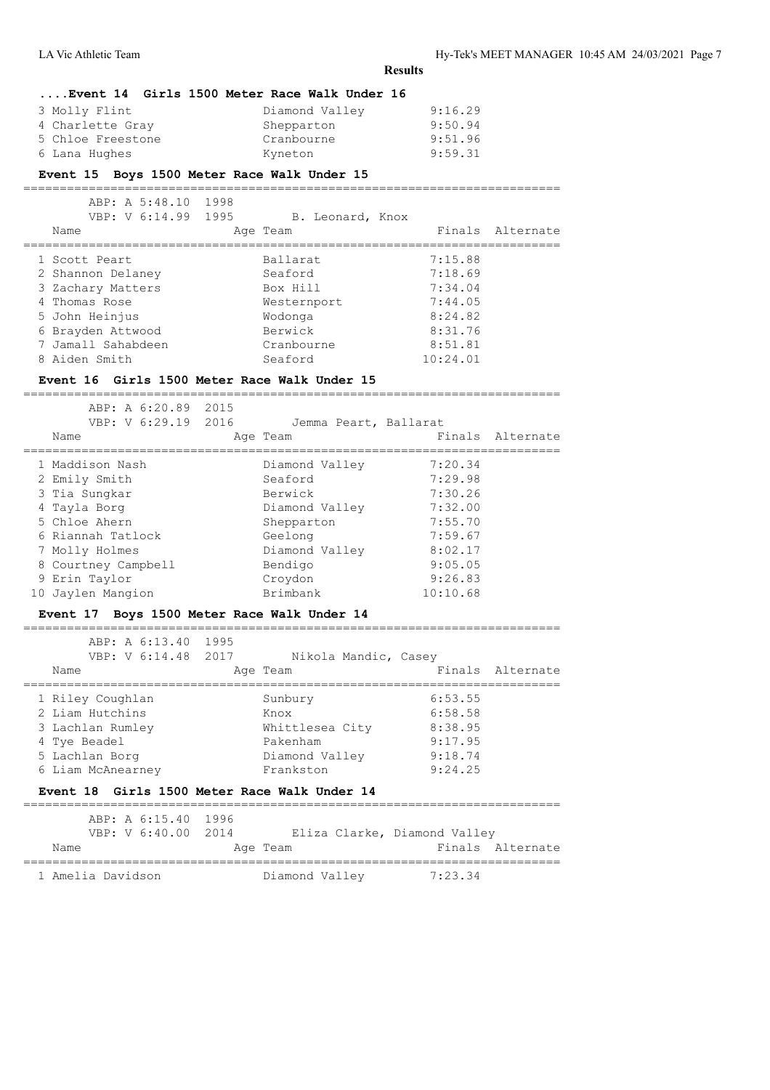LA Vic Athletic Team Hy-Tek's MEET MANAGER 10:45 AM 24/03/2021 Page 7

**Results**

# **....Event 14 Girls 1500 Meter Race Walk Under 16**

| Diamond Valley | 9:16.29 |
|----------------|---------|
| Shepparton     | 9:50.94 |
| Cranbourne     | 9:51.96 |
| Kyneton        | 9:59.31 |
|                |         |

# **Event 15 Boys 1500 Meter Race Walk Under 15**

==========================================================================

| ABP: A 5:48.10 1998<br>VBP: V 6:14.99 1995<br>Name | B. Leonard, Knox<br>Age Team | Finals Alternate |
|----------------------------------------------------|------------------------------|------------------|
| 1 Scott Peart                                      | Ballarat                     | 7:15.88          |
| 2 Shannon Delaney                                  | Seaford                      | 7:18.69          |
| 3 Zachary Matters                                  | Box Hill                     | 7:34.04          |
| 4 Thomas Rose                                      | Westernport                  | 7:44.05          |
| 5 John Heinjus                                     | Wodonga                      | 8:24.82          |
| 6 Brayden Attwood                                  | Berwick                      | 8:31.76          |
| 7 Jamall Sahabdeen                                 | Cranbourne                   | 8:51.81          |
| 8 Aiden Smith                                      | Seaford                      | 10:24.01         |

#### **Event 16 Girls 1500 Meter Race Walk Under 15**

==========================================================================

| ABP: A 6:20.89 2015<br>VBP: V 6:29.19 2016<br>Name | Jemma Peart, Ballarat<br>Age Team |          | Finals Alternate |
|----------------------------------------------------|-----------------------------------|----------|------------------|
| 1 Maddison Nash                                    | Diamond Valley                    | 7:20.34  |                  |
| 2 Emily Smith                                      | Seaford                           | 7:29.98  |                  |
| 3 Tia Sungkar                                      | Berwick                           | 7:30.26  |                  |
| 4 Tayla Borg                                       | Diamond Valley                    | 7:32.00  |                  |
| 5 Chloe Ahern                                      | Shepparton                        | 7:55.70  |                  |
| 6 Riannah Tatlock                                  | Geelong                           | 7:59.67  |                  |
| 7 Molly Holmes                                     | Diamond Valley                    | 8:02.17  |                  |
| 8 Courtney Campbell                                | Bendigo                           | 9:05.05  |                  |
| 9 Erin Taylor                                      | Croydon                           | 9:26.83  |                  |
| 10 Jaylen Mangion                                  | Brimbank                          | 10:10.68 |                  |

#### **Event 17 Boys 1500 Meter Race Walk Under 14**

| ABP: A 6:13.40 1995<br>VBP: V 6:14.48 2017<br>Name                                                             | Nikola Mandic, Casey<br>Age Team                                              |                                                                | Finals Alternate |
|----------------------------------------------------------------------------------------------------------------|-------------------------------------------------------------------------------|----------------------------------------------------------------|------------------|
| 1 Riley Coughlan<br>2 Liam Hutchins<br>3 Lachlan Rumley<br>4 Tye Beadel<br>5 Lachlan Borg<br>6 Liam McAnearney | Sunbury<br>Knox<br>Whittlesea City<br>Pakenham<br>Diamond Valley<br>Frankston | 6:53.55<br>6:58.58<br>8:38.95<br>9:17.95<br>9:18.74<br>9:24.25 |                  |
|                                                                                                                |                                                                               |                                                                |                  |

# **Event 18 Girls 1500 Meter Race Walk Under 14**

| Name              | ABP: A 6:15.40 1996<br>VBP: V 6:40.00 2014 | Age Team       | Eliza Clarke, Diamond Valley | Finals Alternate |
|-------------------|--------------------------------------------|----------------|------------------------------|------------------|
| 1 Amelia Davidson |                                            | Diamond Valley | 7:23.34                      |                  |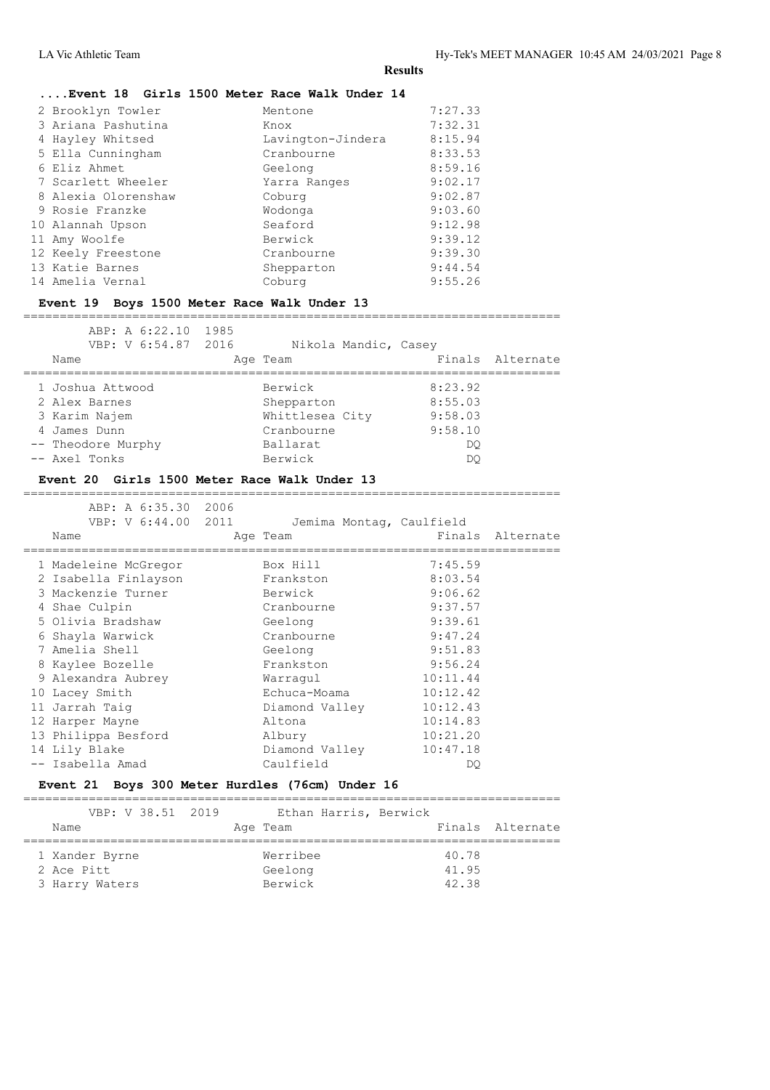# **....Event 18 Girls 1500 Meter Race Walk Under 14**

| 2 Brooklyn Towler   | Mentone           | 7:27.33 |
|---------------------|-------------------|---------|
| 3 Ariana Pashutina  | Knox              | 7:32.31 |
| 4 Hayley Whitsed    | Lavington-Jindera | 8:15.94 |
| 5 Ella Cunningham   | Cranbourne        | 8:33.53 |
| 6 Eliz Ahmet        | Geelong           | 8:59.16 |
| 7 Scarlett Wheeler  | Yarra Ranges      | 9:02.17 |
| 8 Alexia Olorenshaw | Coburg            | 9:02.87 |
| 9 Rosie Franzke     | Wodonga           | 9:03.60 |
| 10 Alannah Upson    | Seaford           | 9:12.98 |
| 11 Amy Woolfe       | Berwick           | 9:39.12 |
| 12 Keely Freestone  | Cranbourne        | 9:39.30 |
| 13 Katie Barnes     | Shepparton        | 9:44.54 |
| 14 Amelia Vernal    | Coburg            | 9:55.26 |

# **Event 19 Boys 1500 Meter Race Walk Under 13**

| ABP: A 6:22.10 1985<br>VBP: V 6:54.87 2016<br>Name | Nikola Mandic, Casey<br>Age Team |         | Finals Alternate |
|----------------------------------------------------|----------------------------------|---------|------------------|
| 1 Joshua Attwood                                   | Berwick                          | 8:23.92 |                  |
| 2 Alex Barnes                                      | Shepparton                       | 8:55.03 |                  |
| 3 Karim Najem                                      | Whittlesea City                  | 9:58.03 |                  |
| 4 James Dunn                                       | Cranbourne                       | 9:58.10 |                  |
| -- Theodore Murphy                                 | Ballarat                         | DO      |                  |
| -- Axel Tonks                                      | Berwick                          | DO      |                  |

==========================================================================

#### **Event 20 Girls 1500 Meter Race Walk Under 13**

| ABP: A 6:35.30 2006<br>VBP: V 6:44.00 2011<br>Name | Jemima Montag, Caulfield<br>Age Team |          | Finals Alternate |
|----------------------------------------------------|--------------------------------------|----------|------------------|
| 1 Madeleine McGregor                               | Box Hill                             | 7:45.59  |                  |
| 2 Isabella Finlayson                               | Frankston                            | 8:03.54  |                  |
| 3 Mackenzie Turner                                 | Berwick                              | 9:06.62  |                  |
| 4 Shae Culpin                                      | Cranbourne                           | 9:37.57  |                  |
| 5 Olivia Bradshaw                                  | Geelong                              | 9:39.61  |                  |
| 6 Shayla Warwick                                   | Cranbourne                           | 9:47.24  |                  |
| 7 Amelia Shell                                     | Geelong                              | 9:51.83  |                  |
| 8 Kaylee Bozelle                                   | Frankston                            | 9:56.24  |                  |
| 9 Alexandra Aubrey                                 | Warragul                             | 10:11.44 |                  |
| 10 Lacey Smith                                     | Echuca-Moama                         | 10:12.42 |                  |
| 11 Jarrah Taig                                     | Diamond Valley                       | 10:12.43 |                  |
| 12 Harper Mayne                                    | Altona                               | 10:14.83 |                  |
| 13 Philippa Besford                                | Albury                               | 10:21.20 |                  |
| 14 Lily Blake                                      | Diamond Valley                       | 10:47.18 |                  |
| -- Isabella Amad                                   | Caulfield                            | DO       |                  |

# **Event 21 Boys 300 Meter Hurdles (76cm) Under 16**

| VBP: V 38.51 2019 | Ethan Harris, Berwick |       |                  |
|-------------------|-----------------------|-------|------------------|
| Name              | Age Team              |       | Finals Alternate |
|                   |                       |       |                  |
| 1 Xander Byrne    | Werribee              | 40.78 |                  |
| 2 Ace Pitt        | Geelong               | 41.95 |                  |
| 3 Harry Waters    | Berwick               | 42.38 |                  |
|                   |                       |       |                  |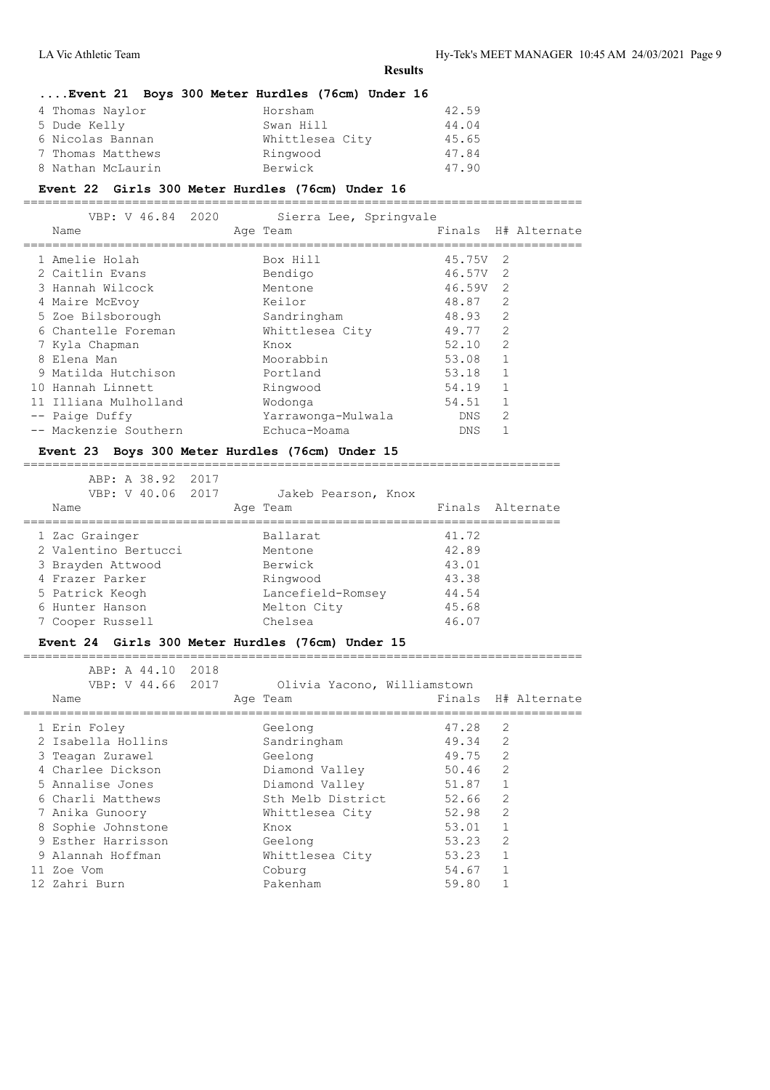# **....Event 21 Boys 300 Meter Hurdles (76cm) Under 16** 4 Thomas Naylor Horsham 42.59 5 Dude Kelly Swan Hill 44.04 6 Nicolas Bannan Whittlesea City 45.65 7 Thomas Matthews Ringwood 47.84 8 Nathan McLaurin Berwick 47.90

#### **Event 22 Girls 300 Meter Hurdles (76cm) Under 16**

 VBP: V 46.84 2020 Sierra Lee, Springvale Name **Age Team** Age Team Finals H# Alternate ============================================================================= 1 Amelie Holah Box Hill 45.75V 2 2 Caitlin Evans Bendigo 46.57V 2<br>3 Hannah Wilcock Mentone 46.59V 2<br>4 Mairo Mo<sup>r</sup>voy Keilor (18.87.2) 3 Hannah Wilcock 4 Maire McEvoy Keilor 48.87 2 5 Zoe Bilsborough Sandringham 48.93 2 6 Chantelle Foreman Mhittlesea City 49.77 2 France Chantelle Foreman Mhittlesea City (19.77 2)<br>
7 Kyla Chapman Knox 52.10 2<br>
France City (19.77 2) 8 Elena Man Moorabbin 53.08 1 9 Matilda Hutchison Portland 53.18 1 10 Hannah Linnett Ringwood 54.19 1 11 Illiana Mulholland Wodonga 54.51 1 -- Paige Duffy Yarrawonga-Mulwala DNS 2<br>-- Mackenzie Southern Echuca-Moama DNS 1 -- Mackenzie Southern Bchuca-Moama

=============================================================================

# **Event 23 Boys 300 Meter Hurdles (76cm) Under 15**

==========================================================================

| ABP: A 38.92 2017<br>VBP: V 40.06 2017 | Jakeb Pearson, Knox |                  |
|----------------------------------------|---------------------|------------------|
| Name                                   | Age Team            | Finals Alternate |
| 1 Zac Grainger                         | Ballarat            | 41.72            |
| 2 Valentino Bertucci                   | Mentone             | 42.89            |
| 3 Brayden Attwood                      | Berwick             | 43.01            |
| 4 Frazer Parker                        | Ringwood            | 43.38            |
| 5 Patrick Keogh                        | Lancefield-Romsey   | 44.54            |
| 6 Hunter Hanson                        | Melton City         | 45.68            |
| 7 Cooper Russell                       | Chelsea             | 46.07            |
|                                        |                     |                  |

# **Event 24 Girls 300 Meter Hurdles (76cm) Under 15**

|  | VBP: V 44.66 2017  | Olivia Yacono, Williamstown |       |                |                     |
|--|--------------------|-----------------------------|-------|----------------|---------------------|
|  | Name               | Age Team                    |       |                | Finals H# Alternate |
|  |                    |                             |       |                |                     |
|  | 1 Erin Foley       | Geelong                     | 47.28 | 2              |                     |
|  | 2 Isabella Hollins | Sandringham                 | 49.34 | $\overline{2}$ |                     |
|  | 3 Teagan Zurawel   | Geelong                     | 49.75 | $\mathfrak{D}$ |                     |
|  | 4 Charlee Dickson  | Diamond Valley              | 50.46 | $\overline{2}$ |                     |
|  | 5 Annalise Jones   | Diamond Valley              | 51.87 | 1              |                     |
|  | 6 Charli Matthews  | Sth Melb District           | 52.66 | $\overline{2}$ |                     |
|  | 7 Anika Gunoory    | Whittlesea City             | 52.98 | $\overline{2}$ |                     |
|  | 8 Sophie Johnstone | Knox                        | 53.01 | 1              |                     |
|  | 9 Esther Harrisson | Geelong                     | 53.23 | $\mathfrak{D}$ |                     |
|  | 9 Alannah Hoffman  | Whittlesea City             | 53.23 | 1              |                     |
|  | 11 Zoe Vom         | Coburg                      | 54.67 | 1              |                     |
|  | 12 Zahri Burn      | Pakenham                    | 59.80 |                |                     |
|  |                    |                             |       |                |                     |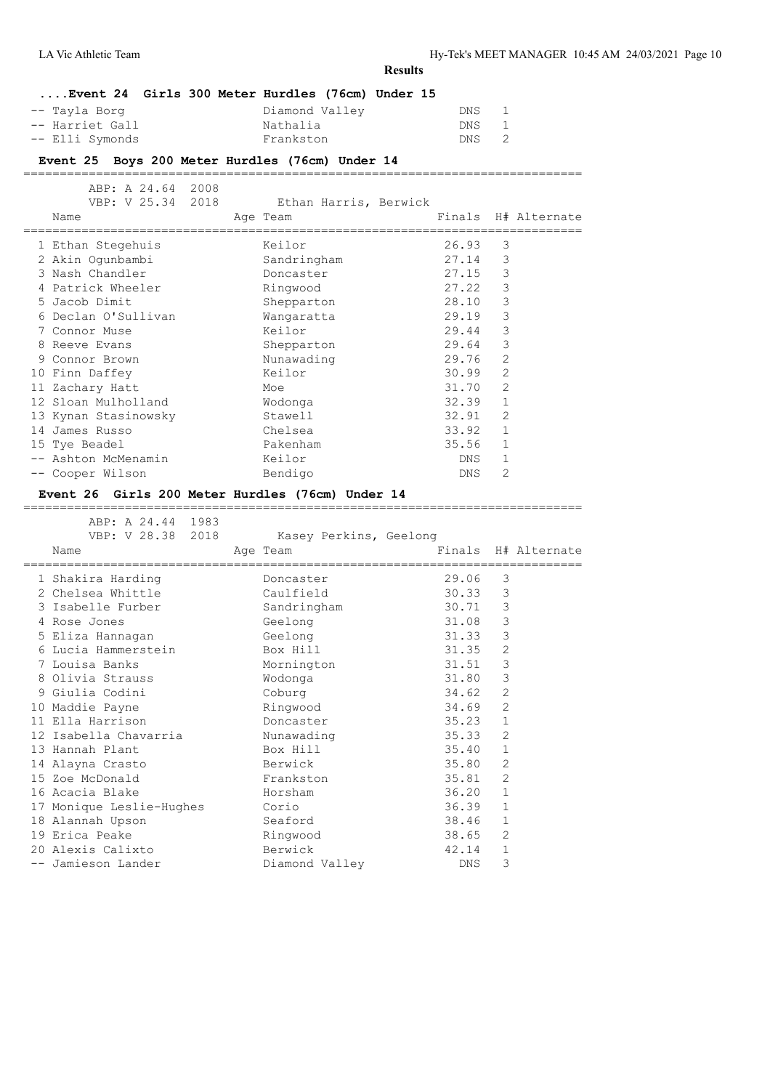|                                                                       |                                          | <b>Results</b>            |                   |                     |
|-----------------------------------------------------------------------|------------------------------------------|---------------------------|-------------------|---------------------|
| Event 24 Girls 300 Meter Hurdles (76cm) Under 15                      |                                          |                           |                   |                     |
| -- Tayla Borg                                                         | Diamond Valley                           | DNS                       | 1                 |                     |
| -- Harriet Gall                                                       | Nathalia                                 | DNS                       | $\mathbf 1$       |                     |
| -- Elli Symonds                                                       | Frankston                                | DNS                       | 2                 |                     |
|                                                                       |                                          |                           |                   |                     |
| Event 25 Boys 200 Meter Hurdles (76cm) Under 14<br>================== |                                          |                           |                   |                     |
| ABP: A 24.64 2008                                                     |                                          |                           |                   |                     |
| VBP: V 25.34 2018                                                     | Ethan Harris, Berwick                    |                           |                   |                     |
| Name                                                                  | Age Team                                 |                           |                   | Finals H# Alternate |
|                                                                       |                                          | ------------------------  |                   |                     |
| 1 Ethan Stegehuis                                                     | Keilor                                   | 26.93                     | 3                 |                     |
| 2 Akin Ogunbambi                                                      | Sandringham                              | 27.14                     | 3                 |                     |
| 3 Nash Chandler                                                       | Doncaster                                | 27.15                     | $\mathcal{S}$     |                     |
| 4 Patrick Wheeler                                                     | Ringwood                                 | 27.22                     | $\mathbf{3}$      |                     |
| 5 Jacob Dimit                                                         | Shepparton                               | 28.10                     | $\mathcal{E}$     |                     |
| 6 Declan O'Sullivan                                                   | Wangaratta<br>Keilor                     | 29.19<br>29.44            | 3<br>3            |                     |
| 7 Connor Muse<br>8 Reeve Evans                                        | Shepparton                               | 29.64                     | 3                 |                     |
| 9 Connor Brown                                                        |                                          | 29.76                     | $\mathbf{2}$      |                     |
| 10 Finn Daffey                                                        | Nunawading<br>Keilor                     | 30.99                     | 2                 |                     |
| 11 Zachary Hatt                                                       | Moe                                      | 31.70                     | 2                 |                     |
| 12 Sloan Mulholland                                                   | Wodonga                                  | 32.39                     | 1                 |                     |
| 13 Kynan Stasinowsky                                                  | Stawell                                  | 32.91                     | 2                 |                     |
| 14 James Russo                                                        | Chelsea                                  | 33.92                     | 1                 |                     |
| 15 Tye Beadel                                                         | Pakenham                                 | 35.56                     | 1                 |                     |
| -- Ashton McMenamin                                                   | Keilor                                   | DNS                       | 1                 |                     |
|                                                                       |                                          |                           |                   |                     |
|                                                                       |                                          |                           |                   |                     |
| -- Cooper Wilson                                                      | Bendigo                                  | DNS                       | 2                 |                     |
| Event 26 Girls 200 Meter Hurdles (76cm) Under 14                      |                                          |                           |                   |                     |
| ABP: A 24.44 1983                                                     |                                          |                           |                   |                     |
|                                                                       | VBP: V 28.38 2018 Kasey Perkins, Geelong |                           |                   |                     |
| Name                                                                  | Age Team                                 |                           |                   | Finals H# Alternate |
|                                                                       |                                          | ========================= |                   |                     |
| 1 Shakira Harding                                                     | Doncaster                                | 29.06                     | 3                 |                     |
| 2 Chelsea Whittle                                                     | Caulfield                                | 30.33                     | 3                 |                     |
| 3 Isabelle Furber                                                     | Sandringham                              | 30.71                     | $\mathcal{E}$     |                     |
| 4 Rose Jones                                                          | Geelong                                  | 31.08                     | $\mathbf{3}$      |                     |
| 5 Eliza Hannagan                                                      | Geelong                                  | 31.33                     | 3                 |                     |
| 6 Lucia Hammerstein                                                   | Box Hill                                 | 31.35                     | 2                 |                     |
| 7 Louisa Banks                                                        | Mornington                               | 31.51                     | 3                 |                     |
| 8 Olivia Strauss                                                      | Wodonga                                  | 31.80                     | 3                 |                     |
| 9 Giulia Codini                                                       | Coburg                                   | 34.62                     | 2                 |                     |
| 10 Maddie Payne                                                       | Ringwood                                 | 34.69                     | $\overline{2}$    |                     |
| 11 Ella Harrison                                                      | Doncaster                                | 35.23                     | $\mathbf{1}$      |                     |
| 12 Isabella Chavarria                                                 | Nunawading                               | 35.33                     | 2                 |                     |
| 13 Hannah Plant                                                       | Box Hill                                 | 35.40                     | $\mathbf{1}$      |                     |
| 14 Alayna Crasto                                                      | Berwick                                  | 35.80                     | 2                 |                     |
| 15 Zoe McDonald                                                       | Frankston                                | 35.81                     | 2                 |                     |
| 16 Acacia Blake                                                       | Horsham                                  | 36.20                     | $\mathbf{1}$      |                     |
| 17 Monique Leslie-Hughes                                              | Corio                                    | 36.39                     | $\mathbf{1}$      |                     |
| 18 Alannah Upson                                                      | Seaford                                  | 38.46                     | $\mathbf{1}$      |                     |
| 19 Erica Peake                                                        | Ringwood                                 | 38.65                     | 2                 |                     |
| 20 Alexis Calixto<br>-- Jamieson Lander                               | Berwick<br>Diamond Valley                | 42.14<br>DNS              | $\mathbf{1}$<br>3 |                     |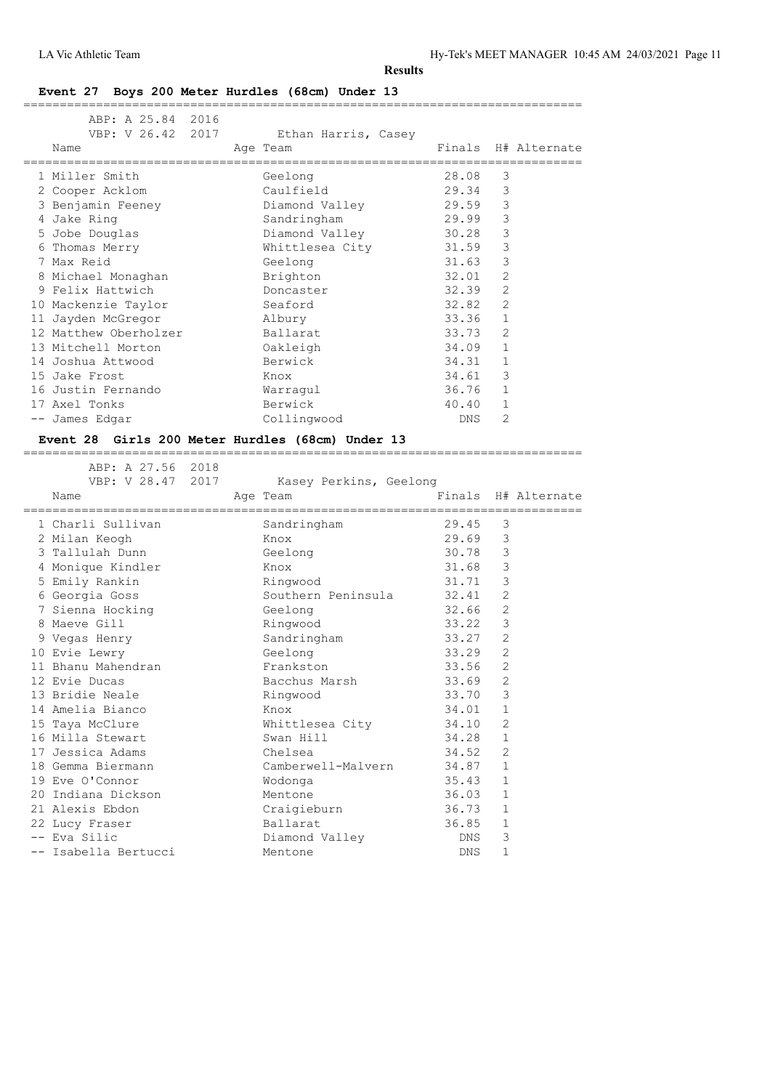# **Event 27 Boys 200 Meter Hurdles (68cm) Under 13**

| ABP: A 25.84 2016     |                      |            |                     |
|-----------------------|----------------------|------------|---------------------|
| VBP: V 26.42 2017     | Ethan Harris, Casey  |            |                     |
| Name                  | Age Team             |            | Finals H# Alternate |
|                       |                      |            |                     |
| 1 Miller Smith        | Geelong              | 28.08      | 3                   |
| 2 Cooper Acklom       | Caulfield            | 29.34      | 3                   |
| 3 Benjamin Feeney     | Diamond Valley       | 29.59      | 3                   |
| 4 Jake Ring           | Sandringham          | 29.99      | 3                   |
| 5 Jobe Douglas        | Diamond Valley 30.28 |            | 3                   |
| 6 Thomas Merry        | Whittlesea City      | 31.59      | 3                   |
| 7 Max Reid            | Geelong              | 31.63      | 3                   |
| 8 Michael Monaghan    | Brighton             | 32.01      | $\overline{2}$      |
| 9 Felix Hattwich      | Doncaster            | 32.39      | $\overline{2}$      |
| 10 Mackenzie Taylor   | Seaford              | 32.82      | $\overline{2}$      |
| 11 Jayden McGregor    | Albury               | 33.36      | $\mathbf{1}$        |
| 12 Matthew Oberholzer | Ballarat             | 33.73      | 2                   |
| 13 Mitchell Morton    | Oakleigh             | 34.09      | $\mathbf{1}$        |
| 14 Joshua Attwood     | Berwick              | 34.31      | $\mathbf{1}$        |
| 15 Jake Frost         | Knox                 | 34.61      | 3                   |
| 16 Justin Fernando    | Warraqul             | 36.76      | $\mathbf{1}$        |
| 17 Axel Tonks         | Berwick              | 40.40      | $\mathbf 1$         |
| -- James Edgar        | Collingwood          | <b>DNS</b> | $\overline{2}$      |

# **Event 28 Girls 200 Meter Hurdles (68cm) Under 13**

| ABP; A 27.00 2010<br>VBP: V 28.47 2017      | Kasey Perkins, Geelong   |                                   |               |                     |
|---------------------------------------------|--------------------------|-----------------------------------|---------------|---------------------|
| Name<br>=================================== | Age Team                 | ;================================ |               | Finals H# Alternate |
| 1 Charli Sullivan                           | Sandringham              | 29.45                             | 3             |                     |
| 2 Milan Keogh                               | Knox                     | 29.69                             | 3             |                     |
| 3 Tallulah Dunn                             | Geelong                  | 30.78                             | $\mathcal{E}$ |                     |
| 4 Monique Kindler                           | Knox                     | 31.68                             | $\mathcal{S}$ |                     |
| 5 Emily Rankin                              | Ringwood                 | 31.71                             | $\mathsf 3$   |                     |
| 6 Georgia Goss                              | Southern Peninsula 32.41 |                                   | 2             |                     |
| 7 Sienna Hocking                            | Geelong                  | 32.66                             | 2             |                     |
| 8 Maeve Gill                                | Ringwood                 | 33.22                             | 3             |                     |
| 9 Vegas Henry                               | Sandringham              | 33.27                             | 2             |                     |
| 10 Evie Lewry                               | Geelong                  | 33.29                             | 2             |                     |
| 11 Bhanu Mahendran                          | Frankston                | 33.56                             | 2             |                     |
| 12 Evie Ducas                               | Bacchus Marsh            | 33.69                             | 2             |                     |
| 13 Bridie Neale                             | Ringwood                 | 33.70                             | 3             |                     |
| 14 Amelia Bianco                            | Knox                     | 34.01                             | $\mathbf{1}$  |                     |
| 15 Taya McClure                             | Whittlesea City 34.10    |                                   | 2             |                     |
| 16 Milla Stewart                            | Swan Hill                | 34.28                             | 1             |                     |
| 17 Jessica Adams                            | Chelsea                  | 34.52                             | 2             |                     |
| 18 Gemma Biermann                           | Camberwell-Malvern 34.87 |                                   | $\mathbf{1}$  |                     |
| 19 Eve O'Connor                             | Wodonga                  | 35.43                             | $\mathbf{1}$  |                     |
| 20 Indiana Dickson                          | Mentone                  | 36.03                             | $\mathbf{1}$  |                     |
| 21 Alexis Ebdon                             | Craigieburn 36.73        |                                   | 1             |                     |
| 22 Lucy Fraser                              | Ballarat                 | 36.85                             | $\mathbf{1}$  |                     |
| -- Eva Silic                                | Diamond Valley           | DNS                               | 3             |                     |
| -- Isabella Bertucci                        | Mentone                  | DNS                               | $\mathbf{1}$  |                     |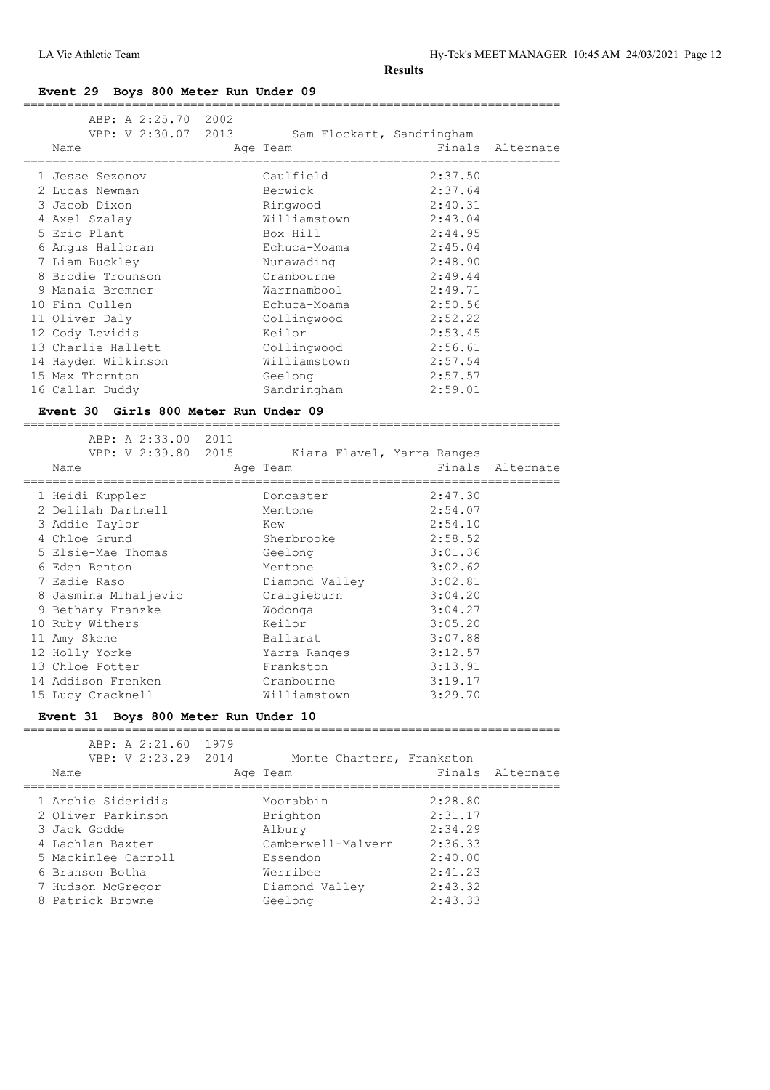**Event 29 Boys 800 Meter Run Under 09**

|   | ABP: A 2:25.70 2002<br>VBP: V 2:30.07 2013<br>Name |      | Sam Flockart, Sandringham<br>Age Team |         | Finals Alternate |
|---|----------------------------------------------------|------|---------------------------------------|---------|------------------|
|   | 1 Jesse Sezonov                                    |      | Caulfield                             | 2:37.50 |                  |
|   | 2 Lucas Newman                                     |      | Berwick                               | 2:37.64 |                  |
|   | 3 Jacob Dixon                                      |      | Ringwood                              | 2:40.31 |                  |
|   | 4 Axel Szalay                                      |      | Williamstown                          | 2:43.04 |                  |
|   | 5 Eric Plant                                       |      | Box Hill                              | 2:44.95 |                  |
|   | Angus Halloran                                     |      | Echuca-Moama                          | 2:45.04 |                  |
|   | 7 Liam Buckley                                     |      | Nunawading                            | 2:48.90 |                  |
|   | 8 Brodie Trounson                                  |      | Cranbourne                            | 2:49.44 |                  |
| 9 | Manaia Bremner                                     |      | Warrnambool                           | 2:49.71 |                  |
|   | 10 Finn Cullen                                     |      | Echuca-Moama                          | 2:50.56 |                  |
|   | 11 Oliver Daly                                     |      | Collingwood                           | 2:52.22 |                  |
|   | 12 Cody Levidis                                    |      | Keilor                                | 2:53.45 |                  |
|   | 13 Charlie Hallett                                 |      | Collingwood                           | 2:56.61 |                  |
|   | 14 Hayden Wilkinson                                |      | Williamstown                          | 2:57.54 |                  |
|   | 15 Max Thornton                                    |      | Geelong                               | 2:57.57 |                  |
|   | 16 Callan Duddy                                    |      | Sandringham                           | 2:59.01 |                  |
|   | Event 30 Girls 800 Meter Run Under 09              |      |                                       |         |                  |
|   | ABP: A 2:33.00                                     | 2011 |                                       |         |                  |

| VBP: V 2:39.80 2015  | Kiara Flavel, Yarra Ranges |         |                  |
|----------------------|----------------------------|---------|------------------|
| Name                 | Age Team                   |         | Finals Alternate |
| 1 Heidi Kuppler      | Doncaster                  | 2:47.30 |                  |
| 2 Delilah Dartnell   | Mentone                    | 2:54.07 |                  |
| 3 Addie Taylor       | Kew                        | 2:54.10 |                  |
| 4 Chloe Grund        | Sherbrooke                 | 2:58.52 |                  |
| 5 Elsie-Mae Thomas   | Geelong                    | 3:01.36 |                  |
| 6 Eden Benton        | Mentone                    | 3:02.62 |                  |
| 7 Eadie Raso         | Diamond Valley             | 3:02.81 |                  |
| 8 Jasmina Mihaljevic | Craigieburn                | 3:04.20 |                  |
| 9 Bethany Franzke    | Wodonga                    | 3:04.27 |                  |
| 10 Ruby Withers      | Keilor                     | 3:05.20 |                  |
| 11 Amy Skene         | Ballarat                   | 3:07.88 |                  |
| 12 Holly Yorke       | Yarra Ranges               | 3:12.57 |                  |
| 13 Chloe Potter      | Frankston                  | 3:13.91 |                  |
| 14 Addison Frenken   | Cranbourne                 | 3:19.17 |                  |
| 15 Lucy Cracknell    | Williamstown               | 3:29.70 |                  |

# **Event 31 Boys 800 Meter Run Under 10**

| ABP: A 2:21.60 1979<br>VBP: V 2:23.29 2014<br>Name | Monte Charters, Frankston<br>Age Team |         | Finals Alternate |
|----------------------------------------------------|---------------------------------------|---------|------------------|
| 1 Archie Sideridis                                 | Moorabbin                             | 2:28.80 |                  |
| 2 Oliver Parkinson                                 | Brighton                              | 2:31.17 |                  |
| 3 Jack Godde                                       | Albury                                | 2:34.29 |                  |
| 4 Lachlan Baxter                                   | Camberwell-Malvern                    | 2:36.33 |                  |
| 5 Mackinlee Carroll                                | Essendon                              | 2:40.00 |                  |
| 6 Branson Botha                                    | Werribee                              | 2:41.23 |                  |
| 7 Hudson McGregor                                  | Diamond Valley                        | 2:43.32 |                  |
| 8 Patrick Browne                                   | Geelong                               | 2:43.33 |                  |
|                                                    |                                       |         |                  |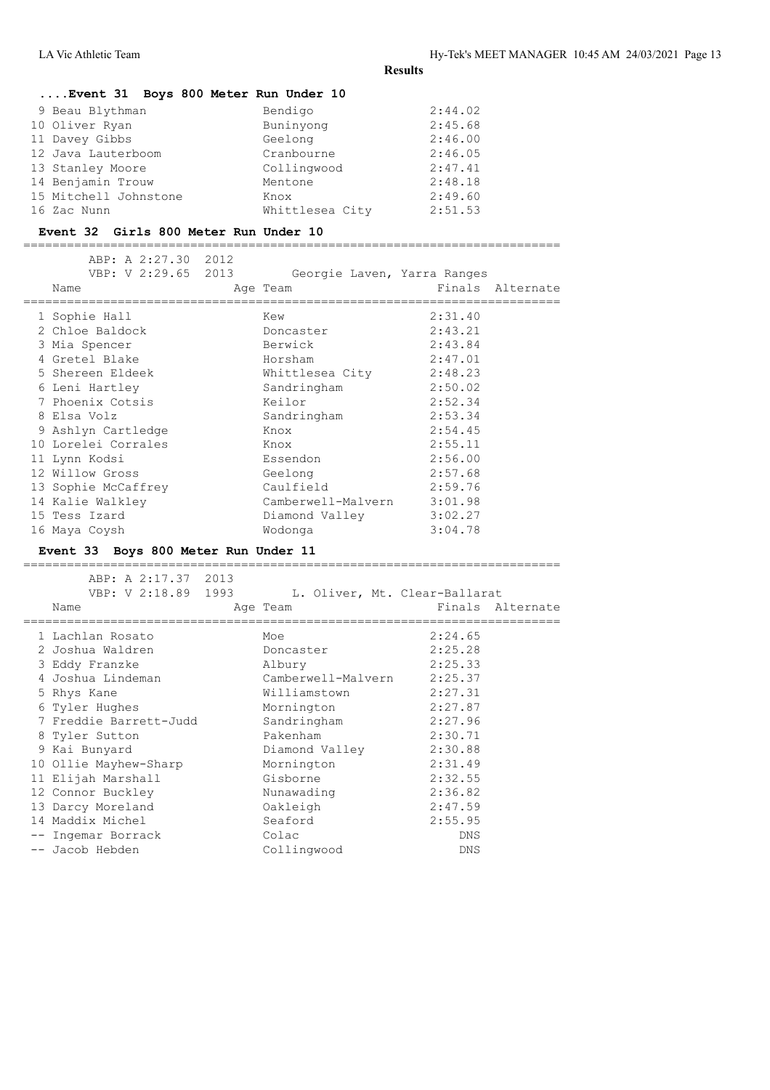# **....Event 31 Boys 800 Meter Run Under 10**

| 9 Beau Blythman       | Bendigo         | 2:44.02 |
|-----------------------|-----------------|---------|
| 10 Oliver Ryan        | Buninyong       | 2:45.68 |
| 11 Davey Gibbs        | Geelong         | 2:46.00 |
| 12 Java Lauterboom    | Cranbourne      | 2:46.05 |
| 13 Stanley Moore      | Collingwood     | 2:47.41 |
| 14 Benjamin Trouw     | Mentone         | 2:48.18 |
| 15 Mitchell Johnstone | Knox            | 2:49.60 |
| 16 Zac Nunn           | Whittlesea City | 2:51.53 |

#### **Event 32 Girls 800 Meter Run Under 10**

========================================================================== ABP: A 2:27.30 2012

|  | VBP: V 2:29.65 2013 | Georgie Laven, Yarra Ranges |         |                  |
|--|---------------------|-----------------------------|---------|------------------|
|  | Name                | Age Team                    |         | Finals Alternate |
|  | 1 Sophie Hall       | Kew                         | 2:31.40 |                  |
|  | 2 Chloe Baldock     | Doncaster                   | 2:43.21 |                  |
|  | 3 Mia Spencer       | Berwick                     | 2:43.84 |                  |
|  | 4 Gretel Blake      | Horsham                     | 2:47.01 |                  |
|  | 5 Shereen Eldeek    | Whittlesea City             | 2:48.23 |                  |
|  | 6 Leni Hartley      | Sandringham                 | 2:50.02 |                  |
|  | 7 Phoenix Cotsis    | Keilor                      | 2:52.34 |                  |
|  | 8 Elsa Volz         | Sandringham                 | 2:53.34 |                  |
|  | 9 Ashlyn Cartledge  | Knox                        | 2:54.45 |                  |
|  | 10 Lorelei Corrales | Knox                        | 2:55.11 |                  |
|  | 11 Lynn Kodsi       | Essendon                    | 2:56.00 |                  |
|  | 12 Willow Gross     | Geelong                     | 2:57.68 |                  |
|  | 13 Sophie McCaffrey | Caulfield                   | 2:59.76 |                  |
|  | 14 Kalie Walkley    | Camberwell-Malvern 3:01.98  |         |                  |
|  | 15 Tess Izard       | Diamond Valley              | 3:02.27 |                  |
|  | 16 Maya Coysh       | Wodonga                     | 3:04.78 |                  |
|  |                     |                             |         |                  |

#### **Event 33 Boys 800 Meter Run Under 11** ==========================================================================

| ABP: A 2:17.37 2013<br>VBP: V 2:18.89 1993<br>Name | L. Oliver, Mt. Clear-Ballarat<br>Age Team | Finals Alternate |  |
|----------------------------------------------------|-------------------------------------------|------------------|--|
| 1 Lachlan Rosato                                   | Moe                                       | 2:24.65          |  |
| 2 Joshua Waldren                                   | Doncaster                                 | 2:25.28          |  |
| 3 Eddy Franzke                                     | Albury                                    | 2:25.33          |  |
| 4 Joshua Lindeman                                  | Camberwell-Malvern                        | 2:25.37          |  |
| 5 Rhys Kane                                        | Williamstown                              | 2:27.31          |  |
| 6 Tyler Hughes                                     | Mornington                                | 2:27.87          |  |
| 7 Freddie Barrett-Judd                             | Sandringham                               | 2:27.96          |  |
| 8 Tyler Sutton                                     | Pakenham                                  | 2:30.71          |  |
| 9 Kai Bunyard                                      | Diamond Valley                            | 2:30.88          |  |
| 10 Ollie Mayhew-Sharp                              | Mornington                                | 2:31.49          |  |
| 11 Elijah Marshall                                 | Gisborne                                  | 2:32.55          |  |
| 12 Connor Buckley                                  | Nunawading                                | 2:36.82          |  |
| 13 Darcy Moreland                                  | Oakleigh                                  | 2:47.59          |  |
| 14 Maddix Michel                                   | Seaford                                   | 2:55.95          |  |
| -- Ingemar Borrack                                 | Colac                                     | DNS              |  |
| -- Jacob Hebden                                    | Collingwood                               | DNS              |  |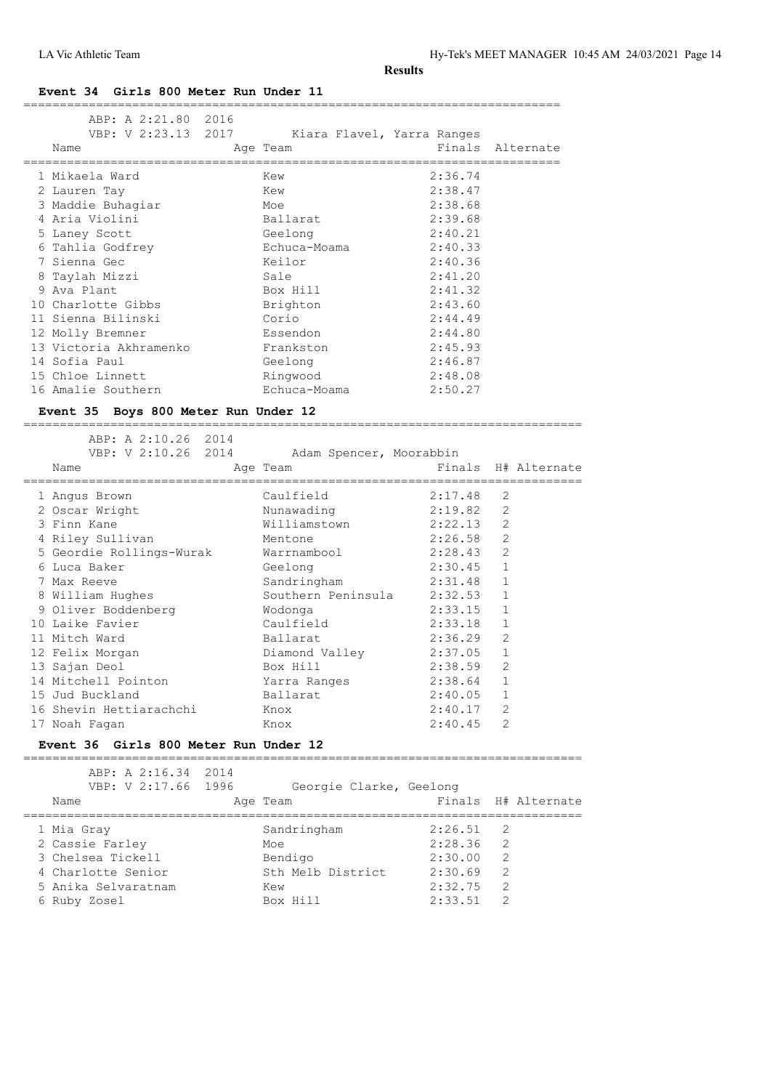#### **Event 34 Girls 800 Meter Run Under 11**

| ABP: A 2:21.80 2016<br>VBP: V 2:23.13 2017 | Kiara Flavel, Yarra Ranges |             | Finals Alternate    |
|--------------------------------------------|----------------------------|-------------|---------------------|
| Name                                       | Age Team                   |             |                     |
| 1 Mikaela Ward                             | Kew                        | 2:36.74     |                     |
| 2 Lauren Tay                               | Kew                        | 2:38.47     |                     |
| 3 Maddie Buhaqiar                          | Moe                        | 2:38.68     |                     |
| 4 Aria Violini                             | Ballarat                   | 2:39.68     |                     |
| 5 Laney Scott                              | Geelong                    | 2:40.21     |                     |
| 6 Tahlia Godfrey                           | Echuca-Moama               | 2:40.33     |                     |
| 7 Sienna Gec                               | Keilor                     | 2:40.36     |                     |
| 8 Taylah Mizzi                             | Sale                       | 2:41.20     |                     |
| 9 Ava Plant                                | Box Hill                   | 2:41.32     |                     |
| 10 Charlotte Gibbs                         | Brighton                   | 2:43.60     |                     |
| 11 Sienna Bilinski                         | Corio                      | 2:44.49     |                     |
| 12 Molly Bremner                           | Essendon                   | 2:44.80     |                     |
| 13 Victoria Akhramenko                     | Frankston                  | 2:45.93     |                     |
| 14 Sofia Paul                              | Geelong                    | 2:46.87     |                     |
| 15 Chloe Linnett                           | Ringwood                   | 2:48.08     |                     |
| 16 Amalie Southern                         | Echuca-Moama               | 2:50.27     |                     |
| Event 35 Boys 800 Meter Run Under 12       |                            |             |                     |
| ABP: A 2:10.26 2014                        |                            |             |                     |
| VBP: V 2:10.26 2014                        | Adam Spencer, Moorabbin    |             |                     |
| Name                                       | Age Team                   |             | Finals H# Alternate |
| 1 Angus Brown                              | Caulfield                  | 2:17.48     | 2                   |
| 2 Oscar Wright                             | Nunawading                 | 2:19.82     | 2                   |
| 3 Finn Kane                                | Williamstown               | $2:22.13$ 2 |                     |
| 4 Riley Sullivan                           | Mentone                    | $2:26.58$ 2 |                     |
| 5 Geordie Rollings-Wurak                   | Warrnambool 2:28.43        |             | 2                   |
| 6 Iuca Baker -                             | Geelona                    | 2:30.45     |                     |

| Name                     | Age Team           | Finals H# Alternate |                |  |
|--------------------------|--------------------|---------------------|----------------|--|
| 1 Angus Brown            | Caulfield          | 2:17.48             | 2              |  |
| 2 Oscar Wright           | Nunawading         | 2:19.82             | 2              |  |
| 3 Finn Kane              | Williamstown       | 2:22.13             | $\overline{2}$ |  |
| 4 Riley Sullivan         | Mentone            | 2:26.58             | 2              |  |
| 5 Geordie Rollings-Wurak | Warrnambool        | 2:28.43             | 2              |  |
| 6 Luca Baker             | Geelong            | 2:30.45             | $\mathbf{1}$   |  |
| 7 Max Reeve              | Sandringham        | 2:31.48             | 1              |  |
| 8 William Hughes         | Southern Peninsula | 2:32.53             | $\mathbf{1}$   |  |
| 9 Oliver Boddenberg      | Wodonga            | 2:33.15             | 1              |  |
| 10 Laike Favier          | Caulfield          | 2:33.18             | 1              |  |
| 11 Mitch Ward            | Ballarat           | 2:36.29             | 2              |  |
| 12 Felix Morgan          | Diamond Valley     | 2:37.05             | $\mathbf{1}$   |  |
| 13 Sajan Deol            | Box Hill           | 2:38.59             | $\overline{2}$ |  |
| 14 Mitchell Pointon      | Yarra Ranges       | 2:38.64             | $\mathbf{1}$   |  |
| 15 Jud Buckland          | Ballarat           | 2:40.05             | $\mathbf{1}$   |  |
| 16 Shevin Hettiarachchi  | Knox               | 2:40.17             | $\overline{2}$ |  |
| 17 Noah Faqan            | Knox               | 2:40.45             | $\overline{2}$ |  |

#### **Event 36 Girls 800 Meter Run Under 12**

| ABP: A 2:16.34 2014<br>VBP: V 2:17.66 1996<br>Name | Georgie Clarke, Geelong<br>Age Team |         | Finals H# Alternate |
|----------------------------------------------------|-------------------------------------|---------|---------------------|
| 1 Mia Gray                                         | Sandringham                         | 2:26.51 | - 2.                |
| 2 Cassie Farley                                    | Moe                                 | 2:28.36 | -2                  |
| 3 Chelsea Tickell                                  | Bendigo                             | 2:30.00 | 2                   |
| 4 Charlotte Senior                                 | Sth Melb District                   | 2:30.69 | 2                   |
| 5 Anika Selvaratnam                                | Kew                                 | 2:32.75 | 2                   |
| 6 Ruby Zosel                                       | Box Hill                            | 2:33.51 | 2                   |
|                                                    |                                     |         |                     |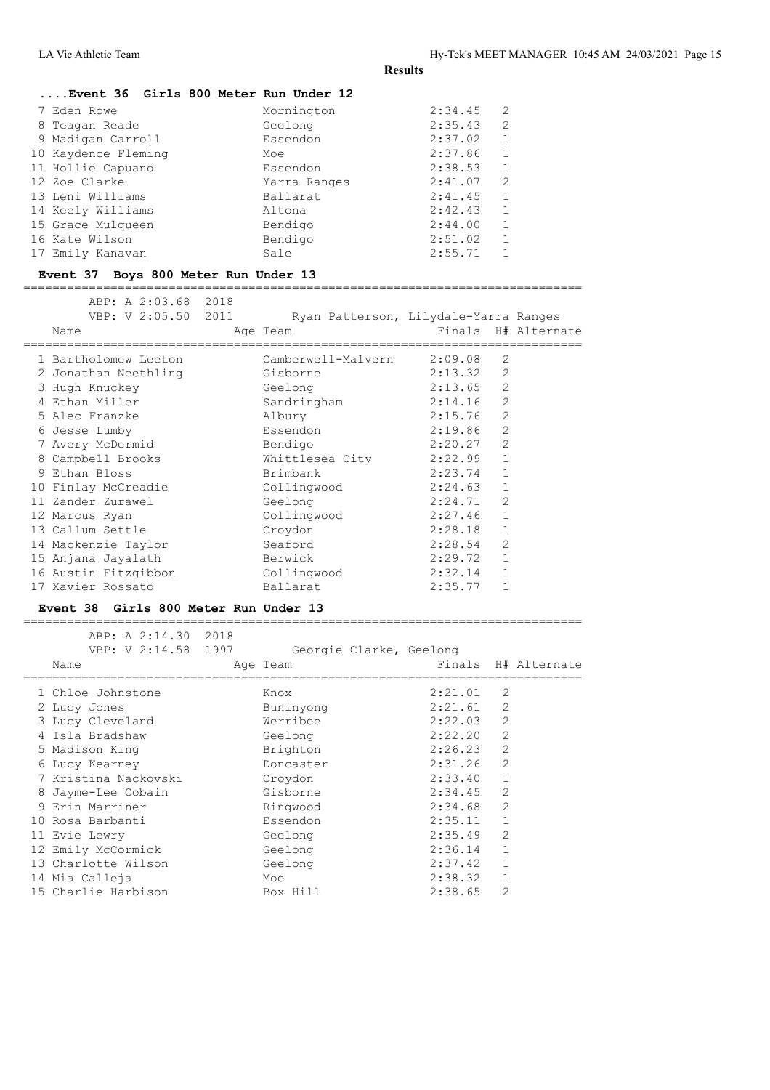| Event 36 Girls 800 Meter Run Under 12 |              |                           |  |
|---------------------------------------|--------------|---------------------------|--|
| 7 Eden Rowe                           | Mornington   | -2<br>2:34.45             |  |
| 8 Teagan Reade                        | Geelong      | $\overline{2}$<br>2:35.43 |  |
| 9 Madigan Carroll                     | Essendon     | $\mathbf{1}$<br>2:37.02   |  |
| 10 Kaydence Fleming                   | Moe          | 2:37.86<br>1              |  |
| 11 Hollie Capuano                     | Essendon     | $\mathbf{1}$<br>2:38.53   |  |
| 12 Zoe Clarke                         | Yarra Ranges | -2<br>2:41.07             |  |
| 13 Leni Williams                      | Ballarat     | 2:41.45<br>$\mathbf{1}$   |  |
| 14 Keely Williams                     | Altona       | $\mathbf{1}$<br>2:42.43   |  |
| 15 Grace Mulqueen                     | Bendigo      | 1<br>2:44.00              |  |
| 16 Kate Wilson                        | Bendigo      | $\mathbf{1}$<br>2:51.02   |  |
| 17 Emily Kanavan                      | Sale         | 2:55.71<br>$\mathbf{1}$   |  |
|                                       |              |                           |  |

# **Event 37 Boys 800 Meter Run Under 13**

=============================================================================

| ABP: A 2:03.68 2018                   |                                       |         |                     |
|---------------------------------------|---------------------------------------|---------|---------------------|
| VBP: V 2:05.50 2011                   | Ryan Patterson, Lilydale-Yarra Ranges |         |                     |
| Name                                  | Age Team                              |         | Finals H# Alternate |
| 1 Bartholomew Leeton                  | Camberwell-Malvern                    | 2:09.08 | $\overline{2}$      |
| 2 Jonathan Neethling                  | Gisborne                              | 2:13.32 | $\overline{c}$      |
|                                       |                                       | 2:13.65 | $\overline{2}$      |
| 3 Hugh Knuckey                        | Geelong                               |         |                     |
| 4 Ethan Miller                        | Sandringham                           | 2:14.16 | $\overline{2}$      |
| 5 Alec Franzke                        | Albury                                | 2:15.76 | 2                   |
| 6 Jesse Lumby                         | Essendon                              | 2:19.86 | $\overline{2}$      |
| 7 Avery McDermid                      | Bendigo                               | 2:20.27 | $\overline{2}$      |
| 8 Campbell Brooks                     | Whittlesea City 2:22.99               |         | $\mathbf{1}$        |
| 9 Ethan Bloss                         | Brimbank                              | 2:23.74 | $\mathbf{1}$        |
| 10 Finlay McCreadie                   | Collingwood                           | 2:24.63 | $\mathbf{1}$        |
| 11 Zander Zurawel                     | Geelong                               | 2:24.71 | $\overline{2}$      |
| 12 Marcus Ryan                        | Collingwood                           | 2:27.46 | $\mathbf{1}$        |
| 13 Callum Settle                      | Croydon                               | 2:28.18 | $\mathbf{1}$        |
| 14 Mackenzie Taylor                   | Seaford                               | 2:28.54 | $\overline{2}$      |
| 15 Anjana Jayalath                    | Berwick                               | 2:29.72 | $\mathbf{1}$        |
| 16 Austin Fitzgibbon                  | Collingwood                           | 2:32.14 | $\mathbf{1}$        |
| 17 Xavier Rossato                     | Ballarat                              | 2:35.77 | 1                   |
| Event 38 Girls 800 Meter Run Under 13 |                                       |         |                     |

ABP: A 2:14.30 2018

| VBP: V 2:14.58 1997  | Georgie Clarke, Geelong |         |                |                     |
|----------------------|-------------------------|---------|----------------|---------------------|
| Name                 | Age Team                |         |                | Finals H# Alternate |
| 1 Chloe Johnstone    | Knox                    | 2:21.01 | 2              |                     |
| 2 Lucy Jones         | Buninyong               | 2:21.61 | $\overline{c}$ |                     |
| 3 Lucy Cleveland     | Werribee                | 2:22.03 | $\overline{2}$ |                     |
| 4 Isla Bradshaw      | Geelong                 | 2:22.20 | $\overline{2}$ |                     |
| 5 Madison King       | Brighton                | 2:26.23 | $\overline{2}$ |                     |
| 6 Lucy Kearney       | Doncaster               | 2:31.26 | $\overline{2}$ |                     |
| 7 Kristina Nackovski | Croydon                 | 2:33.40 | $\mathbf{1}$   |                     |
| 8 Jayme-Lee Cobain   | Gisborne                | 2:34.45 | $\overline{2}$ |                     |
| 9 Erin Marriner      | Ringwood                | 2:34.68 | $\overline{c}$ |                     |
| 10 Rosa Barbanti     | Essendon                | 2:35.11 | 1              |                     |
| 11 Evie Lewry        | Geelong                 | 2:35.49 | 2              |                     |
| 12 Emily McCormick   | Geelong                 | 2:36.14 | $\mathbf{1}$   |                     |
| 13 Charlotte Wilson  | Geelong                 | 2:37.42 | $\mathbf 1$    |                     |
| 14 Mia Calleja       | Moe                     | 2:38.32 | $\mathbf{1}$   |                     |
| 15 Charlie Harbison  | Box Hill                | 2:38.65 | $\overline{2}$ |                     |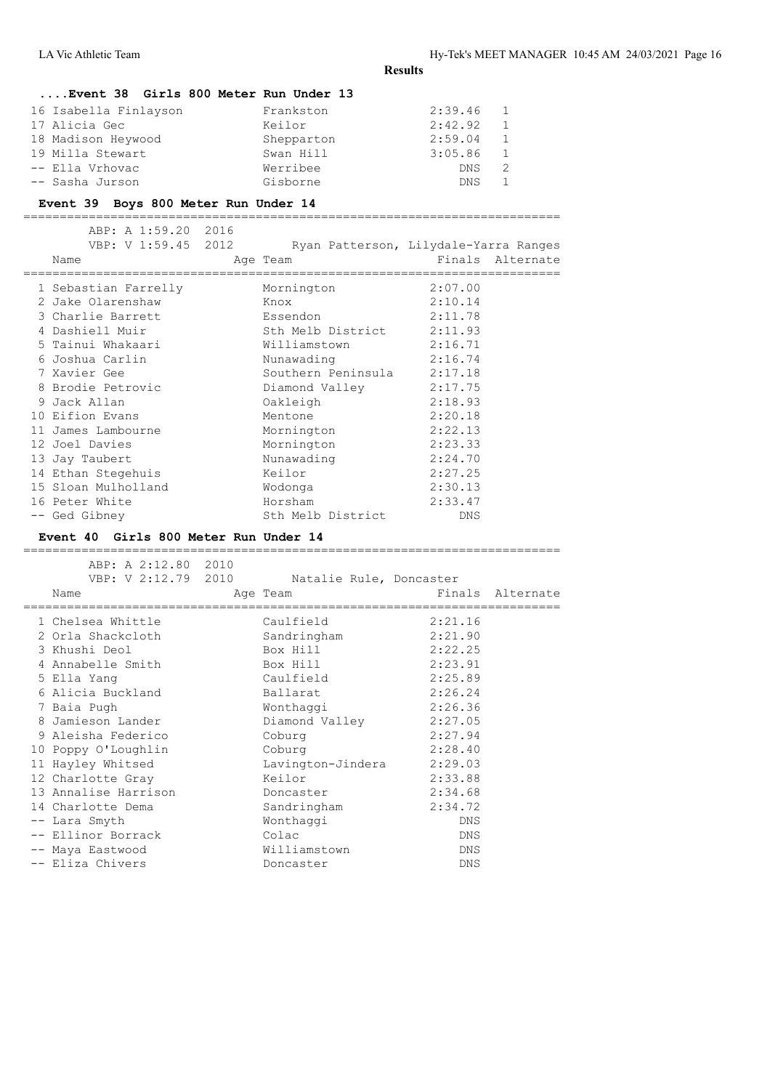| Event 38 Girls 800 Meter Run Under 13 |  |  |  |  |
|---------------------------------------|--|--|--|--|
|                                       |  |  |  |  |

| 16 Isabella Finlayson | Frankston  | 2:39.46    | $\mathbf{1}$ |
|-----------------------|------------|------------|--------------|
| 17 Alicia Gec         | Keilor     | 2:42.92    | 1            |
| 18 Madison Heywood    | Shepparton | 2:59.04    | 1            |
| 19 Milla Stewart      | Swan Hill  | 3:05.86    | 1            |
| -- Ella Vrhovac       | Werribee   | <b>DNS</b> | 2            |
| -- Sasha Jurson       | Gisborne   | DNS.       |              |

#### **Event 39 Boys 800 Meter Run Under 14**

========================================================================== ABP: A 1:59.20 2016 ABP: A 1:59.20 2016<br>VBP: V 1:59.45 2012 Ryan Patterson, Lilydale-Yarra Ranges Name **Age Team** Age Team Finals Alternate ========================================================================== 1 Sebastian Farrelly Mornington 2:07.00 2 Jake Olarenshaw Knox 2:10.14 3 Charlie Barrett Essendon 2:11.78 4 Dashiell Muir Sth Melb District 2:11.93 5 Tainui Whakaari Williamstown 2:16.71 6 Joshua Carlin Nunawading 2:16.74 7 Xavier Gee Southern Peninsula 2:17.18 8 Brodie Petrovic Diamond Valley 2:17.75 9 Jack Allan Oakleigh 2:18.93 10 Eifion Evans Mentone 2:20.18 11 James Lambourne Mornington 2:22.13 12 Joel Davies Mornington 2:23.33 13 Jay Taubert Nunawading 2:24.70 14 Ethan Stegehuis Keilor 2:27.25 15 Sloan Mulholland Wodonga 2:30.13 16 Peter White **Horsham** -- Ged Gibney Sth Melb District DNS

#### **Event 40 Girls 800 Meter Run Under 14**

| ABP: A 2:12.80 2010                                |                         |         |                  |
|----------------------------------------------------|-------------------------|---------|------------------|
| VBP: V 2:12.79 2010                                | Natalie Rule, Doncaster |         |                  |
| Name                                               | Age Team                |         | Finals Alternate |
| =============================<br>1 Chelsea Whittle | Caulfield               | 2:21.16 |                  |
| 2 Orla Shackcloth                                  | Sandringham             | 2:21.90 |                  |
| 3 Khushi Deol                                      | Box Hill                | 2:22.25 |                  |
|                                                    |                         |         |                  |
| 4 Annabelle Smith                                  | Box Hill                | 2:23.91 |                  |
| 5 Ella Yang                                        | Caulfield               | 2:25.89 |                  |
| 6 Alicia Buckland                                  | Ballarat                | 2:26.24 |                  |
| 7 Baia Pugh                                        | Wonthaqqi               | 2:26.36 |                  |
| 8 Jamieson Lander                                  | Diamond Valley          | 2:27.05 |                  |
| 9 Aleisha Federico                                 | Coburg                  | 2:27.94 |                  |
| 10 Poppy O'Loughlin                                | Coburg                  | 2:28.40 |                  |
| 11 Hayley Whitsed                                  | Lavington-Jindera       | 2:29.03 |                  |
| 12 Charlotte Gray                                  | Keilor                  | 2:33.88 |                  |
| 13 Annalise Harrison                               | Doncaster               | 2:34.68 |                  |
| 14 Charlotte Dema                                  | Sandringham             | 2:34.72 |                  |
| -- Lara Smyth                                      | Wonthaggi               | DNS     |                  |
| -- Ellinor Borrack                                 | Colac                   | DNS.    |                  |
| -- Maya Eastwood                                   | Williamstown            | DNS     |                  |
| -- Eliza Chivers                                   | Doncaster               | DNS     |                  |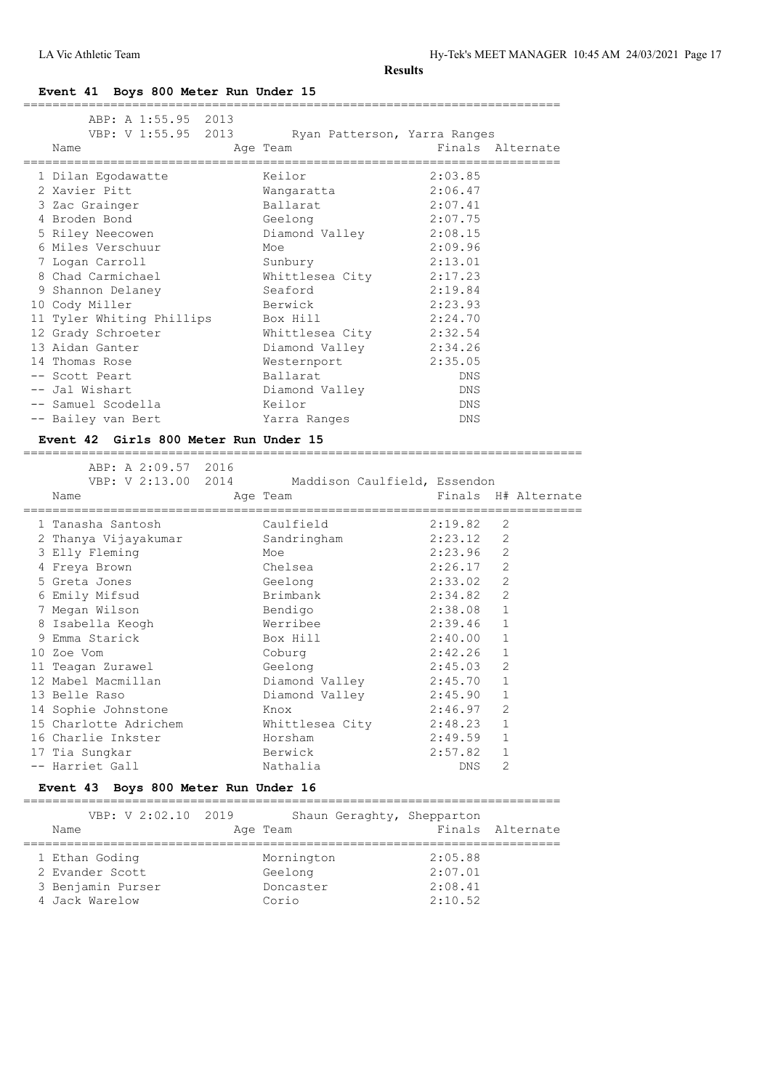# **Event 41 Boys 800 Meter Run Under 15**

| ABP: A 1:55.95 2013       |                              |                  |
|---------------------------|------------------------------|------------------|
| VBP: V 1:55.95 2013       | Ryan Patterson, Yarra Ranges |                  |
| Name                      | Age Team                     | Finals Alternate |
| 1 Dilan Egodawatte        | Keilor                       | 2:03.85          |
| 2 Xavier Pitt             | Wangaratta                   | 2:06.47          |
| 3 Zac Grainger            | Ballarat                     | 2:07.41          |
| 4 Broden Bond             | Geelong                      | 2:07.75          |
| 5 Riley Neecowen          | Diamond Valley               | 2:08.15          |
| 6 Miles Verschuur         | Moe                          | 2:09.96          |
| 7 Logan Carroll           | Sunbury                      | 2:13.01          |
| 8 Chad Carmichael         | Whittlesea City              | 2:17.23          |
| 9 Shannon Delaney         | Seaford                      | 2:19.84          |
| 10 Cody Miller            | Berwick                      | 2:23.93          |
| 11 Tyler Whiting Phillips | Box Hill                     | 2:24.70          |
| 12 Grady Schroeter        | Whittlesea City              | 2:32.54          |
| 13 Aidan Ganter           | Diamond Valley               | 2:34.26          |
| 14 Thomas Rose            | Westernport                  | 2:35.05          |
| -- Scott Peart            | Ballarat                     | <b>DNS</b>       |
| -- Jal Wishart            | Diamond Valley               | DNS              |
| -- Samuel Scodella        | Keilor                       | DNS              |
| -- Bailey van Bert        | Yarra Ranges                 | DNS              |
|                           |                              |                  |

#### **Event 42 Girls 800 Meter Run Under 15**

============================================================================= ABP: A 2:09.57 2016

|                       | VBP: V 2:13.00 2014 Maddison Caulfield, Essendon |         |                |                     |
|-----------------------|--------------------------------------------------|---------|----------------|---------------------|
| Name                  | Age Team                                         |         |                | Finals H# Alternate |
| 1 Tanasha Santosh     | Caulfield                                        | 2:19.82 | 2              |                     |
| 2 Thanya Vijayakumar  | Sandringham                                      | 2:23.12 | $\overline{2}$ |                     |
| 3 Elly Fleming        | Moe                                              | 2:23.96 | $\overline{2}$ |                     |
| 4 Freya Brown         | Chelsea                                          | 2:26.17 | 2              |                     |
| 5 Greta Jones         | Geelong                                          | 2:33.02 | $\overline{2}$ |                     |
| 6 Emily Mifsud        | Brimbank                                         | 2:34.82 | 2              |                     |
| 7 Megan Wilson        | Bendigo                                          | 2:38.08 | $\mathbf{1}$   |                     |
| 8 Isabella Keogh      | Werribee                                         | 2:39.46 | 1              |                     |
| 9 Emma Starick        | Box Hill                                         | 2:40.00 | $\mathbf{1}$   |                     |
| 10 Zoe Vom            | Coburg                                           | 2:42.26 | $\mathbf{1}$   |                     |
| 11 Teagan Zurawel     | Geelong                                          | 2:45.03 | 2              |                     |
| 12 Mabel Macmillan    | Diamond Valley                                   | 2:45.70 | $\mathbf{1}$   |                     |
| 13 Belle Raso         | Diamond Valley                                   | 2:45.90 | $\mathbf{1}$   |                     |
| 14 Sophie Johnstone   | Knox                                             | 2:46.97 | $\overline{2}$ |                     |
| 15 Charlotte Adrichem | Whittlesea City                                  | 2:48.23 | $\mathbf{1}$   |                     |
| 16 Charlie Inkster    | Horsham                                          | 2:49.59 | $\mathbf{1}$   |                     |
| 17 Tia Sungkar        | Berwick                                          | 2:57.82 | $\mathbf{1}$   |                     |
| -- Harriet Gall       | Nathalia                                         | DNS     | $\overline{2}$ |                     |

# **Event 43 Boys 800 Meter Run Under 16**

| VBP: V 2:02.10 2019<br>Name | Shaun Geraghty, Shepparton<br>Age Team |         | Finals Alternate |
|-----------------------------|----------------------------------------|---------|------------------|
| 1 Ethan Goding              | Mornington                             | 2:05.88 |                  |
| 2 Evander Scott             | Geelong                                | 2:07.01 |                  |
| 3 Benjamin Purser           | Doncaster                              | 2:08.41 |                  |
| 4 Jack Warelow              | Corio                                  | 2:10.52 |                  |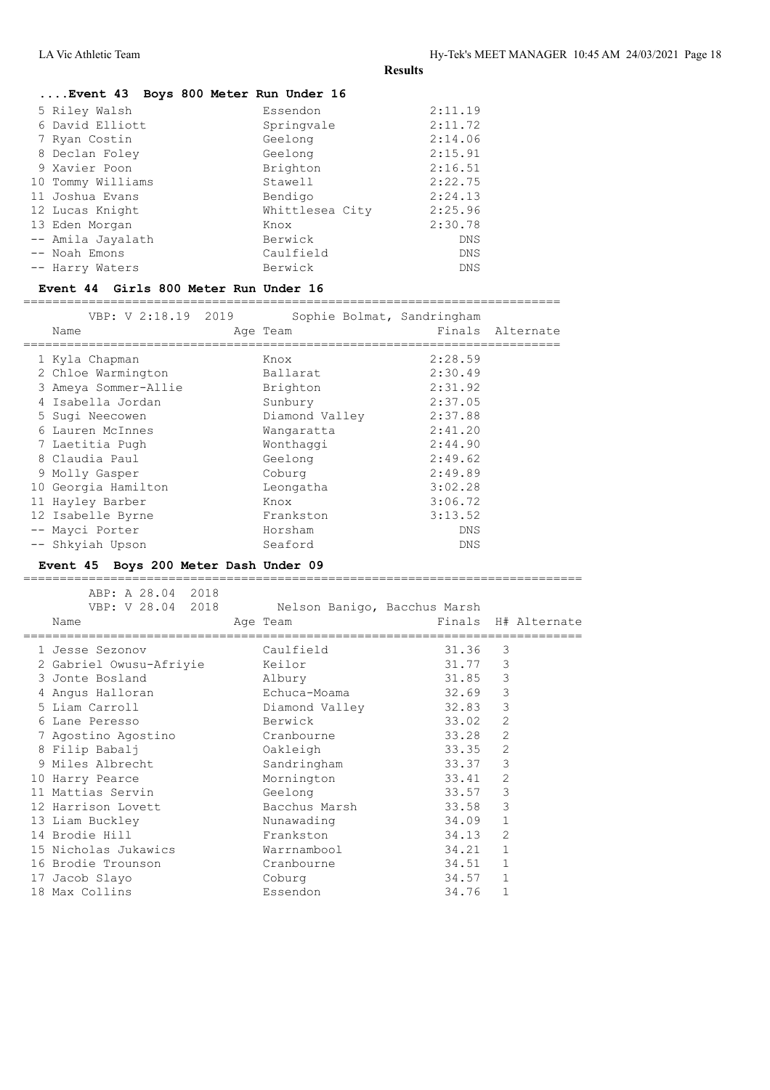| Event 43 Boys 800 Meter Run Under 16 |                 |         |
|--------------------------------------|-----------------|---------|
| 5 Riley Walsh                        | Essendon        | 2:11.19 |
| 6 David Elliott                      | Springvale      | 2:11.72 |
| 7 Ryan Costin                        | Geelong         | 2:14.06 |
| 8 Declan Foley                       | Geelong         | 2:15.91 |
| 9 Xavier Poon                        | Brighton        | 2:16.51 |
| 10 Tommy Williams                    | Stawell         | 2:22.75 |
| 11 Joshua Evans                      | Bendigo         | 2:24.13 |
| 12 Lucas Knight                      | Whittlesea City | 2:25.96 |
| 13 Eden Morgan                       | Knox            | 2:30.78 |
| -- Amila Jayalath                    | Berwick         | DNS     |
| -- Noah Emons                        | Caulfield       | DNS     |
| -- Harry Waters                      | Berwick         | DNS     |
|                                      |                 |         |

### **Event 44 Girls 800 Meter Run Under 16**

==========================================================================

| VBP: V 2:18.19 2019<br>Name | Sophie Bolmat, Sandringham<br>Age Team |            | Finals Alternate |
|-----------------------------|----------------------------------------|------------|------------------|
| 1 Kyla Chapman              | Knox                                   | 2:28.59    |                  |
| 2 Chloe Warmington          | Ballarat                               | 2:30.49    |                  |
| 3 Ameya Sommer-Allie        | Brighton                               | 2:31.92    |                  |
| 4 Isabella Jordan           | Sunbury                                | 2:37.05    |                  |
| 5 Sugi Neecowen             | Diamond Valley                         | 2:37.88    |                  |
| 6 Lauren McInnes            | Wangaratta                             | 2:41.20    |                  |
| 7 Laetitia Pugh             | Wonthaggi                              | 2:44.90    |                  |
| 8 Claudia Paul              | Geelong                                | 2:49.62    |                  |
| 9 Molly Gasper              | Coburg                                 | 2:49.89    |                  |
| 10 Georgia Hamilton         | Leongatha                              | 3:02.28    |                  |
| 11 Hayley Barber            | Knox                                   | 3:06.72    |                  |
| 12 Isabelle Byrne           | Frankston                              | 3:13.52    |                  |
| -- Mayci Porter             | Horsham                                | <b>DNS</b> |                  |
| -- Shkyiah Upson            | Seaford                                | <b>DNS</b> |                  |

# **Event 45 Boys 200 Meter Dash Under 09**

ABP: A 28.04 2018

| VBP: V 28.04 2018              | Nelson Banigo, Bacchus Marsh |       |                |                     |
|--------------------------------|------------------------------|-------|----------------|---------------------|
| Name                           | Age Team                     |       |                | Finals H# Alternate |
| 1 Jesse Sezonov                | Caulfield                    | 31.36 | 3              |                     |
| 2 Gabriel Owusu-Afriyie Keilor |                              | 31.77 | 3              |                     |
| 3 Jonte Bosland                | Albury                       | 31.85 | 3              |                     |
| 4 Angus Halloran               | Echuca-Moama                 | 32.69 | $\mathsf 3$    |                     |
| 5 Liam Carroll                 | Diamond Valley               | 32.83 | 3              |                     |
| 6 Lane Peresso                 | Berwick                      | 33.02 | 2              |                     |
| 7 Agostino Agostino            | Cranbourne                   | 33.28 | $\overline{2}$ |                     |
| 8 Filip Babalj                 | Oakleigh                     | 33.35 | 2              |                     |
| 9 Miles Albrecht               | Sandringham                  | 33.37 | 3              |                     |
| 10 Harry Pearce                | Mornington                   | 33.41 | 2              |                     |
| 11 Mattias Servin              | Geelong                      | 33.57 | 3              |                     |
| 12 Harrison Lovett             | Bacchus Marsh                | 33.58 | 3              |                     |
| 13 Liam Buckley                | Nunawading                   | 34.09 | $\mathbf{1}$   |                     |
| 14 Brodie Hill                 | Frankston                    | 34.13 | $\overline{2}$ |                     |
| 15 Nicholas Jukawics           | Warrnambool                  | 34.21 | $\mathbf{1}$   |                     |
| 16 Brodie Trounson             | Cranbourne                   | 34.51 | $\mathbf{1}$   |                     |
| 17 Jacob Slayo                 | Coburg                       | 34.57 | $\mathbf{1}$   |                     |
| 18 Max Collins                 | Essendon                     | 34.76 | $\mathbf{1}$   |                     |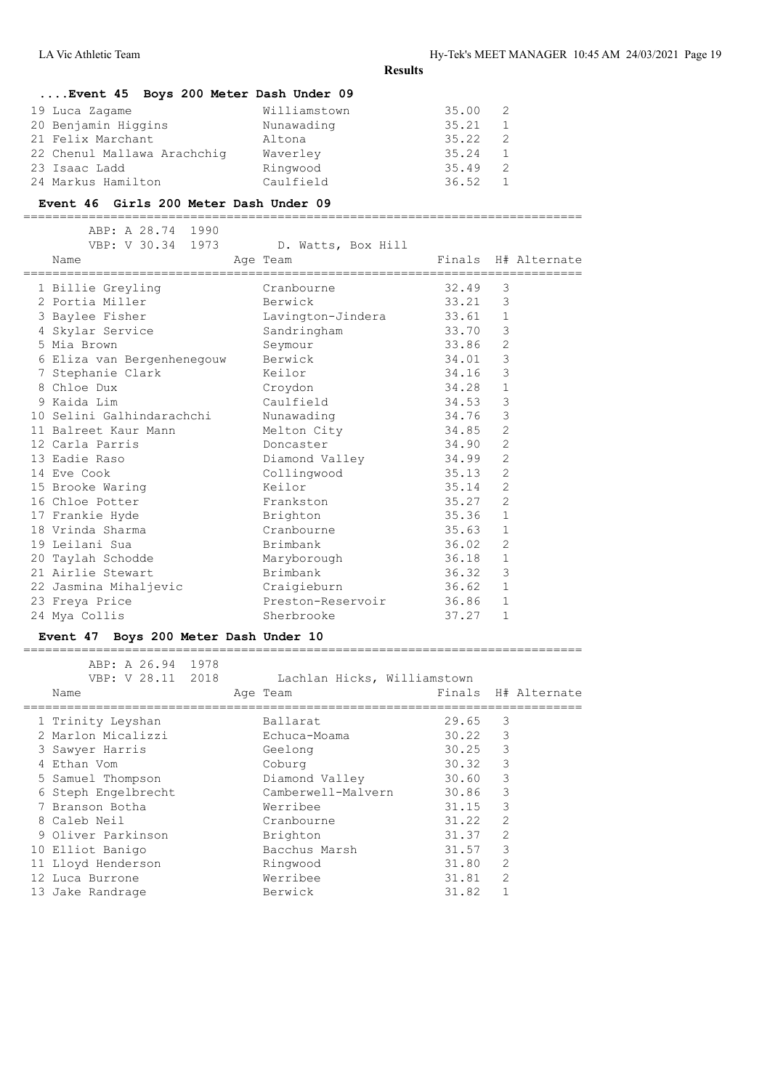# **....Event 45 Boys 200 Meter Dash Under 09** 19 Luca Zagame Williamstown 35.00 2 20 Benjamin Higgins<br>21 Felix Marchant 21 Felix Marchant Altona 35.22 2 22 Chenul Mallawa Arachchig Waverley 35.24 1 23 Isaac Ladd Ringwood 35.49 2 24 Markus Hamilton Caulfield 36.52 1

#### **Event 46 Girls 200 Meter Dash Under 09**

=============================================================================

|  | ABP: A 28.74 1990          |                    |       |                |                     |
|--|----------------------------|--------------------|-------|----------------|---------------------|
|  | VBP: V 30.34 1973          | D. Watts, Box Hill |       |                |                     |
|  | Name                       | Age Team           |       |                | Finals H# Alternate |
|  | 1 Billie Greyling          | Cranbourne         | 32.49 | 3              |                     |
|  | 2 Portia Miller            | Berwick            | 33.21 | 3              |                     |
|  | 3 Baylee Fisher            | Lavington-Jindera  | 33.61 | $\mathbf{1}$   |                     |
|  | 4 Skylar Service           | Sandringham        | 33.70 | $\mathsf 3$    |                     |
|  | 5 Mia Brown                | Seymour            | 33.86 | $\mathbf{2}$   |                     |
|  | 6 Eliza van Bergenhenegouw | Berwick            | 34.01 | $\mathsf 3$    |                     |
|  | 7 Stephanie Clark          | Keilor             | 34.16 | 3              |                     |
|  | 8 Chloe Dux                | Croydon            | 34.28 | $\mathbf{1}$   |                     |
|  | 9 Kaida Lim                | Caulfield          | 34.53 | 3              |                     |
|  | 10 Selini Galhindarachchi  | Nunawading         | 34.76 | $\mathsf 3$    |                     |
|  | 11 Balreet Kaur Mann       | Melton City        | 34.85 | $\overline{2}$ |                     |
|  | 12 Carla Parris            | Doncaster          | 34.90 | 2              |                     |
|  | 13 Eadie Raso              | Diamond Valley     | 34.99 | $\mathbf{2}$   |                     |
|  | 14 Eve Cook                | Collingwood        | 35.13 | $\mathbf{2}$   |                     |
|  | 15 Brooke Waring           | Keilor             | 35.14 | $\overline{2}$ |                     |
|  | 16 Chloe Potter            | Frankston          | 35.27 | $\overline{2}$ |                     |
|  | 17 Frankie Hyde            | Brighton           | 35.36 | $\mathbf{1}$   |                     |
|  | 18 Vrinda Sharma           | Cranbourne         | 35.63 | $\mathbf{1}$   |                     |
|  | 19 Leilani Sua             | Brimbank           | 36.02 | $\overline{2}$ |                     |
|  | 20 Taylah Schodde          | Maryborough        | 36.18 | $\mathbf{1}$   |                     |
|  | 21 Airlie Stewart          | Brimbank           | 36.32 | 3              |                     |
|  | 22 Jasmina Mihaljevic      | Craigieburn        | 36.62 | $\mathbf{1}$   |                     |
|  | 23 Freya Price             | Preston-Reservoir  | 36.86 | $\mathbf{1}$   |                     |
|  | 24 Mya Collis              | Sherbrooke         | 37.27 | $\mathbf{1}$   |                     |
|  |                            |                    |       |                |                     |

# **Event 47 Boys 200 Meter Dash Under 10**

| ABP: A 26.94 1978<br>VBP: V 28.11 2018<br>Name | Lachlan Hicks, Williamstown<br>Age Team |       |                | Finals H# Alternate |
|------------------------------------------------|-----------------------------------------|-------|----------------|---------------------|
| 1 Trinity Leyshan                              | Ballarat                                | 29.65 | 3              |                     |
| 2 Marlon Micalizzi                             | Echuca-Moama                            | 30.22 | 3              |                     |
| 3 Sawyer Harris                                | Geelong                                 | 30.25 | 3              |                     |
| 4 Ethan Vom                                    | Coburg                                  | 30.32 | 3              |                     |
| 5 Samuel Thompson                              | Diamond Valley                          | 30.60 | 3              |                     |
| 6 Steph Engelbrecht                            | Camberwell-Malvern                      | 30.86 | 3              |                     |
| 7 Branson Botha                                | Werribee                                | 31.15 | 3              |                     |
| 8 Caleb Neil                                   | Cranbourne                              | 31.22 | $\overline{2}$ |                     |
| 9 Oliver Parkinson                             | Brighton                                | 31.37 | $\overline{2}$ |                     |
| 10 Elliot Banigo                               | Bacchus Marsh                           | 31.57 | 3              |                     |
| 11 Lloyd Henderson                             | Ringwood                                | 31.80 | $\overline{2}$ |                     |
| 12 Luca Burrone                                | Werribee                                | 31.81 | $\mathcal{L}$  |                     |
| 13 Jake Randrage                               | Berwick                                 | 31.82 |                |                     |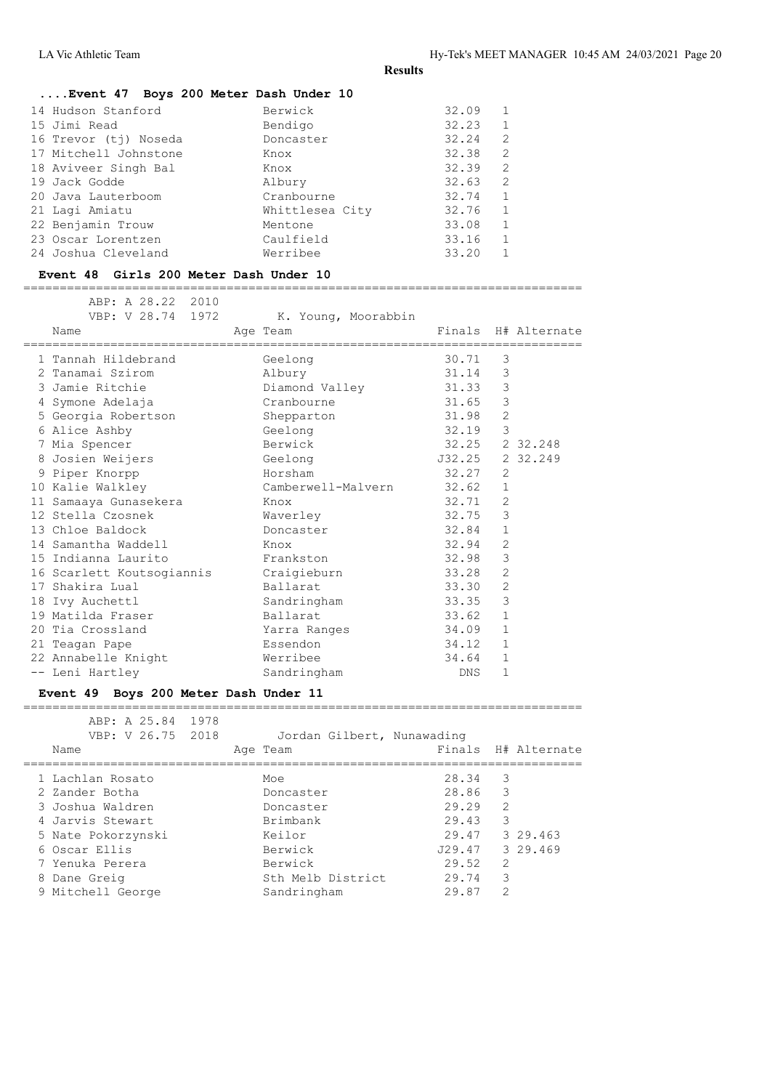| 14 Hudson Stanford                                                                                                                              | Berwick                                                                             | 32.09                                                       | 1                                                           |
|-------------------------------------------------------------------------------------------------------------------------------------------------|-------------------------------------------------------------------------------------|-------------------------------------------------------------|-------------------------------------------------------------|
| 15 Jimi Read                                                                                                                                    | Bendigo                                                                             | 32.23                                                       | 1                                                           |
| 16 Trevor (tj) Noseda                                                                                                                           | Doncaster                                                                           | 32.24                                                       | $\overline{2}$                                              |
| 17 Mitchell Johnstone                                                                                                                           | Knox                                                                                | 32.38                                                       | $\overline{2}$                                              |
| 18 Aviveer Singh Bal<br>19 Jack Godde<br>20 Java Lauterboom<br>21 Lagi Amiatu<br>22 Benjamin Trouw<br>23 Oscar Lorentzen<br>24 Joshua Cleveland | Knox<br>Albury<br>Cranbourne<br>Whittlesea City<br>Mentone<br>Caulfield<br>Werribee | 32.39<br>32.63<br>32.74<br>32.76<br>33.08<br>33.16<br>33.20 | 2<br>2<br>$\mathbf{1}$<br>$\mathbf{1}$<br>$\mathbf{1}$<br>1 |

#### **Event 48 Girls 200 Meter Dash Under 10**

ABP: A 28.22 2010

=============================================================================

| VBP: V 28.74 1972                     | K. Young, Moorabbin |            |                     |
|---------------------------------------|---------------------|------------|---------------------|
| Name                                  | Age Team            |            | Finals H# Alternate |
| 1 Tannah Hildebrand                   | Geelong             | 30.71      | 3                   |
| 2 Tanamai Szirom                      | Albury              | 31.14      | 3                   |
| 3 Jamie Ritchie                       | Diamond Valley      | 31.33      | 3                   |
| 4 Symone Adelaja                      | Cranbourne          | 31.65      | 3                   |
| 5 Georgia Robertson                   | Shepparton          | 31.98      | $\overline{2}$      |
| 6 Alice Ashby                         | Geelong             | 32.19      | 3                   |
| 7 Mia Spencer                         | Berwick             | 32.25      | 2 32, 248           |
| 8 Josien Weijers                      | Geelong             | J32.25     | 2 32.249            |
| 9 Piper Knorpp                        | Horsham             | 32.27      | 2                   |
| 10 Kalie Walkley                      | Camberwell-Malvern  | 32.62      | $\mathbf{1}$        |
| 11 Samaaya Gunasekera                 | in Knox             | 32.71      | 2                   |
| 12 Stella Czosnek                     | Waverley            | 32.75      | 3                   |
| 13 Chloe Baldock                      | Doncaster           | 32.84      | $\mathbf 1$         |
| 14 Samantha Waddell                   | Knox                | 32.94      | $\overline{2}$      |
| 15 Indianna Laurito                   | Frankston           | 32.98      | 3                   |
| 16 Scarlett Koutsogiannis Craigieburn |                     | 33.28      | $\overline{2}$      |
| 17 Shakira Lual                       | Ballarat            | 33.30      | 2                   |
| 18 Ivy Auchettl                       | Sandringham         | 33.35      | 3                   |
| 19 Matilda Fraser                     | Ballarat            | 33.62      | $\mathbf{1}$        |
| 20 Tia Crossland                      | Yarra Ranges        | 34.09      | 1                   |
| 21 Teagan Pape                        | Essendon            | 34.12      | $\mathbf{1}$        |
| 22 Annabelle Knight                   | Werribee            | 34.64      | $\mathbf{1}$        |
| -- Leni Hartley                       | Sandringham         | <b>DNS</b> | 1                   |

#### **Event 49 Boys 200 Meter Dash Under 11** =============================================================================

| ABP: A 25.84 1978<br>VBP: V 26.75 2018<br>Name | Jordan Gilbert, Nunawading<br>Age Team |        |               | Finals H# Alternate |
|------------------------------------------------|----------------------------------------|--------|---------------|---------------------|
| 1 Lachlan Rosato                               | Moe                                    | 28.34  | 3             |                     |
| 2 Zander Botha                                 | Doncaster                              | 28.86  | 3             |                     |
| 3 Joshua Waldren                               | Doncaster                              | 29.29  | $\mathcal{L}$ |                     |
| 4 Jarvis Stewart                               | Brimbank                               | 29.43  | 3             |                     |
| 5 Nate Pokorzynski                             | Keilor                                 | 29.47  |               | 3 29.463            |
| 6 Oscar Ellis                                  | Berwick                                | J29.47 |               | 3 29.469            |
| 7 Yenuka Perera                                | Berwick                                | 29.52  | $\mathcal{L}$ |                     |
| 8 Dane Greig                                   | Sth Melb District                      | 29.74  | 3             |                     |
| 9 Mitchell George                              | Sandringham                            | 29.87  | $\mathcal{L}$ |                     |
|                                                |                                        |        |               |                     |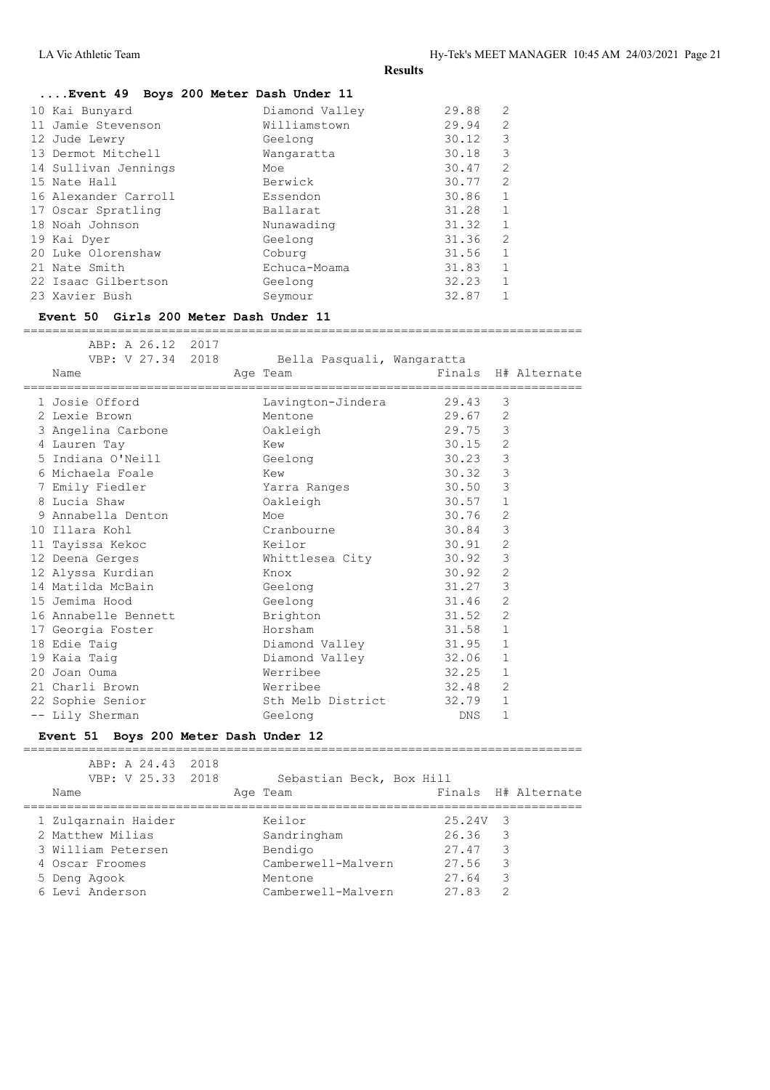| Event 49 Boys 200 Meter Dash Under 11 |                |       |                |
|---------------------------------------|----------------|-------|----------------|
| 10 Kai Bunyard                        | Diamond Valley | 29.88 | $\overline{2}$ |
| 11 Jamie Stevenson                    | Williamstown   | 29.94 | 2              |
| 12 Jude Lewry                         | Geelong        | 30.12 | 3              |
| 13 Dermot Mitchell                    | Wangaratta     | 30.18 | 3              |
| 14 Sullivan Jennings                  | Moe            | 30.47 | $\mathfrak{D}$ |
| 15 Nate Hall                          | Berwick        | 30.77 | $\overline{2}$ |
| 16 Alexander Carroll                  | Essendon       | 30.86 |                |
| 17 Oscar Spratling                    | Ballarat       | 31.28 | 1              |
| 18 Noah Johnson                       | Nunawading     | 31.32 | $\mathbf{1}$   |
| 19 Kai Dyer                           | Geelong        | 31.36 | $\overline{2}$ |
| 20 Luke Olorenshaw                    | Coburg         | 31.56 | $\mathbf{1}$   |
| 21 Nate Smith                         | Echuca-Moama   | 31.83 | $\mathbf{1}$   |
| 22 Isaac Gilbertson                   | Geelong        | 32.23 |                |
| 23 Xavier Bush                        | Seymour        | 32.87 |                |

# **Event 50 Girls 200 Meter Dash Under 11**

=============================================================================

| ABP: A 26.12 2017<br>VBP: V 27.34 2018<br>Name<br>==================================== |  | Bella Pasquali, Wangaratta<br>Age Team |       |                | Finals H# Alternate |
|----------------------------------------------------------------------------------------|--|----------------------------------------|-------|----------------|---------------------|
| 1 Josie Offord                                                                         |  | Lavington-Jindera                      | 29.43 | 3              |                     |
| 2 Lexie Brown                                                                          |  | Mentone                                | 29.67 | 2              |                     |
| 3 Angelina Carbone                                                                     |  | Oakleigh                               | 29.75 | 3              |                     |
| 4 Lauren Tay                                                                           |  | Kew                                    | 30.15 | $\mathbf{2}$   |                     |
| 5 Indiana O'Neill                                                                      |  | Geelong                                | 30.23 | $\mathcal{S}$  |                     |
| 6 Michaela Foale                                                                       |  | Kew                                    | 30.32 | $\mathsf 3$    |                     |
| 7 Emily Fiedler                                                                        |  | Yarra Ranges                           | 30.50 | $\mathsf 3$    |                     |
| 8 Lucia Shaw                                                                           |  | Oakleigh                               | 30.57 | $\mathbf{1}$   |                     |
| 9 Annabella Denton                                                                     |  | Moe                                    | 30.76 | $\overline{2}$ |                     |
| 10 Illara Kohl                                                                         |  | Cranbourne                             | 30.84 | $\mathcal{E}$  |                     |
| 11 Tayissa Kekoc                                                                       |  | Keilor                                 | 30.91 | 2              |                     |
| 12 Deena Gerges                                                                        |  | Whittlesea City                        | 30.92 | $\mathsf 3$    |                     |
| 12 Alyssa Kurdian                                                                      |  | Knox                                   | 30.92 | 2              |                     |
| 14 Matilda McBain                                                                      |  | Geelong                                | 31.27 | $\mathsf 3$    |                     |
| 15 Jemima Hood                                                                         |  | Geelong                                | 31.46 | $\overline{2}$ |                     |
| 16 Annabelle Bennett                                                                   |  | Brighton                               | 31.52 | 2              |                     |
| 17 Georgia Foster                                                                      |  | Horsham                                | 31.58 | $\mathbf 1$    |                     |
| 18 Edie Taig                                                                           |  | Diamond Valley                         | 31.95 | $\mathbf{1}$   |                     |
| 19 Kaia Taig                                                                           |  | Diamond Valley                         | 32.06 | $\mathbf{1}$   |                     |
| 20 Joan Ouma                                                                           |  | Werribee                               | 32.25 | $\mathbf{1}$   |                     |
| 21 Charli Brown                                                                        |  | Werribee                               | 32.48 | 2              |                     |
| 22 Sophie Senior                                                                       |  | Sth Melb District                      | 32.79 | $\mathbf{1}$   |                     |
| -- Lily Sherman                                                                        |  | Geelong                                | DNS.  | $\mathbf{1}$   |                     |
|                                                                                        |  |                                        |       |                |                     |

# **Event 51 Boys 200 Meter Dash Under 12**

| ABP: A 24.43 2018<br>VBP: V 25.33 2018<br>Name                                                                      | Sebastian Beck, Box Hill<br>Age Team                                                    | Finals H# Alternate                                                                         |
|---------------------------------------------------------------------------------------------------------------------|-----------------------------------------------------------------------------------------|---------------------------------------------------------------------------------------------|
| 1 Zulgarnain Haider<br>2 Matthew Milias<br>3 William Petersen<br>4 Oscar Froomes<br>5 Deng Agook<br>6 Levi Anderson | Keilor<br>Sandringham<br>Bendigo<br>Camberwell-Malvern<br>Mentone<br>Camberwell-Malvern | 25.24V 3<br>-3<br>26.36<br>3<br>27.47<br>3<br>27.56<br>3<br>27.64<br>27.83<br>$\mathcal{D}$ |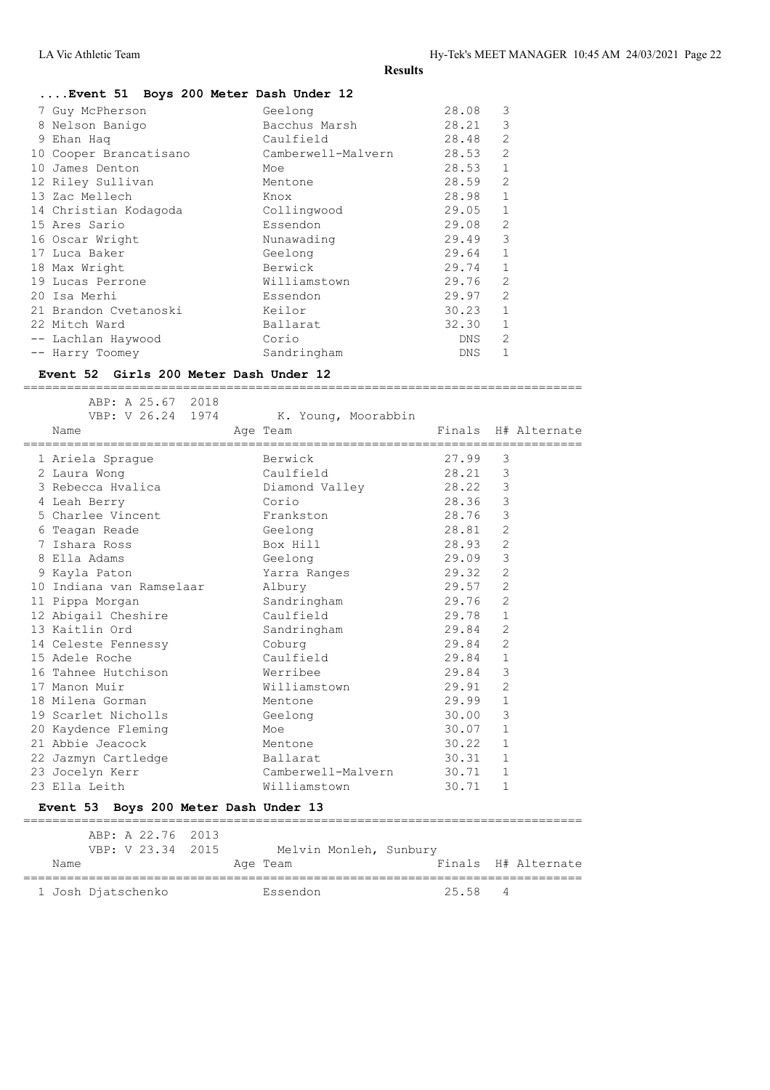### **....Event 51 Boys 200 Meter Dash Under 12**

|    | 7 Guy McPherson        | Geelong            | 28.08      | 3              |
|----|------------------------|--------------------|------------|----------------|
|    | 8 Nelson Banigo        | Bacchus Marsh      | 28.21      | 3              |
|    | 9 Ehan Haq             | Caulfield          | 28.48      | $\overline{2}$ |
|    | 10 Cooper Brancatisano | Camberwell-Malvern | 28.53      | $\overline{2}$ |
| 10 | James Denton           | Moe                | 28.53      | $\mathbf{1}$   |
|    | 12 Riley Sullivan      | Mentone            | 28.59      | $\overline{2}$ |
|    | 13 Zac Mellech         | Knox               | 28.98      | $\mathbf{1}$   |
|    | 14 Christian Kodagoda  | Collingwood        | 29.05      | $\mathbf{1}$   |
|    | 15 Ares Sario          | Essendon           | 29.08      | $\mathfrak{D}$ |
|    | 16 Oscar Wright        | Nunawading         | 29.49      | 3              |
|    | 17 Luca Baker          | Geelong            | 29.64      | $\mathbf 1$    |
|    | 18 Max Wright          | Berwick            | 29.74      | $\mathbf{1}$   |
|    | 19 Lucas Perrone       | Williamstown       | 29.76      | 2              |
|    | 20 Isa Merhi           | Essendon           | 29.97      | $\overline{2}$ |
|    | 21 Brandon Cvetanoski  | Keilor             | 30.23      | $\mathbf{1}$   |
|    | 22 Mitch Ward          | Ballarat           | 32.30      | 1              |
|    | -- Lachlan Haywood     | Corio              | DNS.       | $\overline{2}$ |
|    | -- Harry Toomey        | Sandringham        | <b>DNS</b> |                |

#### **Event 52 Girls 200 Meter Dash Under 12**

 ABP: A 25.67 2018 VBP: V 26.24 1974 K. Young, Moorabbin Name **Age Team** Age Team Finals H# Alternate ============================================================================= 1 Ariela Sprague Berwick 27.99 3 2 Laura Wong Caulfield 28.21 3 3 Rebecca Hvalica Diamond Valley 28.22 3 4 Leah Berry Corio 28.36 3 5 Charlee Vincent **Frankston** 28.76 3 6 Teagan Reade Geelong 28.81 2 7 Ishara Ross Box Hill 28.93 2 8 Ella Adams Geelong 29.09 3 9 Kayla Paton Yarra Ranges 29.32 2 10 Indiana van Ramselaar Albury 29.57 2 11 Pippa Morgan Sandringham 29.76 2 12 Abigail Cheshire Caulfield 29.78 1 13 Kaitlin Ord Sandringham 29.84 2 14 Celeste Fennessy Coburg 29.84 2 15 Adele Roche Caulfield 29.84 1 16 Tahnee Hutchison Werribee 29.84 3 17 Manon Muir Williamstown 29.91 2 18 Milena Gorman Mentone 29.99 1 19 Scarlet Nicholls Geelong 30.00 3 20 Kaydence Fleming Moe Moe 30.07 1 21 Abbie Jeacock Mentone 30.22 1 22 Jazmyn Cartledge Ballarat 30.31 1 23 Jocelyn Kerr Camberwell-Malvern 30.71 1 23 Ella Leith Williamstown 30.71 1

=============================================================================

# **Event 53 Boys 200 Meter Dash Under 13**

|      | ABP: A 22.76 2013<br>VBP: V 23.34 2015 |  |          | Melvin Monleh, Sunbury |       |    |                     |
|------|----------------------------------------|--|----------|------------------------|-------|----|---------------------|
| Name |                                        |  | Age Team |                        |       |    | Finals H# Alternate |
|      | 1 Josh Djatschenko                     |  | Essendon |                        | 25.58 | -4 |                     |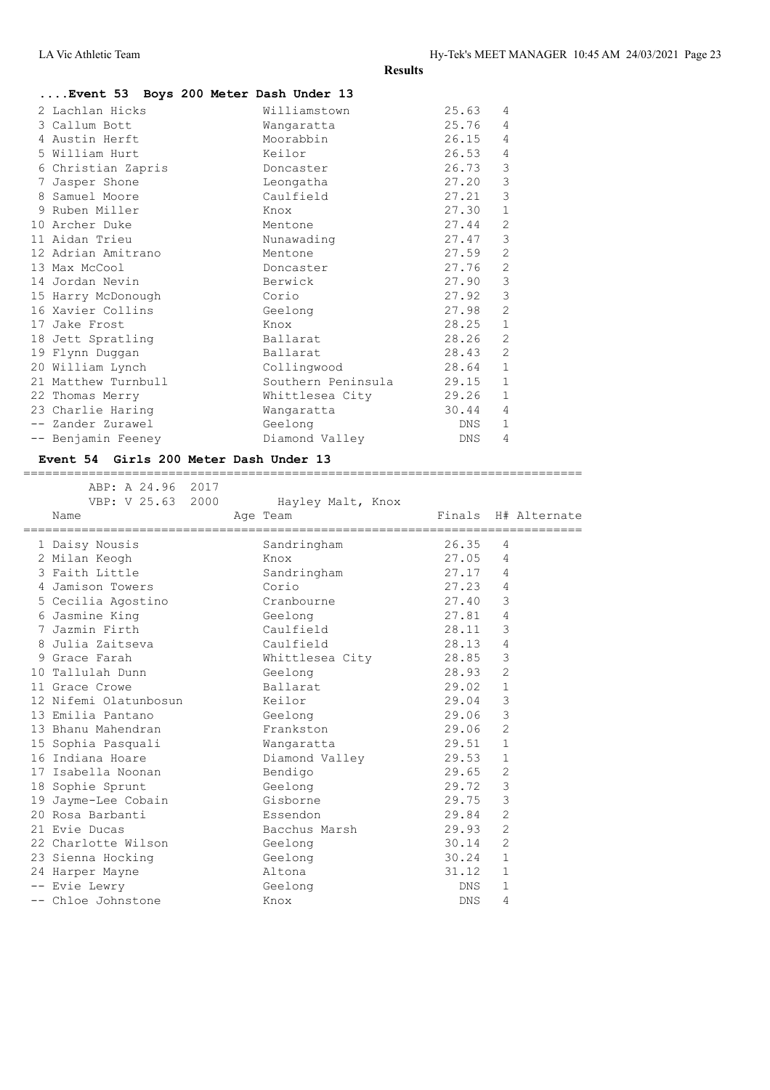|                     | Event 53 Boys 200 Meter Dash Under 13 |       |                |
|---------------------|---------------------------------------|-------|----------------|
| 2 Lachlan Hicks     | Williamstown                          | 25.63 | 4              |
| 3 Callum Bott       | Wangaratta                            | 25.76 | 4              |
| 4 Austin Herft      | Moorabbin                             | 26.15 | 4              |
| 5 William Hurt      | Keilor                                | 26.53 | 4              |
| 6 Christian Zapris  | Doncaster                             | 26.73 | 3              |
| 7 Jasper Shone      | Leongatha                             | 27.20 | 3              |
| 8 Samuel Moore      | Caulfield                             | 27.21 | 3              |
| 9 Ruben Miller      | Knox                                  | 27.30 | $\mathbf{1}$   |
| 10 Archer Duke      | Mentone                               | 27.44 | $\mathbf{2}$   |
| 11 Aidan Trieu      | Nunawading                            | 27.47 | 3              |
| 12 Adrian Amitrano  | Mentone                               | 27.59 | 2              |
| 13 Max McCool       | Doncaster                             | 27.76 | 2              |
| 14 Jordan Nevin     | Berwick                               | 27.90 | 3              |
| 15 Harry McDonough  | Corio                                 | 27.92 | $\mathfrak{Z}$ |
| 16 Xavier Collins   | Geelong                               | 27.98 | 2              |
| 17 Jake Frost       | Knox                                  | 28.25 | $\mathbf 1$    |
| 18 Jett Spratling   | Ballarat                              | 28.26 | 2              |
| 19 Flynn Duggan     | Ballarat                              | 28.43 | 2              |
| 20 William Lynch    | Collingwood                           | 28.64 | $\mathbf{1}$   |
| 21 Matthew Turnbull | Southern Peninsula                    | 29.15 | $\mathbf{1}$   |
| 22 Thomas Merry     | Whittlesea City                       | 29.26 | $\mathbf{1}$   |
| 23 Charlie Haring   | Wangaratta                            | 30.44 | 4              |
| -- Zander Zurawel   | Geelong                               | DNS   | $\mathbf{1}$   |
| -- Benjamin Feeney  | Diamond Valley                        | DNS.  | 4              |
|                     |                                       |       |                |

# **Event 54 Girls 200 Meter Dash Under 13**

| ABP: A 24.96 2017                          |                   |            |                     |
|--------------------------------------------|-------------------|------------|---------------------|
| VBP: V 25.63 2000                          | Hayley Malt, Knox |            |                     |
| Name<br>================================== | Age Team          |            | Finals H# Alternate |
| 1 Daisy Nousis                             | Sandringham       | 26.35      | 4                   |
| 2 Milan Keogh                              | Knox              | 27.05      | 4                   |
| 3 Faith Little                             | Sandringham       | 27.17      | 4                   |
| 4 Jamison Towers                           | Corio             | 27.23      | 4                   |
| 5 Cecilia Agostino                         | Cranbourne        | 27.40      | 3                   |
| 6 Jasmine King                             | Geelong           | 27.81      | $\overline{4}$      |
| 7 Jazmin Firth                             | Caulfield         | 28.11      | 3                   |
| 8 Julia Zaitseva                           | Caulfield         | 28.13      | 4                   |
| 9 Grace Farah                              | Whittlesea City   | 28.85      | 3                   |
| 10 Tallulah Dunn                           | Geelong           | 28.93      | $\overline{2}$      |
| 11 Grace Crowe                             | Ballarat          | 29.02      | $\mathbf{1}$        |
| 12 Nifemi Olatunbosun                      | Keilor            | 29.04      | 3                   |
| 13 Emilia Pantano                          | Geelong           | 29.06      | 3                   |
| 13 Bhanu Mahendran                         | Frankston         | 29.06      | $\overline{2}$      |
| 15 Sophia Pasquali                         | Wangaratta        | 29.51      | $\mathbf{1}$        |
| 16 Indiana Hoare                           | Diamond Valley    | 29.53      | $\mathbf 1$         |
| 17 Isabella Noonan                         | Bendigo           | 29.65      | 2                   |
| 18 Sophie Sprunt                           | Geelong           | 29.72      | 3                   |
| 19 Jayme-Lee Cobain                        | Gisborne          | 29.75      | 3                   |
| 20 Rosa Barbanti                           | Essendon          | 29.84      | $\overline{2}$      |
| 21 Evie Ducas                              | Bacchus Marsh     | 29.93      | $\overline{2}$      |
| 22 Charlotte Wilson                        | Geelong           | 30.14      | $\overline{2}$      |
| 23 Sienna Hocking                          | Geelong           | 30.24      | $\mathbf{1}$        |
| 24 Harper Mayne                            | Altona            | 31.12      | $\mathbf{1}$        |
| -- Evie Lewry                              | Geelong           | DNS.       | $\mathbf{1}$        |
| -- Chloe Johnstone                         | Knox              | <b>DNS</b> | 4                   |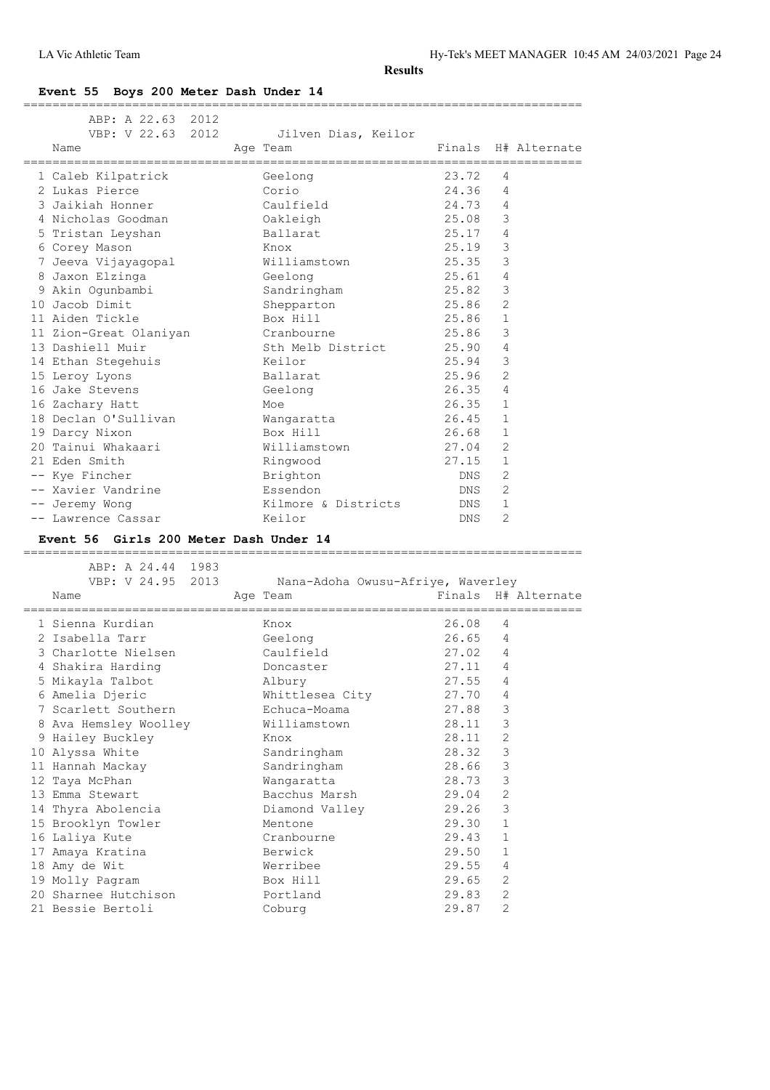**Event 55 Boys 200 Meter Dash Under 14**

| ABP: A 22.63 2012                      |                                   |           |                         |
|----------------------------------------|-----------------------------------|-----------|-------------------------|
| VBP: V 22.63 2012                      | Jilven Dias, Keilor               |           |                         |
| Name                                   | Age Team                          |           | Finals H# Alternate     |
|                                        |                                   |           | ======================= |
| 1 Caleb Kilpatrick                     | Geelong                           | 23.72     | 4                       |
| 2 Lukas Pierce                         | Corio                             | 24.36     | 4                       |
| 3 Jaikiah Honner                       | Caulfield                         | 24.73     | 4                       |
| 4 Nicholas Goodman                     | Oakleigh                          | 25.08     | 3                       |
| 5 Tristan Leyshan                      | Ballarat                          | 25.17     | 4                       |
| 6 Corey Mason                          | Knox                              | 25.19     | 3                       |
| 7 Jeeva Vijayagopal                    | Williamstown                      | 25.35     | 3                       |
| 8 Jaxon Elzinga                        | Geelong                           | 25.61     | 4                       |
| 9 Akin Ogunbambi                       | Sandringham                       | 25.82     | 3                       |
| 10 Jacob Dimit                         | Shepparton                        | 25.86     | 2                       |
| 11 Aiden Tickle                        | Box Hill                          | 25.86     | 1                       |
| 11 Zion-Great Olaniyan                 | Cranbourne                        | 25.86     | 3                       |
| 13 Dashiell Muir                       | Sth Melb District                 | 25.90     | 4                       |
| 14 Ethan Stegehuis                     | Keilor                            | 25.94     | 3                       |
| 15 Leroy Lyons                         | Ballarat                          | 25.96     | 2                       |
| 16 Jake Stevens                        |                                   | 26.35     | 4                       |
|                                        | Geelong                           |           |                         |
| 16 Zachary Hatt                        | Moe                               | 26.35     | $\mathbf{1}$            |
| 18 Declan O'Sullivan                   | Wangaratta                        | 26.45     | $\mathbf{1}$            |
| 19 Darcy Nixon                         | Box Hill                          | 26.68     | 1                       |
| 20 Tainui Whakaari                     | Williamstown                      | 27.04     | 2                       |
| 21 Eden Smith                          | Ringwood                          | 27.15     | 1                       |
| -- Kye Fincher                         | Brighton                          | DNS       | 2                       |
| -- Xavier Vandrine                     | Essendon                          | DNS       | $\overline{2}$          |
| -- Jeremy Wong                         | Kilmore & Districts               | DNS       | $\mathbf 1$             |
| -- Lawrence Cassar                     | Keilor                            | DNS       | 2                       |
| Event 56 Girls 200 Meter Dash Under 14 |                                   |           |                         |
|                                        |                                   |           |                         |
| ABP: A 24.44 1983                      |                                   |           |                         |
| VBP: V 24.95 2013                      | Nana-Adoha Owusu-Afriye, Waverley |           |                         |
| Name                                   | Age Team                          |           | Finals H# Alternate     |
| ,,,,,,,,,,,,,,,,                       |                                   | --------- |                         |
| 1 Sienna Kurdian                       | Knox                              | 26.08     |                         |
| 2 Isabella Tarr                        |                                   |           | 4                       |
|                                        |                                   |           |                         |
|                                        | Geelong                           | 26.65     | 4                       |
| 3 Charlotte Nielsen                    | Caulfield                         | 27.02     | 4                       |
| 4 Shakira Harding                      | Doncaster                         | 27.11     | 4                       |
| 5 Mikayla Talbot                       | Albury                            | 27.55 4   |                         |
| 6 Amelia Djeric                        | Whittlesea City                   | 27.70     | 4                       |
| 7 Scarlett Southern                    | Echuca-Moama                      | 27.88     | 3                       |
| 8 Ava Hemsley Woolley                  | Williamstown                      | 28.11     | 3                       |
| 9 Hailey Buckley                       | Knox                              | 28.11     | $\mathbf{2}$            |
| 10 Alyssa White                        | Sandringham                       | 28.32     | $\mathsf 3$             |
| 11 Hannah Mackay                       | Sandringham                       | 28.66     | 3                       |
| 12 Taya McPhan                         | Wangaratta                        | 28.73     | 3                       |
| 13 Emma Stewart                        | Bacchus Marsh                     | 29.04     | $\sqrt{2}$              |
| 14 Thyra Abolencia                     | Diamond Valley                    | 29.26     | 3                       |
| 15 Brooklyn Towler                     | Mentone                           | 29.30     | 1                       |
| 16 Laliya Kute                         | Cranbourne                        | 29.43     | $\mathbf 1$             |
| 17 Amaya Kratina                       | Berwick                           | 29.50     | $\mathbf 1$             |
| 18 Amy de Wit                          | Werribee                          | 29.55     | 4                       |
| 19 Molly Pagram                        | Box Hill                          | 29.65     | 2                       |

21 Bessie Bertoli Coburg 29.87 2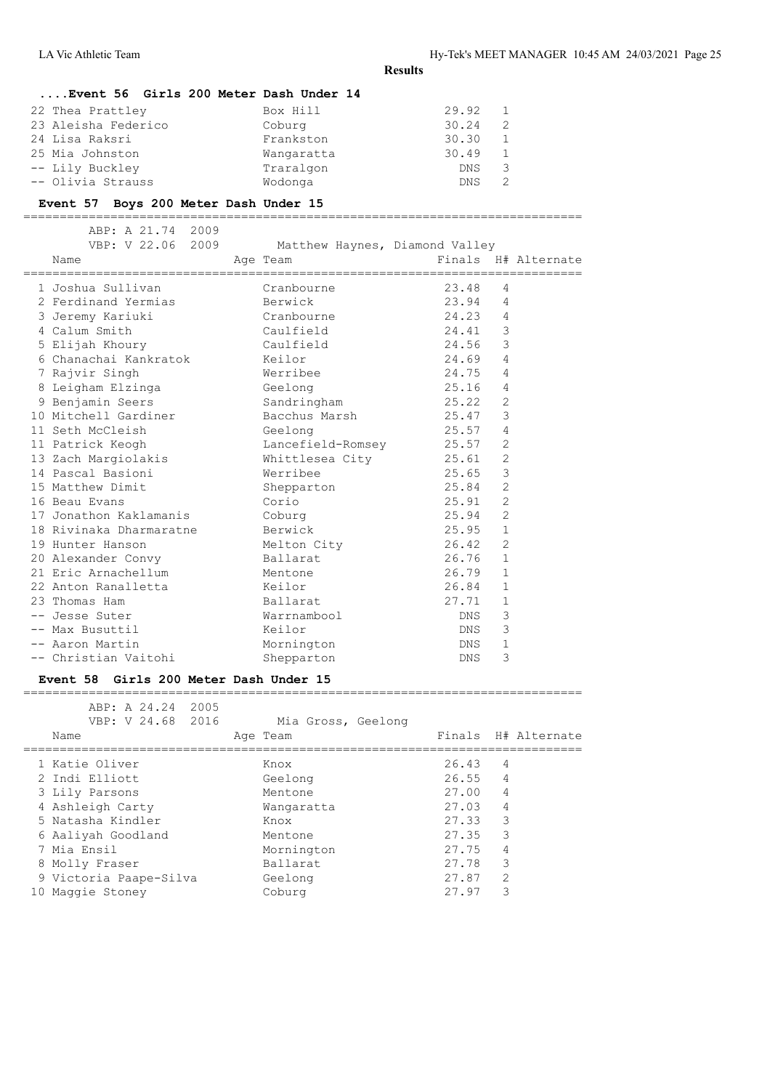# **....Event 56 Girls 200 Meter Dash Under 14**

| 22 Thea Prattley    | Box Hill   | 29.92 | - 1 |
|---------------------|------------|-------|-----|
| 23 Aleisha Federico | Coburg     | 30.24 | 2   |
| 24 Lisa Raksri      | Frankston  | 30.30 | 1   |
| 25 Mia Johnston     | Wangaratta | 30.49 | 1   |
| -- Lily Buckley     | Traralgon  | DNS.  | 3   |
| -- Olivia Strauss   | Wodonga    | DNS.  | 2   |

#### **Event 57 Boys 200 Meter Dash Under 15**

=============================================================================

| ABP: A 21.74 2009<br>VBP: V 22.06 2009<br>Name | Matthew Haynes, Diamond Valley<br>Age Team | _________________________________ | Finals H# Alternate |
|------------------------------------------------|--------------------------------------------|-----------------------------------|---------------------|
| 1 Joshua Sullivan                              | Cranbourne                                 | 23.48                             | 4                   |
| 2 Ferdinand Yermias Berwick                    |                                            | 23.94                             | 4                   |
| 3 Jeremy Kariuki                               | Cranbourne                                 | 24.23 4                           |                     |
| 4 Calum Smith                                  | Caulfield                                  | 24.41                             | 3                   |
| 5 Elijah Khoury                                | Caulfield                                  | 24.56                             | 3                   |
| 6 Chanachai Kankratok Keilor                   |                                            | 24.69                             | $\overline{4}$      |
| 7 Rajvir Singh                                 | Werribee                                   | 24.75                             | 4                   |
| 8 Leigham Elzinga                              | Geelong                                    | 25.16                             | $\overline{4}$      |
| 9 Benjamin Seers                               | Sandringham                                | 25.22                             | 2                   |
| 10 Mitchell Gardiner                           | Bacchus Marsh                              | 25.47                             | 3                   |
| 11 Seth McCleish                               | Geelong                                    | 25.57                             | $\overline{4}$      |
| 11 Patrick Keogh                               | Lancefield-Romsey 25.57                    |                                   | 2                   |
| 13 Zach Margiolakis                            | Whittlesea City                            | 25.61                             | 2                   |
| 14 Pascal Basioni                              | Werribee                                   | 25.65                             | 3                   |
| 15 Matthew Dimit                               | Shepparton                                 | 25.84                             | $\overline{2}$      |
| 16 Beau Evans                                  | Corio                                      | 25.91                             | $\overline{2}$      |
| 17 Jonathon Kaklamanis                         | Coburg                                     | 25.94                             | $\overline{2}$      |
| 18 Rivinaka Dharmaratne       Berwick          |                                            | 25.95                             | $\mathbf{1}$        |
| 19 Hunter Hanson                               | Melton City                                | 26.42                             | 2                   |
| 20 Alexander Convy                             | Ballarat                                   | 26.76                             | $\mathbf{1}$        |
| 21 Eric Arnachellum                            | Mentone                                    | 26.79                             | $\mathbf{1}$        |
| 22 Anton Ranalletta                            | Keilor                                     | 26.84                             | $\mathbf{1}$        |
| 23 Thomas Ham                                  | Ballarat                                   | 27.71                             | $\mathbf{1}$        |
| -- Jesse Suter                                 | Warrnambool                                | DNS                               | 3                   |
| -- Max Busuttil                                | Keilor                                     | DNS                               | 3                   |
| -- Aaron Martin                                | Mornington                                 | DNS                               | 1                   |
| -- Christian Vaitohi                           | Shepparton                                 | <b>DNS</b>                        | 3                   |

#### **Event 58 Girls 200 Meter Dash Under 15**

# ABP: A 24.24 2005 VBP: V 24.68 2016 Mia Gross, Geelong Name **Age Team** Age Team Finals H# Alternate ============================================================================= 1 Katie Oliver Knox<br>2 Indi Elliott Ceelong 2 Indi Elliott

| 3 Lily Parsons         | Mentone    | 27.004 |                |
|------------------------|------------|--------|----------------|
| 4 Ashleigh Carty       | Wangaratta | 27.03  | - 4            |
| 5 Natasha Kindler      | Knox       | 27.33  |                |
| 6 Aaliyah Goodland     | Mentone    | 27.35  |                |
| 7 Mia Ensil            | Mornington | 27.75  | $\overline{4}$ |
| 8 Molly Fraser         | Ballarat   | 27.78  |                |
| 9 Victoria Paape-Silva | Geelong    | 27.87  |                |
| 10 Maggie Stoney       | Coburg     | 27.97  |                |
|                        |            |        |                |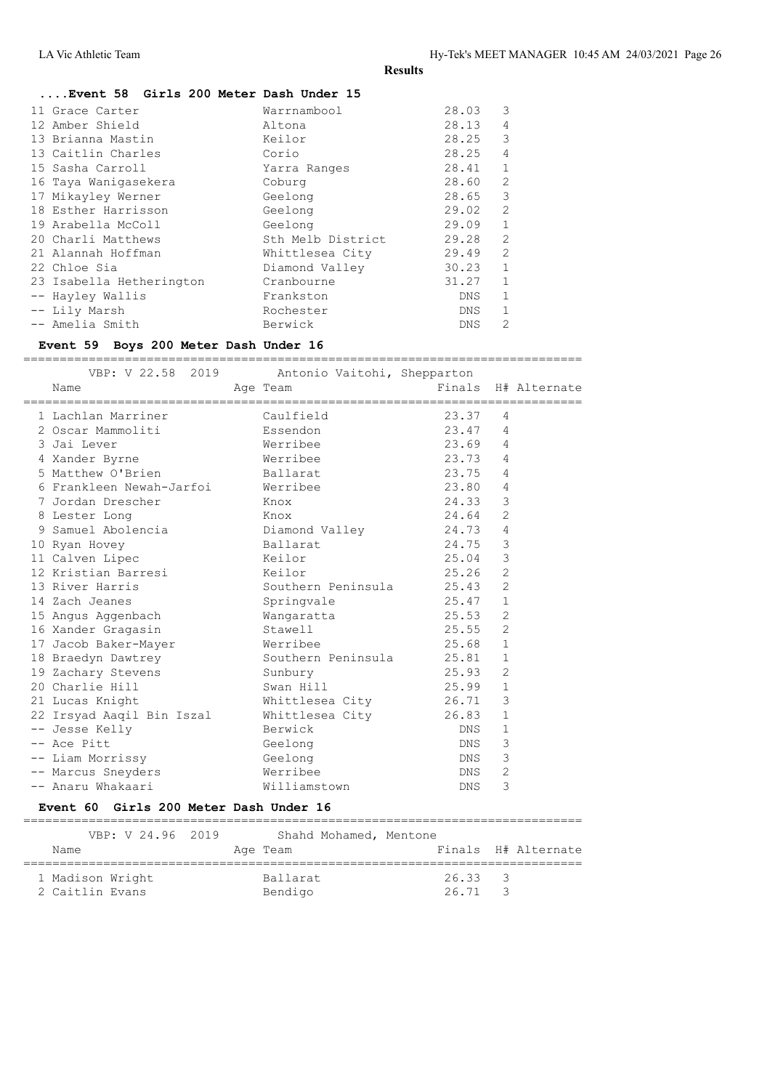| Event 58 Girls 200 Meter Dash Under 15 |  |  |  |  |  |
|----------------------------------------|--|--|--|--|--|
|----------------------------------------|--|--|--|--|--|

| 11 Grace Carter          | Warrnambool       | 28.03      | 3              |
|--------------------------|-------------------|------------|----------------|
| 12 Amber Shield          | Altona            | 28.13      | 4              |
| 13 Brianna Mastin        | Keilor            | 28.25      | 3              |
| 13 Caitlin Charles       | Corio             | 28.25      | 4              |
| 15 Sasha Carroll         | Yarra Ranges      | 28.41      | $\mathbf{1}$   |
| 16 Taya Waniqasekera     | Coburg            | 28.60      | $\mathfrak{D}$ |
| 17 Mikayley Werner       | Geelong           | 28.65      | 3              |
| 18 Esther Harrisson      | Geelong           | 29.02      | $\overline{2}$ |
| 19 Arabella McColl       | Geelong           | 29.09      | 1              |
| 20 Charli Matthews       | Sth Melb District | 29.28      | 2              |
| 21 Alannah Hoffman       | Whittlesea City   | 29.49      | $\mathcal{L}$  |
| 22 Chloe Sia             | Diamond Valley    | 30.23      | $\mathbf{1}$   |
| 23 Isabella Hetherington | Cranbourne        | 31.27      | 1              |
| -- Hayley Wallis         | Frankston         | DNS        |                |
| -- Lily Marsh            | Rochester         | DNS        |                |
| -- Amelia Smith          | Berwick           | <b>DNS</b> | $\mathcal{L}$  |
|                          |                   |            |                |

### **Event 59 Boys 200 Meter Dash Under 16**

 VBP: V 22.58 2019 Antonio Vaitohi, Shepparton Name **Age Team** Age Team Finals H# Alternate ============================================================================= 1 Lachlan Marriner Caulfield 23.37 4<br>2 Oscar Mammoliti 23.47 4 2 Oscar Mammoliti Essendon 23.47 4 3 Jai Lever Werribee 23.69 4 4 Xander Byrne Werribee 23.73 4 5 Matthew O'Brien **Ballarat** 23.75 4 6 Frankleen Newah-Jarfoi Werribee 23.80 4 7 Jordan Drescher Knox 24.33 3 8 Lester Long Nox 24.64 2 9 Samuel Abolencia Diamond Valley 24.73 4 10 Ryan Hovey Ballarat 24.75 3 11 Calven Lipec Keilor 25.04 3 12 Kristian Barresi Keilor 25.26 2 13 River Harris **Southern Peninsula** 25.43 2 14 Zach Jeanes Springvale 25.47 1 15 Angus Aggenbach Wangaratta 25.53 2 16 Xander Gragasin Stawell 25.55 2 17 Jacob Baker-Mayer Werribee 25.68 1 18 Braedyn Dawtrey Southern Peninsula 25.81 1 19 Zachary Stevens Sunbury 25.93 2 20 Charlie Hill Swan Hill 25.99 1 21 Lucas Knight Whittlesea City 26.71 3 22 Irsyad Aaqil Bin Iszal Whittlesea City 26.83 1 -- Jesse Kelly Berwick DNS 1 -- Ace Pitt Geelong Communications of the Geelong Communications of the DNS 3 -- Liam Morrissy Geelong DNS 3 -- Marcus Sneyders **Example 2** Merribee **DIS 2** DNS 2 -- Anaru Whakaari Williamstown DNS 3

=============================================================================

#### **Event 60 Girls 200 Meter Dash Under 16**

| VBP: V 24.96 2019                   | Shahd Mohamed, Mentone     |                                        |
|-------------------------------------|----------------------------|----------------------------------------|
| Name                                | Age Team                   | Finals H# Alternate                    |
| 1 Madison Wright<br>2 Caitlin Evans | <b>Ballarat</b><br>Bendigo | 26.33<br>$\sim$ 3<br>26.71<br>$\sim$ 3 |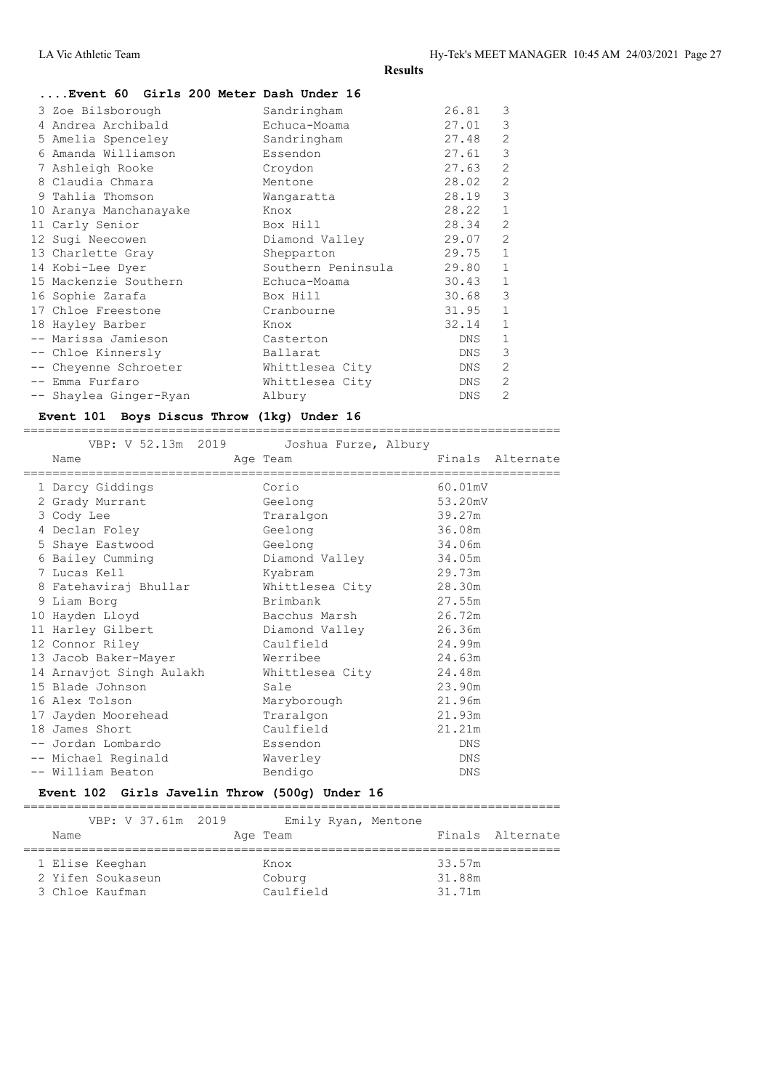# **....Event 60 Girls 200 Meter Dash Under 16**

| 4 Andrea Archibald<br>Echuca-Moama<br>Sandringham<br>5 Amelia Spenceley<br>Amanda Williamson<br>Essendon<br>7 Ashleigh Rooke<br>Croydon<br>8 Claudia Chmara<br>Mentone<br>9 Tahlia Thomson<br>Wangaratta<br>10 Aranya Manchanayake<br>Knox<br>11 Carly Senior<br>Box Hill<br>12 Sugi Neecowen<br>Diamond Valley<br>13 Charlette Gray<br>Shepparton<br>Southern Peninsula<br>14 Kobi-Lee Dyer | 27.01<br>27.48<br>27.61<br>27.63<br>28.02<br>28.19<br>28.22<br>28.34<br>29.07<br>29.75<br>29.80 | 3<br>$\overline{2}$<br>3<br>$\overline{2}$<br>$\mathfrak{D}$<br>3<br>$\mathbf{1}$<br>$\mathfrak{D}$<br>2<br>$\mathbf{1}$<br>$\mathbf{1}$ |
|----------------------------------------------------------------------------------------------------------------------------------------------------------------------------------------------------------------------------------------------------------------------------------------------------------------------------------------------------------------------------------------------|-------------------------------------------------------------------------------------------------|------------------------------------------------------------------------------------------------------------------------------------------|
| 15 Mackenzie Southern<br>Echuca-Moama<br>16 Sophie Zarafa<br>Box Hill                                                                                                                                                                                                                                                                                                                        | 30.43<br>30.68                                                                                  | $\mathbf{1}$<br>3                                                                                                                        |
| 17 Chloe Freestone<br>Cranbourne                                                                                                                                                                                                                                                                                                                                                             | 31.95                                                                                           | $\mathbf{1}$                                                                                                                             |
| 18 Hayley Barber<br>Knox                                                                                                                                                                                                                                                                                                                                                                     | 32.14                                                                                           | $\mathbf{1}$                                                                                                                             |
| -- Marissa Jamieson<br>Casterton                                                                                                                                                                                                                                                                                                                                                             | DNS                                                                                             | $\mathbf{1}$                                                                                                                             |
| -- Chloe Kinnersly<br>Ballarat                                                                                                                                                                                                                                                                                                                                                               | DNS                                                                                             | 3                                                                                                                                        |
| -- Cheyenne Schroeter<br>Whittlesea City                                                                                                                                                                                                                                                                                                                                                     | DNS                                                                                             | 2                                                                                                                                        |
| -- Emma Furfaro<br>Whittlesea City                                                                                                                                                                                                                                                                                                                                                           | DNS                                                                                             | $\overline{2}$                                                                                                                           |
| -- Shaylea Ginger-Ryan<br>Albury                                                                                                                                                                                                                                                                                                                                                             | <b>DNS</b>                                                                                      | 2                                                                                                                                        |

#### **Event 101 Boys Discus Throw (1kg) Under 16** ==========================================================================

| VBP: V 52.13m 2019           | Joshua Furze, Albury     |                  |
|------------------------------|--------------------------|------------------|
| Name<br>==================== | Age Team<br>============ | Finals Alternate |
| 1 Darcy Giddings             | Corio                    | 60.01mV          |
| 2 Grady Murrant              | Geelong                  | 53.20mV          |
| 3 Cody Lee                   | Traralgon                | 39.27m           |
| 4 Declan Foley               | Geelong                  | 36.08m           |
| 5 Shaye Eastwood             | Geelong                  | 34.06m           |
| 6 Bailey Cumming             | Diamond Valley           | 34.05m           |
| 7 Lucas Kell                 | Kyabram                  | 29.73m           |
| 8 Fatehaviraj Bhullar        | Whittlesea City          | 28.30m           |
| 9 Liam Borg                  | Brimbank                 | 27.55m           |
| 10 Hayden Lloyd              | Bacchus Marsh            | 26.72m           |
| 11 Harley Gilbert            | Diamond Valley           | 26.36m           |
| 12 Connor Riley              | Caulfield                | 24.99m           |
| 13 Jacob Baker-Mayer         | Werribee                 | 24.63m           |
| 14 Arnavjot Singh Aulakh     | Whittlesea City          | 24.48m           |
| 15 Blade Johnson             | Sale                     | 23.90m           |
| 16 Alex Tolson               | Maryborough              | 21.96m           |
| 17 Jayden Moorehead          | Traralgon                | 21.93m           |
| 18 James Short               | Caulfield                | 21.21m           |
| -- Jordan Lombardo           | Essendon                 | <b>DNS</b>       |
| -- Michael Reginald          | Waverley                 | DNS              |
| -- William Beaton            | Bendigo                  | DNS              |

# **Event 102 Girls Javelin Throw (500g) Under 16**

|                   | VBP: V 37.61m 2019 |           | Emily Ryan, Mentone |        |                  |
|-------------------|--------------------|-----------|---------------------|--------|------------------|
| Name              |                    | Age Team  |                     |        | Finals Alternate |
|                   |                    |           |                     |        |                  |
| 1 Elise Keeghan   |                    | Knox      |                     | 33.57m |                  |
| 2 Yifen Soukaseun |                    | Coburg    |                     | 31.88m |                  |
| 3 Chloe Kaufman   |                    | Caulfield |                     | 31.71m |                  |
|                   |                    |           |                     |        |                  |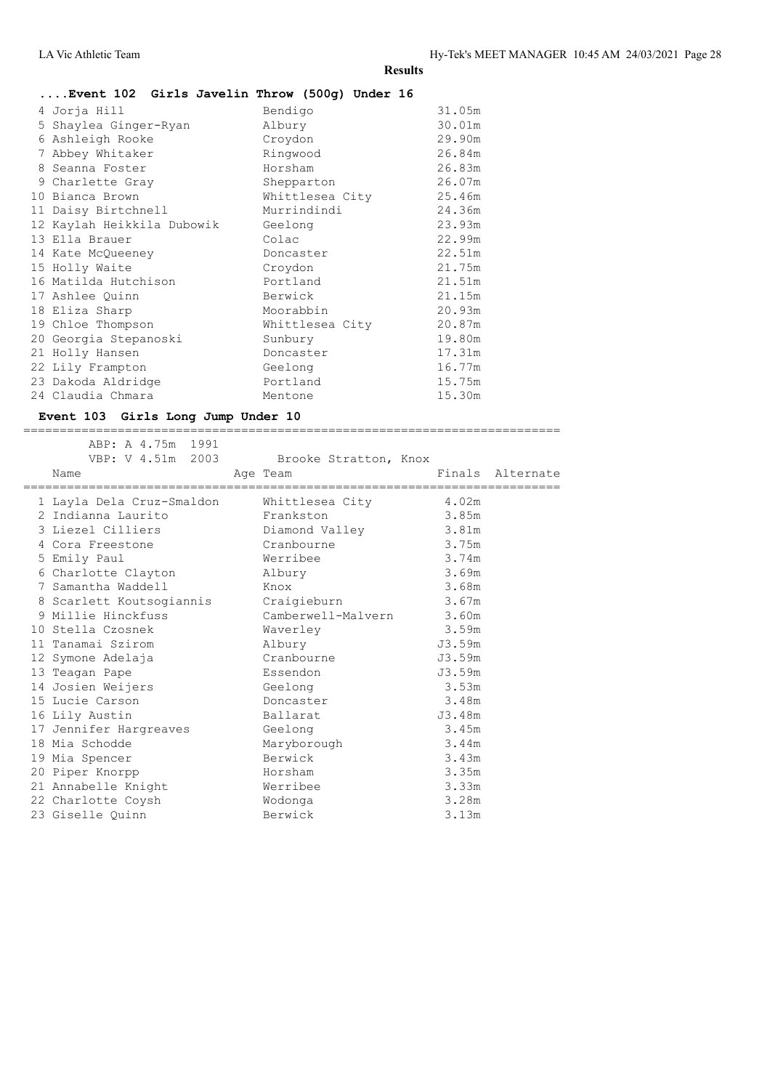# **....Event 102 Girls Javelin Throw (500g) Under 16**

|   | 4 Jorja Hill<br>5 Shaylea Ginger-Ryan<br>6 Ashleigh Rooke | Bendigo<br>Albury<br>Croydon | 31.05m<br>30.01m<br>29.90m |
|---|-----------------------------------------------------------|------------------------------|----------------------------|
|   | 7 Abbey Whitaker                                          | Ringwood                     | 26.84m                     |
| 8 | Seanna Foster                                             | Horsham                      | 26.83m                     |
|   | 9 Charlette Gray                                          | Shepparton                   | 26.07m                     |
|   | 10 Bianca Brown                                           | Whittlesea City              | 25.46m                     |
|   | 11 Daisy Birtchnell                                       | Murrindindi                  | 24.36m                     |
|   | 12 Kaylah Heikkila Dubowik                                | Geelong                      | 23.93m                     |
|   | 13 Ella Brauer                                            | Colac                        | 22.99m                     |
|   | 14 Kate McQueeney                                         | Doncaster                    | 22.51m                     |
|   | 15 Holly Waite                                            | Croydon                      | 21.75m                     |
|   | 16 Matilda Hutchison                                      | Portland                     | 21.51m                     |
|   | 17 Ashlee Quinn                                           | Berwick                      | 21.15m                     |
|   | 18 Eliza Sharp                                            | Moorabbin                    | 20.93m                     |
|   | 19 Chloe Thompson                                         | Whittlesea City              | 20.87m                     |
|   | 20 Georgia Stepanoski                                     | Sunbury                      | 19.80m                     |
|   | 21 Holly Hansen                                           | Doncaster                    | 17.31m                     |
|   | 22 Lily Frampton                                          | Geelong                      | 16.77m                     |
|   | 23 Dakoda Aldridge                                        | Portland                     | 15.75m                     |
|   | 24 Claudia Chmara                                         | Mentone                      | 15.30m                     |
|   |                                                           |                              |                            |

#### **Event 103 Girls Long Jump Under 10** ==========================================================================

|  | ABP: A 4.75m 1991<br>VBP: V 4.51m 2003 Brooke Stratton, Knox<br>Name | Age Team                 |        | Finals Alternate |
|--|----------------------------------------------------------------------|--------------------------|--------|------------------|
|  | 1 Layla Dela Cruz-Smaldon Mhittlesea City                            |                          | 4.02m  |                  |
|  | 2 Indianna Laurito                                                   | Frankston                | 3.85m  |                  |
|  | 3 Liezel Cilliers                                                    | Diamond Valley           | 3.81m  |                  |
|  | 4 Cora Freestone                                                     | Cranbourne               | 3.75m  |                  |
|  | 5 Emily Paul                                                         | Werribee                 | 3.74m  |                  |
|  | 6 Charlotte Clayton                                                  | Albury                   | 3.69m  |                  |
|  | 7 Samantha Waddell                                                   | Knox                     | 3.68m  |                  |
|  | 8 Scarlett Koutsogiannis Craigieburn                                 |                          | 3.67m  |                  |
|  | 9 Millie Hinckfuss                                                   | Camberwell-Malvern 3.60m |        |                  |
|  | 10 Stella Czosnek                                                    | Waverley                 | 3.59m  |                  |
|  | 11 Tanamai Szirom                                                    | Albury                   | J3.59m |                  |
|  | 12 Symone Adelaja                                                    | Cranbourne               | J3.59m |                  |
|  | 13 Teagan Pape                                                       | Essendon                 | J3.59m |                  |
|  | 14 Josien Weijers                                                    | Geelong                  | 3.53m  |                  |
|  | 15 Lucie Carson                                                      | Doncaster                | 3.48m  |                  |
|  | 16 Lily Austin                                                       | Ballarat                 | J3.48m |                  |
|  | 17 Jennifer Hargreaves Geelong                                       |                          | 3.45m  |                  |
|  | 18 Mia Schodde                                                       | Maryborough              | 3.44m  |                  |
|  | 19 Mia Spencer                                                       | Berwick                  | 3.43m  |                  |
|  | 20 Piper Knorpp                                                      | Horsham                  | 3.35m  |                  |
|  | 21 Annabelle Knight                                                  | Werribee                 | 3.33m  |                  |
|  | 22 Charlotte Coysh                                                   | Wodonga                  | 3.28m  |                  |
|  | 23 Giselle Quinn                                                     | Berwick                  | 3.13m  |                  |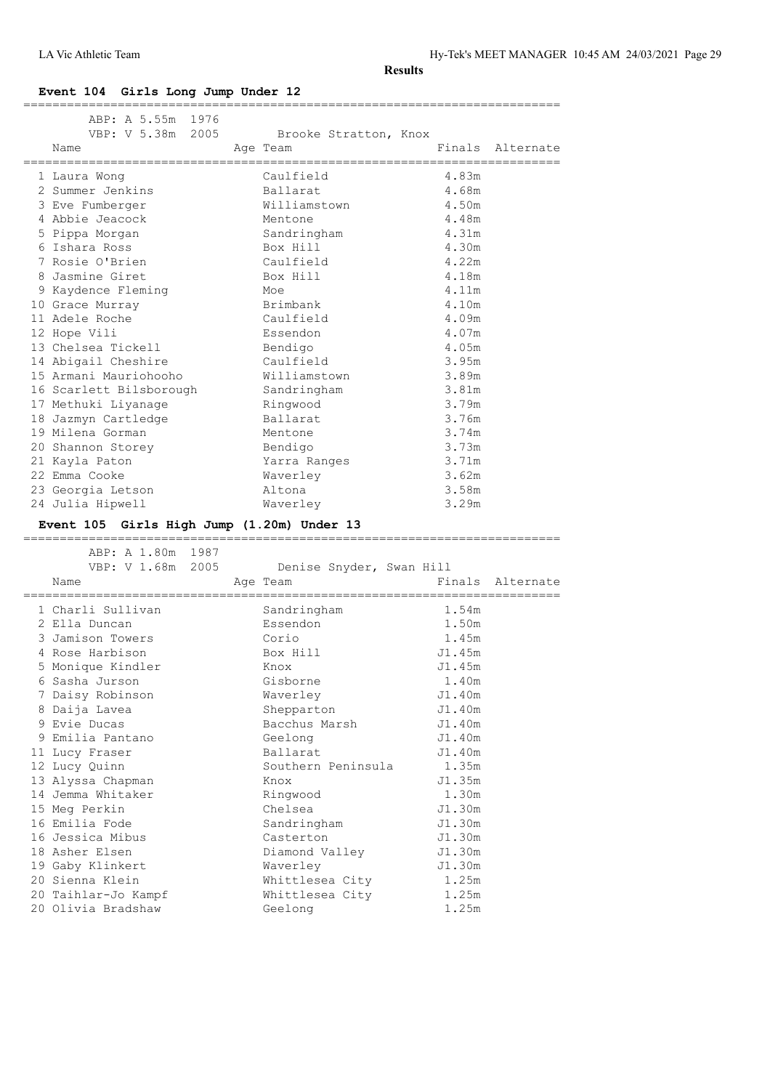LA Vic Athletic Team Hy-Tek's MEET MANAGER 10:45 AM 24/03/2021 Page 29

**Results**

# **Event 104 Girls Long Jump Under 12**

| ABP: A 5.55m 1976                          |                                   |                |                  |
|--------------------------------------------|-----------------------------------|----------------|------------------|
| VBP: V 5.38m 2005<br>Name                  | Brooke Stratton, Knox<br>Age Team |                | Finals Alternate |
| 1 Laura Wong                               | Caulfield                         | 4.83m          |                  |
| 2 Summer Jenkins                           | Ballarat                          | 4.68m          |                  |
| 3 Eve Fumberger                            | Williamstown                      | 4.50m          |                  |
| 4 Abbie Jeacock                            | Mentone                           | 4.48m          |                  |
| 5 Pippa Morgan                             | Sandringham                       | 4.31m          |                  |
| 6 Ishara Ross                              | Box Hill                          | 4.30m          |                  |
| 7 Rosie O'Brien                            | Caulfield                         | 4.22m          |                  |
| 8 Jasmine Giret                            | Box Hill                          | 4.18m          |                  |
| 9 Kaydence Fleming                         | Moe                               | 4.11m          |                  |
| 10 Grace Murray                            | Brimbank                          | 4.10m          |                  |
| 11 Adele Roche                             | Caulfield                         | 4.09m          |                  |
| 12 Hope Vili                               | Essendon                          | 4.07m          |                  |
| 13 Chelsea Tickell                         | Bendigo                           | 4.05m          |                  |
| 14 Abigail Cheshire                        | Caulfield                         | 3.95m          |                  |
| 15 Armani Mauriohooho                      | Williamstown                      | 3.89m          |                  |
| 16 Scarlett Bilsborough                    | Sandringham                       | 3.81m          |                  |
| 17 Methuki Liyanage                        | Ringwood                          | 3.79m          |                  |
| 18 Jazmyn Cartledge                        | Ballarat                          | 3.76m          |                  |
| 19 Milena Gorman                           | Mentone                           | 3.74m          |                  |
| 20 Shannon Storey                          | Bendigo                           | 3.73m          |                  |
| 21 Kayla Paton                             | Yarra Ranges                      | 3.71m          |                  |
| 22 Emma Cooke                              | Waverley                          | 3.62m          |                  |
| 23 Georgia Letson                          | Altona                            | 3.58m          |                  |
| 24 Julia Hipwell                           | Waverley                          | 3.29m          |                  |
| Event 105 Girls High Jump (1.20m) Under 13 |                                   |                |                  |
| ABP: A 1.80m 1987                          |                                   |                |                  |
|                                            |                                   |                |                  |
| VBP: V 1.68m 2005                          | Denise Snyder, Swan Hill          |                |                  |
| Name                                       | Age Team                          |                | Finals Alternate |
| 1 Charli Sullivan                          | Sandringham                       | 1.54m          |                  |
| 2 Ella Duncan                              | Essendon                          | 1.50m          |                  |
| 3 Jamison Towers                           | Corio                             | 1.45m          |                  |
| 4 Rose Harbison                            | Box Hill                          | J1.45m         |                  |
| 5 Monique Kindler                          | Knox                              | J1.45m         |                  |
| 6 Sasha Jurson                             | Gisborne                          | 1.40m          |                  |
| 7 Daisy Robinson                           | Waverley                          | J1.40m         |                  |
| 8 Daija Lavea                              | Shepparton                        | J1.40m         |                  |
| 9 Evie Ducas                               | Bacchus Marsh                     | J1.40m         |                  |
| 9 Emilia Pantano                           | Geelong                           | J1.40m         |                  |
| 11 Lucy Fraser                             | Ballarat                          | J1.40m         |                  |
| 12 Lucy Quinn                              | Southern Peninsula                | 1.35m          |                  |
| 13 Alyssa Chapman                          | Knox                              | J1.35m         |                  |
| 14 Jemma Whitaker                          | Ringwood                          | 1.30m          |                  |
| 15 Meg Perkin                              | Chelsea                           | J1.30m         |                  |
| 16 Emilia Fode                             | Sandringham                       | J1.30m         |                  |
| 16 Jessica Mibus                           | Casterton                         | J1.30m         |                  |
| 18 Asher Elsen                             | Diamond Valley                    | J1.30m         |                  |
| 19 Gaby Klinkert                           | Waverley                          | J1.30m         |                  |
| 20 Sienna Klein                            | Whittlesea City                   | 1.25m          |                  |
| 20 Taihlar-Jo Kampf<br>20 Olivia Bradshaw  | Whittlesea City<br>Geelong        | 1.25m<br>1.25m |                  |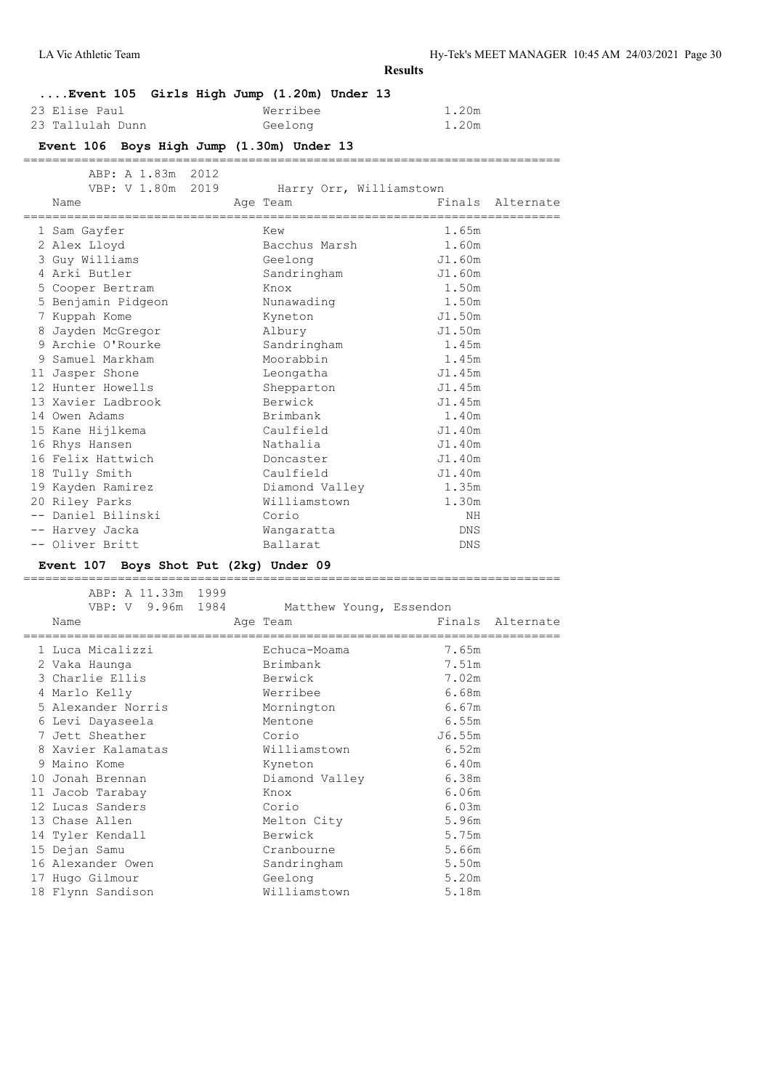| Event 105 Girls High Jump (1.20m) Under 13                             |                                        |                |                  |
|------------------------------------------------------------------------|----------------------------------------|----------------|------------------|
| 23 Elise Paul                                                          | Werribee                               | 1.20m          |                  |
| 23 Tallulah Dunn                                                       | Geelong                                | 1.20m          |                  |
| Event 106 Boys High Jump (1.30m) Under 13                              |                                        |                |                  |
| -------------------------                                              | ====================================== |                |                  |
| ABP: A 1.83m 2012                                                      |                                        |                |                  |
| VBP: V 1.80m 2019                                                      | Harry Orr, Williamstown                |                |                  |
| Name                                                                   | Age Team                               |                | Finals Alternate |
| 1 Sam Gayfer                                                           | Kew                                    | 1.65m          |                  |
| 2 Alex Lloyd                                                           | Bacchus Marsh                          | 1.60m          |                  |
| 3 Guy Williams                                                         | Geelong                                | J1.60m         |                  |
| 4 Arki Butler                                                          | Sandringham                            | J1.60m         |                  |
| 5 Cooper Bertram                                                       | Knox                                   | 1.50m          |                  |
| 5 Benjamin Pidgeon                                                     | Nunawading                             | 1.50m          |                  |
| 7 Kuppah Kome                                                          | Kyneton                                | J1.50m         |                  |
| 8 Jayden McGregor                                                      | Albury                                 | J1.50m         |                  |
| 9 Archie O'Rourke                                                      | Sandringham                            | 1.45m          |                  |
| 9 Samuel Markham                                                       | Moorabbin                              | 1.45m          |                  |
| 11 Jasper Shone                                                        | Leongatha                              | J1.45m         |                  |
| 12 Hunter Howells                                                      | Shepparton                             | J1.45m         |                  |
| 13 Xavier Ladbrook                                                     | Berwick                                | J1.45m         |                  |
| 14 Owen Adams                                                          | Brimbank                               | 1.40m          |                  |
| 15 Kane Hijlkema                                                       | Caulfield                              | J1.40m         |                  |
| 16 Rhys Hansen                                                         | Nathalia                               | J1.40m         |                  |
| 16 Felix Hattwich                                                      | Doncaster                              | J1.40m         |                  |
| 18 Tully Smith                                                         | Caulfield                              | J1.40m         |                  |
| 19 Kayden Ramirez                                                      | Diamond Valley                         | 1.35m          |                  |
| 20 Riley Parks                                                         | Williamstown                           | 1.30m          |                  |
| -- Daniel Bilinski                                                     | Corio                                  | ΝH             |                  |
| -- Harvey Jacka                                                        | Wangaratta                             | DNS            |                  |
| -- Oliver Britt                                                        | Ballarat                               | DNS            |                  |
| Event 107 Boys Shot Put (2kg) Under 09<br>____________________________ |                                        |                |                  |
| ABP: A 11.33m 1999                                                     |                                        |                |                  |
| VBP: V 9.96m 1984 Matthew Young, Essendon                              |                                        |                |                  |
| Name                                                                   | Age Team                               |                | Finals Alternate |
|                                                                        |                                        |                |                  |
| 1 Luca Micalizzi                                                       | Echuca-Moama                           | 7.65m          |                  |
| 2 Vaka Haunga                                                          | Brimbank                               | 7.51m          |                  |
| 3 Charlie Ellis                                                        | Berwick                                | 7.02m          |                  |
| 4 Marlo Kelly                                                          | Werribee                               | 6.68m          |                  |
| 5 Alexander Norris                                                     | Mornington                             | 6.67m          |                  |
| 6 Levi Dayaseela                                                       | Mentone                                | 6.55m          |                  |
| 7 Jett Sheather                                                        | Corio                                  | J6.55m         |                  |
| 8 Xavier Kalamatas                                                     | Williamstown                           | 6.52m          |                  |
| 9 Maino Kome                                                           | Kyneton                                | 6.40m          |                  |
| 10 Jonah Brennan                                                       | Diamond Valley                         | 6.38m          |                  |
| 11 Jacob Tarabay                                                       | Knox                                   | 6.06m          |                  |
| 12 Lucas Sanders                                                       | Corio                                  | 6.03m          |                  |
| 13 Chase Allen                                                         | Melton City                            | 5.96m          |                  |
| 14 Tyler Kendall                                                       | Berwick                                | 5.75m          |                  |
| 15 Dejan Samu<br>16 Alexander Owen                                     | Cranbourne                             | 5.66m<br>5.50m |                  |
|                                                                        | Sandringham                            | 5.20m          |                  |
| 17 Hugo Gilmour<br>18 Flynn Sandison                                   | Geelong<br>Williamstown                | 5.18m          |                  |
|                                                                        |                                        |                |                  |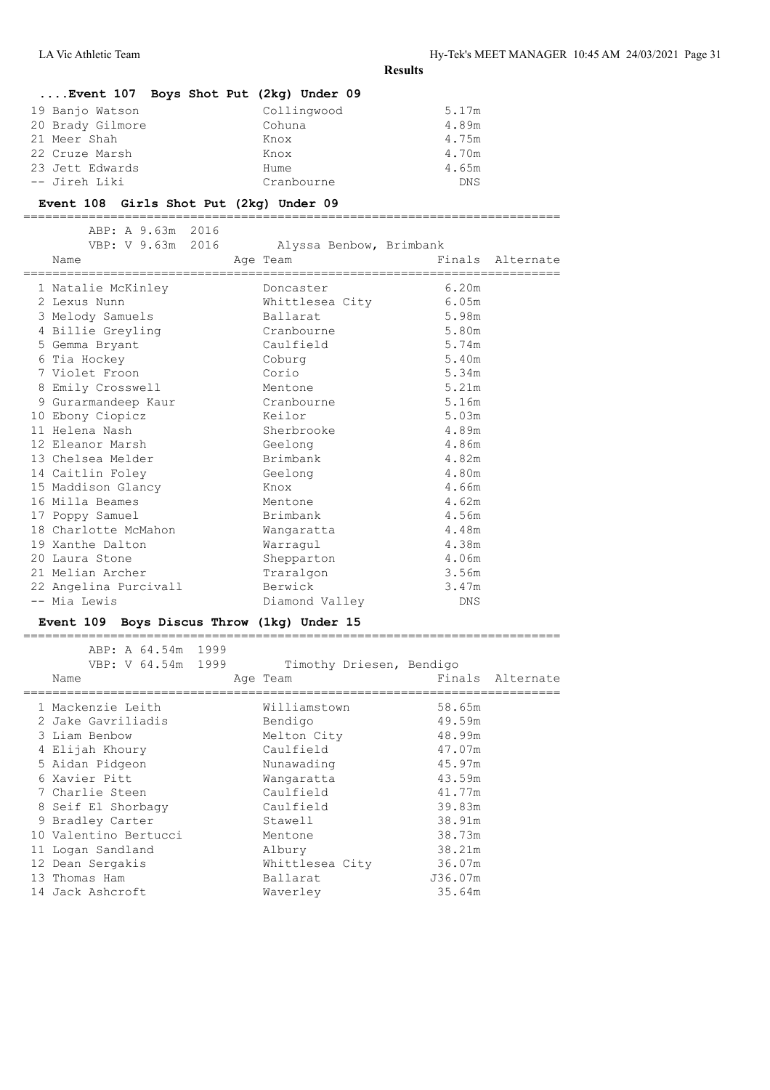# **....Event 107 Boys Shot Put (2kg) Under 09**

| 19 Banjo Watson  | Collingwood | 5.17m |
|------------------|-------------|-------|
| 20 Brady Gilmore | Cohuna      | 4.89m |
| 21 Meer Shah     | Knox        | 4.75m |
| 22 Cruze Marsh   | Knox        | 4.70m |
| 23 Jett Edwards  | Hume        | 4.65m |
| -- Jireh Liki    | Cranbourne  | DNS   |

#### **Event 108 Girls Shot Put (2kg) Under 09**

ABP: A 9.63m 2016<br>VBP: V 9.63m 2016 Alyssa Benbow, Brimbank Name Age Team Finals Alternate ========================================================================== 1 Natalie McKinley Doncaster 6.20m 2 Lexus Nunn Whittlesea City 6.05m 3 Melody Samuels Ballarat 5.98m 4 Billie Greyling Cranbourne 5.80m 5 Gemma Bryant Caulfield 5.74m 6 Tia Hockey Coburg 5.40m 7 Violet Froon Corio 5.34m 8 Emily Crosswell Mentone 5.21m 9 Gurarmandeep Kaur Cranbourne 5.16m 10 Ebony Ciopicz Keilor 5.03m 11 Helena Nash Sherbrooke 4.89m 12 Eleanor Marsh Geelong Geelong 4.86m 13 Chelsea Melder Brimbank 4.82m 14 Caitlin Foley Geelong 4.80m 15 Maddison Glancy Knox 4.66m 16 Milla Beames Mentone 4.62m 17 Poppy Samuel Brimbank 4.56m 18 Charlotte McMahon Wangaratta 4.48m 19 Xanthe Dalton Warragul 4.38m 20 Laura Stone Shepparton 4.06m 21 Melian Archer Traralgon 3.56m 22 Angelina Purcivall Berwick 3.47m -- Mia Lewis Diamond Valley DNS

==========================================================================

### **Event 109 Boys Discus Throw (1kg) Under 15**

 ABP: A 64.54m 1999 VBP: V 64.54m 1999 Timothy Driesen, Bendigo Name Age Team Age Team Finals Alternate ========================================================================== 1 Mackenzie Leith Williamstown 58.65m 2 Jake Gavriliadis Bendigo 49.59m 3 Liam Benbow Melton City 48.99m 4 Elijah Khoury Caulfield 47.07m 5 Aidan Pidgeon Nunawading 45.97m 6 Xavier Pitt Wangaratta 43.59m 7 Charlie Steen Caulfield 41.77m 8 Seif El Shorbagy Caulfield 39.83m 9 Bradley Carter Stawell 38.91m 10 Valentino Bertucci Mentone 38.73m 11 Logan Sandland Albury 38.21m 12 Dean Sergakis Whittlesea City 36.07m 13 Thomas Ham Ballarat J36.07m 10 valencino -- 1<br>
11 Logan Sandland Michael Albury -- 1<br>
12 Dean Sergakis Whittlesea City 36.07m<br>
13 Thomas Ham Ballarat 536.07m<br>
14 Jack Ashcroft Waverley 35.64m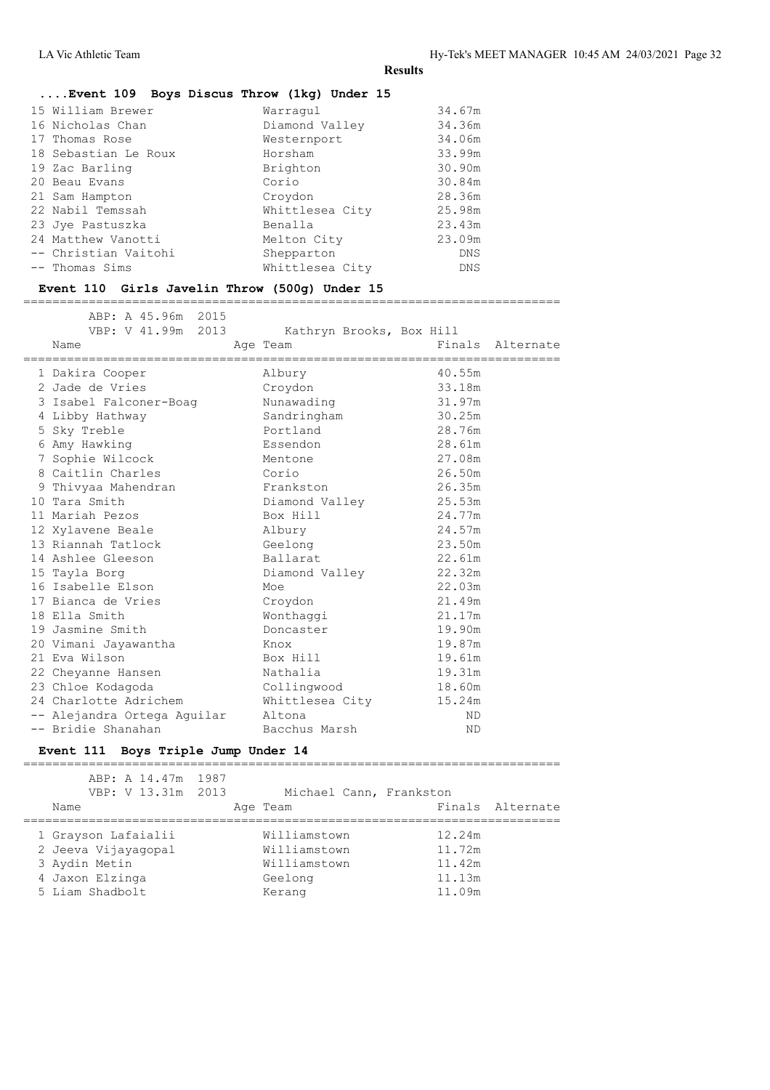# **....Event 109 Boys Discus Throw (1kg) Under 15**

| 15 William Brewer    | Warraqul        | 34.67m     |
|----------------------|-----------------|------------|
| 16 Nicholas Chan     | Diamond Valley  | 34.36m     |
| 17 Thomas Rose       | Westernport     | 34.06m     |
| 18 Sebastian Le Roux | Horsham         | 33.99m     |
| 19 Zac Barling       | Brighton        | 30.90m     |
| 20 Beau Evans        | Corio           | 30.84m     |
| 21 Sam Hampton       | Croydon         | 28.36m     |
| 22 Nabil Temssah     | Whittlesea City | 25.98m     |
| 23 Jye Pastuszka     | Benalla         | 23.43m     |
| 24 Matthew Vanotti   | Melton City     | 23.09m     |
| -- Christian Vaitohi | Shepparton      | DNS        |
| -- Thomas Sims       | Whittlesea City | <b>DNS</b> |
|                      |                 |            |

# **Event 110 Girls Javelin Throw (500g) Under 15**

==========================================================================

| ABP: A 45.96m 2015<br>VBP: V 41.99m 2013<br>Name<br>=============================== | Kathryn Brooks, Box Hill<br>Age Team | . _ _ _ _ _ _ _ _ _ _ _ | Finals Alternate |
|-------------------------------------------------------------------------------------|--------------------------------------|-------------------------|------------------|
| 1 Dakira Cooper                                                                     | Albury                               | 40.55m                  |                  |
| 2 Jade de Vries                                                                     | Croydon                              | 33.18m                  |                  |
| 3 Isabel Falconer-Boaq                                                              | Nunawading                           | 31.97m                  |                  |
| 4 Libby Hathway                                                                     | Sandringham                          | 30.25m                  |                  |
| 5 Sky Treble                                                                        | Portland                             | 28.76m                  |                  |
| 6 Amy Hawking                                                                       | Essendon                             | 28.61m                  |                  |
| 7 Sophie Wilcock                                                                    | Mentone                              | 27.08m                  |                  |
| 8 Caitlin Charles                                                                   | Corio                                | 26.50m                  |                  |
| 9 Thivyaa Mahendran                                                                 | Frankston                            | 26.35m                  |                  |
| 10 Tara Smith                                                                       | Diamond Valley                       | 25.53m                  |                  |
| 11 Mariah Pezos                                                                     | Box Hill                             | 24.77m                  |                  |
| 12 Xylavene Beale                                                                   | Albury                               | 24.57m                  |                  |
| 13 Riannah Tatlock                                                                  | Geelong                              | 23.50m                  |                  |
| 14 Ashlee Gleeson                                                                   | Ballarat                             | 22.61m                  |                  |
| 15 Tayla Borg                                                                       | Diamond Valley                       | 22.32m                  |                  |
| 16 Isabelle Elson                                                                   | Moe                                  | 22.03m                  |                  |
| 17 Bianca de Vries                                                                  | Croydon                              | 21.49m                  |                  |
| 18 Ella Smith                                                                       | Wonthaggi                            | 21.17m                  |                  |
| 19 Jasmine Smith                                                                    | Doncaster                            | 19.90m                  |                  |
| 20 Vimani Jayawantha                                                                | Knox                                 | 19.87m                  |                  |
| 21 Eva Wilson                                                                       | Box Hill                             | 19.61m                  |                  |
| 22 Cheyanne Hansen                                                                  | Nathalia                             | 19.31m                  |                  |
| 23 Chloe Kodagoda                                                                   | Collingwood                          | 18.60m                  |                  |
| 24 Charlotte Adrichem                                                               | Whittlesea City                      | 15.24m                  |                  |
| -- Alejandra Ortega Aguilar                                                         | Altona                               | ND.                     |                  |
| -- Bridie Shanahan                                                                  | Bacchus Marsh                        | <b>ND</b>               |                  |

# **Event 111 Boys Triple Jump Under 14**

| ABP: A 14.47m 1987<br>VBP: V 13.31m 2013<br>Name                               | Michael Cann, Frankston<br>Age Team                     | Finals Alternate                     |
|--------------------------------------------------------------------------------|---------------------------------------------------------|--------------------------------------|
| 1 Grayson Lafaialii<br>2 Jeeva Vijayaqopal<br>3 Aydin Metin<br>4 Jaxon Elzinga | Williamstown<br>Williamstown<br>Williamstown<br>Geelong | 12.24m<br>11.72m<br>11.42m<br>11.13m |
| 5 Liam Shadbolt                                                                | Kerang                                                  | 11.09m                               |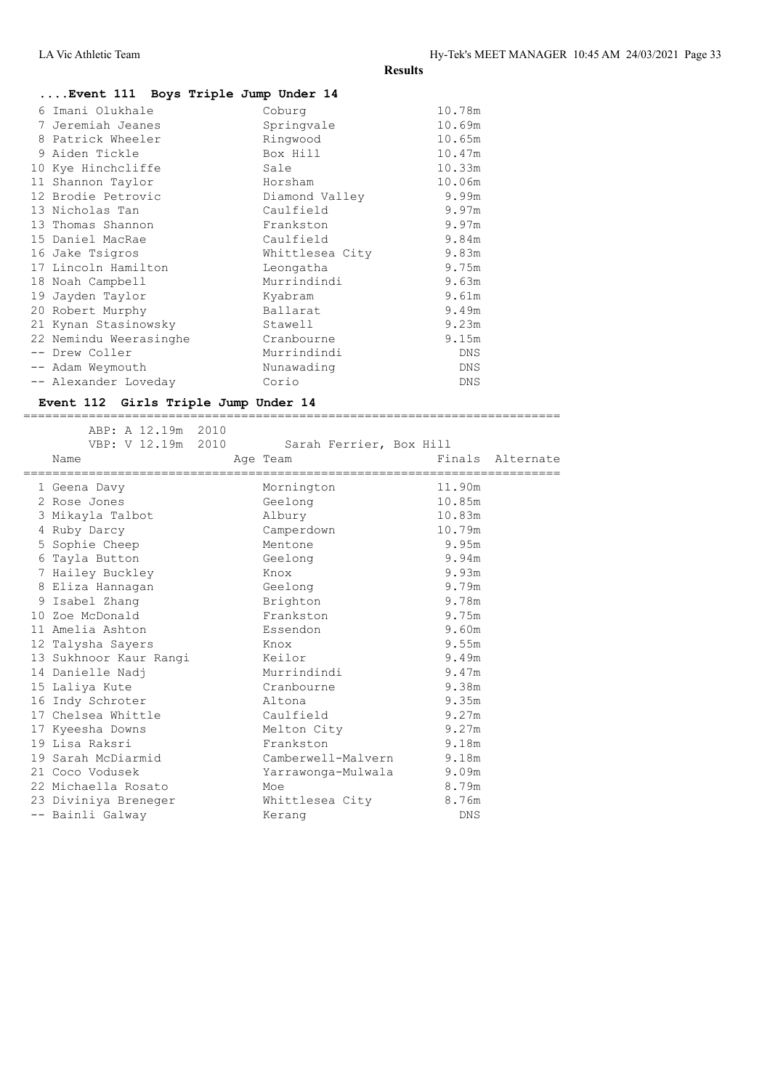| Event 111 Boys Triple Jump Under 14 |                 |            |
|-------------------------------------|-----------------|------------|
| Imani Olukhale<br>6                 | Coburg          | 10.78m     |
| Jeremiah Jeanes                     | Springvale      | 10.69m     |
| Patrick Wheeler<br>8                | Ringwood        | 10.65m     |
| 9 Aiden Tickle                      | Box Hill        | 10.47m     |
| 10 Kye Hinchcliffe                  | Sale            | 10.33m     |
| Shannon Taylor<br>11                | Horsham         | 10.06m     |
| 12 Brodie Petrovic                  | Diamond Valley  | 9.99m      |
| 13 Nicholas Tan                     | Caulfield       | 9.97m      |
| 13 Thomas Shannon                   | Frankston       | 9.97m      |
| 15 Daniel MacRae                    | Caulfield       | 9.84m      |
| 16 Jake Tsigros                     | Whittlesea City | 9.83m      |
| 17 Lincoln Hamilton                 | Leongatha       | 9.75m      |
| 18 Noah Campbell                    | Murrindindi     | 9.63m      |
| 19 Jayden Taylor                    | Kyabram         | 9.61m      |
| 20 Robert Murphy                    | Ballarat        | 9.49m      |
| 21 Kynan Stasinowsky                | Stawell         | 9.23m      |
| 22 Nemindu Weerasinghe              | Cranbourne      | 9.15m      |
| -- Drew Coller                      | Murrindindi     | <b>DNS</b> |
| -- Adam Weymouth                    | Nunawading      | <b>DNS</b> |
| -- Alexander Loveday                | Corio           | <b>DNS</b> |

# **Event 112 Girls Triple Jump Under 14**

|  | ABP: A 12.19m 2010<br>VBP: V 12.19m 2010     | Sarah Ferrier, Box Hill  |        |                  |
|--|----------------------------------------------|--------------------------|--------|------------------|
|  | Name<br>==================================== | Age Team                 |        | Finals Alternate |
|  | 1 Geena Davy                                 | Mornington               | 11.90m |                  |
|  | 2 Rose Jones                                 | Geelong                  | 10.85m |                  |
|  | 3 Mikayla Talbot                             | Albury                   | 10.83m |                  |
|  | 4 Ruby Darcy                                 | Camperdown               | 10.79m |                  |
|  | 5 Sophie Cheep                               | Mentone                  | 9.95m  |                  |
|  | 6 Tayla Button                               | Geelong                  | 9.94m  |                  |
|  | 7 Hailey Buckley                             | Knox                     | 9.93m  |                  |
|  | 8 Eliza Hannagan                             | Geelong                  | 9.79m  |                  |
|  | 9 Isabel Zhang                               | Brighton                 | 9.78m  |                  |
|  | 10 Zoe McDonald                              | Frankston                | 9.75m  |                  |
|  | 11 Amelia Ashton                             | Essendon                 | 9.60m  |                  |
|  | 12 Talysha Sayers                            | Knox                     | 9.55m  |                  |
|  | 13 Sukhnoor Kaur Rangi                       | Keilor                   | 9.49m  |                  |
|  | 14 Danielle Nadj                             | Murrindindi              | 9.47m  |                  |
|  | 15 Laliya Kute                               | Cranbourne               | 9.38m  |                  |
|  | 16 Indy Schroter                             | Altona                   | 9.35m  |                  |
|  | 17 Chelsea Whittle                           | Caulfield                | 9.27m  |                  |
|  | 17 Kyeesha Downs                             | Melton City              | 9.27m  |                  |
|  | 19 Lisa Raksri                               | Frankston                | 9.18m  |                  |
|  | 19 Sarah McDiarmid                           | Camberwell-Malvern       | 9.18m  |                  |
|  | 21 Coco Vodusek                              | Yarrawonga-Mulwala 9.09m |        |                  |
|  | 22 Michaella Rosato                          | Moe                      | 8.79m  |                  |
|  | 23 Diviniya Breneger                         | Whittlesea City          | 8.76m  |                  |
|  | -- Bainli Galway                             | Kerang                   | DNS    |                  |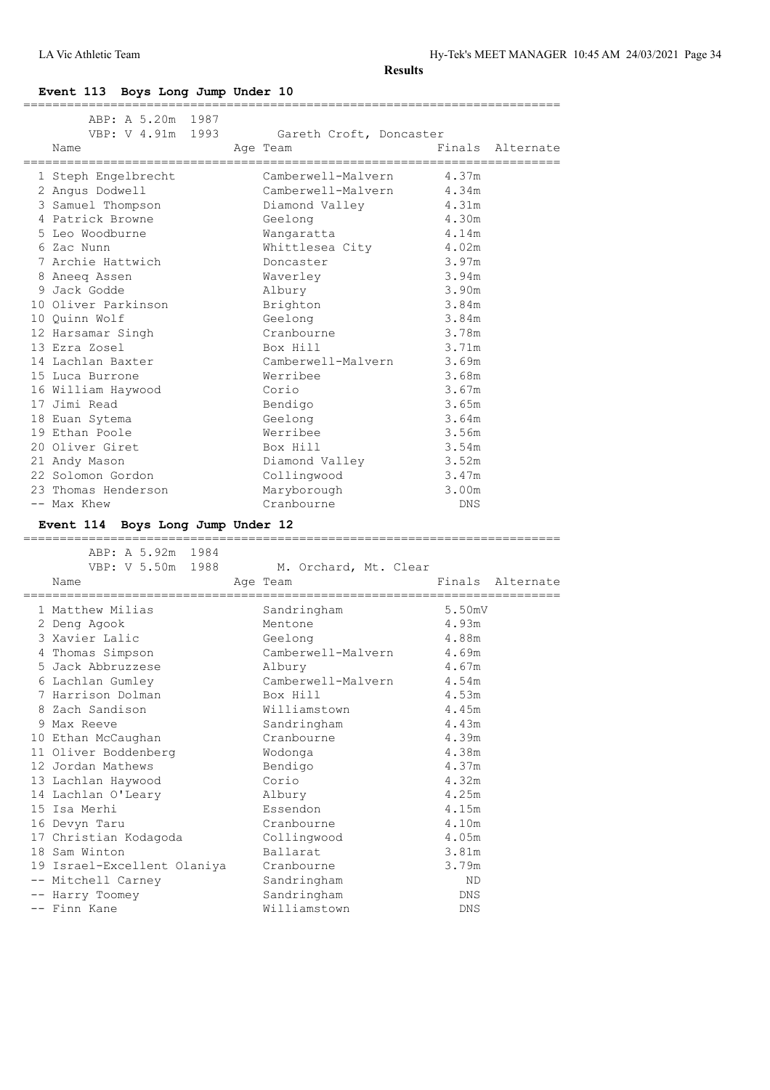LA Vic Athletic Team Hy-Tek's MEET MANAGER 10:45 AM 24/03/2021 Page 34

**Results**

# **Event 113 Boys Long Jump Under 10**

| ABP: A 5.20m 1987                                                  |                             |                        |                  |
|--------------------------------------------------------------------|-----------------------------|------------------------|------------------|
| VBP: V 4.91m 1993                                                  | Gareth Croft, Doncaster     |                        |                  |
| Name                                                               | Age Team                    |                        | Finals Alternate |
| ,,,,,,,,,,,,,,,,,,,,,,,,<br>1 Steph Engelbrecht                    | Camberwell-Malvern          | 4.37m                  |                  |
| 2 Angus Dodwell                                                    | Camberwell-Malvern          | 4.34m                  |                  |
| 3 Samuel Thompson                                                  | Diamond Valley              | 4.31m                  |                  |
| 4 Patrick Browne                                                   | Geelong                     | 4.30m                  |                  |
| 5 Leo Woodburne                                                    | Wangaratta                  | 4.14m                  |                  |
| 6 Zac Nunn                                                         | Whittlesea City             | 4.02m                  |                  |
| 7 Archie Hattwich                                                  | Doncaster                   | 3.97m                  |                  |
| 8 Aneeg Assen                                                      | Waverley                    | 3.94m                  |                  |
| 9 Jack Godde                                                       | Albury                      | 3.90m                  |                  |
| 10 Oliver Parkinson                                                | Brighton                    | 3.84m                  |                  |
| 10 Quinn Wolf                                                      | Geelong                     | 3.84m                  |                  |
| 12 Harsamar Singh                                                  | Cranbourne                  | 3.78m                  |                  |
| 13 Ezra Zosel                                                      | Box Hill                    | 3.71m                  |                  |
| 14 Lachlan Baxter                                                  | Camberwell-Malvern          | 3.69m                  |                  |
| 15 Luca Burrone                                                    | Werribee                    | 3.68m                  |                  |
| 16 William Haywood                                                 | Corio                       | 3.67m                  |                  |
| 17 Jimi Read                                                       | Bendigo                     | 3.65m                  |                  |
|                                                                    | Geelong                     | 3.64m                  |                  |
| 18 Euan Sytema<br>19 Ethan Poole                                   | Werribee                    | 3.56m                  |                  |
| 20 Oliver Giret                                                    | Box Hill                    |                        |                  |
|                                                                    |                             | 3.54m                  |                  |
| 21 Andy Mason<br>22 Solomon Gordon                                 | Diamond Valley              | 3.52m                  |                  |
|                                                                    | Collingwood                 | 3.47m                  |                  |
| 23 Thomas Henderson                                                | Maryborough                 | 3.00m                  |                  |
| -- Max Khew                                                        | Cranbourne                  | DNS                    |                  |
| Event 114 Boys Long Jump Under 12<br>.============================ |                             |                        |                  |
| ABP: A 5.92m 1984                                                  |                             |                        |                  |
| VBP: V 5.50m 1988                                                  | M. Orchard, Mt. Clear       |                        |                  |
| Name<br>===================                                        | Age Team                    | ______________________ | Finals Alternate |
| 1 Matthew Milias                                                   | Sandringham                 | 5.50mV                 |                  |
| 2 Deng Agook                                                       | Mentone                     | 4.93m                  |                  |
| 3 Xavier Lalic                                                     | Geelong                     | 4.88m                  |                  |
| 4 Thomas Simpson                                                   | Camberwell-Malvern          | 4.69m                  |                  |
| 5 Jack Abbruzzese                                                  | Albury                      | 4.67m                  |                  |
| 6 Lachlan Gumley                                                   | Camberwell-Malvern          | 4.54m                  |                  |
| 7 Harrison Dolman                                                  | Box Hill                    | 4.53m                  |                  |
| 8 Zach Sandison                                                    | Williamstown                | 4.45m                  |                  |
| 9 Max Reeve                                                        | Sandringham                 | 4.43m                  |                  |
| 10 Ethan McCaughan                                                 | Cranbourne                  |                        |                  |
|                                                                    |                             |                        |                  |
|                                                                    |                             | 4.39m                  |                  |
| 11 Oliver Boddenberg                                               | Wodonga                     | 4.38m                  |                  |
| 12 Jordan Mathews                                                  | Bendigo                     | 4.37m                  |                  |
| 13 Lachlan Haywood                                                 | Corio                       | 4.32m                  |                  |
| 14 Lachlan O'Leary                                                 | Albury                      | 4.25m                  |                  |
| 15 Isa Merhi                                                       | Essendon                    | 4.15m                  |                  |
| 16 Devyn Taru                                                      | Cranbourne                  | 4.10m                  |                  |
| 17 Christian Kodagoda                                              | Collingwood                 | 4.05m                  |                  |
| 18 Sam Winton                                                      | Ballarat                    | 3.81m                  |                  |
| 19 Israel-Excellent Olaniya                                        | Cranbourne                  | 3.79m                  |                  |
| -- Mitchell Carney                                                 | Sandringham                 | ND                     |                  |
| -- Harry Toomey<br>-- Finn Kane                                    | Sandringham<br>Williamstown | DNS<br>${\rm DNS}$     |                  |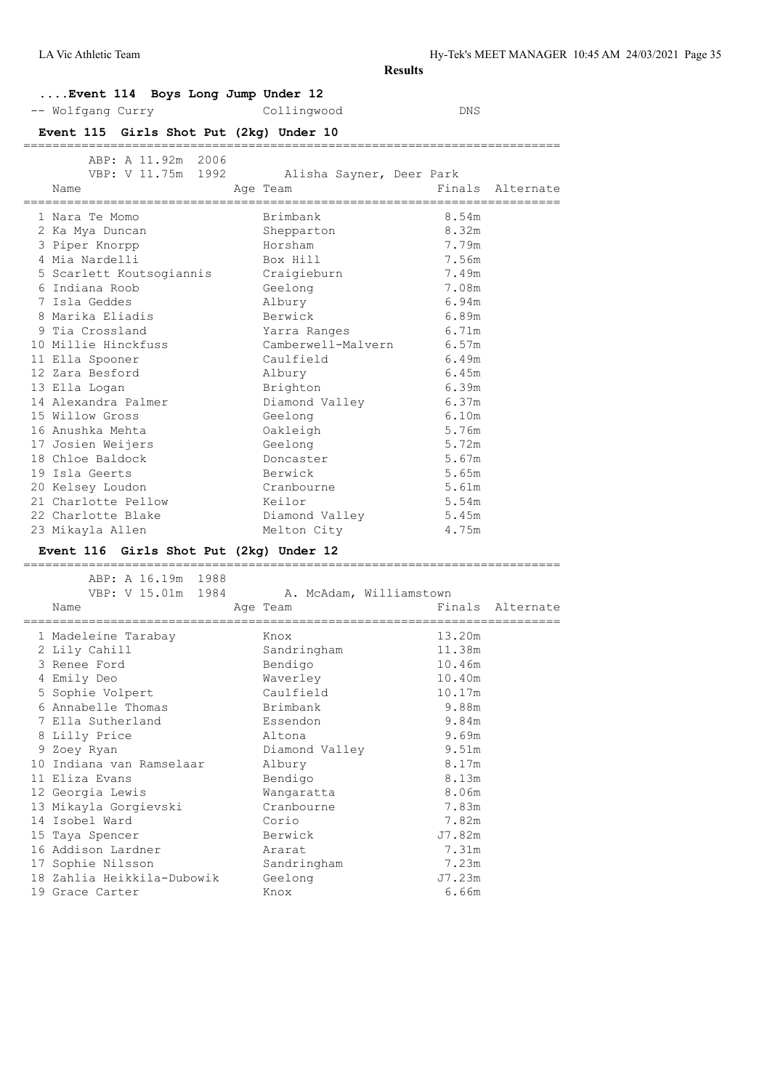# **....Event 114 Boys Long Jump Under 12**

-- Wolfgang Curry Collingwood DNS

#### **Event 115 Girls Shot Put (2kg) Under 10**

| ABP: A 11.92m 2006<br>VBP: V 11.75m 1992 Alisha Sayner, Deer Park<br>Name | Finals Alternate<br>Age Team |       |  |
|---------------------------------------------------------------------------|------------------------------|-------|--|
|                                                                           |                              |       |  |
| 1 Nara Te Momo                                                            | Brimbank                     | 8.54m |  |
| 2 Ka Mya Duncan                                                           | Shepparton                   | 8.32m |  |
| 3 Piper Knorpp                                                            | Horsham                      | 7.79m |  |
| 4 Mia Nardelli                                                            | Box Hill                     | 7.56m |  |
| 5 Scarlett Koutsogiannis Craigieburn                                      |                              | 7.49m |  |
| 6 Indiana Roob                                                            | Geelong                      | 7.08m |  |
| 7 Isla Geddes                                                             | Albury                       | 6.94m |  |
| 8 Marika Eliadis                                                          | Berwick                      | 6.89m |  |
| 9 Tia Crossland                                                           | Yarra Ranges                 | 6.71m |  |
| 10 Millie Hinckfuss                                                       | Camberwell-Malvern 6.57m     |       |  |
| 11 Ella Spooner                                                           | Caulfield                    | 6.49m |  |
| 12 Zara Besford                                                           | Albury                       | 6.45m |  |
| 13 Ella Logan                                                             | Brighton                     | 6.39m |  |
| 14 Alexandra Palmer                                                       | Diamond Valley 6.37m         |       |  |
| 15 Willow Gross                                                           | Geelong                      | 6.10m |  |
| 16 Anushka Mehta                                                          | Oakleigh                     | 5.76m |  |
| 17 Josien Weijers                                                         | Geelong                      | 5.72m |  |
| 18 Chloe Baldock                                                          | Doncaster                    | 5.67m |  |
| 19 Isla Geerts                                                            | Berwick                      | 5.65m |  |
| 20 Kelsey Loudon                                                          | Cranbourne                   | 5.61m |  |
| 21 Charlotte Pellow                                                       | Keilor                       | 5.54m |  |
| 22 Charlotte Blake                                                        | Diamond Valley 5.45m         |       |  |
| 23 Mikayla Allen                                                          | Melton City                  | 4.75m |  |

#### **Event 116 Girls Shot Put (2kg) Under 12**

 ABP: A 16.19m 1988 VBP: V 15.01m 1984 A. McAdam, Williamstown Name **Age Team** Age Team Finals Alternate ========================================================================== 1 Madeleine Tarabay Knox 13.20m 2 Lily Cahill Sandringham 11.38m 3 Renee Ford Bendigo 10.46m 4 Emily Deo Waverley 10.40m 5 Sophie Volpert Caulfield 10.17m 6 Annabelle Thomas Brimbank 9.88m 7 Ella Sutherland Essendon 9.84m 8 Lilly Price Altona 9.69m 9 Zoey Ryan Diamond Valley 9.51m 10 Indiana van Ramselaar Albury 8.17m 11 Eliza Evans Bendigo 8.13m 12 Georgia Lewis Wangaratta 8.06m 13 Mikayla Gorgievski Cranbourne 7.83m 14 Isobel Ward Corio 7.82m 15 Taya Spencer Berwick J7.82m 16 Addison Lardner Ararat 7.31m 17 Sophie Nilsson Sandringham 7.23m 18 Zahlia Heikkila-Dubowik Geelong J7.23m

19 Grace Carter **Knox** Knox 6.66m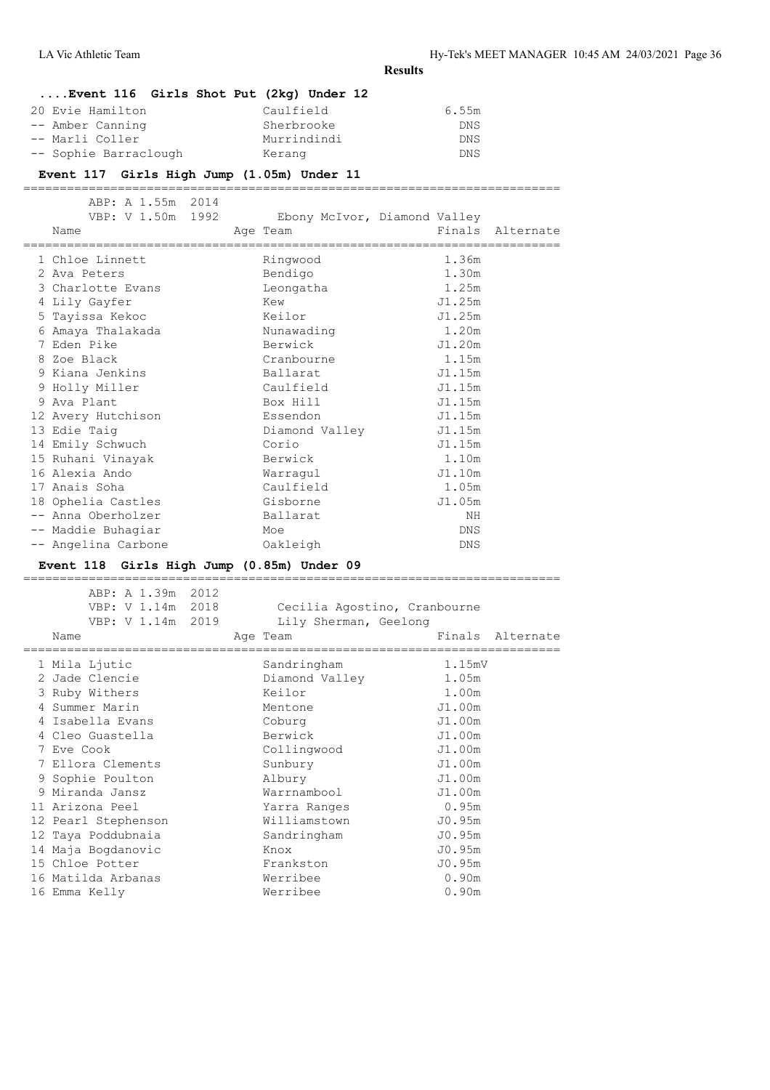# **....Event 116 Girls Shot Put (2kg) Under 12**

| 20 Evie Hamilton      | Caulfield   | 6.55m |
|-----------------------|-------------|-------|
| -- Amber Canning      | Sherbrooke  | DNS   |
| -- Marli Coller       | Murrindindi | DNS   |
| -- Sophie Barraclough | Kerang      | DNS   |

# **Event 117 Girls High Jump (1.05m) Under 11**

| ABP: A 1.55m 2014<br>VBP: V 1.50m 1992<br>Name | Age Team       | Ebony McIvor, Diamond Valley | Finals Alternate |
|------------------------------------------------|----------------|------------------------------|------------------|
|                                                |                |                              |                  |
| 1 Chloe Linnett                                | Ringwood       | 1.36m                        |                  |
| 2 Ava Peters                                   | Bendigo        | 1.30m                        |                  |
| 3 Charlotte Evans                              | Leongatha      | 1.25m                        |                  |
| 4 Lily Gayfer                                  | Kew            | J1.25m                       |                  |
| 5 Tayissa Kekoc                                | Keilor         | J1.25m                       |                  |
| 6 Amaya Thalakada                              | Nunawading     | 1.20m                        |                  |
| 7 Eden Pike                                    | Berwick        | J1.20m                       |                  |
| 8 Zoe Black                                    | Cranbourne     | 1.15m                        |                  |
| 9 Kiana Jenkins                                | Ballarat       | J1.15m                       |                  |
| 9 Holly Miller                                 | Caulfield      | J1.15m                       |                  |
| 9 Ava Plant                                    | Box Hill       | J1.15m                       |                  |
| 12 Avery Hutchison                             | Essendon       | J1.15m                       |                  |
| 13 Edie Taig                                   | Diamond Valley | J1.15m                       |                  |
| 14 Emily Schwuch                               | Corio          | J1.15m                       |                  |
| 15 Ruhani Vinayak                              | Berwick        | 1.10m                        |                  |
| 16 Alexia Ando                                 | Warraqul       | J1.10m                       |                  |
| 17 Anais Soha                                  | Caulfield      | 1.05m                        |                  |
| 18 Ophelia Castles                             | Gisborne       | J1.05m                       |                  |
| -- Anna Oberholzer                             | Ballarat       | ΝH                           |                  |
| -- Maddie Buhagiar                             | Moe            | DNS                          |                  |
| -- Angelina Carbone                            | Oakleigh       | DNS                          |                  |
|                                                |                |                              |                  |

# **Event 118 Girls High Jump (0.85m) Under 09**

| ABP: A 1.39m 2012<br>VBP: V 1.14m 2018<br>VBP: V 1.14m 2019<br>Name | Cecilia Agostino, Cranbourne<br>Lily Sherman, Geelong<br>Age Team | Finals Alternate  |
|---------------------------------------------------------------------|-------------------------------------------------------------------|-------------------|
| 1 Mila Ljutic                                                       | Sandringham                                                       | 1.15mV            |
| 2 Jade Clencie                                                      | Diamond Valley                                                    | 1.05m             |
| 3 Ruby Withers                                                      | Keilor                                                            | 1.00m             |
| 4 Summer Marin                                                      | Mentone                                                           | J1.00m            |
| 4 Isabella Evans                                                    | Coburg                                                            | J1.00m            |
| 4 Cleo Guastella                                                    | Berwick                                                           | J1.00m            |
| 7 Eve Cook                                                          | Collingwood                                                       | J1.00m            |
| 7 Ellora Clements                                                   | Sunbury                                                           | J1.00m            |
| 9 Sophie Poulton                                                    | Albury                                                            | J1.00m            |
| 9 Miranda Jansz                                                     | Warrnambool                                                       | J1.00m            |
| 11 Arizona Peel                                                     | Yarra Ranges                                                      | 0.95m             |
| 12 Pearl Stephenson                                                 | Williamstown                                                      | J0.95m            |
| 12 Taya Poddubnaia                                                  | Sandringham                                                       | J0.95m            |
| 14 Maja Bogdanovic                                                  | Knox                                                              | J0.95m            |
| 15 Chloe Potter                                                     | Frankston                                                         | J0.95m            |
| 16 Matilda Arbanas                                                  | Werribee                                                          | 0.90m             |
| 16 Emma Kelly                                                       | Werribee                                                          | 0.90 <sub>m</sub> |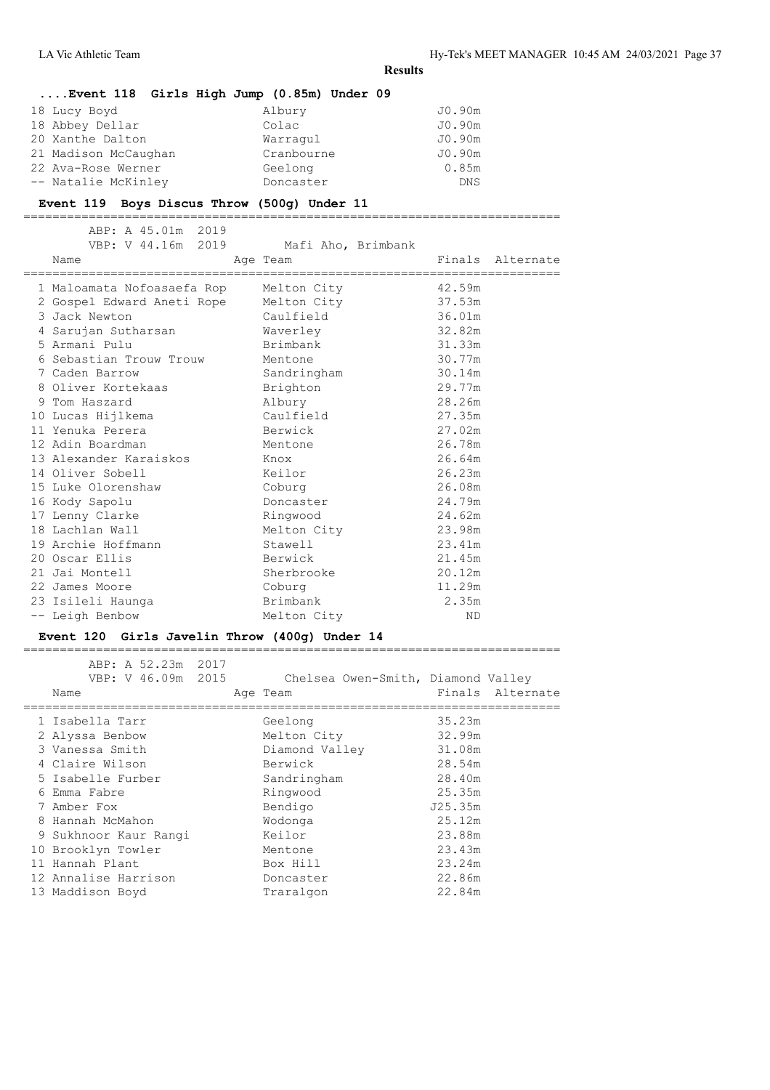# **....Event 118 Girls High Jump (0.85m) Under 09** 18 Lucy Boyd Albury J0.90m 18 Abbey Dellar Colac J0.90m 20 Xanthe Dalton Cornel Cornel Cornel Cornel Cornel Cornel Cornel Cornel Cornel Cornel Cornel Cornel Cornel Cornel Cornel Cornel Cornel Cornel Cornel Cornel Cornel Cornel Cornel Cornel Cornel Cornel Cornel Cornel Cornel Co 21 Madison McCaughan Cranbourne J0.90m

22 Ava-Rose Werner Geelong 0.85m

# -- Natalie McKinley Doncaster DONS **Event 119 Boys Discus Throw (500g) Under 11**

========================================================================== ABP: A 45.01m 2019 Mafi Aho, Brimbank Name **Age Team** Age Team Finals Alternate ========================================================================== 1 Maloamata Nofoasaefa Rop Melton City 42.59m 2 Gospel Edward Aneti Rope Melton City 37.53m 3 Jack Newton Caulfield 36.01m 4 Sarujan Sutharsan Waverley 32.82m 5 Armani Pulu Brimbank 31.33m 6 Sebastian Trouw Trouw Mentone 30.77m 7 Caden Barrow Sandringham 30.14m 8 Oliver Kortekaas Brighton 29.77m 9 Tom Haszard Albury 28.26m 10 Lucas Hijlkema Caulfield 27.35m 11 Yenuka Perera Berwick 27.02m 12 Adin Boardman Mentone 26.78m 13 Alexander Karaiskos Knox 26.64m 14 Oliver Sobell Keilor 26.23m 15 Luke Olorenshaw Coburg 26.08m 16 Kody Sapolu Doncaster 24.79m 17 Lenny Clarke Ringwood 24.62m 18 Lachlan Wall Melton City 23.98m 19 Archie Hoffmann Stawell 23.41m 20 Oscar Ellis Berwick 21.45m 21 Jai Montell Sherbrooke 20.12m 21 Jai Montell<br>
22 James Moore Coburg 20.12m<br>
23 Isileli Haunga Brimbank 2.35m 23 Isileli Haunga Brimbank 2.35m -- Leigh Benbow Melton City ND

#### **Event 120 Girls Javelin Throw (400g) Under 14**

| ABP: A 52.23m 2017<br>VBP: V 46.09m 2015<br>Name | Chelsea Owen-Smith, Diamond Valley<br>Age Team |         | Finals Alternate |
|--------------------------------------------------|------------------------------------------------|---------|------------------|
| 1 Isabella Tarr                                  | Geelong                                        | 35.23m  |                  |
| 2 Alyssa Benbow                                  | Melton City                                    | 32.99m  |                  |
| 3 Vanessa Smith                                  | Diamond Valley                                 | 31.08m  |                  |
| 4 Claire Wilson                                  | Berwick                                        | 28.54m  |                  |
| 5 Isabelle Furber                                | Sandringham                                    | 28.40m  |                  |
| 6 Emma Fabre                                     | Ringwood                                       | 25.35m  |                  |
| 7 Amber Fox                                      | Bendigo                                        | J25.35m |                  |
| 8 Hannah McMahon                                 | Wodonga                                        | 25.12m  |                  |
| 9 Sukhnoor Kaur Rangi                            | Keilor                                         | 23.88m  |                  |
| 10 Brooklyn Towler                               | Mentone                                        | 23.43m  |                  |
| 11 Hannah Plant                                  | Box Hill                                       | 23.24m  |                  |
| 12 Annalise Harrison                             | Doncaster                                      | 22.86m  |                  |
| 13 Maddison Boyd                                 | Traralgon                                      | 22.84m  |                  |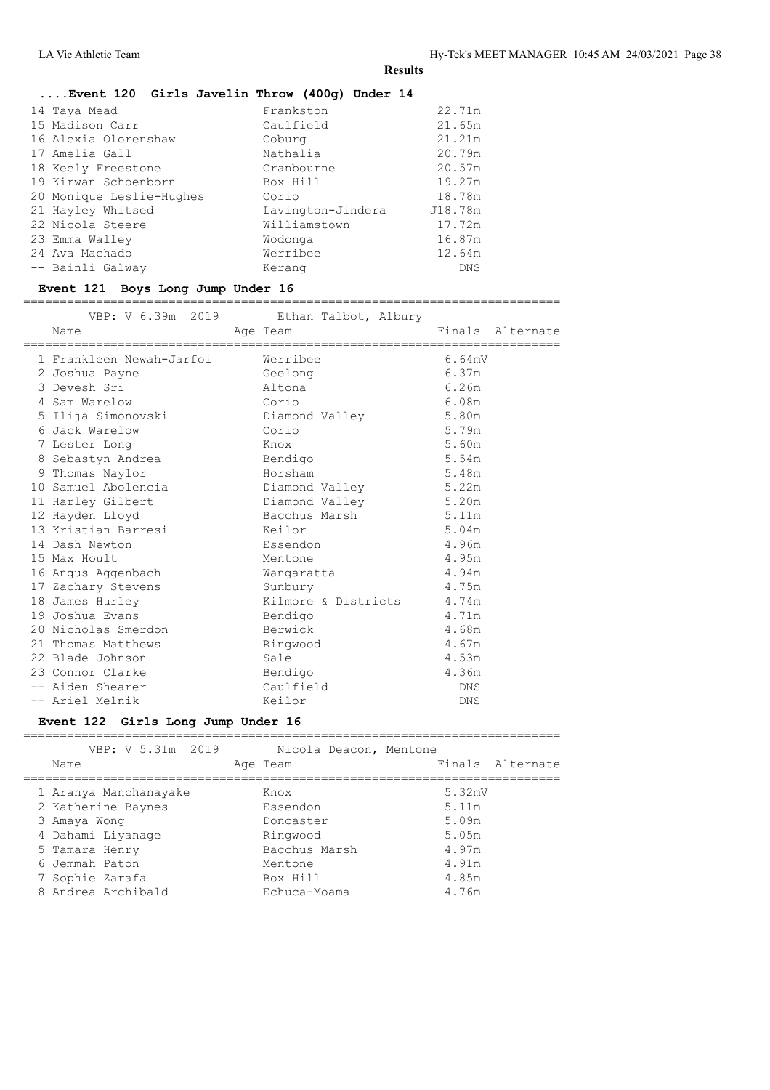# **....Event 120 Girls Javelin Throw (400g) Under 14**

| 14 Taya Mead             | Frankston         | 22.71m     |
|--------------------------|-------------------|------------|
| 15 Madison Carr          | Caulfield         | 21.65m     |
| 16 Alexia Olorenshaw     | Coburg            | 21.21m     |
| 17 Amelia Gall           | Nathalia          | 20.79m     |
| 18 Keely Freestone       | Cranbourne        | 20.57m     |
| 19 Kirwan Schoenborn     | Box Hill          | 19.27m     |
| 20 Monique Leslie-Hughes | Corio             | 18.78m     |
| 21 Hayley Whitsed        | Lavington-Jindera | J18.78m    |
| 22 Nicola Steere         | Williamstown      | 17.72m     |
| 23 Emma Walley           | Wodonga           | 16.87m     |
| 24 Ava Machado           | Werribee          | 12.64m     |
| -- Bainli Galway         | Kerang            | <b>DNS</b> |
|                          |                   |            |

# **Event 121 Boys Long Jump Under 16**

==========================================================================

| VBP: V 6.39m 2019 Ethan Talbot, Albury |                      |                     |            |                  |
|----------------------------------------|----------------------|---------------------|------------|------------------|
| Name                                   | Age Team             |                     |            | Finals Alternate |
| 1 Frankleen Newah-Jarfoi Merribee      |                      |                     | 6.64mV     |                  |
| 2 Joshua Payne                         | Geelong              |                     | 6.37m      |                  |
| 3 Devesh Sri                           | Altona               |                     | 6.26m      |                  |
| 4 Sam Warelow                          | Corio                |                     | 6.08m      |                  |
| 5 Ilija Simonovski                     | Diamond Valley       |                     | 5.80m      |                  |
| 6 Jack Warelow                         | Corio                |                     | 5.79m      |                  |
| 7 Lester Long                          | Knox                 |                     | 5.60m      |                  |
| 8 Sebastyn Andrea                      | Bendigo              |                     | 5.54m      |                  |
| 9 Thomas Naylor                        | Horsham              |                     | 5.48m      |                  |
| 10 Samuel Abolencia                    | Diamond Valley 5.22m |                     |            |                  |
| 11 Harley Gilbert                      | Diamond Valley       |                     | 5.20m      |                  |
| 12 Hayden Lloyd                        | Bacchus Marsh        |                     | 5.11m      |                  |
| 13 Kristian Barresi                    | Keilor               |                     | 5.04m      |                  |
| 14 Dash Newton                         | Essendon             |                     | 4.96m      |                  |
| 15 Max Hoult                           | Mentone              |                     | 4.95m      |                  |
| 16 Angus Aggenbach                     | Wangaratta           |                     | 4.94m      |                  |
| 17 Zachary Stevens                     | Sunbury              |                     | 4.75m      |                  |
| 18 James Hurley                        |                      | Kilmore & Districts | 4.74m      |                  |
| 19 Joshua Evans                        | Bendigo              |                     | 4.71m      |                  |
| 20 Nicholas Smerdon                    | Berwick              |                     | 4.68m      |                  |
| 21 Thomas Matthews                     | Ringwood             |                     | 4.67m      |                  |
| 22 Blade Johnson                       | Sale                 |                     | 4.53m      |                  |
| 23 Connor Clarke                       | Bendigo              |                     | 4.36m      |                  |
| -- Aiden Shearer                       | Caulfield            |                     | <b>DNS</b> |                  |
| -- Ariel Melnik                        | Keilor               |                     | DNS        |                  |

#### **Event 122 Girls Long Jump Under 16**

| VBP: V 5.31m 2019     | Nicola Deacon, Mentone |                  |
|-----------------------|------------------------|------------------|
| Name                  | Age Team               | Finals Alternate |
|                       |                        |                  |
| 1 Aranya Manchanayake | Knox                   | 5.32mV           |
| 2 Katherine Baynes    | Essendon               | 5.11m            |
| 3 Amaya Wong          | Doncaster              | 5.09m            |
| 4 Dahami Liyanage     | Ringwood               | 5.05m            |
| 5 Tamara Henry        | Bacchus Marsh          | 4.97m            |
| 6 Jemmah Paton        | Mentone                | 4.91m            |
| 7 Sophie Zarafa       | Box Hill               | 4.85m            |
| 8 Andrea Archibald    | Echuca-Moama           | 4.76m            |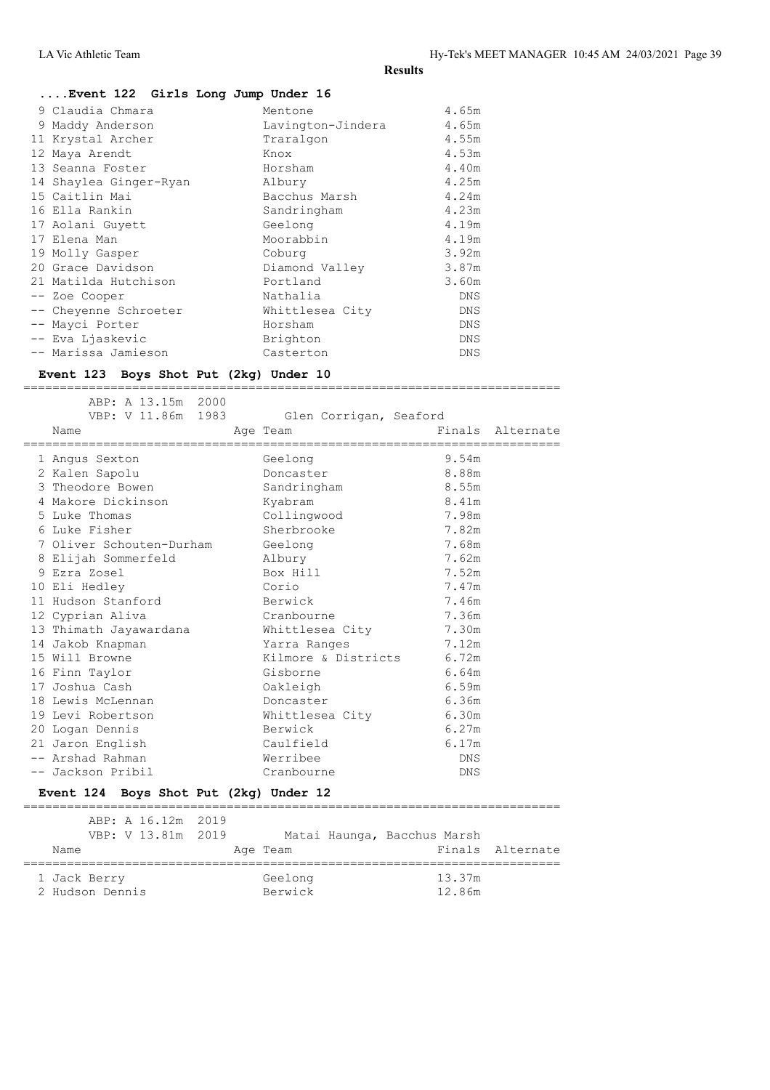# **....Event 122 Girls Long Jump Under 16**

|  | 9 Claudia Chmara       | Mentone           | 4.65m      |
|--|------------------------|-------------------|------------|
|  | 9 Maddy Anderson       | Lavington-Jindera | 4.65m      |
|  | 11 Krystal Archer      | Traralgon         | 4.55m      |
|  | 12 Maya Arendt         | Knox              | 4.53m      |
|  | 13 Seanna Foster       | Horsham           | 4.40m      |
|  | 14 Shaylea Ginger-Ryan | Albury            | 4.25m      |
|  | 15 Caitlin Mai         | Bacchus Marsh     | 4.24m      |
|  | 16 Ella Rankin         | Sandringham       | 4.23m      |
|  | 17 Aolani Guyett       | Geelong           | 4.19m      |
|  | 17 Elena Man           | Moorabbin         | 4.19m      |
|  | 19 Molly Gasper        | Coburg            | 3.92m      |
|  | 20 Grace Davidson      | Diamond Valley    | 3.87m      |
|  | 21 Matilda Hutchison   | Portland          | 3.60m      |
|  | -- Zoe Cooper          | Nathalia          | <b>DNS</b> |
|  | -- Cheyenne Schroeter  | Whittlesea City   | DNS        |
|  | -- Mayci Porter        | Horsham           | DNS        |
|  | -- Eva Ljaskevic       | Brighton          | <b>DNS</b> |
|  | -- Marissa Jamieson    | Casterton         | <b>DNS</b> |
|  |                        |                   |            |

#### **Event 123 Boys Shot Put (2kg) Under 10**

| ABP: A 13.15m 2000<br>VBP: V 11.86m 1983<br>Name<br>=========================== | Glen Corrigan, Seaford<br>Age Team<br>====================== |            | Finals Alternate |
|---------------------------------------------------------------------------------|--------------------------------------------------------------|------------|------------------|
| 1 Angus Sexton                                                                  | Geelong                                                      | 9.54m      |                  |
| 2 Kalen Sapolu                                                                  | Doncaster                                                    | 8.88m      |                  |
| 3 Theodore Bowen                                                                | Sandringham                                                  | 8.55m      |                  |
| 4 Makore Dickinson                                                              | Kyabram                                                      | 8.41m      |                  |
| 5 Luke Thomas                                                                   | Collingwood                                                  | 7.98m      |                  |
| 6 Luke Fisher                                                                   | Sherbrooke                                                   | 7.82m      |                  |
| 7 Oliver Schouten-Durham Geelong                                                |                                                              | 7.68m      |                  |
| 8 Elijah Sommerfeld                                                             | Albury                                                       | 7.62m      |                  |
| 9 Ezra Zosel                                                                    | Box Hill                                                     | 7.52m      |                  |
| 10 Eli Hedley                                                                   | Corio                                                        | 7.47m      |                  |
| 11 Hudson Stanford                                                              | Berwick                                                      | 7.46m      |                  |
| 12 Cyprian Aliva                                                                | Cranbourne                                                   | 7.36m      |                  |
| 13 Thimath Jayawardana                                                          | Whittlesea City                                              | 7.30m      |                  |
| 14 Jakob Knapman                                                                | Yarra Ranges                                                 | 7.12m      |                  |
| 15 Will Browne                                                                  | Kilmore & Districts 6.72m                                    |            |                  |
| 16 Finn Taylor                                                                  | Gisborne                                                     | 6.64m      |                  |
| 17 Joshua Cash                                                                  | Oakleigh                                                     | 6.59m      |                  |
| 18 Lewis McLennan                                                               | Doncaster                                                    | 6.36m      |                  |
| 19 Levi Robertson                                                               | Whittlesea City 6.30m                                        |            |                  |
| 20 Logan Dennis                                                                 | Berwick                                                      | 6.27m      |                  |
| 21 Jaron English                                                                | Caulfield                                                    | 6.17m      |                  |
| -- Arshad Rahman                                                                | Werribee                                                     | DNS.       |                  |
| -- Jackson Pribil                                                               | Cranbourne                                                   | <b>DNS</b> |                  |
|                                                                                 |                                                              |            |                  |

==========================================================================

### **Event 124 Boys Shot Put (2kg) Under 12**

|      |                                 | ABP: A 16.12m 2019<br>VBP: V 13.81m 2019 |  |                    | Matai Haunga, Bacchus Marsh |                  |
|------|---------------------------------|------------------------------------------|--|--------------------|-----------------------------|------------------|
| Name |                                 |                                          |  | Age Team           |                             | Finals Alternate |
|      | 1 Jack Berry<br>2 Hudson Dennis |                                          |  | Geelong<br>Berwick | 13.37m<br>12.86m            |                  |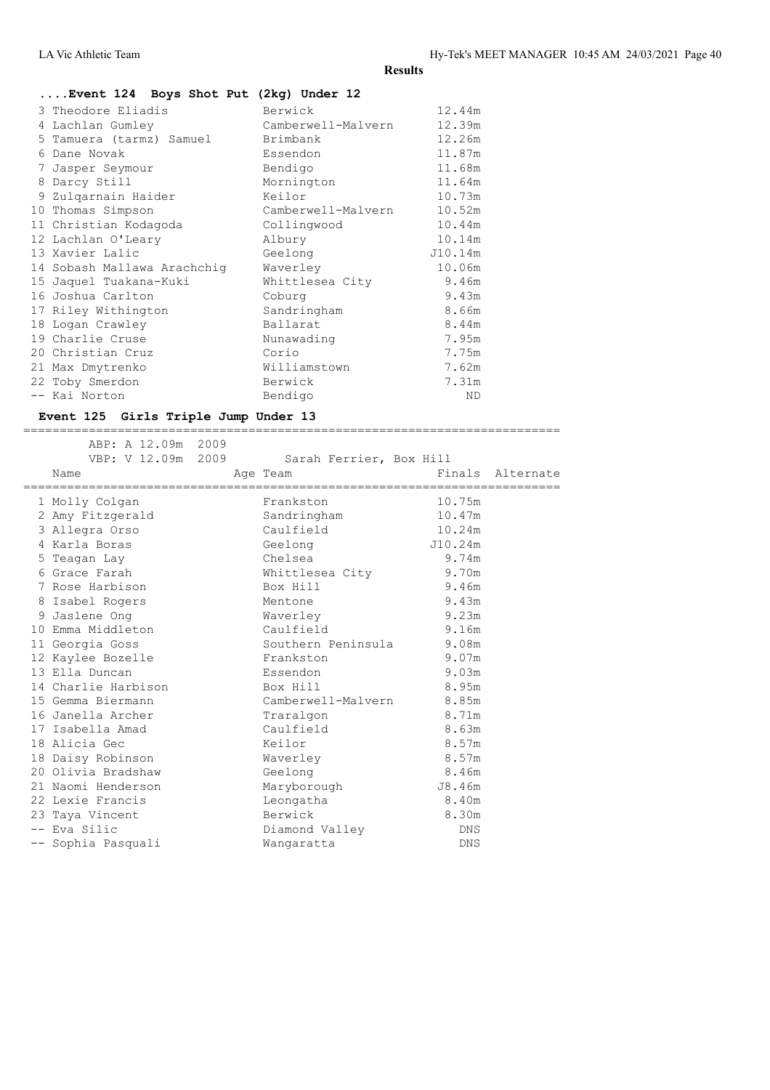# **....Event 124 Boys Shot Put (2kg) Under 12**

|    | 3 Theodore Eliadis          | Berwick            | 12.44m  |
|----|-----------------------------|--------------------|---------|
| 4  | Lachlan Gumley              | Camberwell-Malvern | 12.39m  |
| 5. | Tamuera (tarmz) Samuel      | Brimbank           | 12.26m  |
| 6  | Dane Novak                  | Essendon           | 11.87m  |
| 7  | Jasper Seymour              | Bendigo            | 11.68m  |
| 8  | Darcy Still                 | Mornington         | 11.64m  |
|    | 9 Zulgarnain Haider         | Keilor             | 10.73m  |
| 10 | Thomas Simpson              | Camberwell-Malvern | 10.52m  |
|    | 11 Christian Kodagoda       | Collingwood        | 10.44m  |
|    | 12 Lachlan O'Leary          | Albury             | 10.14m  |
|    | 13 Xavier Lalic             | Geelong            | J10.14m |
|    | 14 Sobash Mallawa Arachchiq | Waverley           | 10.06m  |
|    | 15 Jaquel Tuakana-Kuki      | Whittlesea City    | 9.46m   |
|    | 16 Joshua Carlton           | Coburg             | 9.43m   |
|    | 17 Riley Withington         | Sandringham        | 8.66m   |
|    | 18 Logan Crawley            | Ballarat           | 8.44m   |
|    | 19 Charlie Cruse            | Nunawading         | 7.95m   |
|    | 20 Christian Cruz           | Corio              | 7.75m   |
|    | 21 Max Dmytrenko            | Williamstown       | 7.62m   |
|    | 22 Toby Smerdon             | Berwick            | 7.31m   |
|    | -- Kai Norton               | Bendigo            | ND.     |
|    |                             |                    |         |

# **Event 125 Girls Triple Jump Under 13**

|  | ABP: A 12.09m 2009<br>VBP: V 12.09m 2009<br>Name<br>================================== |  | Sarah Ferrier, Box Hill<br>Age Team<br>====================================== |         | Finals Alternate |
|--|----------------------------------------------------------------------------------------|--|-------------------------------------------------------------------------------|---------|------------------|
|  | 1 Molly Colgan                                                                         |  | Frankston                                                                     | 10.75m  |                  |
|  | 2 Amy Fitzgerald                                                                       |  | Sandringham                                                                   | 10.47m  |                  |
|  | 3 Allegra Orso                                                                         |  | Caulfield                                                                     | 10.24m  |                  |
|  | 4 Karla Boras                                                                          |  | Geelong                                                                       | J10.24m |                  |
|  | 5 Teagan Lay                                                                           |  | Chelsea                                                                       | 9.74m   |                  |
|  | 6 Grace Farah                                                                          |  | Whittlesea City                                                               | 9.70m   |                  |
|  | 7 Rose Harbison                                                                        |  | Box Hill                                                                      | 9.46m   |                  |
|  | 8 Isabel Rogers                                                                        |  | Mentone                                                                       | 9.43m   |                  |
|  | 9 Jaslene Ong                                                                          |  | Waverley                                                                      | 9.23m   |                  |
|  | 10 Emma Middleton                                                                      |  | Caulfield                                                                     | 9.16m   |                  |
|  | 11 Georgia Goss                                                                        |  | Southern Peninsula 9.08m                                                      |         |                  |
|  | 12 Kaylee Bozelle                                                                      |  | Frankston                                                                     | 9.07m   |                  |
|  | 13 Ella Duncan                                                                         |  | Essendon                                                                      | 9.03m   |                  |
|  | 14 Charlie Harbison                                                                    |  | Box Hill                                                                      | 8.95m   |                  |
|  | 15 Gemma Biermann                                                                      |  | Camberwell-Malvern 8.85m                                                      |         |                  |
|  | 16 Janella Archer                                                                      |  | Traralgon                                                                     | 8.71m   |                  |
|  | 17 Isabella Amad                                                                       |  | Caulfield                                                                     | 8.63m   |                  |
|  | 18 Alicia Gec                                                                          |  | Keilor                                                                        | 8.57m   |                  |
|  | 18 Daisy Robinson                                                                      |  | Waverley                                                                      | 8.57m   |                  |
|  | 20 Olivia Bradshaw                                                                     |  | Geelong                                                                       | 8.46m   |                  |
|  | 21 Naomi Henderson                                                                     |  | Maryborough                                                                   | J8.46m  |                  |
|  | 22 Lexie Francis                                                                       |  | Leongatha                                                                     | 8.40m   |                  |
|  | 23 Taya Vincent                                                                        |  | Berwick                                                                       | 8.30m   |                  |
|  | -- Eva Silic                                                                           |  | Diamond Valley                                                                | DNS     |                  |
|  | -- Sophia Pasquali                                                                     |  | Wangaratta                                                                    | DNS     |                  |
|  |                                                                                        |  |                                                                               |         |                  |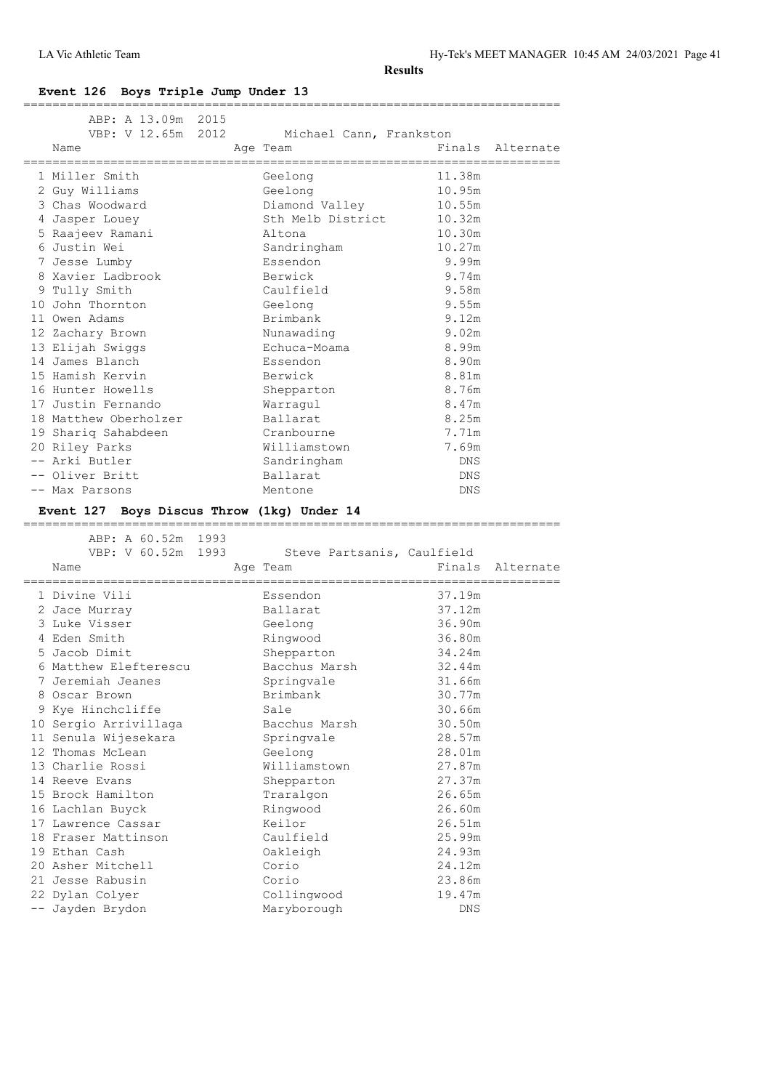LA Vic Athletic Team Hy-Tek's MEET MANAGER 10:45 AM 24/03/2021 Page 41

**Results**

# **Event 126 Boys Triple Jump Under 13**

| ABP: A 13.09m 2015                          |  | VBP: V 12.65m 2012 Michael Cann, Frankston         |            |                  |
|---------------------------------------------|--|----------------------------------------------------|------------|------------------|
| Name<br>;================================== |  | Age Team<br>-------------------------------------- |            | Finals Alternate |
| 1 Miller Smith                              |  | Geelong                                            | 11.38m     |                  |
| 2 Guy Williams                              |  | Geelong                                            | 10.95m     |                  |
| 3 Chas Woodward                             |  | Diamond Valley                                     | 10.55m     |                  |
| 4 Jasper Louey                              |  | Sth Melb District                                  | 10.32m     |                  |
| 5 Raajeev Ramani                            |  | Altona                                             | 10.30m     |                  |
| 6 Justin Wei                                |  | Sandringham                                        | 10.27m     |                  |
| 7 Jesse Lumby                               |  | Essendon                                           | 9.99m      |                  |
| 8 Xavier Ladbrook                           |  | Berwick                                            | 9.74m      |                  |
| 9 Tully Smith                               |  | Caulfield                                          | 9.58m      |                  |
| 10 John Thornton                            |  | Geelong                                            | 9.55m      |                  |
| 11 Owen Adams                               |  | Brimbank                                           | 9.12m      |                  |
| 12 Zachary Brown                            |  | Nunawading                                         | 9.02m      |                  |
| 13 Elijah Swiggs                            |  | Echuca-Moama                                       | 8.99m      |                  |
| 14 James Blanch                             |  | Essendon                                           | 8.90m      |                  |
| 15 Hamish Kervin                            |  | Berwick                                            | 8.81m      |                  |
| 16 Hunter Howells                           |  | Shepparton                                         | 8.76m      |                  |
| 17 Justin Fernando                          |  | Warragul                                           | 8.47m      |                  |
| 18 Matthew Oberholzer                       |  | Ballarat                                           | 8.25m      |                  |
| 19 Shariq Sahabdeen                         |  | Cranbourne                                         | 7.71m      |                  |
| 20 Riley Parks                              |  | Williamstown                                       | 7.69m      |                  |
| -- Arki Butler                              |  | Sandringham                                        | <b>DNS</b> |                  |
| -- Oliver Britt                             |  | Ballarat                                           | DNS        |                  |
| -- Max Parsons                              |  | Mentone                                            | DNS        |                  |

# **Event 127 Boys Discus Throw (1kg) Under 14**

| ABP: A 60.52m 1993                 |                            |        |                  |
|------------------------------------|----------------------------|--------|------------------|
| VBP: V 60.52m 1993                 | Steve Partsanis, Caulfield |        |                  |
| Name                               | Age Team                   |        | Finals Alternate |
| ================================== |                            |        |                  |
| 1 Divine Vili                      | Essendon                   | 37.19m |                  |
| 2 Jace Murray                      | Ballarat                   | 37.12m |                  |
| 3 Luke Visser                      | Geelong                    | 36.90m |                  |
| 4 Eden Smith                       | Ringwood                   | 36.80m |                  |
| 5 Jacob Dimit                      | Shepparton                 | 34.24m |                  |
| 6 Matthew Elefterescu              | Bacchus Marsh              | 32.44m |                  |
| 7 Jeremiah Jeanes                  | Springvale                 | 31.66m |                  |
| 8 Oscar Brown                      | Brimbank                   | 30.77m |                  |
| 9 Kye Hinchcliffe                  | Sale                       | 30.66m |                  |
| 10 Sergio Arrivillaga              | Bacchus Marsh              | 30.50m |                  |
| 11 Senula Wijesekara               | Springvale                 | 28.57m |                  |
| 12 Thomas McLean                   | Geelong                    | 28.01m |                  |
| 13 Charlie Rossi                   | Williamstown               | 27.87m |                  |
| 14 Reeve Evans                     | Shepparton                 | 27.37m |                  |
| 15 Brock Hamilton                  | Traralgon                  | 26.65m |                  |
| 16 Lachlan Buyck                   | Ringwood                   | 26.60m |                  |
| 17 Lawrence Cassar                 | Keilor                     | 26.51m |                  |
| 18 Fraser Mattinson                | Caulfield                  | 25.99m |                  |
| 19 Ethan Cash                      | Oakleigh                   | 24.93m |                  |
| 20 Asher Mitchell                  | Corio                      | 24.12m |                  |
| 21 Jesse Rabusin                   | Corio                      | 23.86m |                  |
| 22 Dylan Colyer                    | Collingwood                | 19.47m |                  |
| -- Jayden Brydon                   | Maryborough                | DNS    |                  |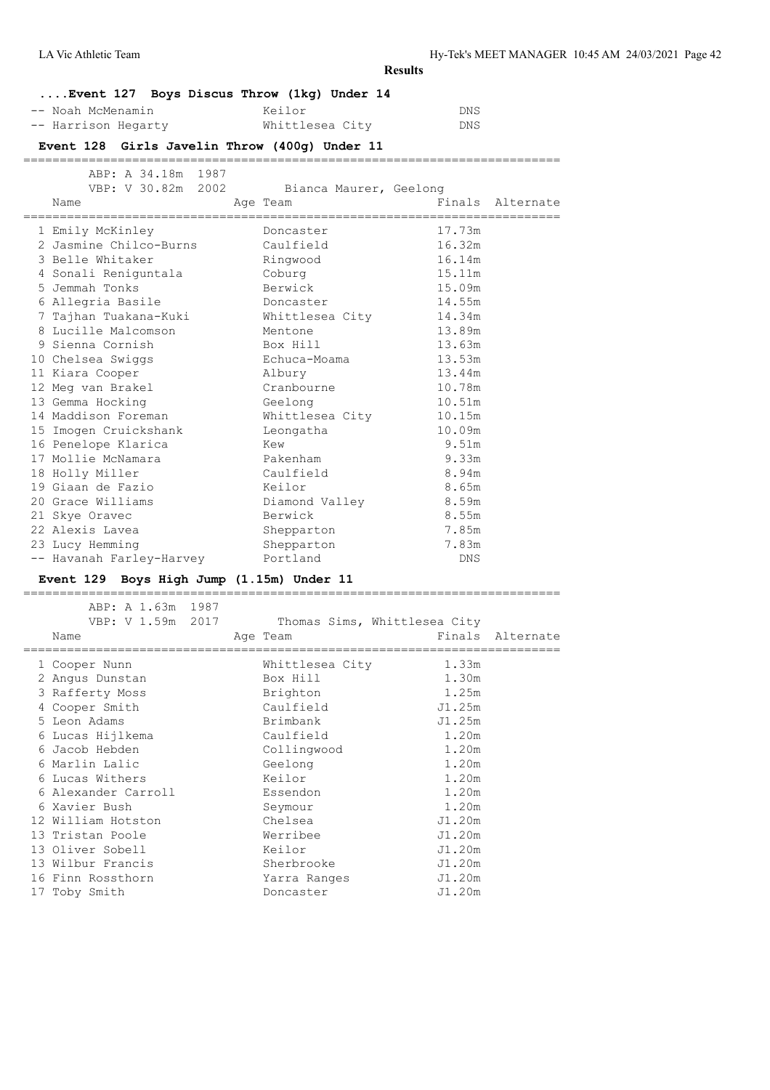LA Vic Athletic Team Hy-Tek's MEET MANAGER 10:45 AM 24/03/2021 Page 42

**Results**

|                     | $\ldots$ . Event 127 Boys Discus Throw (1kg) Under 14 |     |
|---------------------|-------------------------------------------------------|-----|
| -- Noah McMenamin   | Keilor                                                | DNS |
| -- Harrison Hegarty | Whittlesea City                                       | DNS |

# **Event 128 Girls Javelin Throw (400g) Under 11**

| ABP: A 34.18m 1987                              | VBP: V 30.82m 2002 Bianca Maurer, Geelong |                  |
|-------------------------------------------------|-------------------------------------------|------------------|
| Name                                            | Age Team                                  | Finals Alternate |
| 1 Emily McKinley                                | Doncaster                                 | 17.73m           |
| 2 Jasmine Chilco-Burns Caulfield                |                                           | 16.32m           |
| 3 Belle Whitaker                                | Ringwood                                  | 16.14m           |
| 4 Sonali Reniguntala Coburg                     |                                           | 15.11m           |
| 5 Jemmah Tonks                                  | Berwick                                   | 15.09m           |
| 6 Allegria Basile                               | Doncaster                                 | 14.55m           |
| 7 Tajhan Tuakana-Kuki           Whittlesea City |                                           | 14.34m           |
| 8 Lucille Malcomson                             | Mentone                                   | 13.89m           |
| 9 Sienna Cornish                                | Box Hill                                  | 13.63m           |
| 10 Chelsea Swiggs                               | Echuca-Moama                              | 13.53m           |
| 11 Kiara Cooper                                 | Albury                                    | 13.44m           |
| 12 Meg van Brakel                               | Cranbourne                                | 10.78m           |
| 13 Gemma Hocking                                | Geelong                                   | 10.51m           |
| 14 Maddison Foreman                             | Whittlesea City                           | 10.15m           |
| 15 Imogen Cruickshank Leongatha                 |                                           | 10.09m           |
| 16 Penelope Klarica                             | Kew                                       | 9.51m            |
| 17 Mollie McNamara                              | Pakenham                                  | 9.33m            |
| 18 Holly Miller                                 | Caulfield                                 | 8.94m            |
| 19 Giaan de Fazio                               | Keilor                                    | 8.65m            |
| 20 Grace Williams                               | Diamond Valley 8.59m                      |                  |
| 21 Skye Oravec                                  | Berwick                                   | 8.55m            |
| 22 Alexis Lavea                                 | Shepparton                                | 7.85m            |
| 23 Lucy Hemming                                 | Shepparton                                | 7.83m            |
| -- Havanah Farley-Harvey                        | Portland                                  | <b>DNS</b>       |

# **Event 129 Boys High Jump (1.15m) Under 11**

========================================================================== ABP: A 1.63m 1987 VBP: V 1.59m 2017 Thomas Sims, Whittlesea City

|  | Name                | Age Team        |        | Finals Alternate |
|--|---------------------|-----------------|--------|------------------|
|  | 1 Cooper Nunn       | Whittlesea City | 1.33m  |                  |
|  | 2 Angus Dunstan     | Box Hill        | 1.30m  |                  |
|  | 3 Rafferty Moss     | Brighton        | 1.25m  |                  |
|  | 4 Cooper Smith      | Caulfield       | J1.25m |                  |
|  | 5 Leon Adams        | Brimbank        | J1.25m |                  |
|  | 6 Lucas Hijlkema    | Caulfield       | 1.20m  |                  |
|  | 6 Jacob Hebden      | Collingwood     | 1.20m  |                  |
|  | 6 Marlin Lalic      | Geelong         | 1.20m  |                  |
|  | 6 Lucas Withers     | Keilor          | 1.20m  |                  |
|  | 6 Alexander Carroll | Essendon        | 1.20m  |                  |
|  | 6 Xavier Bush       | Seymour         | 1.20m  |                  |
|  | 12 William Hotston  | Chelsea         | J1.20m |                  |
|  | 13 Tristan Poole    | Werribee        | J1.20m |                  |
|  | 13 Oliver Sobell    | Keilor          | J1.20m |                  |
|  | 13 Wilbur Francis   | Sherbrooke      | J1.20m |                  |
|  | 16 Finn Rossthorn   | Yarra Ranges    | J1.20m |                  |
|  | 17 Toby Smith       | Doncaster       | J1.20m |                  |
|  |                     |                 |        |                  |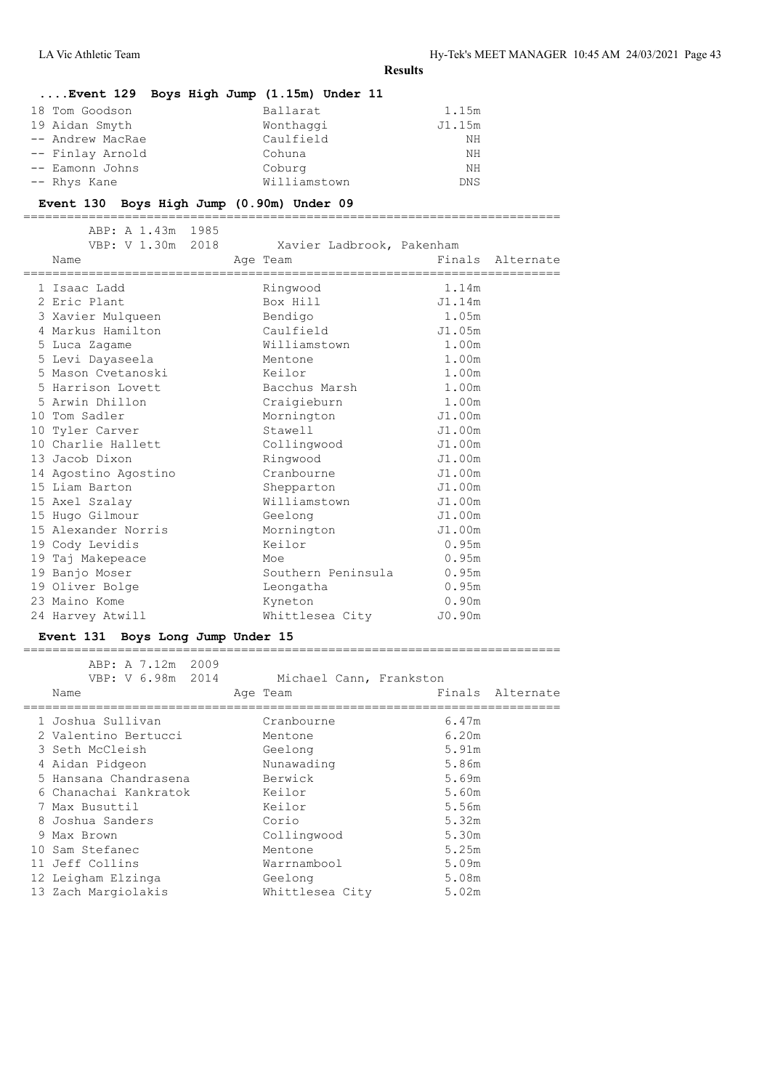| $\ldots$ . Event 129 Boys High Jump (1.15m) Under 11 |                            |
|------------------------------------------------------|----------------------------|
| 18 Tom Goodson                                       | Ballarat<br>1.15m          |
| 19 Aidan Smyth                                       | Wonthaggi<br>J1.15m        |
| -- Andrew MacRae                                     | Caulfield<br>NΗ            |
| -- Finlay Arnold                                     | Cohuna<br>NΗ               |
| -- Eamonn Johns                                      | Coburg<br>NΗ               |
| -- Rhys Kane                                         | Williamstown<br><b>DNS</b> |

### **Event 130 Boys High Jump (0.90m) Under 09**

==========================================================================

| ABP: A 1.43m 1985<br>VBP: V 1.30m 2018<br>Name | Xavier Ladbrook, Pakenham<br>Age Team | Finals Alternate |  |
|------------------------------------------------|---------------------------------------|------------------|--|
| 1 Isaac Ladd                                   | Ringwood                              | 1.14m            |  |
| 2 Eric Plant                                   | Box Hill                              | J1.14m           |  |
| 3 Xavier Mulqueen                              | Bendigo                               | 1.05m            |  |
| 4 Markus Hamilton                              | Caulfield                             | J1.05m           |  |
| 5 Luca Zagame                                  | Williamstown                          | 1.00m            |  |
| 5 Levi Dayaseela                               | Mentone                               | 1.00m            |  |
| 5 Mason Cvetanoski                             | Keilor                                | 1.00m            |  |
| 5 Harrison Lovett                              | Bacchus Marsh                         | 1.00m            |  |
| 5 Arwin Dhillon                                | Craiqieburn                           | 1.00m            |  |
| 10 Tom Sadler                                  | Mornington                            | J1.00m           |  |
| 10 Tyler Carver                                | Stawell                               | J1.00m           |  |
| 10 Charlie Hallett                             | Collingwood                           | J1.00m           |  |
| 13 Jacob Dixon                                 | Ringwood                              | J1.00m           |  |
| 14 Agostino Agostino                           | Cranbourne                            | J1.00m           |  |
| 15 Liam Barton                                 | Shepparton                            | J1.00m           |  |
| 15 Axel Szalay                                 | Williamstown                          | J1.00m           |  |
| 15 Hugo Gilmour                                | Geelong                               | J1.00m           |  |
| 15 Alexander Norris                            | Mornington                            | J1.00m           |  |
| 19 Cody Levidis                                | Keilor                                | 0.95m            |  |
| 19 Taj Makepeace                               | Moe                                   | 0.95m            |  |
| 19 Banjo Moser                                 | Southern Peninsula                    | 0.95m            |  |
| 19 Oliver Bolge                                | Leongatha                             | 0.95m            |  |
| 23 Maino Kome                                  | Kyneton                               | 0.90m            |  |
| 24 Harvey Atwill                               | Whittlesea City                       | J0.90m           |  |

# **Event 131 Boys Long Jump Under 15**

| ABP: A 7.12m 2009<br>VBP: V 6.98m 2014 | Michael Cann, Frankston |                  |
|----------------------------------------|-------------------------|------------------|
| Name                                   | Age Team                | Finals Alternate |
| 1 Joshua Sullivan                      | Cranbourne              | 6.47m            |
| 2 Valentino Bertucci                   | Mentone                 | 6.20m            |
| 3 Seth McCleish                        | Geelong                 | 5.91m            |
| 4 Aidan Pidgeon                        | Nunawading              | 5.86m            |
| 5 Hansana Chandrasena                  | Berwick                 | 5.69m            |
| 6 Chanachai Kankratok                  | Keilor                  | 5.60m            |
| 7 Max Busuttil                         | Keilor                  | 5.56m            |
| 8 Joshua Sanders                       | Corio                   | 5.32m            |
| 9 Max Brown                            | Collingwood             | 5.30m            |
| 10 Sam Stefanec                        | Mentone                 | 5.25m            |
| 11 Jeff Collins                        | Warrnambool             | 5.09m            |
| 12 Leigham Elzinga                     | Geelong                 | 5.08m            |
| 13 Zach Margiolakis                    | Whittlesea City         | 5.02m            |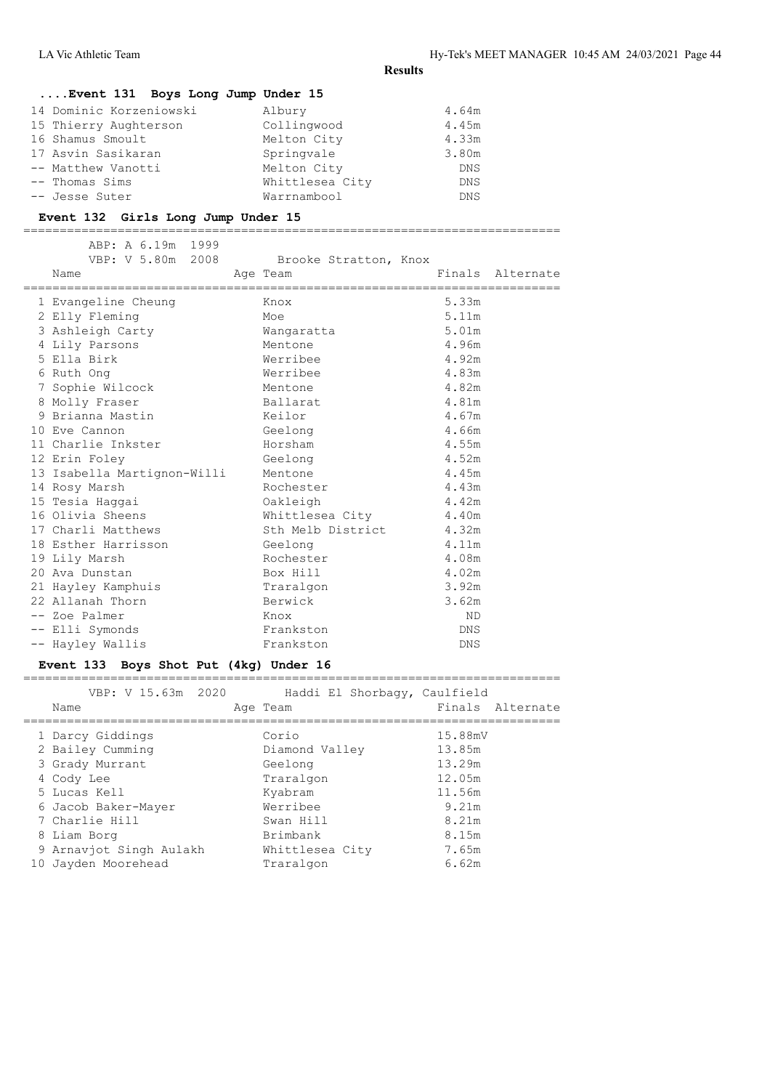# **....Event 131 Boys Long Jump Under 15**

| 14 Dominic Korzeniowski | Albury          | 4.64m      |
|-------------------------|-----------------|------------|
| 15 Thierry Aughterson   | Collingwood     | 4.45m      |
|                         | Melton City     | 4.33m      |
| 17 Asvin Sasikaran      | Springvale      | 3.80m      |
| -- Matthew Vanotti      | Melton City     | <b>DNS</b> |
|                         | Whittlesea City | <b>DNS</b> |
|                         | Warrnambool     | <b>DNS</b> |
|                         |                 |            |

### **Event 132 Girls Long Jump Under 15**

==========================================================================

| ABP: A 6.19m 1999<br>VBP: V 5.80m 2008 Brooke Stratton, Knox<br>Name | Age Team<br>====================== |            | Finals Alternate |
|----------------------------------------------------------------------|------------------------------------|------------|------------------|
| 1 Evangeline Cheung                                                  | Knox                               | 5.33m      |                  |
| 2 Elly Fleming                                                       | Moe                                | 5.11m      |                  |
| 3 Ashleigh Carty                                                     | Wanqaratta                         | 5.01m      |                  |
| 4 Lily Parsons                                                       | Mentone                            | 4.96m      |                  |
| 5 Ella Birk                                                          | Werribee                           | 4.92m      |                  |
| 6 Ruth Ong                                                           | Werribee                           | 4.83m      |                  |
| 7 Sophie Wilcock                                                     | Mentone                            | 4.82m      |                  |
| 8 Molly Fraser                                                       | Ballarat                           | 4.81m      |                  |
| 9 Brianna Mastin                                                     | Keilor                             | 4.67m      |                  |
| 10 Eve Cannon                                                        | Geelong                            | 4.66m      |                  |
| 11 Charlie Inkster                                                   | Horsham                            | 4.55m      |                  |
| 12 Erin Foley                                                        | Geelong                            | 4.52m      |                  |
| 13 Isabella Martignon-Willi                                          | Mentone                            | 4.45m      |                  |
| 14 Rosy Marsh                                                        | Rochester                          | 4.43m      |                  |
| 15 Tesia Haqqai                                                      | Oakleigh                           | 4.42m      |                  |
| 16 Olivia Sheens                                                     | Whittlesea City                    | 4.40m      |                  |
| 17 Charli Matthews                                                   | Sth Melb District                  | 4.32m      |                  |
| 18 Esther Harrisson                                                  | Geelong                            | 4.11m      |                  |
| 19 Lily Marsh                                                        | Rochester                          | 4.08m      |                  |
| 20 Ava Dunstan                                                       | Box Hill                           | 4.02m      |                  |
| 21 Hayley Kamphuis                                                   | Traralgon                          | 3.92m      |                  |
| 22 Allanah Thorn                                                     | Berwick                            | 3.62m      |                  |
| -- Zoe Palmer                                                        | Knox                               | <b>ND</b>  |                  |
| -- Elli Symonds                                                      | Frankston                          | <b>DNS</b> |                  |
| -- Hayley Wallis                                                     | Frankston                          | <b>DNS</b> |                  |

# **Event 133 Boys Shot Put (4kg) Under 16**

| VBP: V 15.63m 2020<br>Name | Haddi El Shorbaqy, Caulfield<br>Age Team | Finals Alternate |
|----------------------------|------------------------------------------|------------------|
| 1 Darcy Giddings           | Corio                                    | 15.88mV          |
| 2 Bailey Cumming           | Diamond Valley                           | 13.85m           |
| 3 Grady Murrant            | Geelong                                  | 13.29m           |
| 4 Cody Lee                 | Traralgon                                | 12.05m           |
| 5 Lucas Kell               | Kyabram                                  | 11.56m           |
| 6 Jacob Baker-Mayer        | Werribee                                 | 9.21m            |
| 7 Charlie Hill             | Swan Hill                                | 8.21m            |
| 8 Liam Borg                | Brimbank                                 | 8.15m            |
| 9 Arnaviot Singh Aulakh    | Whittlesea City                          | 7.65m            |
| 10 Jayden Moorehead        | Traralgon                                | 6.62m            |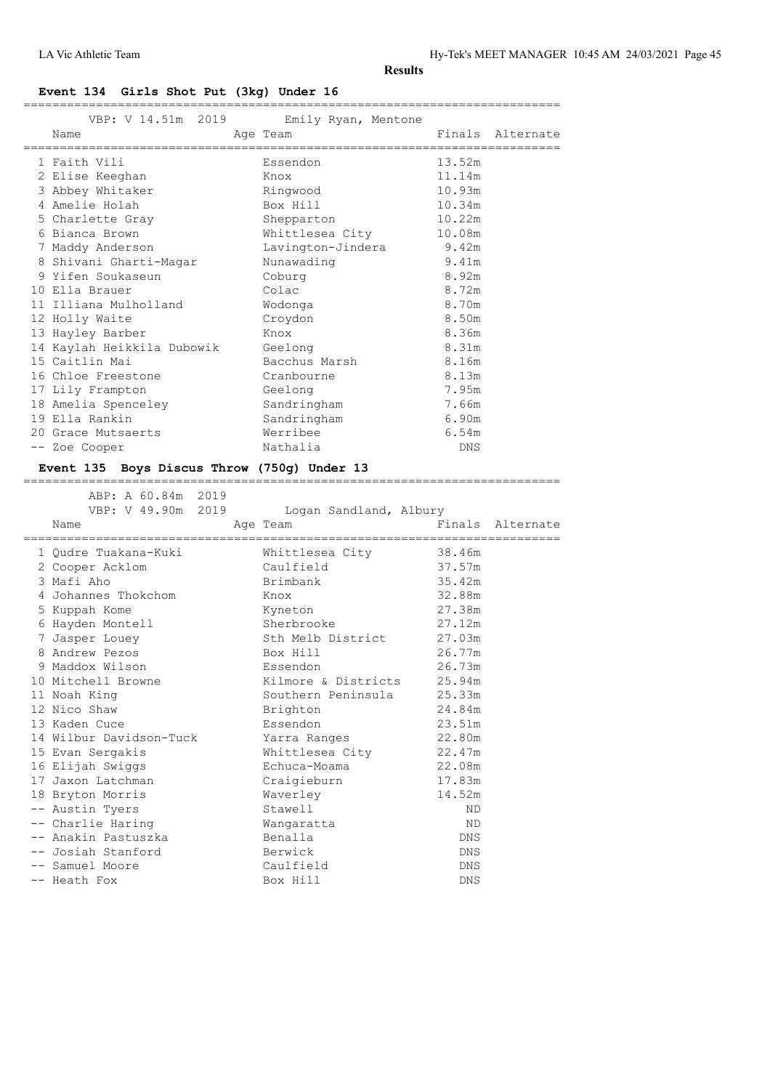# **Event 134 Girls Shot Put (3kg) Under 16**

|  | VBP: V 14.51m 2019<br>Name         | Emily Ryan, Mentone<br>Age Team  |            | Finals Alternate |
|--|------------------------------------|----------------------------------|------------|------------------|
|  |                                    | ================================ |            |                  |
|  | 1 Faith Vili                       | Essendon                         | 13.52m     |                  |
|  | 2 Elise Keeghan                    | Knox                             | 11.14m     |                  |
|  | 3 Abbey Whitaker                   | Ringwood                         | 10.93m     |                  |
|  | 4 Amelie Holah                     | Box Hill                         | 10.34m     |                  |
|  | 5 Charlette Gray                   | Shepparton                       | 10.22m     |                  |
|  | 6 Bianca Brown                     | Whittlesea City                  | 10.08m     |                  |
|  | 7 Maddy Anderson                   | Lavington-Jindera 9.42m          |            |                  |
|  | 8 Shivani Gharti-Magar             | Nunawading                       | 9.41m      |                  |
|  | 9 Yifen Soukaseun                  | Coburg                           | 8.92m      |                  |
|  | 10 Ella Brauer                     | Colac                            | 8.72m      |                  |
|  | 11 Illiana Mulholland              | Wodonga                          | 8.70m      |                  |
|  | 12 Holly Waite                     | Croydon                          | 8.50m      |                  |
|  | 13 Hayley Barber                   | Knox                             | 8.36m      |                  |
|  | 14 Kaylah Heikkila Dubowik Geelong |                                  | 8.31m      |                  |
|  | 15 Caitlin Mai                     | Bacchus Marsh                    | 8.16m      |                  |
|  | 16 Chloe Freestone                 | Cranbourne                       | 8.13m      |                  |
|  | 17 Lily Frampton                   | Geelong                          | 7.95m      |                  |
|  | 18 Amelia Spenceley                | Sandringham                      | 7.66m      |                  |
|  | 19 Ella Rankin                     | Sandringham                      | 6.90m      |                  |
|  | 20 Grace Mutsaerts                 | Werribee                         | 6.54m      |                  |
|  | -- Zoe Cooper                      | Nathalia                         | <b>DNS</b> |                  |
|  |                                    |                                  |            |                  |

#### **Event 135 Boys Discus Throw (750g) Under 13**

| ABP: A 60.84m 2019<br>VBP: V 49.90m 2019 | Logan Sandland, Albury |            |                  |
|------------------------------------------|------------------------|------------|------------------|
| Name                                     | Age Team               |            | Finals Alternate |
| 1 Oudre Tuakana-Kuki                     | Whittlesea City 38.46m |            |                  |
| 2 Cooper Acklom                          | Caulfield              | 37.57m     |                  |
| 3 Mafi Aho                               | Brimbank               | 35.42m     |                  |
| 4 Johannes Thokchom                      | Knox                   | 32.88m     |                  |
| 5 Kuppah Kome                            | Kyneton                | 27.38m     |                  |
| 6 Hayden Montell                         | Sherbrooke             | 27.12m     |                  |
| 7 Jasper Louey                           | Sth Melb District      | 27.03m     |                  |
| 8 Andrew Pezos                           | Box Hill               | 26.77m     |                  |
| 9 Maddox Wilson                          | Essendon               | 26.73m     |                  |
| 10 Mitchell Browne                       | Kilmore & Districts    | 25.94m     |                  |
| 11 Noah King                             | Southern Peninsula     | 25.33m     |                  |
| 12 Nico Shaw                             | Brighton               | 24.84m     |                  |
| 13 Kaden Cuce                            | Essendon               | 23.51m     |                  |
| 14 Wilbur Davidson-Tuck                  | Yarra Ranges           | 22.80m     |                  |
| 15 Evan Sergakis                         | Whittlesea City        | 22.47m     |                  |
| 16 Elijah Swiggs                         | Echuca-Moama           | 22.08m     |                  |
| 17 Jaxon Latchman                        | Craigieburn            | 17.83m     |                  |
| 18 Bryton Morris                         | Waverley               | 14.52m     |                  |
| -- Austin Tyers                          | Stawell                | ND.        |                  |
| -- Charlie Haring                        | Wanqaratta             | ND.        |                  |
| -- Anakin Pastuszka                      | Benalla                | <b>DNS</b> |                  |
| -- Josiah Stanford                       | Berwick                | <b>DNS</b> |                  |
| -- Samuel Moore                          | Caulfield              | <b>DNS</b> |                  |
| -- Heath Fox                             | Box Hill               | DNS        |                  |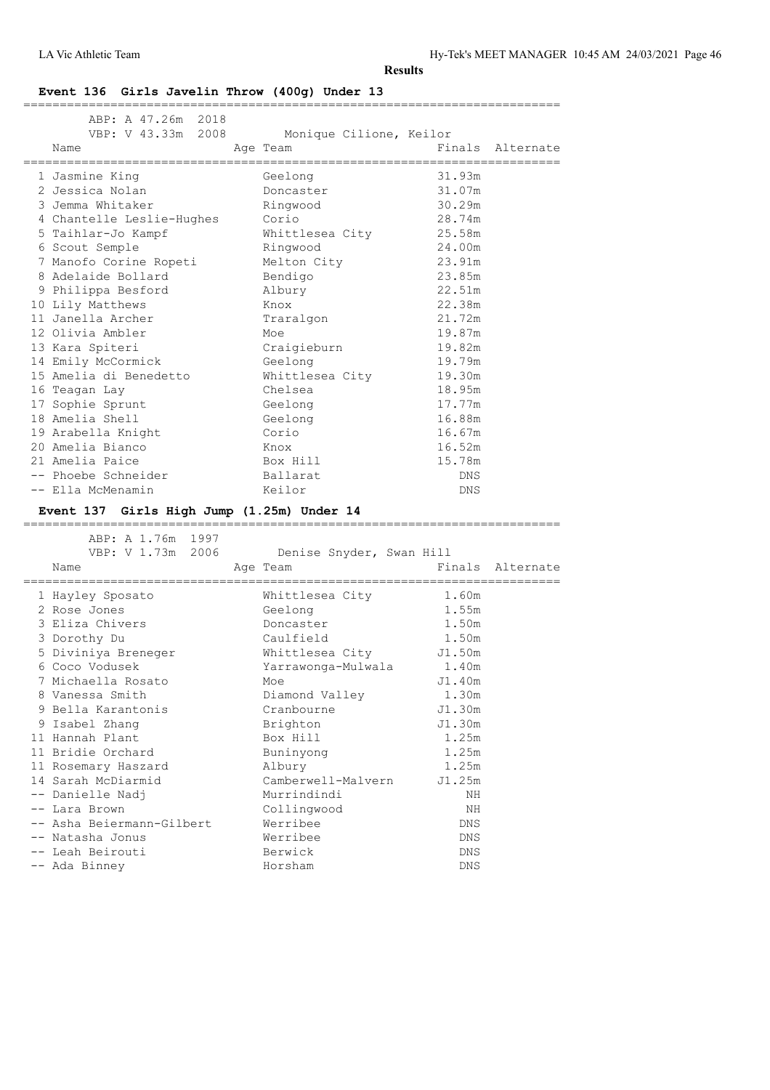LA Vic Athletic Team Hy-Tek's MEET MANAGER 10:45 AM 24/03/2021 Page 46

**Results**

#### **Event 136 Girls Javelin Throw (400g) Under 13**

| ABP: A 47.26m 2018<br>Name<br>and the state of the state of the state of the state of the state of the state of the state of the state of th | VBP: V 43.33m 2008 Monique Cilione, Keilor |        | Finals Alternate |
|----------------------------------------------------------------------------------------------------------------------------------------------|--------------------------------------------|--------|------------------|
| =================================                                                                                                            | -------------------------                  |        |                  |
| 1 Jasmine King                                                                                                                               | Geelong                                    | 31.93m |                  |
| 2 Jessica Nolan                                                                                                                              | Doncaster                                  | 31.07m |                  |
| 3 Jemma Whitaker                                                                                                                             | Ringwood                                   | 30.29m |                  |
| 4 Chantelle Leslie-Hughes Corio                                                                                                              |                                            | 28.74m |                  |
| 5 Taihlar-Jo Kampf Mhittlesea City 25.58m                                                                                                    |                                            |        |                  |
| 6 Scout Semple                                                                                                                               | Ringwood                                   | 24.00m |                  |
| 7 Manofo Corine Ropeti Melton City 23.91m                                                                                                    |                                            |        |                  |
| 8 Adelaide Bollard Bendigo                                                                                                                   |                                            | 23.85m |                  |
| 9 Philippa Besford                                                                                                                           | Albury                                     | 22.51m |                  |
| 10 Lily Matthews                                                                                                                             | Knox                                       | 22.38m |                  |
| 11 Janella Archer                                                                                                                            | Traralgon                                  | 21.72m |                  |
| 12 Olivia Ambler                                                                                                                             | Moe                                        | 19.87m |                  |
| 13 Kara Spiteri                                                                                                                              | Craigieburn                                | 19.82m |                  |
| 14 Emily McCormick                                                                                                                           | Geelong                                    | 19.79m |                  |
| 15 Amelia di Benedetto                                                                                                                       | Whittlesea City 19.30m                     |        |                  |
| 16 Teagan Lay                                                                                                                                | Chelsea                                    | 18.95m |                  |
| 17 Sophie Sprunt                                                                                                                             | Geelong                                    | 17.77m |                  |
| 18 Amelia Shell                                                                                                                              | Geelong                                    | 16.88m |                  |
| 19 Arabella Knight                                                                                                                           | Corio                                      | 16.67m |                  |
| 20 Amelia Bianco                                                                                                                             | Knox                                       | 16.52m |                  |
| 21 Amelia Paice                                                                                                                              | Box Hill                                   | 15.78m |                  |
| -- Phoebe Schneider -- Ballarat                                                                                                              |                                            | DNS    |                  |
| -- Ella McMenamin                                                                                                                            | Keilor                                     | DNS    |                  |
| Event 137 Girls High Jump (1.25m) Under 14                                                                                                   |                                            |        |                  |
|                                                                                                                                              |                                            |        |                  |

# ==========================================================================

 ABP: A 1.76m 1997 VBP: V 1.73m 2006 Denise Snyder, Swan Hill Name Age Team Age Team Finals Alternate ========================================================================== Mhittlesea City 1.60m<br>Geelong 1.55m 2 Rose Jones Geelong 1.55m 3 Eliza Chivers Doncaster 1.50m 3 Dorothy Du Caulfield 1.50m 5 Diviniya Breneger Whittlesea City J1.50m 6 Coco Vodusek Yarrawonga-Mulwala 1.40m 7 Michaella Rosato Moe J1.40m 8 Vanessa Smith Diamond Valley 1.30m 9 Bella Karantonis Cranbourne J1.30m 9 Isabel Zhang Brighton J1.30m 11 Hannah Plant Box Hill 1.25m 11 Bridie Orchard Buninyong 1.25m 11 Rosemary Haszard Albury 1.25m 14 Sarah McDiarmid Camberwell-Malvern J1.25m -- Danielle Nadj Murrindindi NH -- Lara Brown Collingwood NH -- Asha Beiermann-Gilbert Werribee DNS -- Natasha Jonus Werribee DNS -- Leah Beirouti Berwick DNS -- Ada Binney Morsham Horsham DNS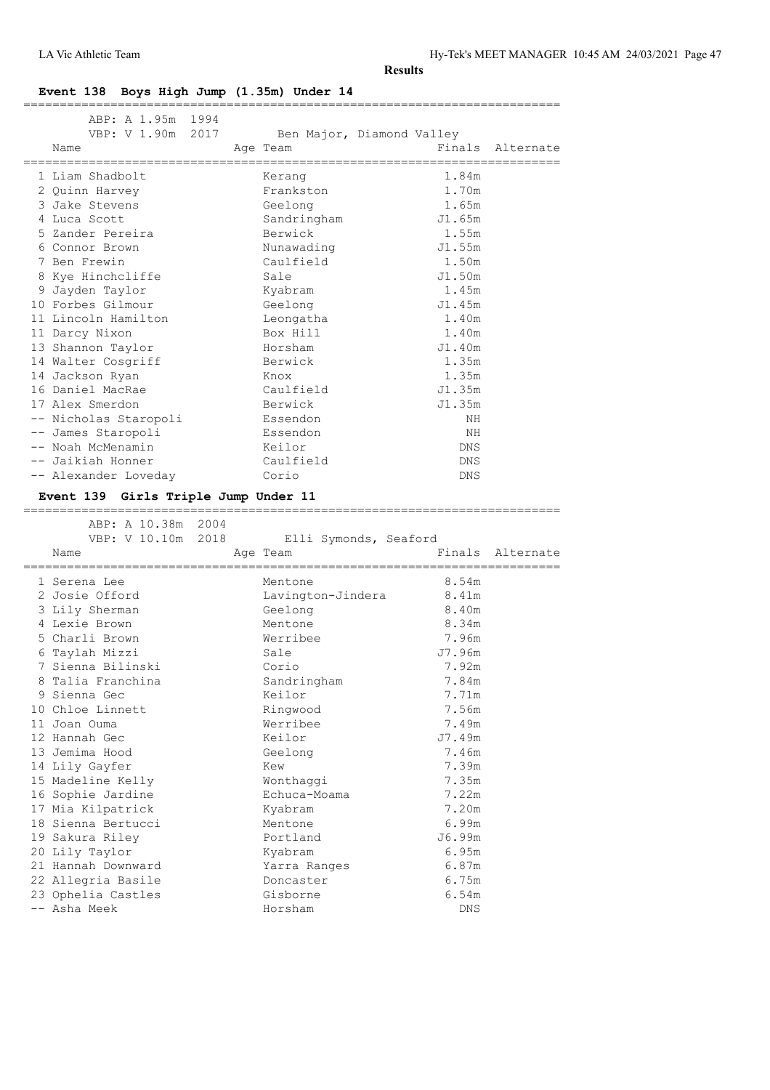# **Event 138 Boys High Jump (1.35m) Under 14**

| ABP: A 1.95m 1994                        |                           |                    |                       |                  |
|------------------------------------------|---------------------------|--------------------|-----------------------|------------------|
| VBP: V 1.90m 2017                        | Ben Major, Diamond Valley |                    |                       | Finals Alternate |
| Name<br>==============                   | Age Team                  |                    | ===================== |                  |
| 1 Liam Shadbolt                          | Kerang                    |                    | 1.84m                 |                  |
| 2 Ouinn Harvey                           | Frankston                 |                    | 1.70m                 |                  |
| 3 Jake Stevens                           | Geelong                   |                    | 1.65m                 |                  |
| 4 Luca Scott                             | Sandringham               |                    | J1.65m                |                  |
| 5 Zander Pereira                         | Berwick                   |                    | 1.55m                 |                  |
| 6 Connor Brown                           | Nunawading                |                    | J1.55m                |                  |
| 7 Ben Frewin                             | Caulfield                 |                    | 1.50m                 |                  |
| 8 Kye Hinchcliffe                        | Sale                      |                    | J1.50m                |                  |
| 9 Jayden Taylor                          | Kyabram                   |                    | 1.45m                 |                  |
| 10 Forbes Gilmour                        | Geelong                   |                    | J1.45m                |                  |
| 11 Lincoln Hamilton                      | Leongatha                 |                    | 1.40m                 |                  |
| 11 Darcy Nixon                           | Box Hill                  |                    | 1.40m                 |                  |
| 13 Shannon Taylor                        | Horsham                   |                    | J1.40m                |                  |
| 14 Walter Cosgriff                       | Berwick                   |                    | 1.35m                 |                  |
| 14 Jackson Ryan                          | Knox                      |                    | 1.35m                 |                  |
| 16 Daniel MacRae                         | Caulfield                 |                    | J1.35m                |                  |
| 17 Alex Smerdon                          | Berwick                   |                    | J1.35m                |                  |
| -- Nicholas Staropoli                    | Essendon                  |                    | ΝH                    |                  |
| -- James Staropoli                       | Essendon                  |                    | ΝH                    |                  |
| -- Noah McMenamin                        | Keilor                    |                    | DNS                   |                  |
| -- Jaikiah Honner                        | Caulfield                 |                    | DNS                   |                  |
| -- Alexander Loveday                     | Corio                     |                    | DNS                   |                  |
|                                          |                           |                    |                       |                  |
|                                          |                           |                    |                       |                  |
| Event 139 Girls Triple Jump Under 11     |                           | :================= |                       |                  |
| ABP: A 10.38m 2004                       |                           |                    |                       |                  |
| VBP: V 10.10m 2018                       | Elli Symonds, Seaford     |                    |                       |                  |
| Name                                     | Age Team                  |                    |                       | Finals Alternate |
|                                          |                           |                    | .=============        |                  |
| 1 Serena Lee                             | Mentone                   |                    | 8.54m                 |                  |
| 2 Josie Offord                           | Lavington-Jindera         |                    | 8.41m                 |                  |
| 3 Lily Sherman                           | Geelong                   |                    | 8.40m                 |                  |
| 4 Lexie Brown                            | Mentone                   |                    | 8.34m                 |                  |
| 5 Charli Brown                           | Werribee                  |                    | 7.96m                 |                  |
| 6 Taylah Mizzi                           | Sale                      |                    | J7.96m                |                  |
| 7 Sienna Bilinski                        | Corio                     |                    | 7.92m                 |                  |
| 8 Talia Franchina                        | Sandringham               |                    | 7.84m                 |                  |
| 9 Sienna Gec                             | Keilor                    |                    | 7.71m                 |                  |
| 10 Chloe Linnett                         | Ringwood                  |                    | 7.56m                 |                  |
| 11 Joan Ouma                             | Werribee                  |                    | 7.49m                 |                  |
| 12 Hannah Gec                            | Keilor                    |                    | J7.49m                |                  |
| 13 Jemima Hood                           | Geelong                   |                    | 7.46m                 |                  |
| 14 Lily Gayfer                           | Kew                       |                    | 7.39m                 |                  |
| 15 Madeline Kelly                        | Wonthaggi                 |                    | 7.35m                 |                  |
| 16 Sophie Jardine                        | Echuca-Moama              |                    | 7.22m                 |                  |
| 17 Mia Kilpatrick                        | Kyabram                   |                    | 7.20m                 |                  |
| 18 Sienna Bertucci                       | Mentone                   |                    | 6.99m                 |                  |
| 19 Sakura Riley                          | Portland                  |                    | J6.99m                |                  |
| 20 Lily Taylor                           | Kyabram                   |                    | 6.95m                 |                  |
| 21 Hannah Downward                       | Yarra Ranges              |                    | 6.87m                 |                  |
| 22 Allegria Basile<br>23 Ophelia Castles | Doncaster<br>Gisborne     |                    | 6.75m<br>6.54m        |                  |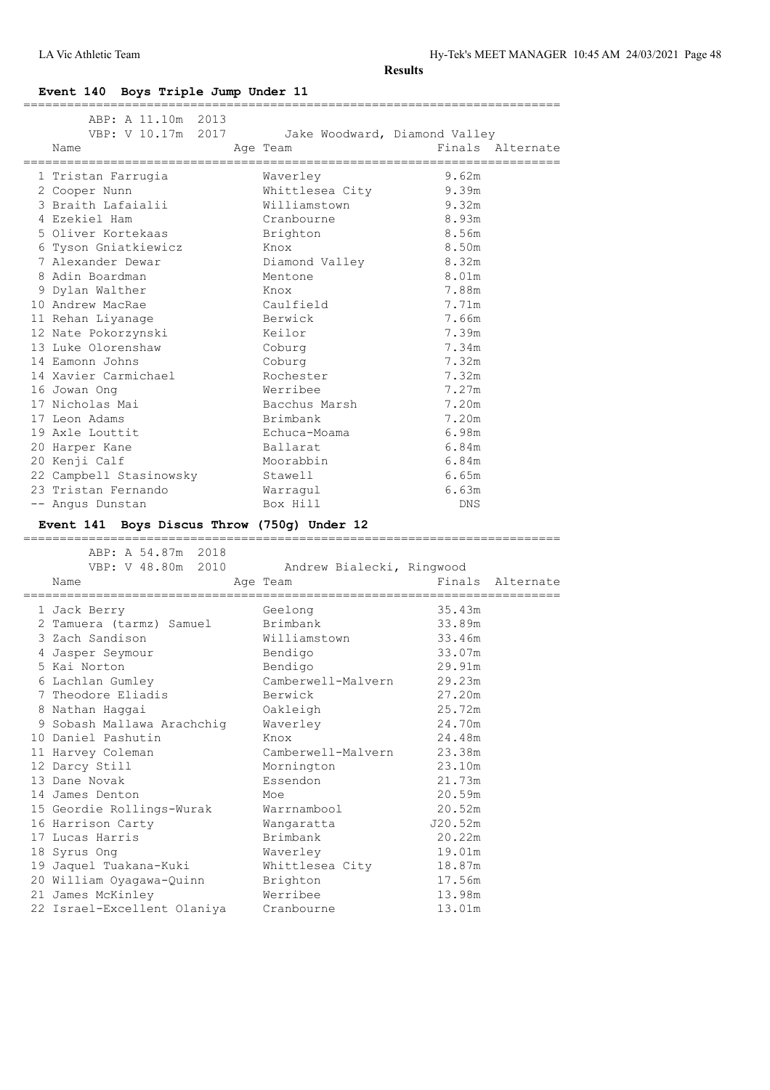LA Vic Athletic Team Hy-Tek's MEET MANAGER 10:45 AM 24/03/2021 Page 48

**Results**

**Event 140 Boys Triple Jump Under 11**

| ABP: A 11.10m 2013<br>VBP: V 10.17m 2017<br>Name | Jake Woodward, Diamond Valley<br>Age Team                | Finals Alternate          |
|--------------------------------------------------|----------------------------------------------------------|---------------------------|
| ,,,,,,,,,,,,,,,,,,,,,,                           |                                                          | =====================     |
| 1 Tristan Farrugia                               | Waverley                                                 | 9.62m                     |
| 2 Cooper Nunn                                    | Whittlesea City                                          | 9.39m                     |
| 3 Braith Lafaialii                               | Williamstown                                             | 9.32m                     |
| 4 Ezekiel Ham                                    | Cranbourne                                               | 8.93m                     |
| 5 Oliver Kortekaas                               | Brighton                                                 | 8.56m                     |
| 6 Tyson Gniatkiewicz                             | Knox                                                     | 8.50m                     |
| 7 Alexander Dewar                                | Diamond Valley                                           | 8.32m                     |
| 8 Adin Boardman                                  | Mentone                                                  | 8.01m                     |
| 9 Dylan Walther                                  | Knox                                                     | 7.88m<br>7.71m            |
| 10 Andrew MacRae                                 | Caulfield                                                |                           |
| 11 Rehan Liyanage                                | Berwick                                                  | 7.66m<br>7.39m            |
| 12 Nate Pokorzynski<br>13 Luke Olorenshaw        | Keilor                                                   | 7.34m                     |
| 14 Eamonn Johns                                  | Coburg<br>Coburg                                         | 7.32m                     |
| 14 Xavier Carmichael                             | Rochester                                                | 7.32m                     |
| 16 Jowan Ong                                     | Werribee                                                 | 7.27m                     |
| 17 Nicholas Mai                                  | Bacchus Marsh                                            | 7.20m                     |
| 17 Leon Adams                                    | Brimbank                                                 | 7.20m                     |
| 19 Axle Louttit                                  | Echuca-Moama                                             | 6.98m                     |
| 20 Harper Kane                                   | Ballarat                                                 | 6.84m                     |
| 20 Kenji Calf                                    | Moorabbin                                                | 6.84m                     |
| 22 Campbell Stasinowsky                          | Stawell                                                  | 6.65m                     |
| 23 Tristan Fernando                              | Warragul                                                 | 6.63m                     |
| -- Angus Dunstan                                 | Box Hill                                                 | DNS                       |
|                                                  |                                                          |                           |
|                                                  |                                                          |                           |
| Event 141 Boys Discus Throw (750g) Under 12      |                                                          |                           |
|                                                  |                                                          |                           |
| ABP: A 54.87m 2018                               |                                                          |                           |
| Name                                             | VBP: V 48.80m 2010 Andrew Bialecki, Ringwood<br>Age Team | Finals Alternate          |
| ================                                 |                                                          | .======================== |
| 1 Jack Berry                                     | Geelong                                                  | 35.43m                    |
| 2 Tamuera (tarmz) Samuel                         | Brimbank                                                 | 33.89m                    |
| 3 Zach Sandison                                  | Williamstown                                             | 33.46m                    |
| 4 Jasper Seymour                                 | Bendigo                                                  | 33.07m                    |
| 5 Kai Norton                                     | Bendigo                                                  | 29.91m                    |
| 6 Lachlan Gumley                                 | Camberwell-Malvern                                       | 29.23m                    |
| 7 Theodore Eliadis                               | Berwick                                                  | 27.20m                    |
| 8 Nathan Haqqai                                  | Oakleigh                                                 | 25.72m                    |
| 9 Sobash Mallawa Arachchig                       | Waverley                                                 | 24.70m                    |
| 10 Daniel Pashutin                               | Knox                                                     | 24.48m                    |
| 11 Harvey Coleman                                | Camberwell-Malvern                                       | 23.38m                    |
| 12 Darcy Still                                   | Mornington                                               | 23.10m                    |
| 13 Dane Novak                                    | Essendon                                                 | 21.73m                    |
| 14 James Denton                                  | Moe                                                      | 20.59m                    |
| 15 Geordie Rollings-Wurak                        | Warrnambool                                              | 20.52m                    |
| 16 Harrison Carty                                | Wangaratta                                               | J20.52m                   |
| 17 Lucas Harris                                  | Brimbank                                                 | 20.22m                    |
| 18 Syrus Ong                                     | Waverley                                                 | 19.01m                    |
| 19 Jaquel Tuakana-Kuki                           | Whittlesea City                                          | 18.87m                    |
| 20 William Oyagawa-Quinn                         | Brighton                                                 | 17.56m                    |
| 21 James McKinley<br>22 Israel-Excellent Olaniya | Werribee<br>Cranbourne                                   | 13.98m<br>13.01m          |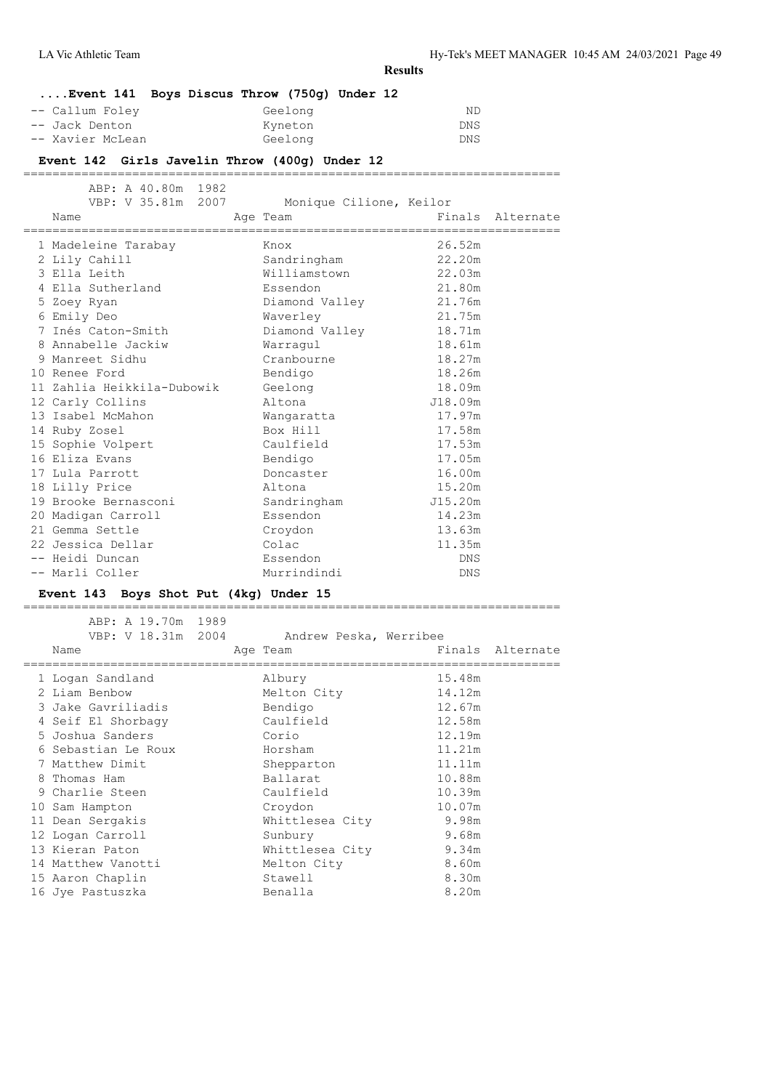# **Results ....Event 141 Boys Discus Throw (750g) Under 12** -- Callum Foley Geelong George Callum RD -- Jack Denton Kyneton DNS -- Xavier McLean **Event 142 Girls Javelin Throw (400g) Under 12** ========================================================================== ABP: A 40.80m 1982<br>VBP: V 35.81m 2007 Monique Cilione, Keilor Name **Age Team** Age Team Finals Alternate ========================================================================== ==============<br>1 Madeleine Tarabay 2 Lily Cahill Sandringham 22.20m 3 Ella Leith Williamstown 22.03m 4 Ella Sutherland Essendon 21.80m<br>
5 Zoey Ryan Diamond Valley 21.76m<br>
5 Zoey Ryan Diamond Valley 21.76m 5 Zoey Ryan Diamond Valley 21.76m 6 Emily Deo Waverley 21.75m 7 Inés Caton-Smith Diamond Valley 18.71m 8 Annabelle Jackiw Warragul 18.61m 9 Manreet Sidhu Cranbourne 18.27m 10 Renee Ford Bendigo 18.26m 11 Zahlia Heikkila-Dubowik Geelong 18.09m 12 Carly Collins Altona J18.09m 13 Isabel McMahon Wangaratta 17.97m

| 14 Ruby Zosel        | Box Hill    | 17.58m     |
|----------------------|-------------|------------|
| 15 Sophie Volpert    | Caulfield   | 17.53m     |
| 16 Eliza Evans       | Bendigo     | 17.05m     |
| 17 Lula Parrott      | Doncaster   | 16.00m     |
| 18 Lilly Price       | Altona      | 15.20m     |
| 19 Brooke Bernasconi | Sandringham | J15.20m    |
| 20 Madigan Carroll   | Essendon    | 14.23m     |
| 21 Gemma Settle      | Croydon     | 13.63m     |
| 22 Jessica Dellar    | Colac       | 11.35m     |
| -- Heidi Duncan      | Essendon    | <b>DNS</b> |
| -- Marli Coller      | Murrindindi | DNS        |

#### **Event 143 Boys Shot Put (4kg) Under 15**

|  | ABP: A 19.70m 1989<br>VBP: V 18.31m 2004<br>Name | Andrew Peska, Werribee<br>Age Team |        | Finals Alternate |
|--|--------------------------------------------------|------------------------------------|--------|------------------|
|  | 1 Logan Sandland                                 | Albury                             | 15.48m |                  |
|  | 2 Liam Benbow                                    | Melton City                        | 14.12m |                  |
|  | 3 Jake Gavriliadis                               | Bendigo                            | 12.67m |                  |
|  | 4 Seif El Shorbagy                               | Caulfield                          | 12.58m |                  |
|  | 5 Joshua Sanders                                 | Corio                              | 12.19m |                  |
|  | 6 Sebastian Le Roux                              | Horsham                            | 11.21m |                  |
|  | 7 Matthew Dimit                                  | Shepparton                         | 11.11m |                  |
|  | 8 Thomas Ham                                     | Ballarat                           | 10.88m |                  |
|  | 9 Charlie Steen                                  | Caulfield                          | 10.39m |                  |
|  | 10 Sam Hampton                                   | Croydon                            | 10.07m |                  |
|  | 11 Dean Sergakis                                 | Whittlesea City                    | 9.98m  |                  |
|  | 12 Logan Carroll                                 | Sunbury                            | 9.68m  |                  |
|  | 13 Kieran Paton                                  | Whittlesea City                    | 9.34m  |                  |
|  | 14 Matthew Vanotti                               | Melton City                        | 8.60m  |                  |
|  | 15 Aaron Chaplin                                 | Stawell                            | 8.30m  |                  |
|  | 16 Jye Pastuszka                                 | Benalla                            | 8.20m  |                  |
|  |                                                  |                                    |        |                  |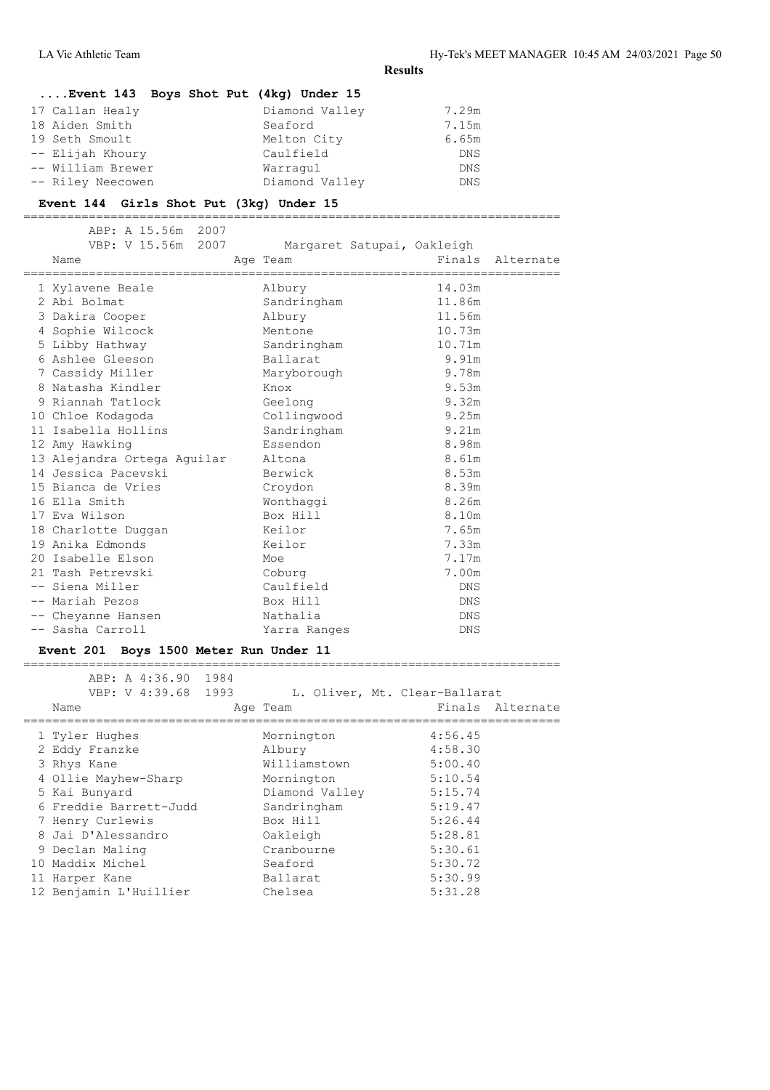## **....Event 143 Boys Shot Put (4kg) Under 15**

| 17 Callan Healy   | Diamond Valley | 7.29m      |
|-------------------|----------------|------------|
| 18 Aiden Smith    | Seaford        | 7.15m      |
| 19 Seth Smoult    | Melton City    | 6.65m      |
| -- Elijah Khoury  | Caulfield      | <b>DNS</b> |
| -- William Brewer | Warragul       | <b>DNS</b> |
| -- Riley Neecowen | Diamond Valley | DNS.       |

#### **Event 144 Girls Shot Put (3kg) Under 15**

==========================================================================

|  | ABP: A 15.56m 2007<br>VBP: V 15.56m 2007<br>Name<br>================================ | Margaret Satupai, Oakleigh<br>Age Team |            | Finals Alternate |
|--|--------------------------------------------------------------------------------------|----------------------------------------|------------|------------------|
|  | 1 Xylavene Beale                                                                     | Albury                                 | 14.03m     |                  |
|  | 2 Abi Bolmat                                                                         | Sandringham                            | 11.86m     |                  |
|  | 3 Dakira Cooper                                                                      | Albury                                 | 11.56m     |                  |
|  | 4 Sophie Wilcock                                                                     | Mentone                                | 10.73m     |                  |
|  | 5 Libby Hathway                                                                      | Sandringham                            | 10.71m     |                  |
|  | 6 Ashlee Gleeson                                                                     | Ballarat                               | 9.91m      |                  |
|  | 7 Cassidy Miller                                                                     | Maryborough                            | 9.78m      |                  |
|  | 8 Natasha Kindler                                                                    | Knox                                   | 9.53m      |                  |
|  | 9 Riannah Tatlock                                                                    | Geelong                                | 9.32m      |                  |
|  | 10 Chloe Kodagoda                                                                    | Collingwood                            | 9.25m      |                  |
|  | 11 Isabella Hollins                                                                  | Sandringham                            | 9.21m      |                  |
|  | 12 Amy Hawking                                                                       | Essendon                               | 8.98m      |                  |
|  | 13 Alejandra Ortega Aguilar                                                          | Altona                                 | 8.61m      |                  |
|  | 14 Jessica Paceyski                                                                  | Berwick                                | 8.53m      |                  |
|  | 15 Bianca de Vries                                                                   | Croydon                                | 8.39m      |                  |
|  | 16 Ella Smith                                                                        | Wonthaggi                              | 8.26m      |                  |
|  | 17 Eva Wilson                                                                        | Box Hill                               | 8.10m      |                  |
|  | 18 Charlotte Duggan                                                                  | Keilor                                 | 7.65m      |                  |
|  | 19 Anika Edmonds                                                                     | Keilor                                 | 7.33m      |                  |
|  | 20 Isabelle Elson                                                                    | Moe                                    | 7.17m      |                  |
|  | 21 Tash Petrevski                                                                    | Coburg                                 | 7.00m      |                  |
|  | -- Siena Miller                                                                      | Caulfield                              | <b>DNS</b> |                  |
|  | -- Mariah Pezos                                                                      | Box Hill                               | <b>DNS</b> |                  |
|  | -- Cheyanne Hansen                                                                   | Nathalia                               | <b>DNS</b> |                  |
|  | -- Sasha Carroll                                                                     | Yarra Ranges                           | DNS        |                  |
|  |                                                                                      |                                        |            |                  |

#### **Event 201 Boys 1500 Meter Run Under 11**

 ABP: A 4:36.90 1984 VBP: V 4:39.68 1993 L. Oliver, Mt. Clear-Ballarat Name Age Team Age Team Finals Alternate ========================================================================== 1 Tyler Hughes Mornington 4:56.45<br>
2 Eddy Franzke Albury 4:58.30<br>
3 Rhys Kane Milliamstown 5:00.40 2 Eddy Franzke Albury 4:58.30 3 Rhys Kane Williamstown 5:00.40 4 Ollie Mayhew-Sharp Mornington 5:10.54 5 Kai Bunyard Diamond Valley 5:15.74 6 Freddie Barrett-Judd Sandringham 5:19.47 7 Henry Curlewis Box Hill 5:26.44 8 Jai D'Alessandro Oakleigh 5:28.81 9 Declan Maling Cranbourne 5:30.61 10 Maddix Michel Seaford 5:30.72 11 Harper Kane Ballarat 5:30.99 12 Benjamin L'Huillier Chelsea 5:31.28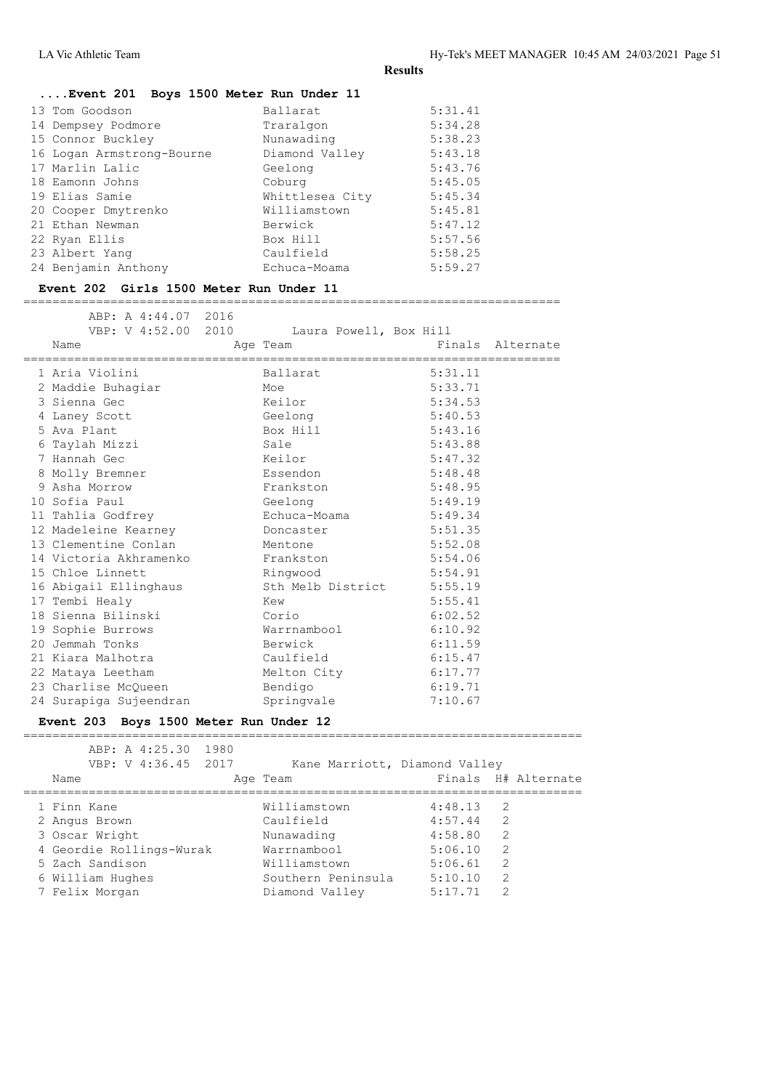| Event 201 Boys 1500 Meter Run Under 11 |  |  |  |  |  |  |
|----------------------------------------|--|--|--|--|--|--|
|----------------------------------------|--|--|--|--|--|--|

| 13 Tom Goodson            | Ballarat        | 5:31.41 |
|---------------------------|-----------------|---------|
| 14 Dempsey Podmore        | Traralgon       | 5:34.28 |
| 15 Connor Buckley         | Nunawading      | 5:38.23 |
| 16 Logan Armstrong-Bourne | Diamond Valley  | 5:43.18 |
| 17 Marlin Lalic           | Geelong         | 5:43.76 |
| 18 Eamonn Johns           | Coburg          | 5:45.05 |
| 19 Elias Samie            | Whittlesea City | 5:45.34 |
| 20 Cooper Dmytrenko       | Williamstown    | 5:45.81 |
| 21 Ethan Newman           | Berwick         | 5:47.12 |
| 22 Ryan Ellis             | Box Hill        | 5:57.56 |
| 23 Albert Yang            | Caulfield       | 5:58.25 |
| 24 Benjamin Anthony       | Echuca-Moama    | 5:59.27 |
|                           |                 |         |

### **Event 202 Girls 1500 Meter Run Under 11**

==========================================================================

| ABP: A 4:44.07 2016<br>VBP: V 4:52.00 2010<br>Name | Laura Powell, Box Hill<br>Age Team |         | Finals Alternate |
|----------------------------------------------------|------------------------------------|---------|------------------|
| 1 Aria Violini                                     | Ballarat                           | 5:31.11 |                  |
| 2 Maddie Buhagiar                                  | Moe                                | 5:33.71 |                  |
| 3 Sienna Gec                                       | Keilor                             | 5:34.53 |                  |
| 4 Laney Scott                                      | Geelong                            | 5:40.53 |                  |
| 5 Ava Plant                                        | Box Hill                           | 5:43.16 |                  |
| 6 Taylah Mizzi                                     | Sale                               | 5:43.88 |                  |
| 7 Hannah Gec                                       | Keilor                             | 5:47.32 |                  |
| 8 Molly Bremner                                    | Essendon                           | 5:48.48 |                  |
| 9 Asha Morrow                                      | Frankston                          | 5:48.95 |                  |
| 10 Sofia Paul                                      | Geelong                            | 5:49.19 |                  |
| 11 Tahlia Godfrey                                  | Echuca-Moama                       | 5:49.34 |                  |
| 12 Madeleine Kearney                               | Doncaster                          | 5:51.35 |                  |
| 13 Clementine Conlan                               | Mentone                            | 5:52.08 |                  |
| 14 Victoria Akhramenko Frankston                   |                                    | 5:54.06 |                  |
| 15 Chloe Linnett                                   | Ringwood                           | 5:54.91 |                  |
| 16 Abigail Ellinghaus                              | Sth Melb District 5:55.19          |         |                  |
| 17 Tembi Healy                                     | Kew                                | 5:55.41 |                  |
| 18 Sienna Bilinski                                 | Corio                              | 6:02.52 |                  |
| 19 Sophie Burrows                                  | Warrnambool                        | 6:10.92 |                  |
| 20 Jemmah Tonks                                    | Berwick                            | 6:11.59 |                  |
| 21 Kiara Malhotra                                  | Caulfield                          | 6:15.47 |                  |
| 22 Mataya Leetham                                  | Melton City                        | 6:17.77 |                  |
| 23 Charlise McOueen                                | Bendigo                            | 6:19.71 |                  |
| 24 Surapiga Sujeendran                             | Springvale                         | 7:10.67 |                  |

#### **Event 203 Boys 1500 Meter Run Under 12**

| ABP: A 4:25.30 1980<br>VBP: V 4:36.45 2017<br>Name | Age Team           | Kane Marriott, Diamond Valley<br>Finals H# Alternate |
|----------------------------------------------------|--------------------|------------------------------------------------------|
| 1 Finn Kane                                        | Williamstown       | 4:48.13<br>-2                                        |
| 2 Angus Brown                                      | Caulfield          | 2<br>4:57.44                                         |
| 3 Oscar Wright                                     | Nunawading         | 4:58.80<br>2                                         |
| 4 Geordie Rollings-Wurak                           | Warrnambool        | 2<br>5:06.10                                         |
| 5 Zach Sandison                                    | Williamstown       | 2<br>5:06.61                                         |
| 6 William Hughes                                   | Southern Peninsula | 5:10.10<br>2                                         |
| 7 Felix Morgan                                     | Diamond Valley     | 5:17.71<br>2                                         |
|                                                    |                    |                                                      |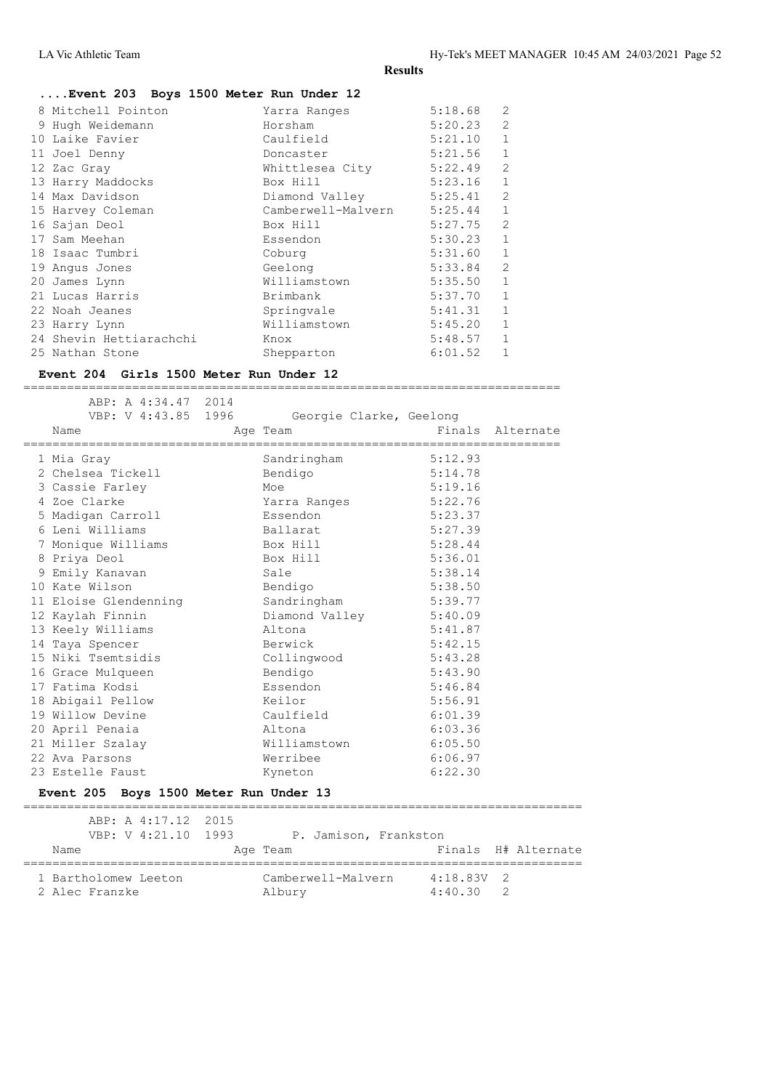#### **....Event 203 Boys 1500 Meter Run Under 12**

|  | 8 Mitchell Pointon      | Yarra Ranges       | 5:18.68 | 2              |
|--|-------------------------|--------------------|---------|----------------|
|  | 9 Hugh Weidemann        | Horsham            | 5:20.23 | $\overline{2}$ |
|  | 10 Laike Favier         | Caulfield          | 5:21.10 | 1              |
|  | 11 Joel Denny           | Doncaster          | 5:21.56 | 1              |
|  | 12 Zac Gray             | Whittlesea City    | 5:22.49 | $\overline{2}$ |
|  | 13 Harry Maddocks       | Box Hill           | 5:23.16 | $\mathbf{1}$   |
|  | 14 Max Davidson         | Diamond Valley     | 5:25.41 | $\overline{2}$ |
|  | 15 Harvey Coleman       | Camberwell-Malvern | 5:25.44 | $\mathbf{1}$   |
|  | 16 Sajan Deol           | Box Hill           | 5:27.75 | $\overline{2}$ |
|  | 17 Sam Meehan           | Essendon           | 5:30.23 | $\mathbf{1}$   |
|  | 18 Isaac Tumbri         | Coburg             | 5:31.60 | $\mathbf{1}$   |
|  | 19 Angus Jones          | Geelong            | 5:33.84 | $\mathcal{L}$  |
|  | 20 James Lynn           | Williamstown       | 5:35.50 | $\mathbf{1}$   |
|  | 21 Lucas Harris         | Brimbank           | 5:37.70 | 1              |
|  | 22 Noah Jeanes          | Springvale         | 5:41.31 | 1              |
|  | 23 Harry Lynn           | Williamstown       | 5:45.20 | 1              |
|  | 24 Shevin Hettiarachchi | Knox               | 5:48.57 | $\mathbf{1}$   |
|  | 25 Nathan Stone         | Shepparton         | 6:01.52 | 1              |
|  |                         |                    |         |                |

#### **Event 204 Girls 1500 Meter Run Under 12**

 ABP: A 4:34.47 2014 VBP: V 4:43.85 1996 Georgie Clarke, Geelong Name **Age Team** Age Team Finals Alternate ========================================================================== 1 Mia Gray Sandringham 5:12.93<br>
2 Chelsea Tickell Bendigo 5:14.78<br>
3 Cassie Farley Moe 5:19.16<br>
1 Moe 5:19.16<br>
1 Moe 5:22.76 2 Chelsea Tickell Bendigo 5:14.78 3 Cassie Farley Moe Moe 5:19.16 4 Zoe Clarke Yarra Ranges 5:22.76 5 Madigan Carroll Essendon 5:23.37 6 Leni Williams Ballarat 5:27.39 7 Monique Williams Box Hill 5:28.44 8 Priya Deol Box Hill 5:36.01 9 Emily Kanavan Sale 5:38.14 10 Kate Wilson Bendigo 5:38.50 11 Eloise Glendenning Sandringham 5:39.77 12 Kaylah Finnin Diamond Valley 5:40.09 13 Keely Williams Altona 5:41.87 14 Taya Spencer Berwick 5:42.15 15 Niki Tsemtsidis Collingwood 5:43.28 16 Grace Mulqueen Bendigo 5:43.90 17 Fatima Kodsi Essendon 5:46.84 18 Abigail Pellow Keilor 5:56.91 19 Willow Devine Caulfield 6:01.39 20 April Penaia Altona 6:03.36 21 Miller Szalay Williamstown 6:05.50 22 Ava Parsons Werribee 6:06.97 23 Estelle Faust Kyneton 6:22.30

==========================================================================

#### **Event 205 Boys 1500 Meter Run Under 13**

 ABP: A 4:17.12 2015 VBP: V 4:21.10 1993 P. Jamison, Frankston Name **Age Team** Age Team Finals H# Alternate ============================================================================= 1 Bartholomew Leeton Camberwell-Malvern 4:18.83V 2<br>2 Alec Franzke 2 Albury 4:40.30 2 2 Alec Franzke Albury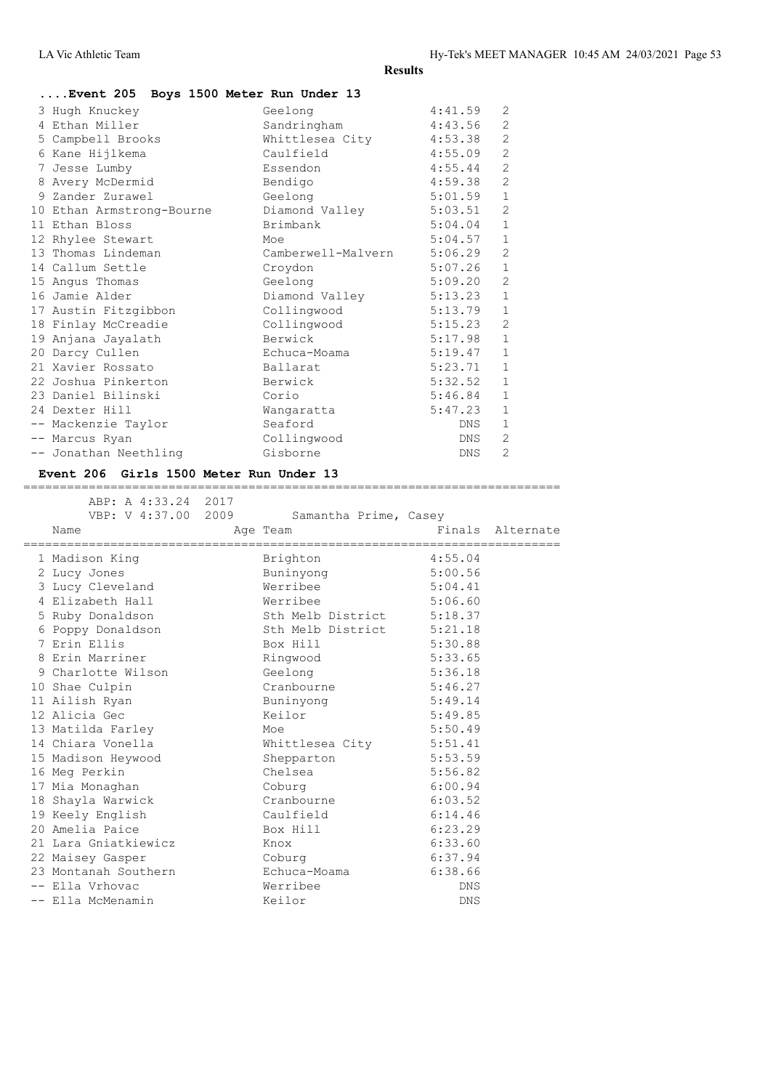| Event 205 Boys 1500 Meter Run Under 13 |                    |         |                |
|----------------------------------------|--------------------|---------|----------------|
| 3 Hugh Knuckey                         | Geelong            | 4:41.59 | $\overline{2}$ |
| 4 Ethan Miller                         | Sandringham        | 4:43.56 | $\overline{2}$ |
| 5 Campbell Brooks                      | Whittlesea City    | 4:53.38 | $\overline{c}$ |
| 6 Kane Hijlkema                        | Caulfield          | 4:55.09 | $\overline{c}$ |
| 7 Jesse Lumby                          | Essendon           | 4:55.44 | $\overline{c}$ |
| 8 Avery McDermid                       | Bendigo            | 4:59.38 | $\overline{c}$ |
| 9 Zander Zurawel                       | Geelong            | 5:01.59 | $\mathbf 1$    |
| 10 Ethan Armstrong-Bourne              | Diamond Valley     | 5:03.51 | $\overline{c}$ |
| 11 Ethan Bloss                         | Brimbank           | 5:04.04 | $\mathbf{1}$   |
| 12 Rhylee Stewart                      | Moe                | 5:04.57 | $1\,$          |
| 13 Thomas Lindeman                     | Camberwell-Malvern | 5:06.29 | $\overline{c}$ |
| 14 Callum Settle                       | Croydon            | 5:07.26 | $\mathbf 1$    |
| 15 Angus Thomas                        | Geelong            | 5:09.20 | $\overline{c}$ |
| 16 Jamie Alder                         | Diamond Valley     | 5:13.23 | $1\,$          |
| 17 Austin Fitzgibbon                   | Collingwood        | 5:13.79 | $1\,$          |
| 18 Finlay McCreadie                    | Collingwood        | 5:15.23 | $\overline{c}$ |
| 19 Anjana Jayalath                     | Berwick            | 5:17.98 | $\mathbf{1}$   |
| 20 Darcy Cullen                        | Echuca-Moama       | 5:19.47 | $1\,$          |
| 21 Xavier Rossato                      | Ballarat           | 5:23.71 | $1\,$          |
| 22 Joshua Pinkerton                    | Berwick            | 5:32.52 | $1\,$          |
| 23 Daniel Bilinski                     | Corio              | 5:46.84 | $\mathbf 1$    |
| 24 Dexter Hill                         | Wangaratta         | 5:47.23 | $\mathbf{1}$   |
| -- Mackenzie Taylor                    | Seaford            | DNS     | $\mathbf{1}$   |
| -- Marcus Ryan                         | Collingwood        | DNS.    | $\overline{2}$ |
| -- Jonathan Neethling                  | Gisborne           | DNS     | $\overline{2}$ |

### **Event 206 Girls 1500 Meter Run Under 13**

| Age Team                                                                                                                                                                                                                                                      | Finals Alternate                                                                                                                                                                                     |                                                                                                                                                                                                 |
|---------------------------------------------------------------------------------------------------------------------------------------------------------------------------------------------------------------------------------------------------------------|------------------------------------------------------------------------------------------------------------------------------------------------------------------------------------------------------|-------------------------------------------------------------------------------------------------------------------------------------------------------------------------------------------------|
| Brighton                                                                                                                                                                                                                                                      | 4:55.04                                                                                                                                                                                              |                                                                                                                                                                                                 |
|                                                                                                                                                                                                                                                               | 5:00.56                                                                                                                                                                                              |                                                                                                                                                                                                 |
| Werribee                                                                                                                                                                                                                                                      |                                                                                                                                                                                                      |                                                                                                                                                                                                 |
|                                                                                                                                                                                                                                                               |                                                                                                                                                                                                      |                                                                                                                                                                                                 |
|                                                                                                                                                                                                                                                               |                                                                                                                                                                                                      |                                                                                                                                                                                                 |
|                                                                                                                                                                                                                                                               |                                                                                                                                                                                                      |                                                                                                                                                                                                 |
|                                                                                                                                                                                                                                                               |                                                                                                                                                                                                      |                                                                                                                                                                                                 |
|                                                                                                                                                                                                                                                               | 5:33.65                                                                                                                                                                                              |                                                                                                                                                                                                 |
|                                                                                                                                                                                                                                                               | 5:36.18                                                                                                                                                                                              |                                                                                                                                                                                                 |
|                                                                                                                                                                                                                                                               |                                                                                                                                                                                                      |                                                                                                                                                                                                 |
| Buninyong                                                                                                                                                                                                                                                     | 5:49.14                                                                                                                                                                                              |                                                                                                                                                                                                 |
|                                                                                                                                                                                                                                                               |                                                                                                                                                                                                      |                                                                                                                                                                                                 |
| Moe                                                                                                                                                                                                                                                           |                                                                                                                                                                                                      |                                                                                                                                                                                                 |
|                                                                                                                                                                                                                                                               |                                                                                                                                                                                                      |                                                                                                                                                                                                 |
| Shepparton                                                                                                                                                                                                                                                    |                                                                                                                                                                                                      |                                                                                                                                                                                                 |
| Chelsea                                                                                                                                                                                                                                                       |                                                                                                                                                                                                      |                                                                                                                                                                                                 |
| Coburg                                                                                                                                                                                                                                                        | 6:00.94                                                                                                                                                                                              |                                                                                                                                                                                                 |
|                                                                                                                                                                                                                                                               | 6:03.52                                                                                                                                                                                              |                                                                                                                                                                                                 |
|                                                                                                                                                                                                                                                               |                                                                                                                                                                                                      |                                                                                                                                                                                                 |
|                                                                                                                                                                                                                                                               | 6:23.29                                                                                                                                                                                              |                                                                                                                                                                                                 |
|                                                                                                                                                                                                                                                               | 6:33.60                                                                                                                                                                                              |                                                                                                                                                                                                 |
|                                                                                                                                                                                                                                                               |                                                                                                                                                                                                      |                                                                                                                                                                                                 |
|                                                                                                                                                                                                                                                               | 6:38.66                                                                                                                                                                                              |                                                                                                                                                                                                 |
|                                                                                                                                                                                                                                                               | DNS                                                                                                                                                                                                  |                                                                                                                                                                                                 |
| Keilor                                                                                                                                                                                                                                                        | DNS                                                                                                                                                                                                  |                                                                                                                                                                                                 |
| 3 Lucy Cleveland<br>4 Elizabeth Hall<br>5 Ruby Donaldson<br>6 Poppy Donaldson<br>9 Charlotte Wilson<br>13 Matilda Farley<br>14 Chiara Vonella<br>15 Madison Heywood<br>18 Shayla Warwick<br>21 Lara Gniatkiewicz<br>23 Montanah Southern<br>-- Ella McMenamin | ===========================<br>Buninyong<br>Werribee<br>Box Hill<br>Ringwood<br>Geelong<br>Cranbourne<br>Keilor<br>Cranbourne<br>Caulfield<br>Box Hill<br>Knox<br>Coburg<br>Echuca-Moama<br>Werribee | 5:04.41<br>5:06.60<br>Sth Melb District 5:18.37<br>Sth Melb District 5:21.18<br>5:30.88<br>5:46.27<br>5:49.85<br>5:50.49<br>Whittlesea City 5:51.41<br>5:53.59<br>5:56.82<br>6:14.46<br>6:37.94 |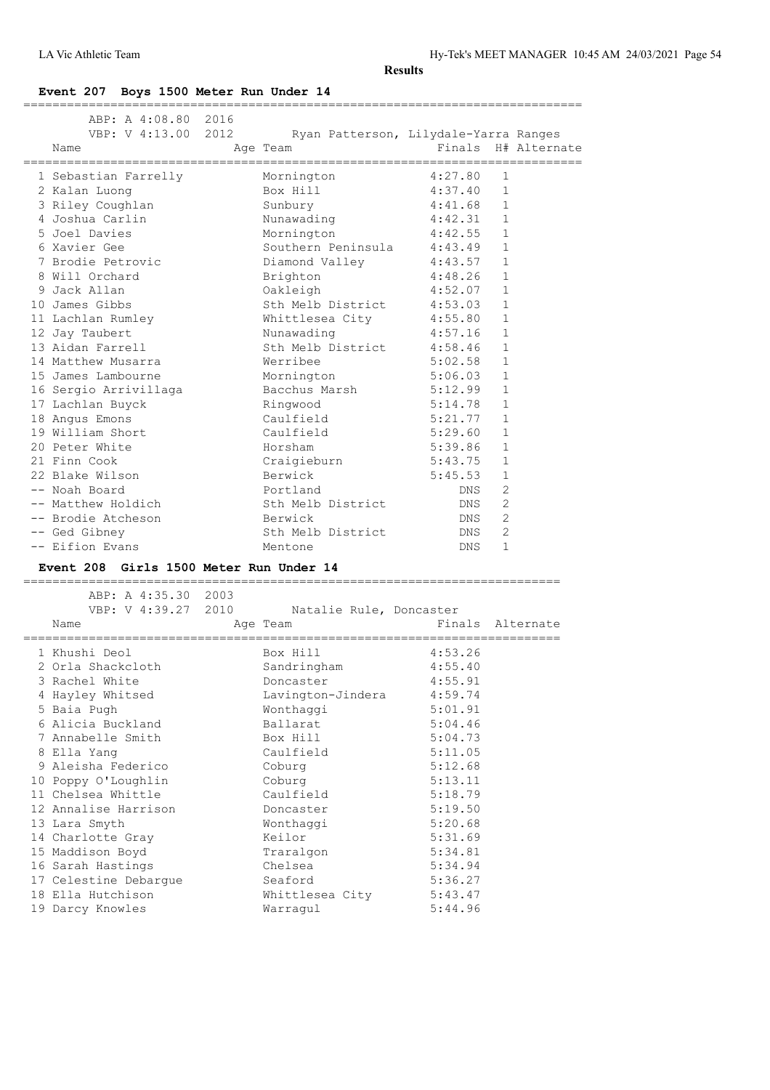=============================================================================

#### **Event 207 Boys 1500 Meter Run Under 14**

| ABP: A 4:08.80 2016<br>VBP: V 4:13.00 2012<br>Name | Ryan Patterson, Lilydale-Yarra Ranges<br>Age Team | Finals H# Alternate        |  |
|----------------------------------------------------|---------------------------------------------------|----------------------------|--|
| 1 Sebastian Farrelly                               | Mornington                                        | 4:27.80<br>1               |  |
| 2 Kalan Luong                                      | Box Hill                                          | 4:37.40<br>$\mathbf{1}$    |  |
| 3 Riley Coughlan                                   | Sunbury                                           | 4:41.68<br>$\mathbf{1}$    |  |
| 4 Joshua Carlin                                    | Nunawading                                        | $\mathbf{1}$<br>4:42.31    |  |
| 5 Joel Davies                                      | Mornington 4:42.55                                | $\mathbf{1}$               |  |
| 6 Xavier Gee                                       | Southern Peninsula 4:43.49                        | $\mathbf{1}$               |  |
| 7 Brodie Petrovic                                  | Diamond Valley 4:43.57                            | $\mathbf{1}$               |  |
| 8 Will Orchard                                     | Brighton                                          | 4:48.26<br>$\mathbf{1}$    |  |
| 9 Jack Allan                                       | Oakleigh                                          | 4:52.07<br>$\mathbf{1}$    |  |
| 10 James Gibbs                                     | Sth Melb District 4:53.03                         | $\mathbf{1}$               |  |
| 11 Lachlan Rumley                                  | Whittlesea City 4:55.80                           | $\mathbf{1}$               |  |
| 12 Jay Taubert                                     | Nunawading                                        | 4:57.16<br>$\mathbf{1}$    |  |
| 13 Aidan Farrell                                   | Sth Melb District 4:58.46                         | $\mathbf{1}$               |  |
| 14 Matthew Musarra                                 | Werribee                                          | 5:02.58<br>$\mathbf{1}$    |  |
| 15 James Lambourne                                 | Mornington                                        | 5:06.03<br>$\mathbf{1}$    |  |
| 16 Sergio Arrivillaga                              | Bacchus Marsh 5:12.99                             | $\mathbf{1}$               |  |
| 17 Lachlan Buyck                                   | Ringwood                                          | 5:14.78<br>$\mathbf{1}$    |  |
| 18 Angus Emons                                     | Caulfield                                         | 5:21.77<br>$\mathbf{1}$    |  |
| 19 William Short                                   | Caulfield                                         | 5:29.60<br>$\mathbf{1}$    |  |
| 20 Peter White                                     | Horsham                                           | 5:39.86<br>$\mathbf{1}$    |  |
| 21 Finn Cook                                       | Craigieburn                                       | $\mathbf{1}$<br>5:43.75    |  |
| 22 Blake Wilson                                    | Berwick                                           | 5:45.53<br>$\mathbf{1}$    |  |
| -- Noah Board                                      | Portland                                          | $\overline{2}$<br>DNS      |  |
| -- Matthew Holdich                                 | Sth Melb District                                 | $\overline{2}$<br>DNS      |  |
| -- Brodie Atcheson                                 | Berwick                                           | $\overline{2}$<br>DNS      |  |
| -- Ged Gibney                                      | Sth Melb District                                 | $\overline{2}$<br>DNS      |  |
| -- Eifion Evans                                    | Mentone                                           | $\mathbf{1}$<br><b>DNS</b> |  |
|                                                    |                                                   |                            |  |

#### **Event 208 Girls 1500 Meter Run Under 14**

ABP: A 4:35.30 2003<br>VBP: V 4:39.27 2010 Natalie Rule, Doncaster Name Age Team Finals Alternate ========================================================================== 1 Khushi Deol Box Hill 4:53.26<br>2 Orla Shackcloth Sandringham 4:55.40<br>Poncaster 4:55.91 2 Orla Shackcloth Sandringham 4:55.40 3 Rachel White Doncaster 4:55.91 4 Hayley Whitsed Lavington-Jindera 4:59.74 5 Baia Pugh Wonthaggi 5:01.91 6 Alicia Buckland Ballarat 5:04.46 7 Annabelle Smith Box Hill 5:04.73 8 Ella Yang Caulfield 5:11.05 9 Aleisha Federico Coburg 5:12.68 10 Poppy O'Loughlin Coburg 5:13.11 11 Chelsea Whittle Caulfield 5:18.79 12 Annalise Harrison Doncaster 5:19.50 13 Lara Smyth Wonthaggi 5:20.68 14 Charlotte Gray **Keilor** 6:31.69 15 Maddison Boyd Traralgon 5:34.81 16 Sarah Hastings Chelsea 5:34.94 17 Celestine Debargue Seaford 5:36.27 18 Ella Hutchison Whittlesea City 5:43.47 19 Darcy Knowles Warragul 5:44.96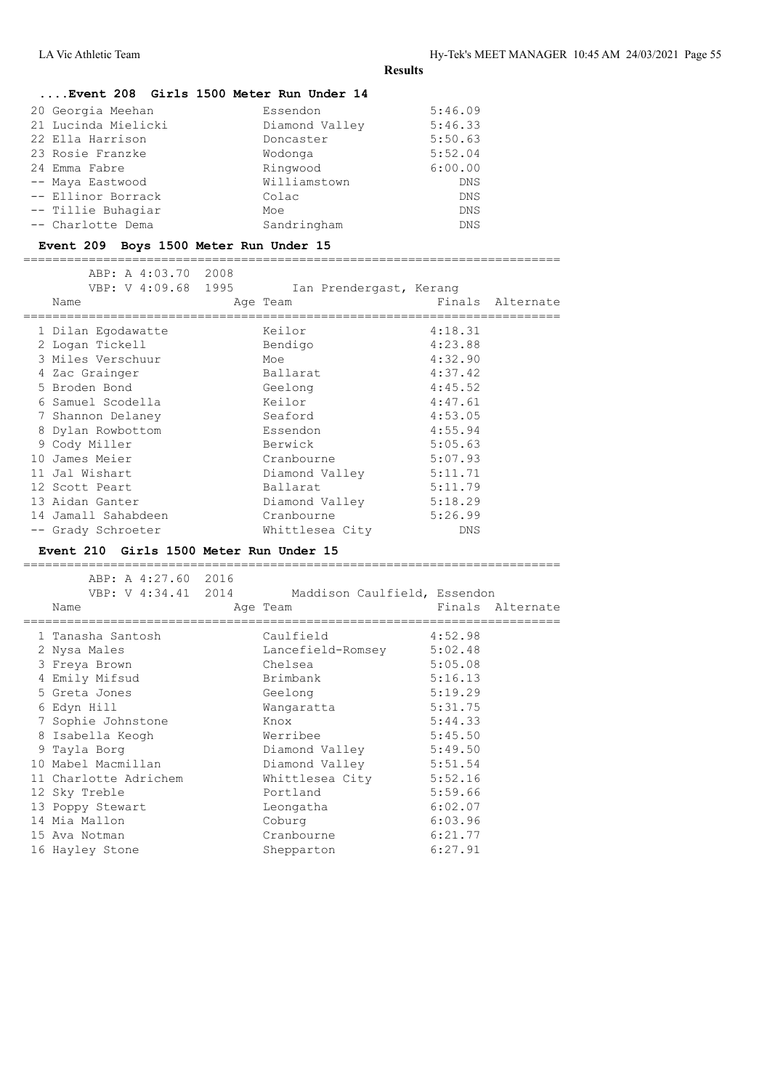#### **....Event 208 Girls 1500 Meter Run Under 14**

| 20 Georgia Meehan   | Essendon       | 5:46.09    |
|---------------------|----------------|------------|
| 21 Lucinda Mielicki | Diamond Valley | 5:46.33    |
| 22 Ella Harrison    | Doncaster      | 5:50.63    |
| 23 Rosie Franzke    | Wodonga        | 5:52.04    |
| 24 Emma Fabre       | Ringwood       | 6:00.00    |
| -- Maya Eastwood    | Williamstown   | DNS        |
| -- Ellinor Borrack  | Colac          | DNS        |
| -- Tillie Buhagiar  | Moe            | <b>DNS</b> |
| -- Charlotte Dema   | Sandringham    | <b>DNS</b> |

#### **Event 209 Boys 1500 Meter Run Under 15**

==========================================================================

| ABP: A 4:03.70 2008 |                         |         |                  |
|---------------------|-------------------------|---------|------------------|
| VBP: V 4:09.68 1995 | Ian Prendergast, Kerang |         |                  |
| Name                | Age Team                |         | Finals Alternate |
|                     | Keilor                  | 4:18.31 |                  |
| 1 Dilan Eqodawatte  |                         |         |                  |
| 2 Logan Tickell     | Bendigo                 | 4:23.88 |                  |
| 3 Miles Verschuur   | Moe                     | 4:32.90 |                  |
| 4 Zac Grainger      | Ballarat                | 4:37.42 |                  |
| 5 Broden Bond       | Geelong                 | 4:45.52 |                  |
| 6 Samuel Scodella   | Keilor                  | 4:47.61 |                  |
| 7 Shannon Delaney   | Seaford                 | 4:53.05 |                  |
| 8 Dylan Rowbottom   | Essendon                | 4:55.94 |                  |
| 9 Cody Miller       | Berwick                 | 5:05.63 |                  |
| 10 James Meier      | Cranbourne              | 5:07.93 |                  |
| 11 Jal Wishart      | Diamond Valley          | 5:11.71 |                  |
| 12 Scott Peart      | Ballarat                | 5:11.79 |                  |
| 13 Aidan Ganter     | Diamond Valley          | 5:18.29 |                  |
| 14 Jamall Sahabdeen | Cranbourne              | 5:26.99 |                  |
| -- Grady Schroeter  | Whittlesea City         | DNS     |                  |

#### **Event 210 Girls 1500 Meter Run Under 15**

========================================================================== ABP: A 4:27.60 2016 VBP: V 4:34.41 2014 Maddison Caulfield, Essendon Name **Age Team** Age Team Finals Alternate ========================================================================== 1 Tanasha Santosh Caulfield 4:52.98 2 Nysa Males Lancefield-Romsey 5:02.48 3 Freya Brown Chelsea 5:05.08 4 Emily Mifsud Brimbank 5:16.13 5 Greta Jones Geelong 5:19.29 6 Edyn Hill Wangaratta 5:31.75 7 Sophie Johnstone Knox 5:44.33 8 Isabella Keogh Werribee 5:45.50 9 Tayla Borg Diamond Valley 5:49.50 10 Mabel Macmillan Diamond Valley 5:51.54 11 Charlotte Adrichem Mhittlesea City 5:52.16 12 Sky Treble **Portland** 5:59.66 13 Poppy Stewart Leongatha 6:02.07 14 Mia Mallon **Coburg 6:03.96**  15 Ava Notman Cranbourne 6:21.77 16 Hayley Stone Shepparton 6:27.91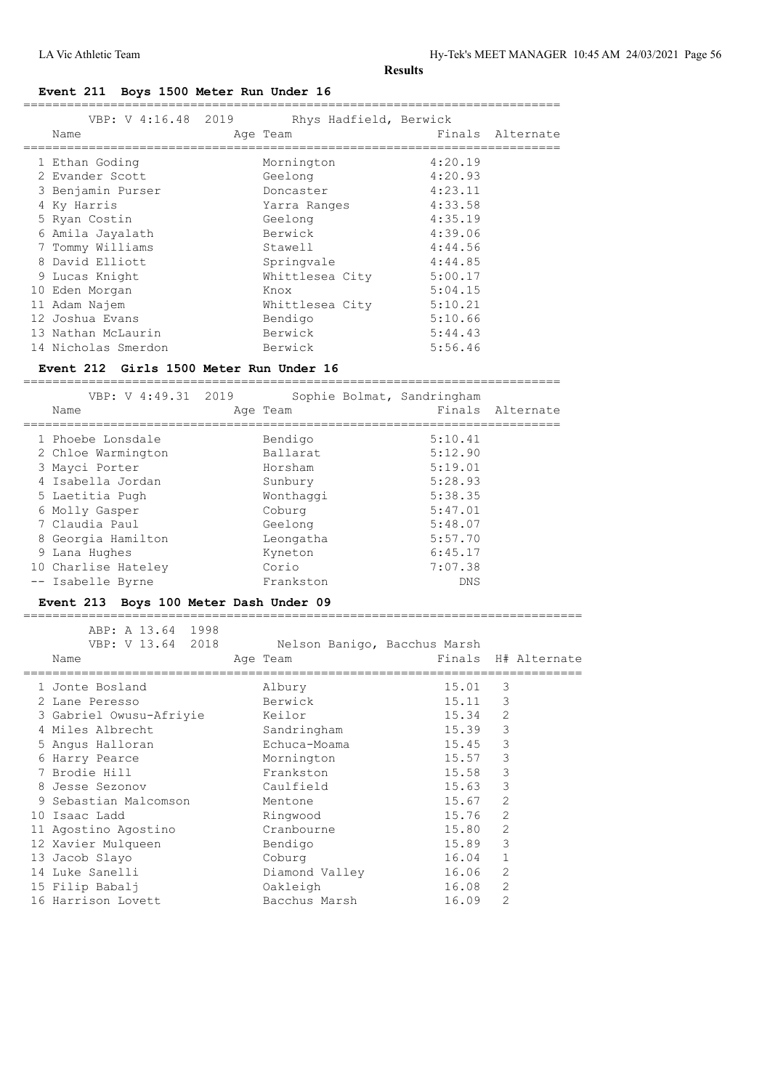### **Event 211 Boys 1500 Meter Run Under 16**

| VBP: V 4:16.48 2019<br>Name | Rhys Hadfield, Berwick<br>Age Team |         | Finals Alternate |
|-----------------------------|------------------------------------|---------|------------------|
| 1 Ethan Goding              | Mornington                         | 4:20.19 |                  |
| 2 Evander Scott             | Geelong                            | 4:20.93 |                  |
| 3 Benjamin Purser           | Doncaster                          | 4:23.11 |                  |
| 4 Ky Harris                 | Yarra Ranges                       | 4:33.58 |                  |
| 5 Ryan Costin               | Geelong                            | 4:35.19 |                  |
| 6 Amila Jayalath            | Berwick                            | 4:39.06 |                  |
| 7 Tommy Williams            | Stawell                            | 4:44.56 |                  |
| 8 David Elliott             | Springvale                         | 4:44.85 |                  |
| 9 Lucas Knight              | Whittlesea City                    | 5:00.17 |                  |
| 10 Eden Morgan              | Knox                               | 5:04.15 |                  |
| 11 Adam Najem               | Whittlesea City                    | 5:10.21 |                  |
| 12 Joshua Evans             | Bendigo                            | 5:10.66 |                  |
| 13 Nathan McLaurin          | Berwick                            | 5:44.43 |                  |
| 14 Nicholas Smerdon         | Berwick                            | 5:56.46 |                  |
|                             |                                    |         |                  |

### **Event 212 Girls 1500 Meter Run Under 16**

| VBP: V 4:49.31 2019<br>Name | Sophie Bolmat, Sandringham<br>Age Team |         | Finals Alternate |
|-----------------------------|----------------------------------------|---------|------------------|
| 1 Phoebe Lonsdale           | Bendigo                                | 5:10.41 |                  |
| 2 Chloe Warmington          | Ballarat                               | 5:12.90 |                  |
| 3 Mayci Porter              | Horsham                                | 5:19.01 |                  |
| 4 Isabella Jordan           | Sunbury                                | 5:28.93 |                  |
| 5 Laetitia Pugh             | Wonthaggi                              | 5:38.35 |                  |
| 6 Molly Gasper              | Coburg                                 | 5:47.01 |                  |
| 7 Claudia Paul              | Geelong                                | 5:48.07 |                  |
| 8 Georgia Hamilton          | Leongatha                              | 5:57.70 |                  |
| 9 Lana Hughes               | Kyneton                                | 6:45.17 |                  |
| 10 Charlise Hateley         | Corio                                  | 7:07.38 |                  |
| -- Isabelle Byrne           | Frankston                              | DNS.    |                  |

#### **Event 213 Boys 100 Meter Dash Under 09** =============================================================================

| ABP: A 13.64 1998<br>VBP: V 13.64 2018 | Nelson Banigo, Bacchus Marsh |       |                     |
|----------------------------------------|------------------------------|-------|---------------------|
| Name                                   | Age Team                     |       | Finals H# Alternate |
| 1 Jonte Bosland                        | Albury                       | 15.01 | 3                   |
| 2 Lane Peresso                         | Berwick                      | 15.11 | 3                   |
| 3 Gabriel Owusu-Afriyie                | Keilor                       | 15.34 | 2                   |
| 4 Miles Albrecht                       | Sandringham                  | 15.39 | 3                   |
| 5 Angus Halloran                       | Echuca-Moama                 | 15.45 | 3                   |
| 6 Harry Pearce                         | Mornington                   | 15.57 | 3                   |
| 7 Brodie Hill                          | Frankston                    | 15.58 | 3                   |
| 8 Jesse Sezonov                        | Caulfield                    | 15.63 | 3                   |
| 9 Sebastian Malcomson                  | Mentone                      | 15.67 | $\overline{2}$      |
| 10 Isaac Ladd                          | Ringwood                     | 15.76 | 2                   |
| 11 Agostino Agostino                   | Cranbourne                   | 15.80 | 2                   |
| 12 Xavier Mulqueen                     | Bendigo                      | 15.89 | 3                   |
| 13 Jacob Slayo                         | Coburg                       | 16.04 | $\mathbf{1}$        |
| 14 Luke Sanelli                        | Diamond Valley               | 16.06 | $\overline{2}$      |
| 15 Filip Babalj                        | Oakleigh                     | 16.08 | $\overline{2}$      |
| 16 Harrison Lovett                     | Bacchus Marsh                | 16.09 | $\overline{2}$      |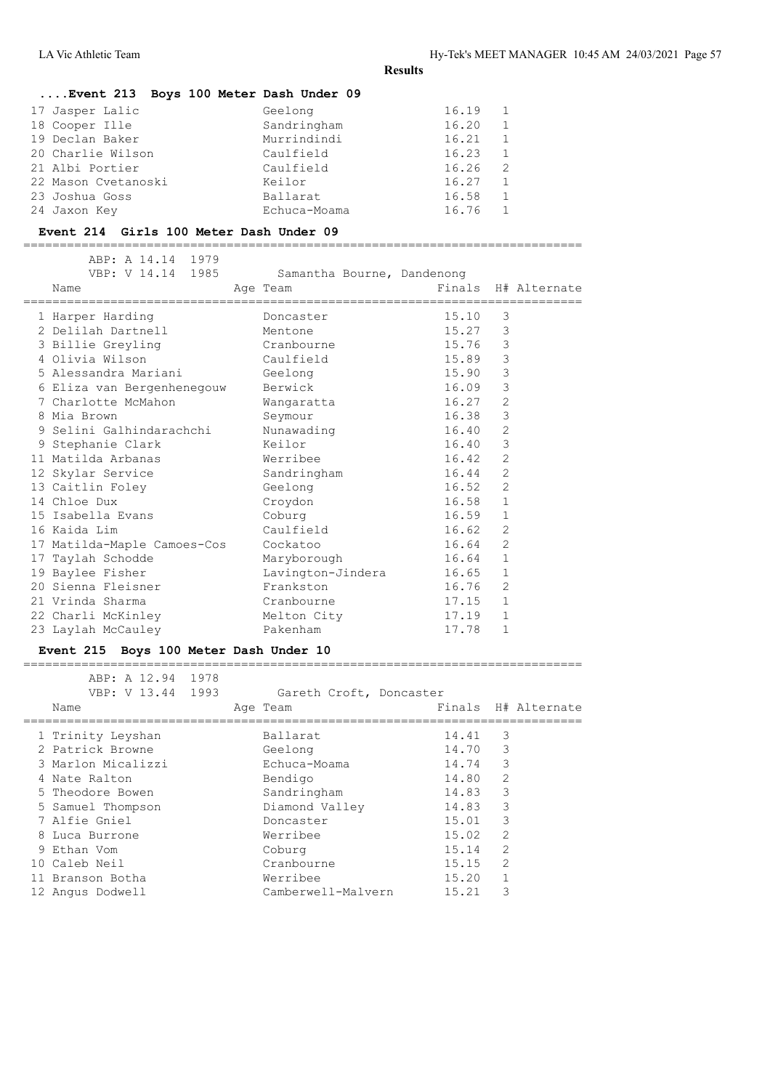| Event 213 Boys 100 Meter Dash Under 09 |              |       |                |
|----------------------------------------|--------------|-------|----------------|
| 17 Jasper Lalic                        | Geelong      | 16.19 | 1              |
| 18 Cooper Ille                         | Sandringham  | 16.20 | $\overline{1}$ |
| 19 Declan Baker                        | Murrindindi  | 16.21 | $\overline{1}$ |
| 20 Charlie Wilson                      | Caulfield    | 16.23 | $\overline{1}$ |
| 21 Albi Portier                        | Caulfield    | 16.26 | - 2            |
| 22 Mason Cvetanoski                    | Keilor       | 16.27 | $\overline{1}$ |
| 23 Joshua Goss                         | Ballarat     | 16.58 | 1              |
| 24 Jaxon Key                           | Echuca-Moama | 16.76 | $\overline{1}$ |

#### **Event 214 Girls 100 Meter Dash Under 09**

=============================================================================

| ABP: A 14.14 1979<br>Name |                                                                                                                                                                                                                                                                                                        |                                                                                                                                                                            |                                                                                            |                                                 |                                                                                                                                                                                                                                    |
|---------------------------|--------------------------------------------------------------------------------------------------------------------------------------------------------------------------------------------------------------------------------------------------------------------------------------------------------|----------------------------------------------------------------------------------------------------------------------------------------------------------------------------|--------------------------------------------------------------------------------------------|-------------------------------------------------|------------------------------------------------------------------------------------------------------------------------------------------------------------------------------------------------------------------------------------|
|                           |                                                                                                                                                                                                                                                                                                        | Doncaster                                                                                                                                                                  |                                                                                            | 3                                               |                                                                                                                                                                                                                                    |
|                           |                                                                                                                                                                                                                                                                                                        | Mentone                                                                                                                                                                    |                                                                                            | 3                                               |                                                                                                                                                                                                                                    |
|                           |                                                                                                                                                                                                                                                                                                        |                                                                                                                                                                            |                                                                                            | 3                                               |                                                                                                                                                                                                                                    |
|                           |                                                                                                                                                                                                                                                                                                        |                                                                                                                                                                            |                                                                                            | $\mathcal{S}$                                   |                                                                                                                                                                                                                                    |
|                           |                                                                                                                                                                                                                                                                                                        |                                                                                                                                                                            |                                                                                            | $\mathsf 3$                                     |                                                                                                                                                                                                                                    |
|                           |                                                                                                                                                                                                                                                                                                        | Berwick                                                                                                                                                                    |                                                                                            | 3                                               |                                                                                                                                                                                                                                    |
|                           |                                                                                                                                                                                                                                                                                                        | Wangaratta                                                                                                                                                                 |                                                                                            | 2                                               |                                                                                                                                                                                                                                    |
|                           |                                                                                                                                                                                                                                                                                                        | Seymour                                                                                                                                                                    |                                                                                            | 3                                               |                                                                                                                                                                                                                                    |
|                           |                                                                                                                                                                                                                                                                                                        | Nunawading                                                                                                                                                                 |                                                                                            | 2                                               |                                                                                                                                                                                                                                    |
|                           |                                                                                                                                                                                                                                                                                                        | Keilor                                                                                                                                                                     |                                                                                            | 3                                               |                                                                                                                                                                                                                                    |
|                           |                                                                                                                                                                                                                                                                                                        | Werribee                                                                                                                                                                   |                                                                                            | 2                                               |                                                                                                                                                                                                                                    |
|                           |                                                                                                                                                                                                                                                                                                        | Sandringham                                                                                                                                                                |                                                                                            | 2                                               |                                                                                                                                                                                                                                    |
|                           |                                                                                                                                                                                                                                                                                                        | Geelong                                                                                                                                                                    |                                                                                            | 2                                               |                                                                                                                                                                                                                                    |
|                           |                                                                                                                                                                                                                                                                                                        | Croydon                                                                                                                                                                    |                                                                                            | $\mathbf{1}$                                    |                                                                                                                                                                                                                                    |
|                           |                                                                                                                                                                                                                                                                                                        | Coburg                                                                                                                                                                     |                                                                                            | $\mathbf{1}$                                    |                                                                                                                                                                                                                                    |
|                           |                                                                                                                                                                                                                                                                                                        | Caulfield                                                                                                                                                                  |                                                                                            | 2                                               |                                                                                                                                                                                                                                    |
|                           |                                                                                                                                                                                                                                                                                                        | Cockatoo                                                                                                                                                                   |                                                                                            | 2                                               |                                                                                                                                                                                                                                    |
|                           |                                                                                                                                                                                                                                                                                                        | Maryborough                                                                                                                                                                |                                                                                            | $\mathbf{1}$                                    |                                                                                                                                                                                                                                    |
|                           |                                                                                                                                                                                                                                                                                                        |                                                                                                                                                                            |                                                                                            | 1                                               |                                                                                                                                                                                                                                    |
|                           |                                                                                                                                                                                                                                                                                                        | Frankston                                                                                                                                                                  |                                                                                            | 2                                               |                                                                                                                                                                                                                                    |
|                           |                                                                                                                                                                                                                                                                                                        | Cranbourne                                                                                                                                                                 |                                                                                            | $\mathbf{1}$                                    |                                                                                                                                                                                                                                    |
|                           |                                                                                                                                                                                                                                                                                                        | Melton City                                                                                                                                                                |                                                                                            | 1                                               |                                                                                                                                                                                                                                    |
|                           |                                                                                                                                                                                                                                                                                                        | Pakenham                                                                                                                                                                   |                                                                                            | $\mathbf{1}$                                    |                                                                                                                                                                                                                                    |
|                           | 1 Harper Harding<br>3 Billie Greyling<br>4 Olivia Wilson<br>7 Charlotte McMahon<br>8 Mia Brown<br>9 Stephanie Clark<br>11 Matilda Arbanas<br>13 Caitlin Foley<br>14 Chloe Dux<br>16 Kaida Lim<br>17 Taylah Schodde<br>19 Baylee Fisher<br>21 Vrinda Sharma<br>22 Charli McKinley<br>23 Laylah McCauley | VBP: V 14.14 1985<br>6 Eliza van Bergenhenegouw<br>9 Selini Galhindarachchi<br>12 Skylar Service<br>15 Isabella Evans<br>17 Matilda-Maple Camoes-Cos<br>20 Sienna Fleisner | Age Team<br>2 Delilah Dartnell<br>Cranbourne<br>Caulfield<br>5 Alessandra Mariani (Geelong | Samantha Bourne, Dandenong<br>Lavington-Jindera | Finals H# Alternate<br>15.10<br>15.27<br>15.76<br>15.89<br>15.90<br>16.09<br>16.27<br>16.38<br>16.40<br>16.40<br>16.42<br>16.44<br>16.52<br>16.58<br>16.59<br>16.62<br>16.64<br>16.64<br>16.65<br>16.76<br>17.15<br>17.19<br>17.78 |

# **Event 215 Boys 100 Meter Dash Under 10**

| ABP: A 12.94 1978<br>VBP: V 13.44 1993<br>Name |  | Gareth Croft, Doncaster<br>Age Team |       |                | Finals H# Alternate |
|------------------------------------------------|--|-------------------------------------|-------|----------------|---------------------|
| 1 Trinity Leyshan                              |  | Ballarat                            | 14.41 | 3              |                     |
| 2 Patrick Browne                               |  | Geelong                             | 14.70 | 3              |                     |
| 3 Marlon Micalizzi                             |  | Echuca-Moama                        | 14.74 | 3              |                     |
| 4 Nate Ralton                                  |  | Bendigo                             | 14.80 | $\overline{2}$ |                     |
| 5 Theodore Bowen                               |  | Sandringham                         | 14.83 | 3              |                     |
| 5 Samuel Thompson                              |  | Diamond Valley                      | 14.83 | 3              |                     |
| 7 Alfie Gniel                                  |  | Doncaster                           | 15.01 | 3              |                     |
| 8 Luca Burrone                                 |  | Werribee                            | 15.02 | $\overline{2}$ |                     |
| 9 Ethan Vom                                    |  | Coburg                              | 15.14 | $\overline{2}$ |                     |
| 10 Caleb Neil                                  |  | Cranbourne                          | 15.15 | $\overline{2}$ |                     |
| 11 Branson Botha                               |  | Werribee                            | 15.20 | 1              |                     |
| 12 Angus Dodwell                               |  | Camberwell-Malvern                  | 15.21 | 3              |                     |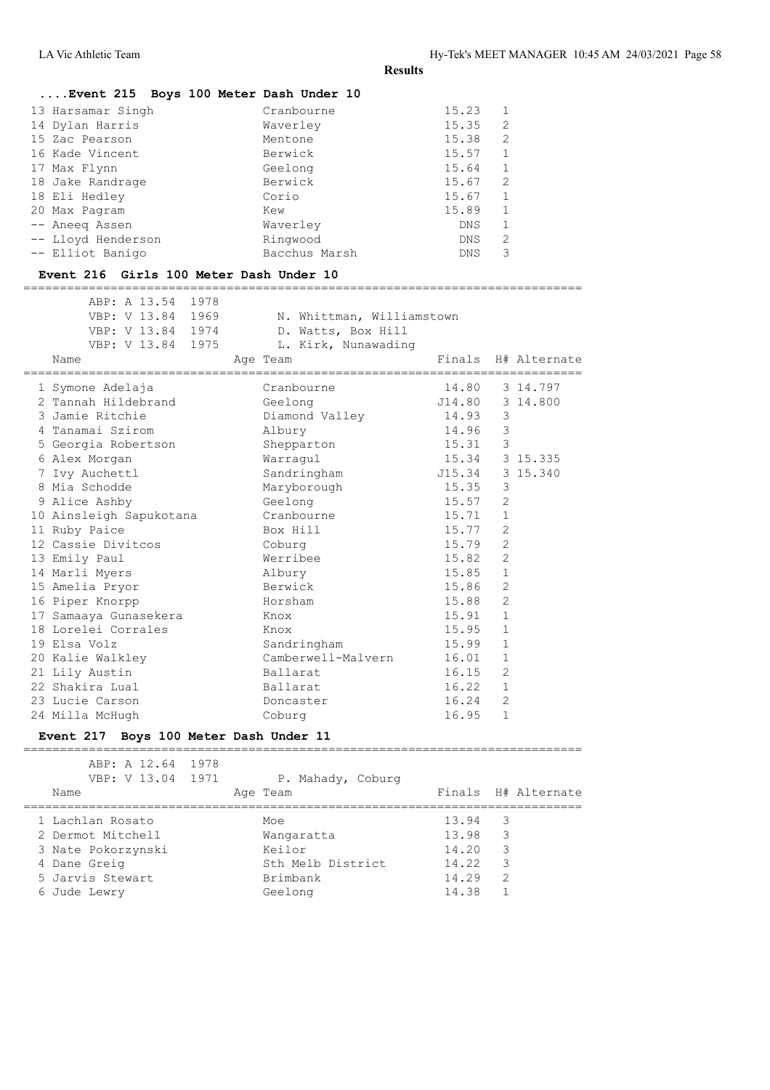| Event 215 Boys 100 Meter Dash Under 10                     |                           |                |                         |                     |
|------------------------------------------------------------|---------------------------|----------------|-------------------------|---------------------|
| 13 Harsamar Singh                                          | Cranbourne                | 15.23          | 1                       |                     |
| 14 Dylan Harris                                            | Waverley                  | 15.35          | 2                       |                     |
| 15 Zac Pearson                                             | Mentone                   | 15.38          | $\mathfrak{L}$          |                     |
| 16 Kade Vincent                                            | Berwick                   | 15.57          | $\mathbf{1}$            |                     |
| 17 Max Flynn                                               | Geelong                   | 15.64          | $\mathbf{1}$            |                     |
| 18 Jake Randrage                                           | Berwick                   | 15.67          | 2                       |                     |
| 18 Eli Hedley                                              | Corio                     | 15.67          | $\mathbf{1}$            |                     |
| 20 Max Pagram                                              | Kew                       | 15.89          | $\mathbf{1}$            |                     |
| -- Aneeq Assen                                             | Waverley                  | DNS            | 1                       |                     |
| -- Lloyd Henderson                                         | Ringwood                  | DNS            | 2                       |                     |
| -- Elliot Banigo                                           | Bacchus Marsh             | DNS            | 3                       |                     |
| Event 216 Girls 100 Meter Dash Under 10                    |                           |                |                         |                     |
| -------------------------------------<br>ABP: A 13.54 1978 |                           |                |                         |                     |
| VBP: V 13.84 1969                                          | N. Whittman, Williamstown |                |                         |                     |
| VBP: V 13.84 1974                                          | D. Watts, Box Hill        |                |                         |                     |
| VBP: V 13.84 1975                                          | L. Kirk, Nunawading       |                |                         |                     |
| Name                                                       | Age Team                  |                |                         | Finals H# Alternate |
| 1 Symone Adelaja                                           | Cranbourne                | 14.80          |                         | 3 14.797            |
| 2 Tannah Hildebrand                                        | Geelong                   |                |                         | 3 14.800            |
| 3 Jamie Ritchie                                            | Diamond Valley            | 314.93         | 3                       |                     |
| 4 Tanamai Szirom                                           | Albury                    | 14.96          | $\overline{\mathbf{3}}$ |                     |
| 5 Georgia Robertson                                        | Shepparton                | 15.31          | $\overline{\mathbf{3}}$ |                     |
| 6 Alex Morgan                                              | Warraqul                  | 15.34 3 15.335 |                         |                     |
| 7 Ivy Auchettl                                             | Sandringham               | J15.34         |                         | 3 15.340            |
| 8 Mia Schodde                                              | Maryborough               | 15.35          | 3                       |                     |
| 9 Alice Ashby                                              | Geelong                   | 15.57          | 2                       |                     |
| 10 Ainsleigh Sapukotana                                    | Cranbourne                | 15.71          | $\mathbf{1}$            |                     |
| 11 Ruby Paice                                              | Box Hill                  | 15.77          | 2                       |                     |
| 12 Cassie Divitcos                                         | Coburg                    | 15.79          | 2                       |                     |
| 13 Emily Paul                                              | Werribee                  | 15.82          | 2                       |                     |
| 14 Marli Myers                                             | Albury                    | 15.85          | $\mathbf{1}$            |                     |
| 15 Amelia Pryor                                            | Berwick                   | 15.86          | 2                       |                     |
| 16 Piper Knorpp                                            | Horsham                   | 15.88          | 2                       |                     |
| 17 Samaaya Gunasekera                                      | Knox                      | 15.91          | 1                       |                     |
| 18 Lorelei Corrales                                        | Knox                      | 15.95          | 1                       |                     |
| 19 Elsa Volz                                               | Sandringham               | 15.99          | 1                       |                     |
| 20 Kalie Walkley                                           | Camberwell-Malvern        | 16.01          | $\mathbf{1}$            |                     |
| 21 Lily Austin                                             | Ballarat                  | 16.15          | 2                       |                     |
| 22 Shakira Lual                                            | Ballarat                  | 16.22          | 1                       |                     |
| 23 Lucie Carson                                            | Doncaster                 | 16.24          | 2                       |                     |
| 24 Milla McHugh                                            | Coburg                    | 16.95          | 1                       |                     |
|                                                            |                           |                |                         |                     |
| Event 217 Boys 100 Meter Dash Under 11<br>================ |                           |                |                         |                     |
| ABP: A 12.64<br>1978                                       |                           |                |                         |                     |

| VBP: V 13.04 1971<br>Name | P. Mahady, Coburg<br>Age Team |       | Finals H# Alternate |
|---------------------------|-------------------------------|-------|---------------------|
| 1 Lachlan Rosato          | Moe                           | 13.94 | -3                  |
| 2 Dermot Mitchell         | Wangaratta                    | 13.98 | -3                  |
| 3 Nate Pokorzynski        | Keilor                        | 14.20 | -3                  |
| 4 Dane Greig              | Sth Melb District             | 14.22 | -3                  |
| 5 Jarvis Stewart          | Brimbank                      | 14.29 | -2                  |
| 6 Jude Lewry              | Geelong                       | 14.38 |                     |
|                           |                               |       |                     |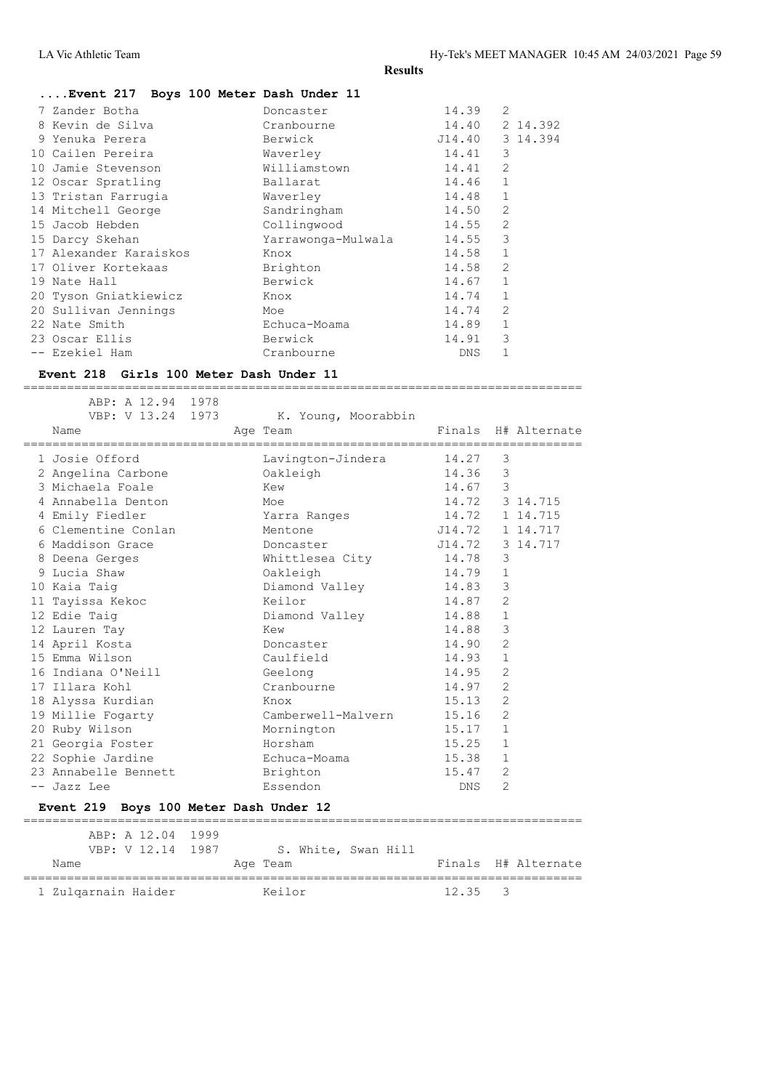| Doncaster    | 14.39                                  | $\overline{2}$     |
|--------------|----------------------------------------|--------------------|
| Cranbourne   | 14.40                                  | 2 14.392           |
| Berwick      | J14.40                                 | 3 14.394           |
| Waverley     | 14.41                                  | 3                  |
| Williamstown | 14.41                                  | $\overline{2}$     |
| Ballarat     | 14.46                                  | $\mathbf{1}$       |
| Waverley     | 14.48                                  | $\mathbf{1}$       |
| Sandringham  | 14.50                                  | $\overline{2}$     |
| Collingwood  | 14.55                                  | $\overline{2}$     |
|              | 14.55                                  | 3                  |
| Knox         | 14.58                                  | $\mathbf{1}$       |
| Brighton     | 14.58                                  | $\mathfrak{D}$     |
| Berwick      | 14.67                                  | $\mathbf{1}$       |
| Knox         | 14.74                                  | $\mathbf{1}$       |
| Moe          | 14.74                                  | 2                  |
| Echuca-Moama | 14.89                                  | $\mathbf{1}$       |
| Berwick      | 14.91                                  | 3                  |
| Cranbourne   | <b>DNS</b>                             |                    |
|              | Event 217 Boys 100 Meter Dash Under 11 | Yarrawonga-Mulwala |

=============================================================================

#### **Event 218 Girls 100 Meter Dash Under 11**

| ABP: A 12.94 1978<br>VBP: V 13.24 1973 | K. Young, Moorabbin   |         |                |                     |
|----------------------------------------|-----------------------|---------|----------------|---------------------|
| Name                                   | Age Team              |         |                | Finals H# Alternate |
| 1 Josie Offord                         | Lavington-Jindera     | 14.27   | 3              |                     |
| 2 Angelina Carbone                     | Oakleigh              | 14.36   | 3              |                     |
| 3 Michaela Foale                       | Kew                   | 14.67 3 |                |                     |
| 4 Annabella Denton                     | Moe                   |         |                | 14.72 3 14.715      |
| 4 Emily Fiedler                        | Yarra Ranges          | 14.72   |                | 1 14.715            |
| 6 Clementine Conlan                    | Mentone               | J14.72  |                | 1 14.717            |
| 6 Maddison Grace                       | Doncaster             | J14.72  |                | 3 14.717            |
| 8 Deena Gerges                         | Whittlesea City 14.78 |         | 3              |                     |
| 9 Lucia Shaw                           | Oakleigh              | 14.79   | $\mathbf{1}$   |                     |
| 10 Kaia Taig                           | Diamond Valley        | 14.83   | $\mathcal{E}$  |                     |
| 11 Tayissa Kekoc                       | Keilor                | 14.87   | $\overline{2}$ |                     |
| 12 Edie Taig                           | Diamond Valley        | 14.88   | $\mathbf{1}$   |                     |
| 12 Lauren Tay                          | Kew                   | 14.88   | 3              |                     |
| 14 April Kosta                         | Doncaster             | 14.90   | $\overline{2}$ |                     |
| 15 Emma Wilson                         | Caulfield             | 14.93   | $\mathbf{1}$   |                     |
| 16 Indiana O'Neill                     | Geelong               | 14.95   | $\overline{2}$ |                     |
| 17 Illara Kohl                         | Cranbourne            | 14.97   | 2              |                     |
| 18 Alyssa Kurdian                      | Knox                  | 15.13   | 2              |                     |
| 19 Millie Fogarty                      | Camberwell-Malvern    | 15.16   | $\overline{2}$ |                     |
| 20 Ruby Wilson                         | Mornington            | 15.17   | $\mathbf{1}$   |                     |
| 21 Georgia Foster                      | Horsham               | 15.25   | $\mathbf{1}$   |                     |
| 22 Sophie Jardine                      | Echuca-Moama          | 15.38   | $\mathbf{1}$   |                     |
| 23 Annabelle Bennett                   | Brighton              | 15.47   | 2              |                     |
| -- Jazz Lee                            | Essendon              | DNS     | $\overline{2}$ |                     |
| Event 219 Boys 100 Meter Dash Under 12 |                       |         |                |                     |
| ARP · A 12 04 1999                     |                       |         |                |                     |

| ABP: A 12.04 1999<br>VBP: V 12.14 1987 | S. White, Swan Hill |                 |                     |
|----------------------------------------|---------------------|-----------------|---------------------|
| Name                                   | Age Team            |                 | Finals H# Alternate |
| 1 Zulgarnain Haider                    | Keilor              | $12.35 \quad 3$ |                     |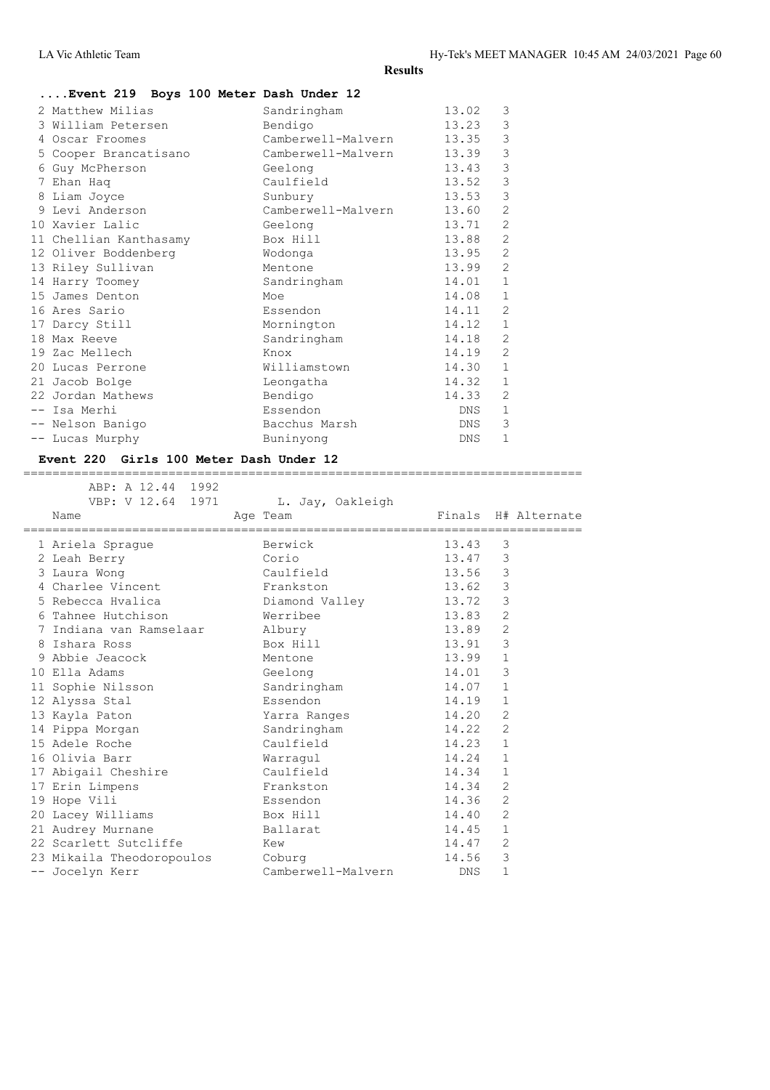# **....Event 219 Boys 100 Meter Dash Under 12**

|   | 2 Matthew Milias       | Sandringham        | 13.02      | 3              |
|---|------------------------|--------------------|------------|----------------|
|   | 3 William Petersen     | Bendigo            | 13.23      | 3              |
|   | 4 Oscar Froomes        | Camberwell-Malvern | 13.35      | $\mathsf 3$    |
|   | 5 Cooper Brancatisano  | Camberwell-Malvern | 13.39      | $\mathsf 3$    |
| 6 | Guy McPherson          | Geelong            | 13.43      | 3              |
|   | 7 Ehan Haq             | Caulfield          | 13.52      | $\mathfrak{Z}$ |
| 8 | Liam Joyce             | Sunbury            | 13.53      | $\mathsf 3$    |
|   | 9 Levi Anderson        | Camberwell-Malvern | 13.60      | $\overline{2}$ |
|   | 10 Xavier Lalic        | Geelong            | 13.71      | 2              |
|   | 11 Chellian Kanthasamy | Box Hill           | 13.88      | 2              |
|   | 12 Oliver Boddenberg   | Wodonga            | 13.95      | 2              |
|   | 13 Riley Sullivan      | Mentone            | 13.99      | 2              |
|   | 14 Harry Toomey        | Sandringham        | 14.01      | $\mathbf{1}$   |
|   | 15 James Denton        | Moe                | 14.08      | $\mathbf{1}$   |
|   | 16 Ares Sario          | Essendon           | 14.11      | $\overline{2}$ |
|   | 17 Darcy Still         | Mornington         | 14.12      | $\mathbf{1}$   |
|   | 18 Max Reeve           | Sandringham        | 14.18      | $\overline{2}$ |
|   | 19 Zac Mellech         | Knox               | 14.19      | $\overline{2}$ |
|   | 20 Lucas Perrone       | Williamstown       | 14.30      | $\mathbf{1}$   |
|   | 21 Jacob Bolge         | Leongatha          | 14.32      | $\mathbf{1}$   |
|   | 22 Jordan Mathews      | Bendigo            | 14.33      | $\overline{2}$ |
|   | -- Isa Merhi           | Essendon           | DNS        | $\mathbf 1$    |
|   | -- Nelson Banigo       | Bacchus Marsh      | DNS        | 3              |
|   | -- Lucas Murphy        | Buninyong          | <b>DNS</b> | 1              |
|   |                        |                    |            |                |

# **Event 220 Girls 100 Meter Dash Under 12**

| ABP: A 12.44 1992<br>VBP: V 12.64 1971<br>Name | L. Jay, Oakleigh<br>Age Team |       | Finals H# Alternate |
|------------------------------------------------|------------------------------|-------|---------------------|
| 1 Ariela Spraque                               | Berwick                      | 13.43 | 3                   |
| 2 Leah Berry                                   | Corio                        | 13.47 | 3                   |
| 3 Laura Wong                                   | Caulfield                    | 13.56 | 3                   |
| 4 Charlee Vincent                              | Frankston                    | 13.62 | $\mathcal{E}$       |
| 5 Rebecca Hvalica                              | Diamond Valley               | 13.72 | 3                   |
| 6 Tahnee Hutchison                             | Werribee                     | 13.83 | 2                   |
| 7 Indiana van Ramselaar                        | Albury                       | 13.89 | 2                   |
| 8 Ishara Ross                                  | Box Hill                     | 13.91 | 3                   |
| 9 Abbie Jeacock                                | Mentone                      | 13.99 | $\mathbf{1}$        |
| 10 Ella Adams                                  | Geelong                      | 14.01 | 3                   |
| 11 Sophie Nilsson                              | Sandringham                  | 14.07 | $\mathbf{1}$        |
| 12 Alyssa Stal                                 | Essendon                     | 14.19 | $\mathbf{1}$        |
| 13 Kayla Paton                                 | Yarra Ranqes                 | 14.20 | 2                   |
| 14 Pippa Morgan                                | Sandringham                  | 14.22 | $\overline{2}$      |
| 15 Adele Roche                                 | Caulfield                    | 14.23 | $\mathbf{1}$        |
| 16 Olivia Barr                                 | Warraqul                     | 14.24 | $\mathbf{1}$        |
| 17 Abigail Cheshire                            | Caulfield                    | 14.34 | 1                   |
| 17 Erin Limpens                                | Frankston                    | 14.34 | 2                   |
| 19 Hope Vili                                   | Essendon                     | 14.36 | 2                   |
| 20 Lacey Williams                              | Box Hill                     | 14.40 | $\overline{2}$      |
| 21 Audrey Murnane                              | Ballarat                     | 14.45 | $\mathbf{1}$        |
| 22 Scarlett Sutcliffe                          | Kew                          | 14.47 | 2                   |
| 23 Mikaila Theodoropoulos                      | Coburg                       | 14.56 | 3                   |
| -- Jocelyn Kerr                                | Camberwell-Malvern           | DNS   | 1                   |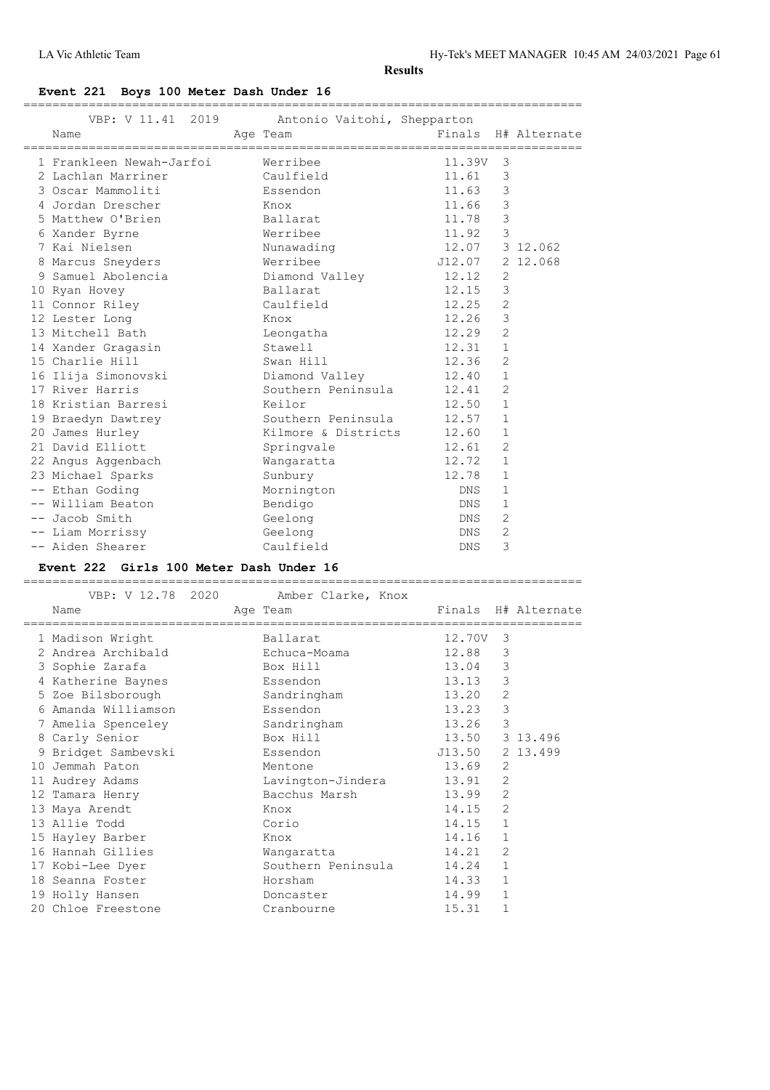# **Event 221 Boys 100 Meter Dash Under 16**

|  | VBP: V 11.41 2019 Antonio Vaitohi, Shepparton<br>Age Team<br>Name |                          |                |                | Finals H# Alternate |
|--|-------------------------------------------------------------------|--------------------------|----------------|----------------|---------------------|
|  | 1 Frankleen Newah-Jarfoi Merribee                                 |                          | 11.39V 3       |                |                     |
|  | 2 Lachlan Marriner                                                | Caulfield                | 11.61          | 3              |                     |
|  | 3 Oscar Mammoliti                                                 | Essendon                 | 11.63          | 3              |                     |
|  | 4 Jordan Drescher                                                 | Knox                     | 11.66          | 3              |                     |
|  | 5 Matthew O'Brien                                                 | Ballarat                 | 11.78          | 3              |                     |
|  | 6 Xander Byrne                                                    | Werribee                 | 11.92          | $\mathbf{3}$   |                     |
|  | 7 Kai Nielsen                                                     | Nunawading               | 12.07 3 12.062 |                |                     |
|  | 8 Marcus Sneyders                                                 | Werribee                 | J12.07         |                | 2 12.068            |
|  | 9 Samuel Abolencia                                                | Diamond Valley 12.12     |                | 2              |                     |
|  | 10 Ryan Hovey                                                     | Ballarat                 | 12.15          | 3              |                     |
|  | 11 Connor Riley                                                   | Caulfield                | 12.25          | 2              |                     |
|  | 12 Lester Long                                                    | Knox                     | 12.26          | 3              |                     |
|  | 13 Mitchell Bath                                                  | Leongatha                | 12.29          | 2              |                     |
|  | 14 Xander Gragasin                                                | Stawell                  | 12.31          | $\mathbf{1}$   |                     |
|  | 15 Charlie Hill                                                   | Swan Hill                | 12.36          | 2              |                     |
|  | 16 Ilija Simonovski                                               | Diamond Valley 12.40     |                | $\mathbf{1}$   |                     |
|  | 17 River Harris                                                   | Southern Peninsula 12.41 |                | 2              |                     |
|  | 18 Kristian Barresi                                               | Keilor                   | 12.50          | $\mathbf{1}$   |                     |
|  | 19 Braedyn Dawtrey                                                | Southern Peninsula 12.57 |                | $\mathbf{1}$   |                     |
|  | 20 James Hurley                                                   | Kilmore & Districts      | 12.60          | $\mathbf{1}$   |                     |
|  | 21 David Elliott                                                  | Springvale               | 12.61          | 2              |                     |
|  | 22 Angus Aggenbach                                                | Wangaratta               | 12.72          | $\mathbf{1}$   |                     |
|  | 23 Michael Sparks                                                 | Sunbury                  | 12.78          | $\mathbf{1}$   |                     |
|  | -- Ethan Goding                                                   | Mornington               | DNS            | $\mathbf{1}$   |                     |
|  | -- William Beaton                                                 | Bendigo                  | DNS            | $\mathbf{1}$   |                     |
|  | -- Jacob Smith                                                    | Geelong                  | DNS            | 2              |                     |
|  | -- Liam Morrissy                                                  | Geelong                  | DNS            | $\overline{2}$ |                     |
|  | -- Aiden Shearer                                                  | Caulfield                | <b>DNS</b>     | 3              |                     |
|  |                                                                   |                          |                |                |                     |

# **Event 222 Girls 100 Meter Dash Under 16**

| VBP: V 12.78 2020<br>Name | Amber Clarke, Knox<br>Age Team |          |              | Finals H# Alternate |
|---------------------------|--------------------------------|----------|--------------|---------------------|
|                           |                                |          |              |                     |
| 1 Madison Wright          | Ballarat                       | 12.70V 3 |              |                     |
| 2 Andrea Archibald        | Echuca-Moama                   | 12.88    | 3            |                     |
| 3 Sophie Zarafa           | Box Hill                       | 13.04    | $\mathsf 3$  |                     |
| 4 Katherine Baynes        | Essendon                       | 13.13    | 3            |                     |
| 5 Zoe Bilsborough         | Sandringham                    | 13.20    | 2            |                     |
| 6 Amanda Williamson       | Essendon                       | 13.23    | 3            |                     |
| 7 Amelia Spenceley        | Sandringham                    | 13.26    | 3            |                     |
| 8 Carly Senior            | Box Hill                       | 13.50    |              | 3 13.496            |
| 9 Bridget Sambevski       | Essendon                       | J13.50   |              | 2 13.499            |
| 10 Jemmah Paton           | Mentone                        | 13.69    | 2            |                     |
| 11 Audrey Adams           | Lavington-Jindera              | 13.91    | 2            |                     |
| 12 Tamara Henry           | Bacchus Marsh                  | 13.99    | 2            |                     |
| 13 Maya Arendt            | Knox                           | 14.15    | 2            |                     |
| 13 Allie Todd             | Corio                          | 14.15    | $\mathbf{1}$ |                     |
| 15 Hayley Barber          | Knox                           | 14.16    | $\mathbf{1}$ |                     |
| 16 Hannah Gillies         | Wangaratta                     | 14.21    | 2            |                     |
| 17 Kobi-Lee Dyer          | Southern Peninsula             | 14.24    | $\mathbf{1}$ |                     |
| 18 Seanna Foster          | Horsham                        | 14.33    | $\mathbf{1}$ |                     |
| 19 Holly Hansen           | Doncaster                      | 14.99    | $\mathbf{1}$ |                     |
| 20 Chloe Freestone        | Cranbourne                     | 15.31    | 1            |                     |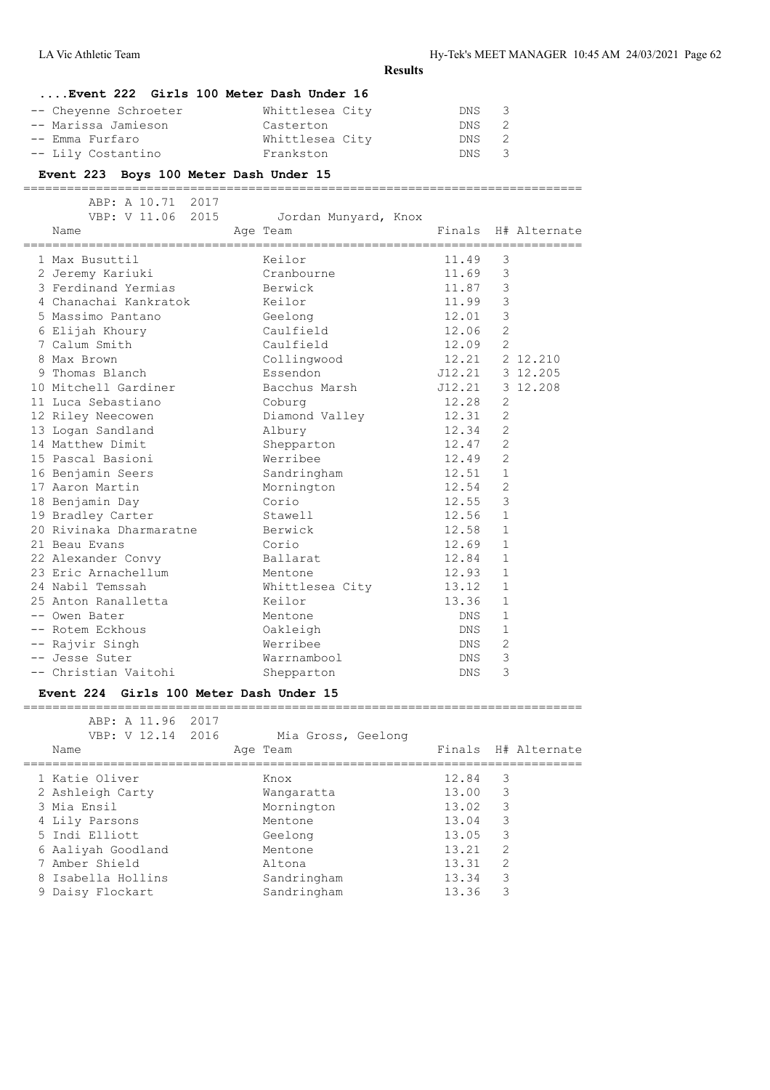### **....Event 222 Girls 100 Meter Dash Under 16**

| -- Cheyenne Schroeter | Whittlesea City | DNS 3 |  |
|-----------------------|-----------------|-------|--|
| -- Marissa Jamieson   | Casterton       | DNS 2 |  |
| -- Emma Furfaro       | Whittlesea City | DNS 2 |  |
| -- Lily Costantino    | Frankston       | DNS 3 |  |

# **Event 223 Boys 100 Meter Dash Under 15**

| ABP: A 10.71 2017       |                      |            |                |                     |
|-------------------------|----------------------|------------|----------------|---------------------|
| VBP: V 11.06 2015       | Jordan Munyard, Knox |            |                |                     |
| Name                    | Age Team             |            |                | Finals H# Alternate |
| 1 Max Busuttil          | Keilor               | 11.49      | 3              |                     |
| 2 Jeremy Kariuki        | Cranbourne           | 11.69      | 3              |                     |
| 3 Ferdinand Yermias     | Berwick              | 11.87      | 3              |                     |
| 4 Chanachai Kankratok   | Keilor               | 11.99      | $\mathcal{S}$  |                     |
| 5 Massimo Pantano       | Geelong              | 12.01      | 3              |                     |
| 6 Elijah Khoury         | Caulfield            | 12.06      | $\overline{2}$ |                     |
| 7 Calum Smith           | Caulfield            | 12.09      | $\overline{2}$ |                     |
| 8 Max Brown             | Collingwood          | 12.21      |                | 2 12.210            |
| 9 Thomas Blanch         | Essendon             | J12.21     |                | 3 12.205            |
| 10 Mitchell Gardiner    | Bacchus Marsh        | J12.21     |                | 3 12.208            |
| 11 Luca Sebastiano      | Coburg               | 12.28      | $\overline{2}$ |                     |
| 12 Riley Neecowen       | Diamond Valley       | 12.31      | $\overline{2}$ |                     |
| 13 Logan Sandland       | Albury               | 12.34      | $\overline{2}$ |                     |
| 14 Matthew Dimit        | Shepparton           | 12.47      | $\overline{2}$ |                     |
| 15 Pascal Basioni       | Werribee             | 12.49      | 2              |                     |
| 16 Benjamin Seers       | Sandringham          | 12.51      | $\mathbf{1}$   |                     |
| 17 Aaron Martin         | Mornington           | 12.54      | 2              |                     |
| 18 Benjamin Day         | Corio                | 12.55      | 3              |                     |
| 19 Bradley Carter       | Stawell              | 12.56      | $\mathbf{1}$   |                     |
| 20 Rivinaka Dharmaratne | Berwick              | 12.58      | $\mathbf 1$    |                     |
| 21 Beau Evans           | Corio                | 12.69      | $\mathbf{1}$   |                     |
| 22 Alexander Convy      | Ballarat             | 12.84      | $\mathbf 1$    |                     |
| 23 Eric Arnachellum     | Mentone              | 12.93      | $\mathbf{1}$   |                     |
| 24 Nabil Temssah        | Whittlesea City      | 13.12      | $\mathbf{1}$   |                     |
| 25 Anton Ranalletta     | Keilor               | 13.36      | $\mathbf{1}$   |                     |
| -- Owen Bater           | Mentone              | DNS        | $\mathbf{1}$   |                     |
| -- Rotem Eckhous        | Oakleigh             | DNS        | $\mathbf{1}$   |                     |
| -- Rajvir Singh         | Werribee             | DNS        | $\overline{2}$ |                     |
| -- Jesse Suter          | Warrnambool          | DNS        | 3              |                     |
| -- Christian Vaitohi    | Shepparton           | <b>DNS</b> | 3              |                     |

#### **Event 224 Girls 100 Meter Dash Under 15**

| ABP: A 11.96 2017<br>VBP: V 12.14 2016 |  | Mia Gross, Geelong |       |   |                     |
|----------------------------------------|--|--------------------|-------|---|---------------------|
| Name                                   |  | Age Team           |       |   | Finals H# Alternate |
| 1 Katie Oliver                         |  | Knox               | 12.84 | 3 |                     |
| 2 Ashleigh Carty                       |  | Wangaratta         | 13.00 | 3 |                     |
| 3 Mia Ensil                            |  | Mornington         | 13.02 | 3 |                     |
| 4 Lily Parsons                         |  | Mentone            | 13.04 | 3 |                     |
| 5 Indi Elliott                         |  | Geelong            | 13.05 | 3 |                     |
| 6 Aaliyah Goodland                     |  | Mentone            | 13.21 | 2 |                     |
| 7 Amber Shield                         |  | Altona             | 13.31 | 2 |                     |
| 8 Isabella Hollins                     |  | Sandringham        | 13.34 | 3 |                     |
| 9 Daisy Flockart                       |  | Sandringham        | 13.36 | 3 |                     |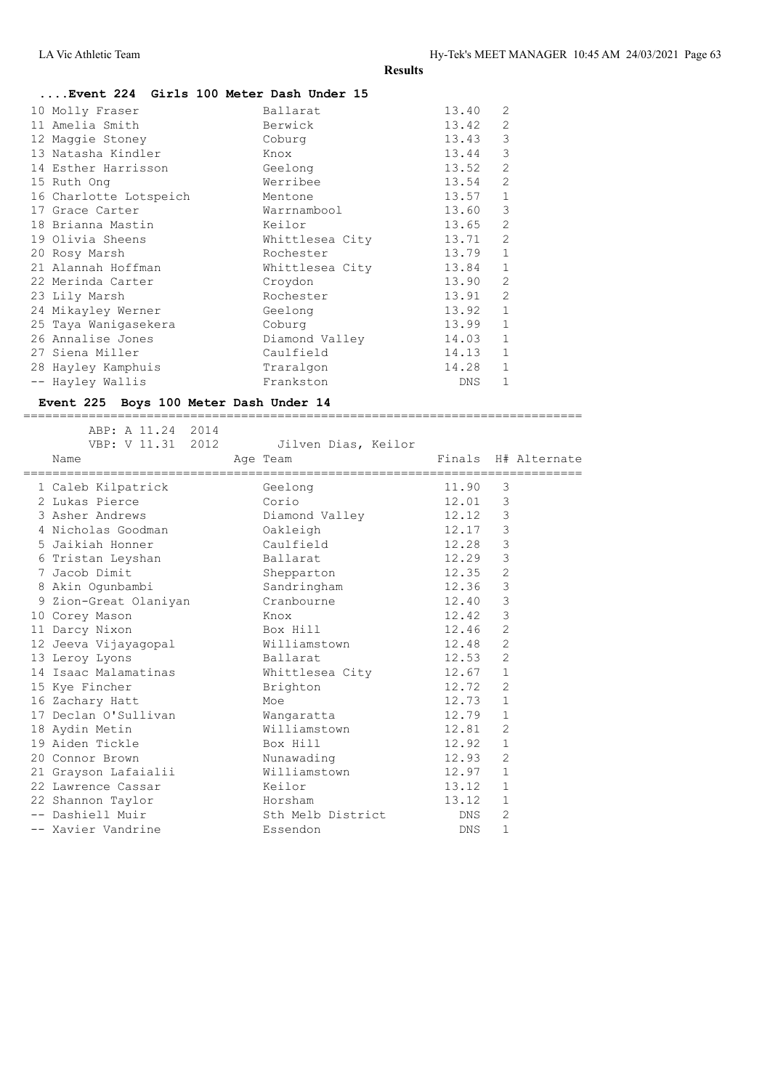#### **....Event 224 Girls 100 Meter Dash Under 15**

| 10 Molly Fraser        | Ballarat        | 13.40 | $\mathfrak{D}$ |
|------------------------|-----------------|-------|----------------|
| 11 Amelia Smith        | Berwick         | 13.42 | 2              |
| 12 Maggie Stoney       | Coburg          | 13.43 | 3              |
| 13 Natasha Kindler     | Knox            | 13.44 | 3              |
| 14 Esther Harrisson    | Geelong         | 13.52 | 2              |
| 15 Ruth Ong            | Werribee        | 13.54 | $\overline{2}$ |
| 16 Charlotte Lotspeich | Mentone         | 13.57 | $\mathbf{1}$   |
| 17 Grace Carter        | Warrnambool     | 13.60 | 3              |
| 18 Brianna Mastin      | Keilor          | 13.65 | $\mathfrak{D}$ |
| 19 Olivia Sheens       | Whittlesea City | 13.71 | 2              |
| 20 Rosy Marsh          | Rochester       | 13.79 | $\mathbf{1}$   |
| 21 Alannah Hoffman     | Whittlesea City | 13.84 | $\mathbf{1}$   |
| 22 Merinda Carter      | Croydon         | 13.90 | $\overline{2}$ |
| 23 Lily Marsh          | Rochester       | 13.91 | $\overline{2}$ |
| 24 Mikayley Werner     | Geelong         | 13.92 | $\mathbf{1}$   |
| 25 Taya Wanigasekera   | Coburg          | 13.99 | $\mathbf{1}$   |
| 26 Annalise Jones      | Diamond Valley  | 14.03 | 1              |
| 27 Siena Miller        | Caulfield       | 14.13 | $\mathbf{1}$   |
| 28 Hayley Kamphuis     | Traralgon       | 14.28 | $\mathbf{1}$   |
| -- Hayley Wallis       | Frankston       | DNS   | $\mathbf{1}$   |

#### **Event 225 Boys 100 Meter Dash Under 14**

 ABP: A 11.24 2014 VBP: V 11.31 2012 Jilven Dias, Keilor Name **Age Team** Age Team Finals H# Alternate ============================================================================= 1 Caleb Kilpatrick Geelong 11.90 3 2 Lukas Pierce Corio 12.01 3 3 Asher Andrews Diamond Valley 12.12 3 4 Nicholas Goodman Oakleigh 12.17 3 5 Jaikiah Honner Caulfield 12.28 3 6 Tristan Leyshan Ballarat 12.29 3 7 Jacob Dimit Shepparton 12.35 2 8 Akin Ogunbambi Sandringham 12.36 3 9 Zion-Great Olaniyan Cranbourne 12.40 3 10 Corey Mason Knox 12.42 3 11 Darcy Nixon Box Hill 12.46 2 12 Jeeva Vijayagopal Williamstown 12.48 2 13 Leroy Lyons **Ballarat** 12.53 2 14 Isaac Malamatinas 6 Mhittlesea City 12.67 1 15 Kye Fincher Brighton 12.72 2 16 Zachary Hatt Moe Moe 12.73 1 17 Declan O'Sullivan Wangaratta 12.79 1 18 Aydin Metin Williamstown 12.81 2 19 Aiden Tickle Box Hill 12.92 1 20 Connor Brown **Nunawading** 12.93 2 21 Grayson Lafaialii Williamstown 12.97 1 22 Lawrence Cassar Keilor 13.12 1 22 Shannon Taylor Horsham 13.12 1 -- Dashiell Muir and Sth Melb District Month 2 -- Xavier Vandrine Essendon DNS 1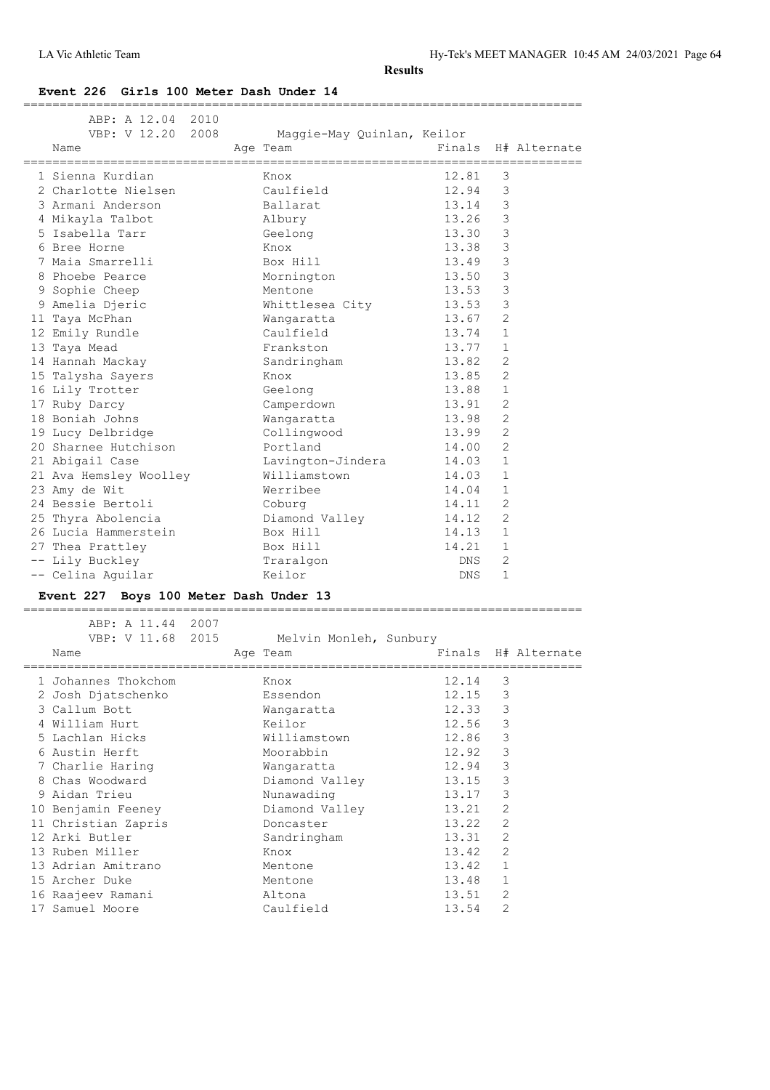### **Event 226 Girls 100 Meter Dash Under 14**

| ABP: A 12.04 2010<br>VBP: V 12.20 2008<br>Name | Maggie-May Quinlan, Keilor<br>Age Team                     |            |                | Finals H# Alternate |
|------------------------------------------------|------------------------------------------------------------|------------|----------------|---------------------|
| 1 Sienna Kurdian                               | Knox                                                       | 12.81      | 3              |                     |
| 2 Charlotte Nielsen                            | Caulfield                                                  | 12.94      | 3              |                     |
| 3 Armani Anderson                              | Ballarat                                                   | 13.14      | 3              |                     |
| 4 Mikayla Talbot                               | Albury                                                     | 13.26      | $\mathcal{S}$  |                     |
| 5 Isabella Tarr                                | Geelong                                                    | 13.30      | $\mathbf{3}$   |                     |
| 6 Bree Horne                                   | Knox                                                       | 13.38      | $\mathcal{S}$  |                     |
| 7 Maia Smarrelli                               | Box Hill                                                   | 13.49      | $\mathfrak{Z}$ |                     |
| 8 Phoebe Pearce                                | Mornington                                                 | 13.50      | $\mathcal{S}$  |                     |
| 9 Sophie Cheep                                 | Mentone                                                    | 13.53      | $\mathcal{E}$  |                     |
| 9 Amelia Djeric                                | Whittlesea City                                            | 13.53      | 3              |                     |
| 11 Taya McPhan                                 | Wangaratta                                                 | 13.67      | 2              |                     |
| 12 Emily Rundle                                | Caulfield                                                  | 13.74      | $\mathbf{1}$   |                     |
| 13 Taya Mead                                   | Frankston                                                  | 13.77      | 1              |                     |
| 14 Hannah Mackay                               | Sandringham                                                | 13.82      | 2              |                     |
| 15 Talysha Sayers                              | Knox                                                       | 13.85      | 2              |                     |
| 16 Lily Trotter                                | Geelong                                                    | 13.88      | $\mathbf{1}$   |                     |
| 17 Ruby Darcy                                  | Camperdown                                                 | 13.91      | $\overline{2}$ |                     |
| 18 Boniah Johns                                | Wangaratta                                                 | 13.98      | 2              |                     |
| 19 Lucy Delbridge                              | Collingwood                                                | 13.99      | $\overline{c}$ |                     |
| 20 Sharnee Hutchison                           | Portland                                                   | 14.00      | 2              |                     |
| 21 Abigail Case                                | Lavington-Jindera                                          | 14.03      | $\mathbf{1}$   |                     |
| 21 Ava Hemsley Woolley                         | Williamstown                                               | 14.03      | $\mathbf{1}$   |                     |
| 23 Amy de Wit                                  | Werribee                                                   | 14.04      | $\mathbf{1}$   |                     |
| 24 Bessie Bertoli                              | Coburg                                                     | 14.11      | 2              |                     |
| 25 Thyra Abolencia                             | Diamond Valley                                             | 14.12      | 2              |                     |
| 26 Lucia Hammerstein                           | Box Hill                                                   | 14.13      | $\mathbf{1}$   |                     |
| 27 Thea Prattley                               | Box Hill                                                   | 14.21      | $\mathbf{1}$   |                     |
| -- Lily Buckley                                | Traralgon                                                  | <b>DNS</b> | 2              |                     |
| -- Celina Aguilar                              | Keilor                                                     | DNS        | $\mathbf{1}$   |                     |
| Event 227 Boys 100 Meter Dash Under 13         |                                                            |            |                |                     |
| ABP: A 11.44 2007<br>VBP: V 11.68 2015<br>Nam≏ | Melvin Monleh, Sunbury<br>Age Team and Finals H# Alternate |            |                |                     |

| Name                | Age Team       |       |                | Finals H# Alternate |
|---------------------|----------------|-------|----------------|---------------------|
| 1 Johannes Thokchom | Knox           | 12.14 | 3              |                     |
| 2 Josh Djatschenko  | Essendon       | 12.15 | 3              |                     |
| 3 Callum Bott       | Wangaratta     | 12.33 | 3              |                     |
| 4 William Hurt      | Keilor         | 12.56 | 3              |                     |
| 5 Lachlan Hicks     | Williamstown   | 12.86 | 3              |                     |
| 6 Austin Herft      | Moorabbin      | 12.92 | 3              |                     |
| 7 Charlie Haring    | Wangaratta     | 12.94 | 3              |                     |
| 8 Chas Woodward     | Diamond Valley | 13.15 | 3              |                     |
| 9 Aidan Trieu       | Nunawading     | 13.17 | 3              |                     |
| 10 Benjamin Feeney  | Diamond Valley | 13.21 | 2              |                     |
| 11 Christian Zapris | Doncaster      | 13.22 | $\overline{2}$ |                     |
| 12 Arki Butler      | Sandringham    | 13.31 | $\overline{2}$ |                     |
| 13 Ruben Miller     | Knox           | 13.42 | $\overline{2}$ |                     |
| 13 Adrian Amitrano  | Mentone        | 13.42 | $\mathbf{1}$   |                     |
| 15 Archer Duke      | Mentone        | 13.48 |                |                     |
| 16 Raajeev Ramani   | Altona         | 13.51 | $\overline{2}$ |                     |
| 17 Samuel Moore     | Caulfield      | 13.54 | $\overline{2}$ |                     |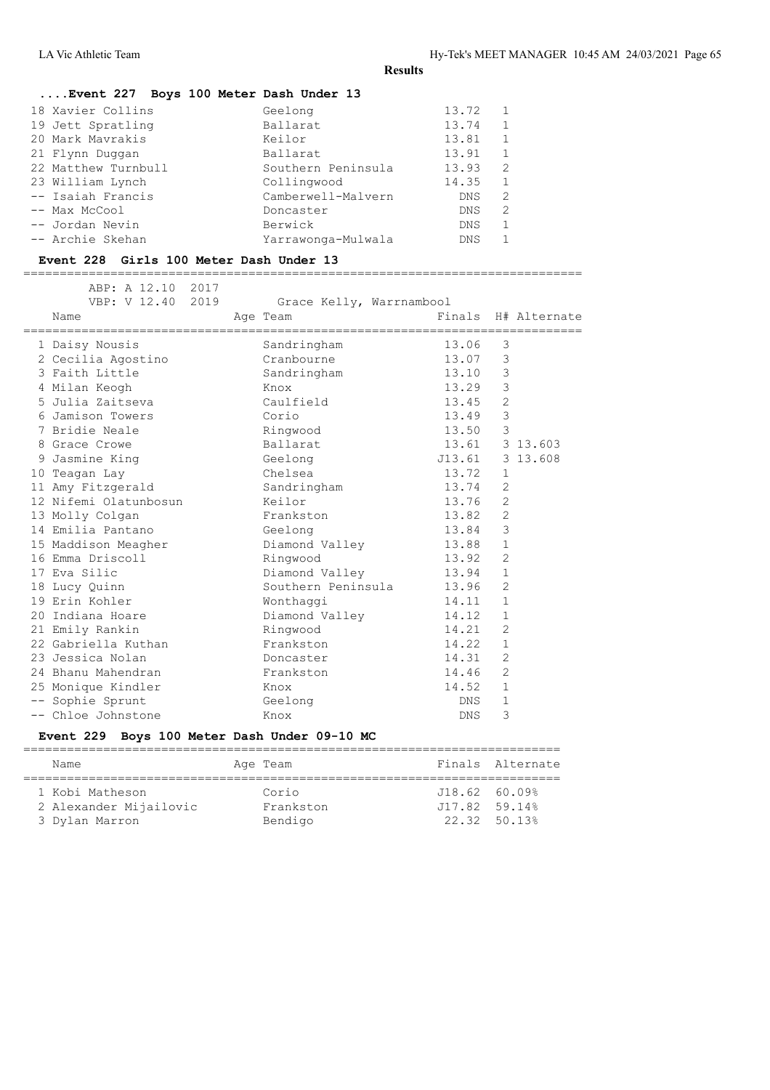# **....Event 227 Boys 100 Meter Dash Under 13**

| Geelong            | 13.72      |   |
|--------------------|------------|---|
| Ballarat           | 13.74      |   |
| Keilor             | 13.81      |   |
| Ballarat           | 13.91      |   |
| Southern Peninsula | 13.93      | 2 |
| Collingwood        | 14.35      |   |
| Camberwell-Malvern | DNS.       | 2 |
| Doncaster          | <b>DNS</b> | 2 |
| Berwick            | <b>DNS</b> |   |
| Yarrawonga-Mulwala | <b>DNS</b> |   |
|                    |            |   |

#### **Event 228 Girls 100 Meter Dash Under 13**

=============================================================================

| ABP: A 12.10 2017 |                                                                                                                                                                                                                                                                                                                                                                                                                                                                                                                                                       |                       |            |                                                |                                                                                                                                                                                                                                                                                                          |
|-------------------|-------------------------------------------------------------------------------------------------------------------------------------------------------------------------------------------------------------------------------------------------------------------------------------------------------------------------------------------------------------------------------------------------------------------------------------------------------------------------------------------------------------------------------------------------------|-----------------------|------------|------------------------------------------------|----------------------------------------------------------------------------------------------------------------------------------------------------------------------------------------------------------------------------------------------------------------------------------------------------------|
|                   |                                                                                                                                                                                                                                                                                                                                                                                                                                                                                                                                                       |                       |            |                                                |                                                                                                                                                                                                                                                                                                          |
|                   |                                                                                                                                                                                                                                                                                                                                                                                                                                                                                                                                                       |                       |            |                                                |                                                                                                                                                                                                                                                                                                          |
|                   |                                                                                                                                                                                                                                                                                                                                                                                                                                                                                                                                                       | Sandringham           | 13.06      | 3                                              |                                                                                                                                                                                                                                                                                                          |
|                   |                                                                                                                                                                                                                                                                                                                                                                                                                                                                                                                                                       | Cranbourne            |            | 3                                              |                                                                                                                                                                                                                                                                                                          |
|                   |                                                                                                                                                                                                                                                                                                                                                                                                                                                                                                                                                       | Sandringham           |            | 3                                              |                                                                                                                                                                                                                                                                                                          |
|                   |                                                                                                                                                                                                                                                                                                                                                                                                                                                                                                                                                       | Knox                  |            | 3                                              |                                                                                                                                                                                                                                                                                                          |
|                   |                                                                                                                                                                                                                                                                                                                                                                                                                                                                                                                                                       | Caulfield             |            | 2                                              |                                                                                                                                                                                                                                                                                                          |
|                   |                                                                                                                                                                                                                                                                                                                                                                                                                                                                                                                                                       | Corio                 |            | $\mathfrak{Z}$                                 |                                                                                                                                                                                                                                                                                                          |
|                   |                                                                                                                                                                                                                                                                                                                                                                                                                                                                                                                                                       | Ringwood              |            | $\overline{3}$                                 |                                                                                                                                                                                                                                                                                                          |
|                   |                                                                                                                                                                                                                                                                                                                                                                                                                                                                                                                                                       | Ballarat              |            |                                                |                                                                                                                                                                                                                                                                                                          |
|                   |                                                                                                                                                                                                                                                                                                                                                                                                                                                                                                                                                       | Geelong               |            |                                                | 3 13.608                                                                                                                                                                                                                                                                                                 |
|                   |                                                                                                                                                                                                                                                                                                                                                                                                                                                                                                                                                       | Chelsea               |            | $\mathbf{1}$                                   |                                                                                                                                                                                                                                                                                                          |
|                   |                                                                                                                                                                                                                                                                                                                                                                                                                                                                                                                                                       | Sandringham           |            | 2                                              |                                                                                                                                                                                                                                                                                                          |
|                   |                                                                                                                                                                                                                                                                                                                                                                                                                                                                                                                                                       | Keilor                |            | 2                                              |                                                                                                                                                                                                                                                                                                          |
|                   |                                                                                                                                                                                                                                                                                                                                                                                                                                                                                                                                                       | Frankston             |            | 2                                              |                                                                                                                                                                                                                                                                                                          |
|                   |                                                                                                                                                                                                                                                                                                                                                                                                                                                                                                                                                       | Geelong               |            | 3                                              |                                                                                                                                                                                                                                                                                                          |
|                   |                                                                                                                                                                                                                                                                                                                                                                                                                                                                                                                                                       | Diamond Valley        |            | $\mathbf{1}$                                   |                                                                                                                                                                                                                                                                                                          |
|                   |                                                                                                                                                                                                                                                                                                                                                                                                                                                                                                                                                       | Ringwood              |            | 2                                              |                                                                                                                                                                                                                                                                                                          |
|                   |                                                                                                                                                                                                                                                                                                                                                                                                                                                                                                                                                       |                       |            | $\mathbf{1}$                                   |                                                                                                                                                                                                                                                                                                          |
|                   |                                                                                                                                                                                                                                                                                                                                                                                                                                                                                                                                                       |                       |            | 2                                              |                                                                                                                                                                                                                                                                                                          |
|                   |                                                                                                                                                                                                                                                                                                                                                                                                                                                                                                                                                       | Wonthaggi             |            | $\mathbf{1}$                                   |                                                                                                                                                                                                                                                                                                          |
|                   |                                                                                                                                                                                                                                                                                                                                                                                                                                                                                                                                                       | Diamond Valley        |            | $\mathbf{1}$                                   |                                                                                                                                                                                                                                                                                                          |
|                   |                                                                                                                                                                                                                                                                                                                                                                                                                                                                                                                                                       | Ringwood              |            | 2                                              |                                                                                                                                                                                                                                                                                                          |
|                   |                                                                                                                                                                                                                                                                                                                                                                                                                                                                                                                                                       | Frankston             |            | $\mathbf{1}$                                   |                                                                                                                                                                                                                                                                                                          |
|                   |                                                                                                                                                                                                                                                                                                                                                                                                                                                                                                                                                       | Doncaster             |            | 2                                              |                                                                                                                                                                                                                                                                                                          |
|                   |                                                                                                                                                                                                                                                                                                                                                                                                                                                                                                                                                       | Frankston             |            | $\overline{2}$                                 |                                                                                                                                                                                                                                                                                                          |
|                   |                                                                                                                                                                                                                                                                                                                                                                                                                                                                                                                                                       | Knox                  |            | $\mathbf{1}$                                   |                                                                                                                                                                                                                                                                                                          |
|                   |                                                                                                                                                                                                                                                                                                                                                                                                                                                                                                                                                       | Geelong               | DNS        | $\mathbf{1}$                                   |                                                                                                                                                                                                                                                                                                          |
|                   |                                                                                                                                                                                                                                                                                                                                                                                                                                                                                                                                                       | Knox                  | <b>DNS</b> | 3                                              |                                                                                                                                                                                                                                                                                                          |
|                   | VBP: V 12.40 2019<br>Name<br>1 Daisy Nousis<br>2 Cecilia Agostino<br>3 Faith Little<br>4 Milan Keogh<br>5 Julia Zaitseva<br>6 Jamison Towers<br>7 Bridie Neale<br>8 Grace Crowe<br>9 Jasmine King<br>10 Teagan Lay<br>11 Amy Fitzgerald<br>13 Molly Colgan<br>14 Emilia Pantano<br>15 Maddison Meagher<br>16 Emma Driscoll<br>17 Eva Silic<br>18 Lucy Quinn<br>19 Erin Kohler<br>20 Indiana Hoare<br>21 Emily Rankin<br>22 Gabriella Kuthan<br>23 Jessica Nolan<br>24 Bhanu Mahendran<br>25 Monique Kindler<br>-- Sophie Sprunt<br>-- Chloe Johnstone | 12 Nifemi Olatunbosun | Age Team   | Grace Kelly, Warrnambool<br>Southern Peninsula | Finals H# Alternate<br>================================<br>13.07<br>13.10<br>13.29<br>13.45<br>13.49<br>13.50<br>13.61 3 13.603<br>J13.61<br>13.72<br>13.74<br>13.76<br>13.82<br>13.84<br>13.88<br>13.92<br>Diamond Valley 13.94<br>13.96<br>14.11<br>14.12<br>14.21<br>14.22<br>14.31<br>14.46<br>14.52 |

# **Event 229 Boys 100 Meter Dash Under 09-10 MC**

| Name                                                        | Age Team |                               |                                                  | Finals Alternate |
|-------------------------------------------------------------|----------|-------------------------------|--------------------------------------------------|------------------|
| 1 Kobi Matheson<br>2 Alexander Mijailovic<br>3 Dylan Marron |          | Corio<br>Frankston<br>Bendigo | J18.62 60.09%<br>$J17.82$ 59.14%<br>22.32 50.13% |                  |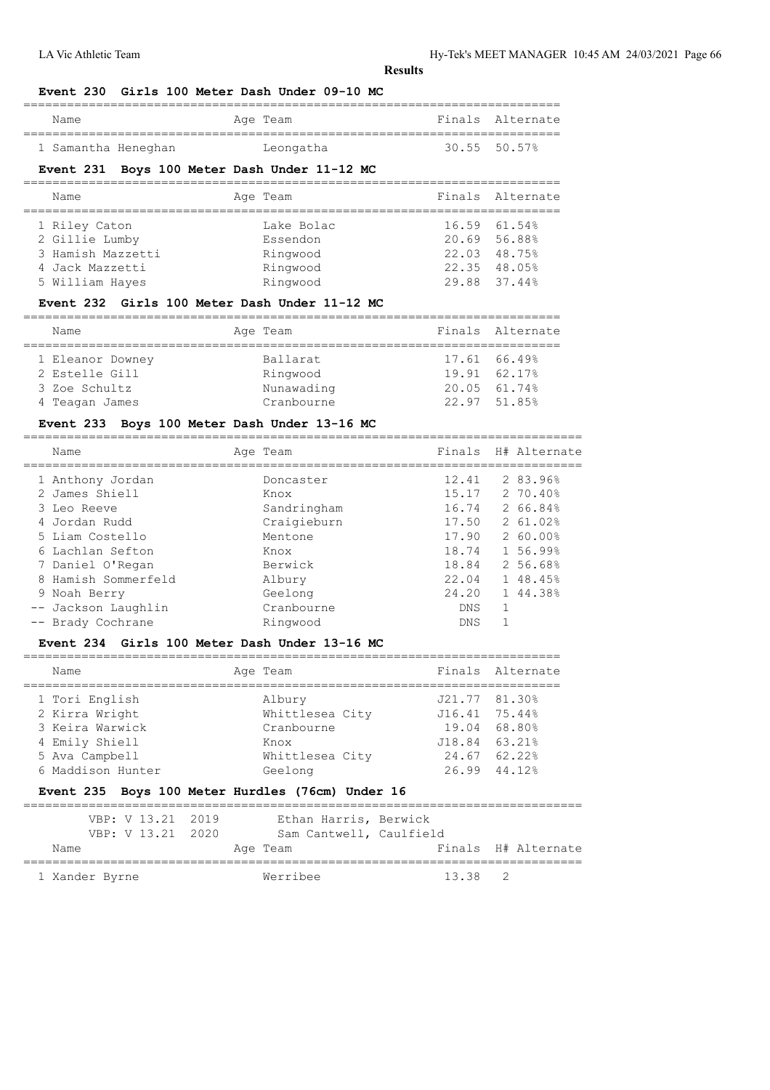LA Vic Athletic Team Hy-Tek's MEET MANAGER 10:45 AM 24/03/2021 Page 66

**Results**

#### **Event 230 Girls 100 Meter Dash Under 09-10 MC**

| Name                | Age Team  | Finals Alternate    |
|---------------------|-----------|---------------------|
| 1 Samantha Heneghan | Leongatha | $30.55$ $50.57$ $%$ |

# **Event 231 Boys 100 Meter Dash Under 11-12 MC**

| Finals Alternate<br>Age Team<br>Name<br>16.59 61.54%<br>1 Riley Caton<br>Lake Bolac<br>2 Gillie Lumby<br>20.69 56.88%<br>Essendon<br>3 Hamish Mazzetti<br>22.03 48.75%<br>Ringwood<br>Ringwood<br>22.35 48.05%<br>4 Jack Mazzetti<br>Ringwood<br>29.88 37.44%<br>5 William Hayes |  |  |  |
|----------------------------------------------------------------------------------------------------------------------------------------------------------------------------------------------------------------------------------------------------------------------------------|--|--|--|
|                                                                                                                                                                                                                                                                                  |  |  |  |
|                                                                                                                                                                                                                                                                                  |  |  |  |

### **Event 232 Girls 100 Meter Dash Under 11-12 MC**

| Name             | Age Team   |              | Finals Alternate |
|------------------|------------|--------------|------------------|
|                  |            |              |                  |
| 1 Eleanor Downey | Ballarat   | 17.61 66.49% |                  |
| 2 Estelle Gill   | Ringwood   | 19.91 62.17% |                  |
| 3 Zoe Schultz    | Nunawading | 20.05 61.74% |                  |
| 4 Teagan James   | Cranbourne | 22.97 51.85% |                  |

### **Event 233 Boys 100 Meter Dash Under 13-16 MC**

|  | Name                                                               | Age Team                                        |                                  | Finals H# Alternate                         |
|--|--------------------------------------------------------------------|-------------------------------------------------|----------------------------------|---------------------------------------------|
|  | 1 Anthony Jordan<br>2 James Shiell<br>3 Leo Reeve<br>4 Jordan Rudd | Doncaster<br>Knox<br>Sandringham<br>Craigieburn | 12.41<br>15.17<br>16.74<br>17.50 | 2 83.96%<br>270.40%<br>2 66.84%<br>2 61.02% |
|  | 5 Liam Costello                                                    | Mentone                                         | 17.90                            | 2 60.00%                                    |
|  | 6 Lachlan Sefton                                                   | Knox                                            | 18.74                            | 1 56.99%                                    |
|  | 7 Daniel O'Regan                                                   | Berwick                                         | 18.84                            | 2 56.68%                                    |
|  | 8 Hamish Sommerfeld                                                | Albury                                          | 22.04                            | 1 48.45%                                    |
|  | 9 Noah Berry                                                       | Geelong                                         | 24.20                            | 1 44.38%                                    |
|  | -- Jackson Laughlin                                                | Cranbourne                                      | DNS.                             |                                             |
|  | -- Brady Cochrane                                                  | Ringwood                                        | <b>DNS</b>                       |                                             |
|  |                                                                    |                                                 |                                  |                                             |

#### **Event 234 Girls 100 Meter Dash Under 13-16 MC**

| Name                             | Age Team                  |                                | Finals Alternate |
|----------------------------------|---------------------------|--------------------------------|------------------|
| 1 Tori English<br>2 Kirra Wright | Albury<br>Whittlesea City | J21.77 81.30%<br>J16.41 75.44% |                  |
| 3 Keira Warwick                  | Cranbourne                | 19.04 68.80%                   |                  |
| 4 Emily Shiell                   | Knox                      | J18.84 63.21%                  |                  |
| 5 Ava Campbell                   | Whittlesea City           | 24.67 62.22%                   |                  |
| 6 Maddison Hunter                | Geelong                   | 26.99 44.12%                   |                  |
|                                  |                           |                                |                  |

#### **Event 235 Boys 100 Meter Hurdles (76cm) Under 16**

|      | VBP: V 13.21 2019 | Ethan Harris, Berwick   |         |                     |
|------|-------------------|-------------------------|---------|---------------------|
|      | VBP: V 13.21 2020 | Sam Cantwell, Caulfield |         |                     |
| Name |                   | Age Team                |         | Finals H# Alternate |
|      |                   | Werribee                | 13.38 2 |                     |
|      | 1 Xander Byrne    |                         |         |                     |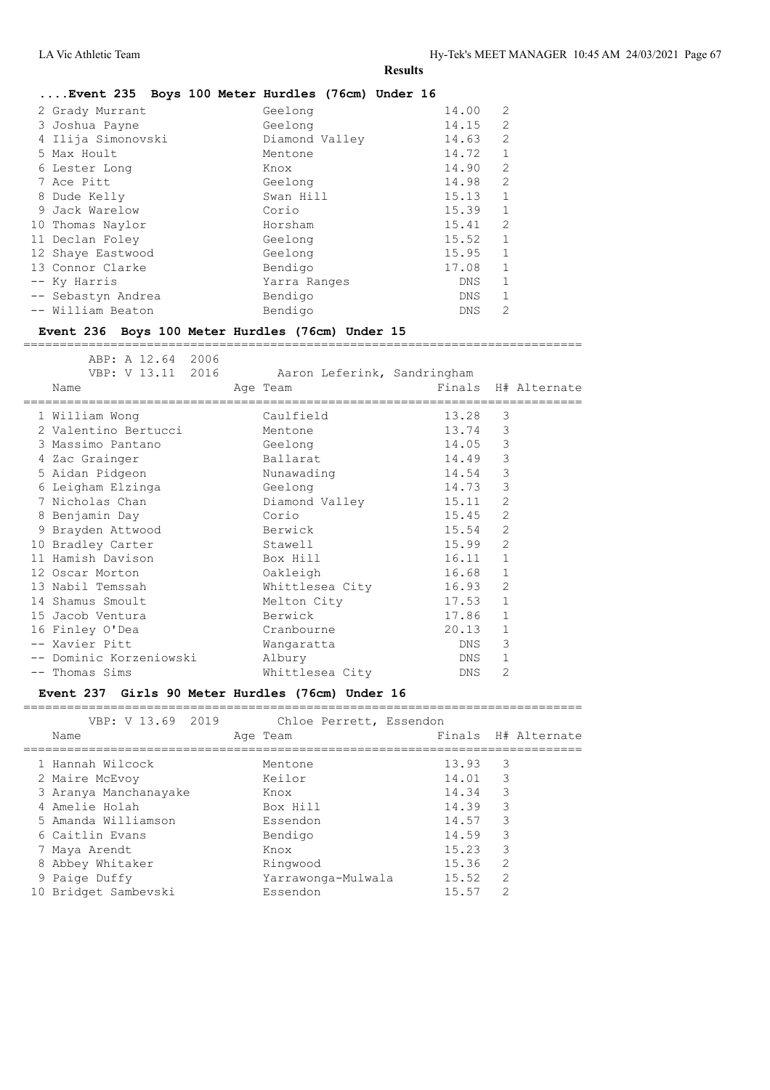| Event 235 Boys 100 Meter Hurdles (76cm) Under 16 |  |                |  |                      |                            |
|--------------------------------------------------|--|----------------|--|----------------------|----------------------------|
| 2 Grady Murrant                                  |  | Geelong        |  | 14.00                | $\overline{2}$             |
| 3 Joshua Payne                                   |  | Geelong        |  | 14.15 2              |                            |
| 4 Ilija Simonovski                               |  | Diamond Valley |  | 14.63                | $\overline{\phantom{0}}^2$ |
|                                                  |  |                |  | $\sim$ $\sim$ $\sim$ |                            |

|  | 5 Max Hoult        | Mentone      | 14.72      | -1             |
|--|--------------------|--------------|------------|----------------|
|  | 6 Lester Long      | Knox         | 14.90      | 2              |
|  | 7 Ace Pitt         | Geelong      | 14.98      | 2              |
|  | 8 Dude Kelly       | Swan Hill    | 15.13      | -1             |
|  | 9 Jack Warelow     | Corio        | 15.39      | 1              |
|  | 10 Thomas Naylor   | Horsham      | 15.41      | $\overline{c}$ |
|  | 11 Declan Foley    | Geelong      | 15.52      | 1              |
|  | 12 Shaye Eastwood  | Geelong      | 15.95      | 1              |
|  | 13 Connor Clarke   | Bendigo      | 17.08      | 1              |
|  | -- Ky Harris       | Yarra Ranges | <b>DNS</b> | 1              |
|  | -- Sebastyn Andrea | Bendigo      | <b>DNS</b> | 1              |
|  | -- William Beaton  | Bendigo      | <b>DNS</b> | 2              |
|  |                    |              |            |                |

### **Event 236 Boys 100 Meter Hurdles (76cm) Under 15**

ABP: A 12.64 2006

|  | VBP: V 13.11 2016 Aaron Leferink, Sandringham<br>Name | Age Team        |                     |              | Finals H# Alternate |
|--|-------------------------------------------------------|-----------------|---------------------|--------------|---------------------|
|  | ===================================                   |                 | =================== |              |                     |
|  | 1 William Wong                                        | Caulfield       | 13.28               | 3            |                     |
|  | 2 Valentino Bertucci Mentone                          |                 | 13.74               | 3            |                     |
|  | 3 Massimo Pantano                                     | Geelong         | 14.05               | 3            |                     |
|  | 4 Zac Grainger                                        | Ballarat        | 14.49               | 3            |                     |
|  | 5 Aidan Pidgeon                                       | Nunawading      | 14.54               | 3            |                     |
|  | 6 Leigham Elzinga                                     | and Geelong     | 14.73               | 3            |                     |
|  | 7 Nicholas Chan                                       | Diamond Valley  | 15.11               | 2            |                     |
|  | 8 Benjamin Day                                        | Corio           | 15.45               | 2            |                     |
|  | 9 Brayden Attwood                                     | Berwick         | 15.54               | 2            |                     |
|  | 10 Bradley Carter                                     | Stawell         | 15.99               | 2            |                     |
|  | 11 Hamish Davison                                     | Box Hill        | 16.11               | $\mathbf{1}$ |                     |
|  | 12 Oscar Morton                                       | Oakleigh        | 16.68               | $\mathbf{1}$ |                     |
|  | 13 Nabil Temssah                                      | Whittlesea City | 16.93               | 2            |                     |
|  | 14 Shamus Smoult                                      | Melton City     | 17.53               | $\mathbf{1}$ |                     |
|  | 15 Jacob Ventura                                      | Berwick         | 17.86               | $\mathbf{1}$ |                     |
|  | 16 Finley O'Dea                                       | Cranbourne      | 20.13               | $\mathbf{1}$ |                     |
|  | -- Xavier Pitt                                        | Wangaratta      | DNS                 | 3            |                     |
|  | -- Dominic Korzeniowski                               | Albury          | DNS                 | $\mathbf{1}$ |                     |
|  | -- Thomas Sims                                        | Whittlesea City | DNS                 | 2            |                     |
|  |                                                       |                 |                     |              |                     |

=============================================================================

#### **Event 237 Girls 90 Meter Hurdles (76cm) Under 16** =============================================================================

| VBP: V 13.69 2019     | Chloe Perrett, Essendon |         |                     |
|-----------------------|-------------------------|---------|---------------------|
| Name                  | Age Team                |         | Finals H# Alternate |
|                       |                         |         |                     |
| 1 Hannah Wilcock      | Mentone                 | 13.93   | 3                   |
| 2 Maire McEvoy        | Keilor                  | 14.01 3 |                     |
| 3 Aranya Manchanayake | Knox                    | 14.34   | 3                   |
| 4 Amelie Holah        | Box Hill                | 14.39   | 3                   |
| 5 Amanda Williamson   | Essendon                | 14.57   | 3                   |
| 6 Caitlin Evans       | Bendigo                 | 14.59   | 3                   |
| 7 Maya Arendt         | Knox                    | 15.23   | 3                   |
| 8 Abbey Whitaker      | Ringwood                | 15.36   | $\overline{2}$      |
| 9 Paige Duffy         | Yarrawonga-Mulwala      | 15.52   | $\mathcal{L}$       |
| 10 Bridget Sambevski  | Essendon                | 15.57   | $\mathcal{D}$       |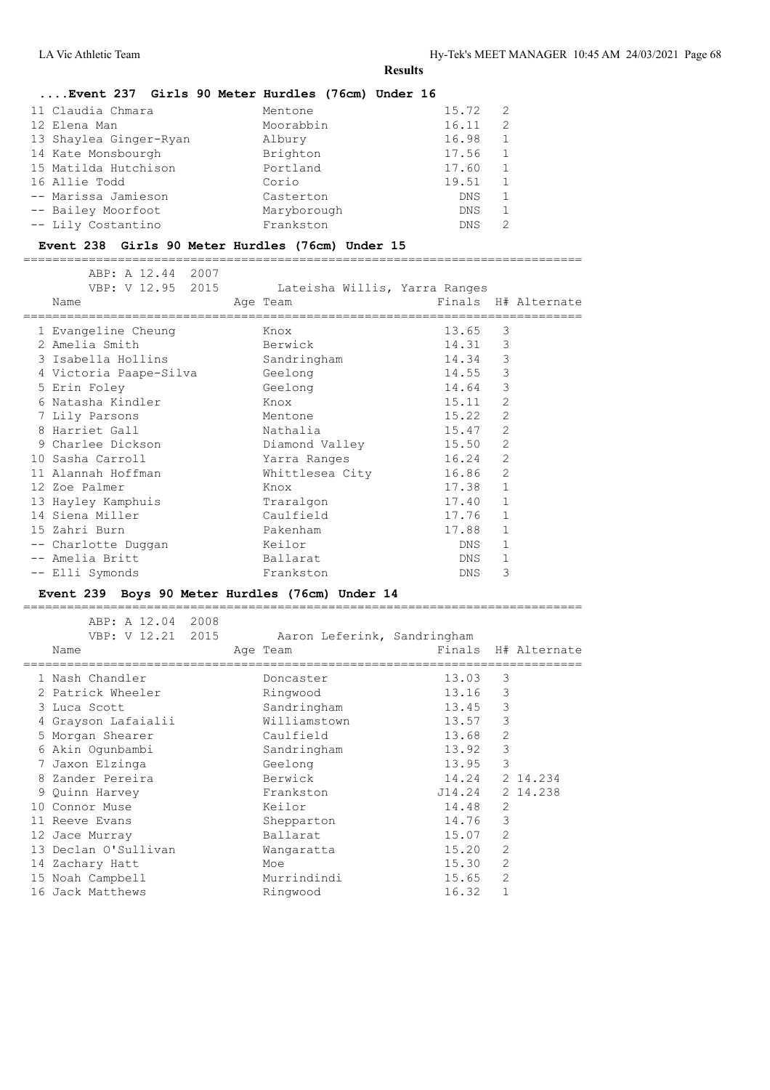# **....Event 237 Girls 90 Meter Hurdles (76cm) Under 16**

| 11 Claudia Chmara      | Mentone     | 15.72      | 2             |
|------------------------|-------------|------------|---------------|
| 12 Elena Man           | Moorabbin   | 16.11      | $\mathcal{L}$ |
| 13 Shaylea Ginger-Ryan | Albury      | 16.98      | $\mathbf{1}$  |
| 14 Kate Monsbourgh     | Brighton    | 17.56      | $\mathbf{1}$  |
| 15 Matilda Hutchison   | Portland    | 17.60      |               |
| 16 Allie Todd          | Corio       | 19.51      |               |
| -- Marissa Jamieson    | Casterton   | <b>DNS</b> |               |
| -- Bailey Moorfoot     | Maryborough | <b>DNS</b> |               |
| -- Lily Costantino     | Frankston   | <b>DNS</b> |               |

#### **Event 238 Girls 90 Meter Hurdles (76cm) Under 15**

=============================================================================

| ABP: A 12.44 2007<br>VBP: V 12.95 2015 | Lateisha Willis, Yarra Ranges |                    |                |                     |
|----------------------------------------|-------------------------------|--------------------|----------------|---------------------|
| Name<br>=================              | Age Team                      | ================== |                | Finals H# Alternate |
| 1 Evangeline Cheung                    | Knox                          | 13.65              | 3              |                     |
| 2 Amelia Smith                         | Berwick                       | 14.31              | 3              |                     |
| 3 Isabella Hollins                     | Sandringham                   | 14.34              | 3              |                     |
| 4 Victoria Paape-Silva                 | Geelong                       | 14.55              | 3              |                     |
| 5 Erin Foley                           | Geelong                       | 14.64              | 3              |                     |
| 6 Natasha Kindler                      | Knox                          | 15.11              | $\overline{2}$ |                     |
| 7 Lily Parsons                         | Mentone                       | 15.22              | $\overline{2}$ |                     |
| 8 Harriet Gall                         | Nathalia                      | 15.47              | $\overline{2}$ |                     |
| 9 Charlee Dickson                      | Diamond Valley                | 15.50              | 2              |                     |
| 10 Sasha Carroll                       | Yarra Ranges                  | 16.24              | $\overline{2}$ |                     |
| 11 Alannah Hoffman                     | Whittlesea City               | 16.86              | 2              |                     |
| 12 Zoe Palmer                          | Knox                          | 17.38              | $\mathbf{1}$   |                     |
| 13 Hayley Kamphuis                     | Traralgon                     | 17.40              | $\mathbf{1}$   |                     |
| 14 Siena Miller                        | Caulfield                     | 17.76              | $\mathbf{1}$   |                     |
| 15 Zahri Burn                          | Pakenham                      | 17.88              | $\mathbf{1}$   |                     |
| -- Charlotte Duggan                    | Keilor                        | DNS                | 1              |                     |
| -- Amelia Britt                        | Ballarat                      | DNS                | $\mathbf{1}$   |                     |
| -- Elli Symonds                        | Frankston                     | DNS                | 3              |                     |

### **Event 239 Boys 90 Meter Hurdles (76cm) Under 14**

|   | ABP: A 12.04<br>VBP: V 12.21 2015<br>Name | 2008 | Aaron Leferink, Sandringham<br>Age Team |        |                | Finals H# Alternate |
|---|-------------------------------------------|------|-----------------------------------------|--------|----------------|---------------------|
|   | 1 Nash Chandler                           |      | Doncaster                               | 13.03  | 3              |                     |
|   | 2 Patrick Wheeler                         |      | Ringwood                                | 13.16  | 3              |                     |
|   | 3 Luca Scott                              |      | Sandringham                             | 13.45  | 3              |                     |
|   | 4 Grayson Lafaialii                       |      | Williamstown                            | 13.57  | 3              |                     |
|   | 5 Morgan Shearer                          |      | Caulfield                               | 13.68  | 2              |                     |
|   | 6 Akin Oqunbambi                          |      | Sandringham                             | 13.92  | 3              |                     |
|   | 7 Jaxon Elzinga                           |      | Geelong                                 | 13.95  | 3              |                     |
| 8 | Zander Pereira                            |      | Berwick                                 | 14.24  |                | 2 14.234            |
|   | 9 Quinn Harvey                            |      | Frankston                               | J14.24 |                | 2 14.238            |
|   | 10 Connor Muse                            |      | Keilor                                  | 14.48  | 2              |                     |
|   | 11 Reeve Evans                            |      | Shepparton                              | 14.76  | 3              |                     |
|   | 12 Jace Murray                            |      | Ballarat                                | 15.07  | 2              |                     |
|   | 13 Declan O'Sullivan                      |      | Wangaratta                              | 15.20  | 2              |                     |
|   | 14 Zachary Hatt                           |      | Moe                                     | 15.30  | 2              |                     |
|   | 15 Noah Campbell                          |      | Murrindindi                             | 15.65  | $\overline{2}$ |                     |
|   | 16 Jack Matthews                          |      | Ringwood                                | 16.32  | $\mathbf{1}$   |                     |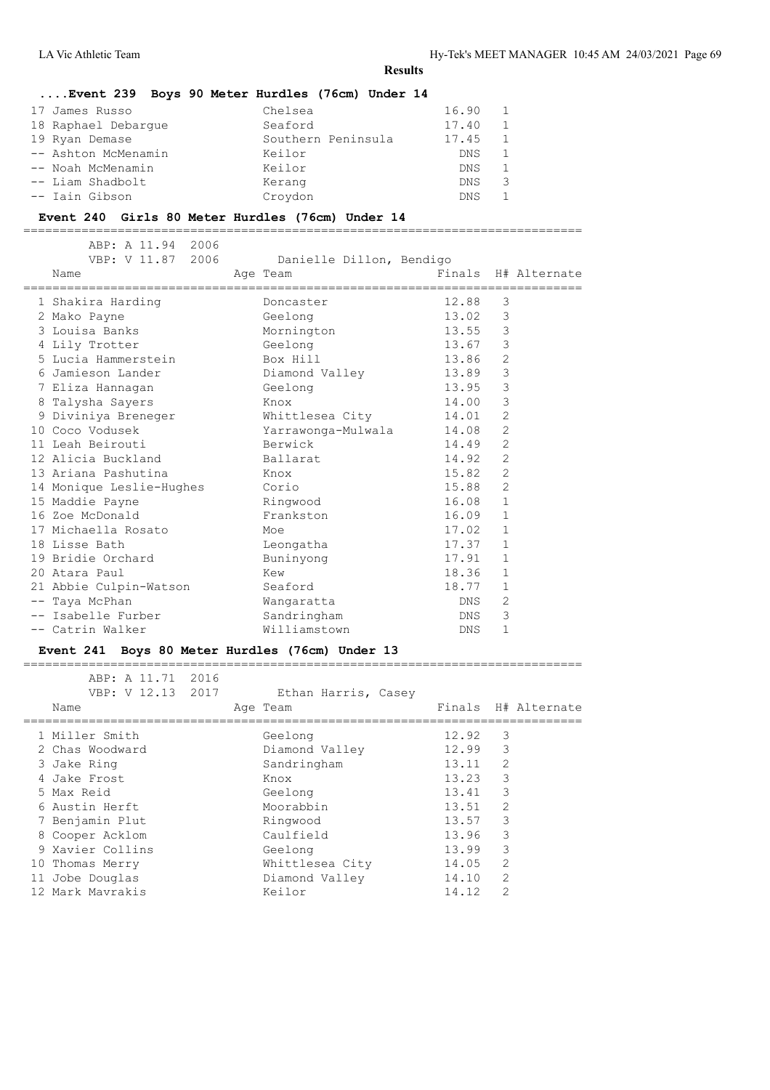#### **....Event 239 Boys 90 Meter Hurdles (76cm) Under 14**

| 17 James Russo      | Chelsea            | 16.90 |    |
|---------------------|--------------------|-------|----|
| 18 Raphael Debarque | Seaford            | 17.40 |    |
| 19 Ryan Demase      | Southern Peninsula | 17.45 |    |
| -- Ashton McMenamin | Keilor             | DNS.  |    |
| -- Noah McMenamin   | Keilor             | DNS.  |    |
| -- Liam Shadbolt    | Kerang             | DNS.  | -3 |
| -- Iain Gibson      | Croydon            | DNS.  |    |

#### **Event 240 Girls 80 Meter Hurdles (76cm) Under 14**

=============================================================================

|  | ABP: A 11.94 2006<br>VBP: V 11.87 2006<br>Name | Danielle Dillon, Bendigo<br>Age Team | Finals H# Alternate |                |  |
|--|------------------------------------------------|--------------------------------------|---------------------|----------------|--|
|  | 1 Shakira Harding                              | Doncaster                            | 12.88               | 3              |  |
|  | 2 Mako Payne                                   | Geelong                              | 13.02               | 3              |  |
|  | 3 Louisa Banks                                 | Mornington                           | 13.55               | $\mathcal{E}$  |  |
|  | 4 Lily Trotter                                 | Geelong                              | 13.67               | 3              |  |
|  | 5 Lucia Hammerstein                            | Box Hill                             | 13.86               | $\overline{2}$ |  |
|  | 6 Jamieson Lander                              | Diamond Valley 13.89                 |                     | 3              |  |
|  | 7 Eliza Hannagan                               | Geelong                              | 13.95               | 3              |  |
|  | 8 Talysha Sayers                               | Knox                                 | 14.00               | 3              |  |
|  | 9 Diviniya Breneger                            | Whittlesea City 14.01                |                     | 2              |  |
|  | 10 Coco Vodusek                                | Yarrawonga-Mulwala 14.08             |                     | 2              |  |
|  | 11 Leah Beirouti                               | Berwick                              | 14.49               | 2              |  |
|  | 12 Alicia Buckland                             | Ballarat                             | 14.92               | 2              |  |
|  | 13 Ariana Pashutina                            | Knox                                 | 15.82               | 2              |  |
|  | 14 Monique Leslie-Hughes                       | Corio                                | 15.88               | $\overline{2}$ |  |
|  | 15 Maddie Payne                                | Ringwood                             | 16.08               | $\mathbf{1}$   |  |
|  | 16 Zoe McDonald                                | Frankston                            | 16.09               | $\mathbf{1}$   |  |
|  | 17 Michaella Rosato                            | Moe                                  | 17.02               | $\mathbf{1}$   |  |
|  | 18 Lisse Bath                                  | Leongatha                            | 17.37               | 1              |  |
|  | 19 Bridie Orchard                              | Buninyong                            | 17.91               | 1              |  |
|  | 20 Atara Paul                                  | Kew                                  | 18.36               | $\mathbf{1}$   |  |
|  | 21 Abbie Culpin-Watson                         | Seaford                              | 18.77               | 1              |  |
|  | -- Taya McPhan                                 | Wangaratta                           | DNS                 | 2              |  |
|  | -- Isabelle Furber                             | Sandringham                          | DNS                 | 3              |  |
|  | -- Catrin Walker                               | Williamstown                         | DNS                 | 1              |  |
|  |                                                |                                      |                     |                |  |

#### **Event 241 Boys 80 Meter Hurdles (76cm) Under 13**

 ABP: A 11.71 2016 VBP: V 12.13 2017 Ethan Harris, Casey Name **Age Team** Age Team Finals H# Alternate ============================================================================= 1 Miller Smith Geelong 12.92 3<br>2 Chas Woodward 12.99 3 2 Chamond Valley 12.99<br>
2 Chandringham 13.11 3 Jake Ring National Sandringham 13.11 2 4 Jake Frost Knox 13.23 3 5 Max Reid Geelong 13.41 3 6 Austin Herft Moorabbin 13.51 2 7 Benjamin Plut Ringwood 13.57 3 8 Cooper Acklom Caulfield 13.96 3 9 Xavier Collins Geelong 13.99 3 10 Thomas Merry Whittlesea City 14.05 2 11 Jobe Douglas Diamond Valley 14.10 2 12 Mark Mavrakis Keilor 14.12 2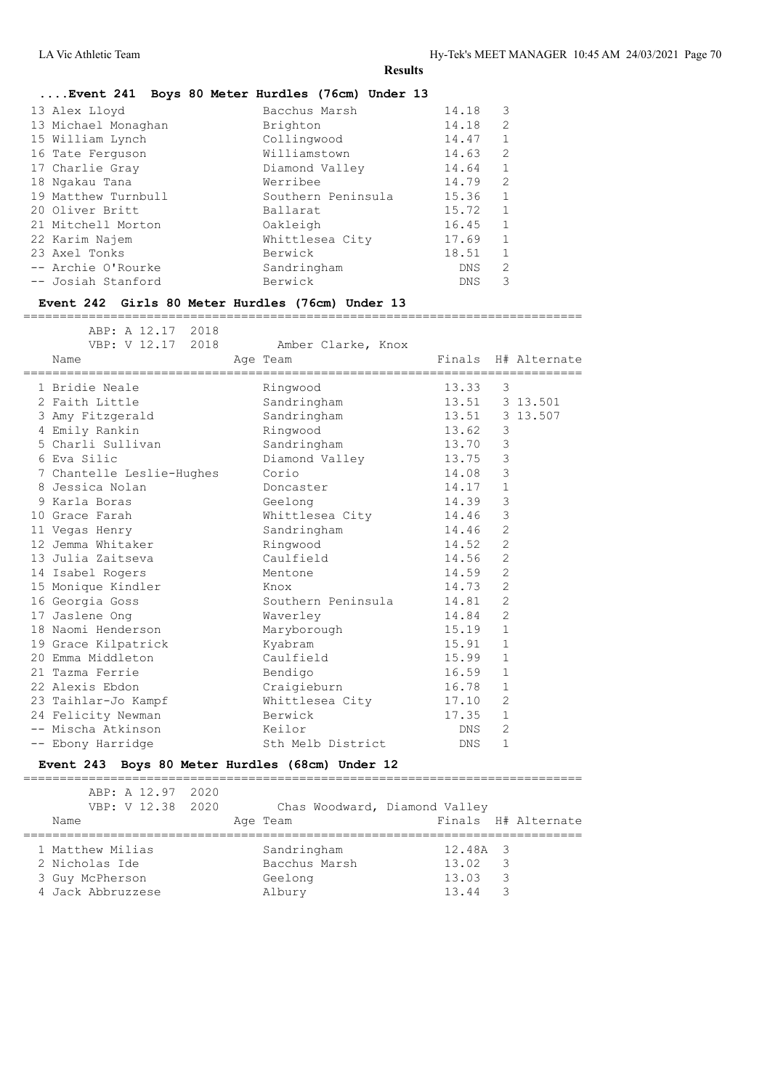# **....Event 241 Boys 80 Meter Hurdles (76cm) Under 13**

| $\mathbf{1}$<br>20 Oliver Britt<br>15.72<br>Ballarat<br>$\mathbf{1}$<br>16.45<br>21 Mitchell Morton<br>Oakleigh<br>1<br>22 Karim Najem<br>17.69<br>Whittlesea City<br>18.51<br>23 Axel Tonks<br>Berwick<br>$\mathfrak{D}$<br>-- Archie O'Rourke<br>Sandringham<br>DNS.<br>Berwick<br>3<br>-- Josiah Stanford<br><b>DNS</b> | 13 Alex Lloyd<br>13 Michael Monaghan<br>15 William Lynch<br>16 Tate Ferquson<br>17 Charlie Gray | Bacchus Marsh<br>Brighton<br>Collingwood<br>Williamstown<br>Diamond Valley<br>Werribee | 14.18<br>14.18<br>14.47<br>14.63<br>14.64<br>14.79 | 3<br>$\overline{2}$<br>1<br>2<br>$\mathbf{1}$<br>$\overline{2}$ |
|----------------------------------------------------------------------------------------------------------------------------------------------------------------------------------------------------------------------------------------------------------------------------------------------------------------------------|-------------------------------------------------------------------------------------------------|----------------------------------------------------------------------------------------|----------------------------------------------------|-----------------------------------------------------------------|
| 18 Ngakau Tana<br>19 Matthew Turnbull<br>1<br>Southern Peninsula<br>15.36                                                                                                                                                                                                                                                  |                                                                                                 |                                                                                        |                                                    |                                                                 |
|                                                                                                                                                                                                                                                                                                                            |                                                                                                 |                                                                                        |                                                    |                                                                 |
|                                                                                                                                                                                                                                                                                                                            |                                                                                                 |                                                                                        |                                                    |                                                                 |
|                                                                                                                                                                                                                                                                                                                            |                                                                                                 |                                                                                        |                                                    |                                                                 |
|                                                                                                                                                                                                                                                                                                                            |                                                                                                 |                                                                                        |                                                    |                                                                 |

#### **Event 242 Girls 80 Meter Hurdles (76cm) Under 13**

=============================================================================

| ABP: A 12.17 2018<br>VBP: V 12.17 2018<br>Name | Amber Clarke, Knox<br>Age Team<br>============================== |       |                | Finals H# Alternate |
|------------------------------------------------|------------------------------------------------------------------|-------|----------------|---------------------|
| 1 Bridie Neale                                 | Ringwood                                                         | 13.33 | 3              |                     |
| 2 Faith Little                                 | Sandringham                                                      |       |                | 13.51 3 13.501      |
| 3 Amy Fitzgerald                               | Sandringham                                                      | 13.51 |                | 3 13.507            |
| 4 Emily Rankin                                 | Ringwood                                                         | 13.62 | 3              |                     |
| 5 Charli Sullivan                              | Sandringham                                                      | 13.70 | $\mathcal{S}$  |                     |
| 6 Eva Silic                                    | Diamond Valley 13.75                                             |       | $\mathcal{S}$  |                     |
| 7 Chantelle Leslie-Hughes                      | Corio                                                            | 14.08 | 3              |                     |
| 8 Jessica Nolan                                | Doncaster                                                        | 14.17 | $\mathbf{1}$   |                     |
| 9 Karla Boras                                  | Geelong                                                          | 14.39 | $\mathsf 3$    |                     |
| 10 Grace Farah                                 | Whittlesea City                                                  | 14.46 | 3              |                     |
| 11 Vegas Henry                                 | Sandringham                                                      | 14.46 | 2              |                     |
| 12 Jemma Whitaker                              | Ringwood                                                         | 14.52 | $\overline{2}$ |                     |
| 13 Julia Zaitseva                              | Caulfield                                                        | 14.56 | 2              |                     |
| 14 Isabel Rogers                               | Mentone                                                          | 14.59 | $\overline{2}$ |                     |
| 15 Monique Kindler                             | Knox                                                             | 14.73 | 2              |                     |
| 16 Georgia Goss                                | Southern Peninsula                                               | 14.81 | $\overline{2}$ |                     |
| 17 Jaslene Ong                                 | Waverley                                                         | 14.84 | 2              |                     |
| 18 Naomi Henderson                             | Maryborough                                                      | 15.19 | $\mathbf{1}$   |                     |
| 19 Grace Kilpatrick                            | Kyabram                                                          | 15.91 | 1              |                     |
| 20 Emma Middleton                              | Caulfield                                                        | 15.99 | $\mathbf{1}$   |                     |
| 21 Tazma Ferrie                                | Bendigo                                                          | 16.59 | $\mathbf{1}$   |                     |
| 22 Alexis Ebdon                                | Craigieburn                                                      | 16.78 | $\mathbf{1}$   |                     |
| 23 Taihlar-Jo Kampf                            | Whittlesea City                                                  | 17.10 | 2              |                     |
| 24 Felicity Newman                             | Berwick                                                          | 17.35 | $\mathbf{1}$   |                     |
| -- Mischa Atkinson                             | Keilor                                                           | DNS   | $\overline{2}$ |                     |
| -- Ebony Harridge                              | Sth Melb District                                                | DNS   | $\mathbf{1}$   |                     |
|                                                |                                                                  |       |                |                     |

#### **Event 243 Boys 80 Meter Hurdles (68cm) Under 12**

============================================================================= ABP: A 12.97 2020 VBP: V 12.38 2020 Chas Woodward, Diamond Valley Name Ream Age Team Reader of Finals H# Alternate

| 1 Matthew Milias  | Sandringham   | $12.48A$ 3 |                         |
|-------------------|---------------|------------|-------------------------|
| 2 Nicholas Ide    | Bacchus Marsh | 13.02      | $\overline{\mathbf{3}}$ |
| 3 Guy McPherson   | Geelong       | 13.03      | - 3                     |
| 4 Jack Abbruzzese | Albury        | 13.44      | $\mathcal{R}$           |
|                   |               |            |                         |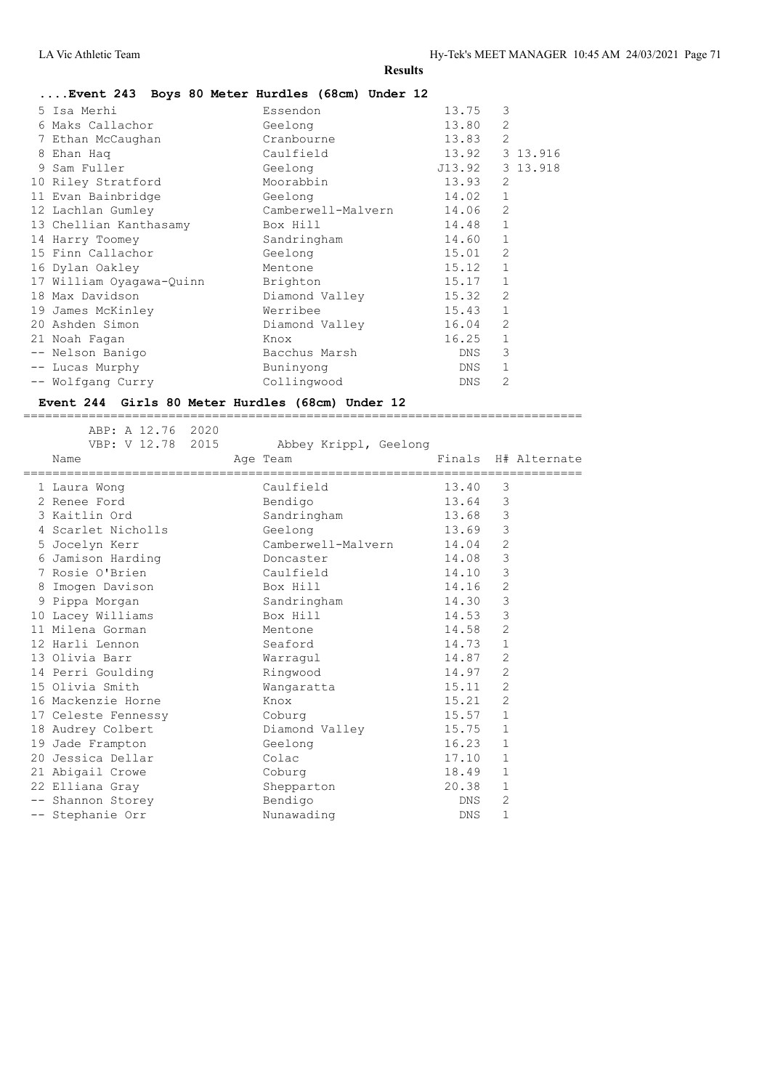#### **....Event 243 Boys 80 Meter Hurdles (68cm) Under 12**

| 5 Isa Merhi              | Essendon           | 13.75      | 3              |          |
|--------------------------|--------------------|------------|----------------|----------|
| Maks Callachor           | Geelong            | 13.80      | $\overline{2}$ |          |
| 7 Ethan McCaughan        | Cranbourne         | 13.83      | $\overline{2}$ |          |
| 8 Ehan Haq               | Caulfield          | 13.92      |                | 3 13.916 |
| 9 Sam Fuller             | Geelong            | J13.92     |                | 3 13.918 |
| 10 Riley Stratford       | Moorabbin          | 13.93      | 2              |          |
| 11 Evan Bainbridge       | Geelong            | 14.02      | $\mathbf{1}$   |          |
| 12 Lachlan Gumley        | Camberwell-Malvern | 14.06      | $\overline{2}$ |          |
| 13 Chellian Kanthasamy   | Box Hill           | 14.48      | $\mathbf{1}$   |          |
| 14 Harry Toomey          | Sandringham        | 14.60      | $\mathbf{1}$   |          |
| 15 Finn Callachor        | Geelong            | 15.01      | $\mathfrak{D}$ |          |
| 16 Dylan Oakley          | Mentone            | 15.12      | $\mathbf{1}$   |          |
| 17 William Oyagawa-Quinn | Brighton           | 15.17      | $\mathbf{1}$   |          |
| 18 Max Davidson          | Diamond Valley     | 15.32      | 2              |          |
| 19 James McKinley        | Werribee           | 15.43      | $\mathbf{1}$   |          |
| 20 Ashden Simon          | Diamond Valley     | 16.04      | $\overline{2}$ |          |
| 21 Noah Fagan            | Knox               | 16.25      | $\mathbf{1}$   |          |
| -- Nelson Banigo         | Bacchus Marsh      | DNS        | 3              |          |
| -- Lucas Murphy          | Buninyong          | DNS        | $\mathbf{1}$   |          |
| -- Wolfgang Curry        | Collingwood        | <b>DNS</b> | 2              |          |
|                          |                    |            |                |          |

=============================================================================

#### **Event 244 Girls 80 Meter Hurdles (68cm) Under 12**

 ABP: A 12.76 2020 VBP: V 12.78 2015 Abbey Krippl, Geelong Name **Age Team** Age Team Finals H# Alternate ============================================================================= 1 Laura Wong Caulfield 13.40 3 2 Renee Ford Bendigo 13.64 3 3 Kaitlin Ord Sandringham 13.68 3 4 Scarlet Nicholls Geelong 13.69 3 5 Jocelyn Kerr Camberwell-Malvern 14.04 2 6 Jamison Harding Doncaster 14.08 3 7 Rosie O'Brien Caulfield 14.10 3 8 Imogen Davison Box Hill 14.16 2 9 Pippa Morgan Sandringham 14.30 3 10 Lacey Williams Box Hill 14.53 3 11 Milena Gorman Mentone 14.58 2 12 Harli Lennon Seaford 14.73 1 13 Olivia Barr Warragul 14.87 2 14 Perri Goulding **14.97 2** Ringwood 14.97 2 15 Olivia Smith Wangaratta 15.11 2 16 Mackenzie Horne Knox 15.21 2 17 Celeste Fennessy Coburg Courg 15.57 1 18 Audrey Colbert Diamond Valley 15.75 1 19 Jade Frampton Geelong Communication of the Second Communication of the Manuscript of the Second Communication of the Second Communication of the Second Communication of the Second Communication of the Second Communicati 20 Jessica Dellar Colac 17.10 1 21 Abigail Crowe Coburg 18.49 1 22 Elliana Gray Shepparton 20.38 1 -- Shannon Storey and Bendigo Bendigo DNS 2 -- Stephanie Orr Munawading Nunawading DNS 1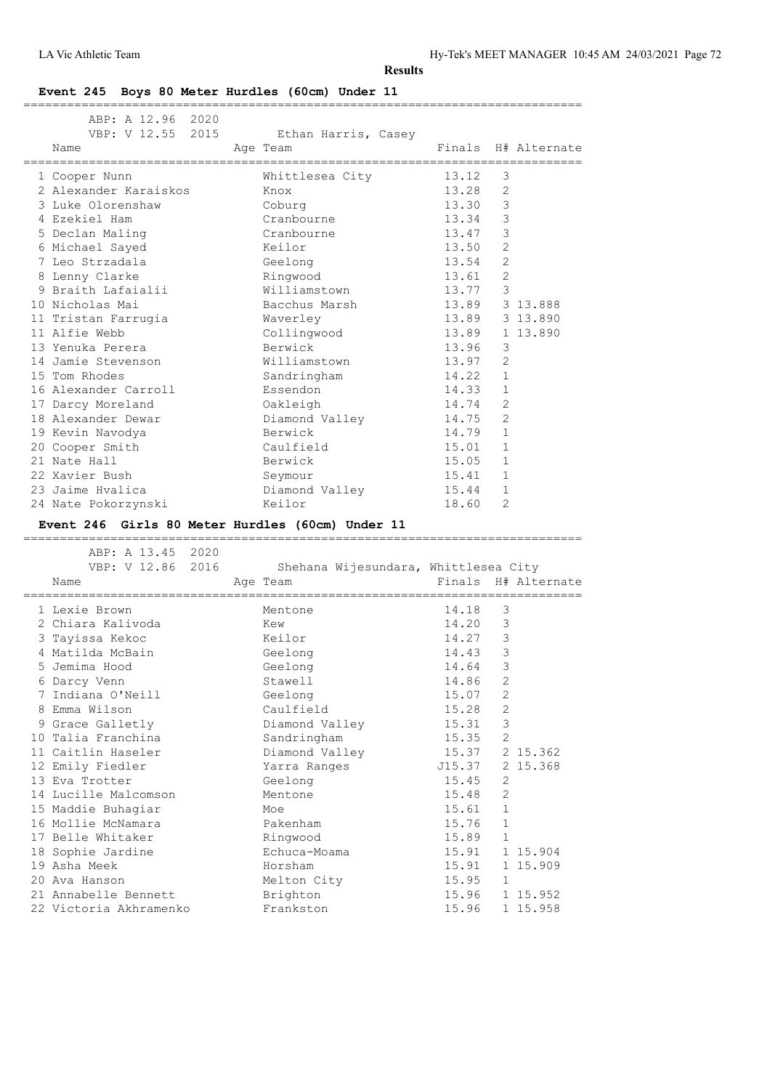| Event 245 Boys 80 Meter Hurdles (60cm) Under 11                                           |                                      |                                         |                     |                     |
|-------------------------------------------------------------------------------------------|--------------------------------------|-----------------------------------------|---------------------|---------------------|
| ABP: A 12.96 2020<br>VBP: V 12.55 2015<br>Name                                            | Ethan Harris, Casey<br>Age Team      |                                         |                     | Finals H# Alternate |
| 1 Cooper Nunn                                                                             | Whittlesea City                      | ,,,,,,,,,,,,,,,,,,,,,,,,,,,,,,<br>13.12 | 3                   |                     |
| 2 Alexander Karaiskos                                                                     | Knox                                 | 13.28                                   | $\overline{2}$      |                     |
| 3 Luke Olorenshaw                                                                         | Coburg                               | 13.30                                   | 3                   |                     |
| 4 Ezekiel Ham                                                                             | Cranbourne                           | 13.34                                   | 3                   |                     |
| 5 Declan Maling                                                                           | Cranbourne                           | 13.47                                   | 3                   |                     |
| 6 Michael Sayed                                                                           | Keilor                               | 13.50                                   | $\overline{2}$      |                     |
| 7 Leo Strzadala                                                                           | Geelong                              | 13.54                                   | 2                   |                     |
| 8 Lenny Clarke                                                                            | Ringwood                             | 13.61                                   | $\overline{2}$      |                     |
| 9 Braith Lafaialii                                                                        | Williamstown                         | 13.77                                   | $\mathcal{E}$       |                     |
| 10 Nicholas Mai                                                                           | Bacchus Marsh                        | 13.89                                   |                     | 3 13.888            |
|                                                                                           |                                      |                                         |                     | 13.89 3 13.890      |
| 11 Tristan Farrugia<br>11 Alfie Webb                                                      | Waverley<br>Collingwood              |                                         |                     |                     |
| 13 Yenuka Perera                                                                          | Berwick                              | 13.96                                   |                     | 13.89 1 13.890      |
|                                                                                           |                                      |                                         | 3<br>$\overline{2}$ |                     |
| 14 Jamie Stevenson                                                                        | Williamstown                         | 13.97<br>14.22                          |                     |                     |
| 15 Tom Rhodes                                                                             | Sandringham                          |                                         | 1                   |                     |
| 16 Alexander Carroll                                                                      | Essendon                             | 14.33                                   | 1                   |                     |
| 17 Darcy Moreland                                                                         | Oakleigh                             | 14.74                                   | $\overline{2}$      |                     |
| 18 Alexander Dewar                                                                        | Diamond Valley                       | 14.75                                   | 2                   |                     |
| 19 Kevin Navodya                                                                          | Berwick                              | 14.79                                   | $\mathbf{1}$        |                     |
| 20 Cooper Smith                                                                           | Caulfield                            | 15.01                                   | $\mathbf{1}$        |                     |
| 21 Nate Hall                                                                              | Berwick                              | 15.05                                   | 1                   |                     |
| 22 Xavier Bush                                                                            | Seymour                              | 15.41                                   | 1                   |                     |
| 23 Jaime Hvalica                                                                          | Diamond Valley                       | 15.44                                   | $\mathbf{1}$        |                     |
| 24 Nate Pokorzynski                                                                       | Keilor                               | 18.60                                   | $\mathfrak{D}$      |                     |
| Event 246 Girls 80 Meter Hurdles (60cm) Under 11<br>_____________________________________ |                                      |                                         |                     |                     |
| ABP: A 13.45 2020                                                                         |                                      |                                         |                     |                     |
| VBP: V 12.86 2016                                                                         | Shehana Wijesundara, Whittlesea City |                                         |                     |                     |
| Name                                                                                      | Age Team                             |                                         |                     | Finals H# Alternate |
| 1 Lexie Brown                                                                             | Mentone                              | 14.18                                   | -3                  |                     |
| 2 Chiara Kalivoda                                                                         | Kew                                  | 14.20                                   | 3                   |                     |
| 3 Tayissa Kekoc                                                                           | Keilor                               | 14.27                                   | 3                   |                     |
| 4 Matilda McBain                                                                          | Geelong                              | 14.43                                   | 3                   |                     |
| 5 Jemima Hood                                                                             | Geelong                              | 14.64                                   | 3                   |                     |
| 6 Darcy Venn                                                                              | Stawell                              | 14.86                                   | $\overline{c}$      |                     |
| 7 Indiana O'Neill                                                                         | Geelong                              | 15.07                                   | $\overline{c}$      |                     |
| 8 Emma Wilson                                                                             | Caulfield                            | 15.28                                   | $\sqrt{2}$          |                     |
| 9 Grace Galletly                                                                          | Diamond Valley                       | 15.31                                   | $\mathsf 3$         |                     |
| 10 Talia Franchina                                                                        | Sandringham                          | 15.35                                   | 2                   |                     |
| 11 Caitlin Haseler                                                                        | Diamond Valley                       | 15.37                                   |                     | 2 15.362            |
| 12 Emily Fiedler                                                                          | Yarra Ranges                         | J15.37                                  |                     | 2 15.368            |
| 13 Eva Trotter                                                                            | Geelong                              | 15.45                                   | 2                   |                     |
| 14 Lucille Malcomson                                                                      | Mentone                              | 15.48                                   | $\sqrt{2}$          |                     |
| 15 Maddie Buhagiar                                                                        | Moe                                  | 15.61                                   | $\mathbf 1$         |                     |
| 16 Mollie McNamara                                                                        | Pakenham                             | 15.76                                   | 1                   |                     |
| 17 Belle Whitaker                                                                         | Ringwood                             | 15.89                                   | $\mathbf 1$         |                     |
|                                                                                           |                                      |                                         |                     |                     |

 18 Sophie Jardine Echuca-Moama 15.91 1 15.904 19 Asha Meek Horsham 15.91 1 15.909

21 Annabelle Bennett and Brighton 15.96 1 15.952 22 Victoria Akhramenko Frankston 15.96 1 15.958

20 Ava Hanson Melton City 15.95 1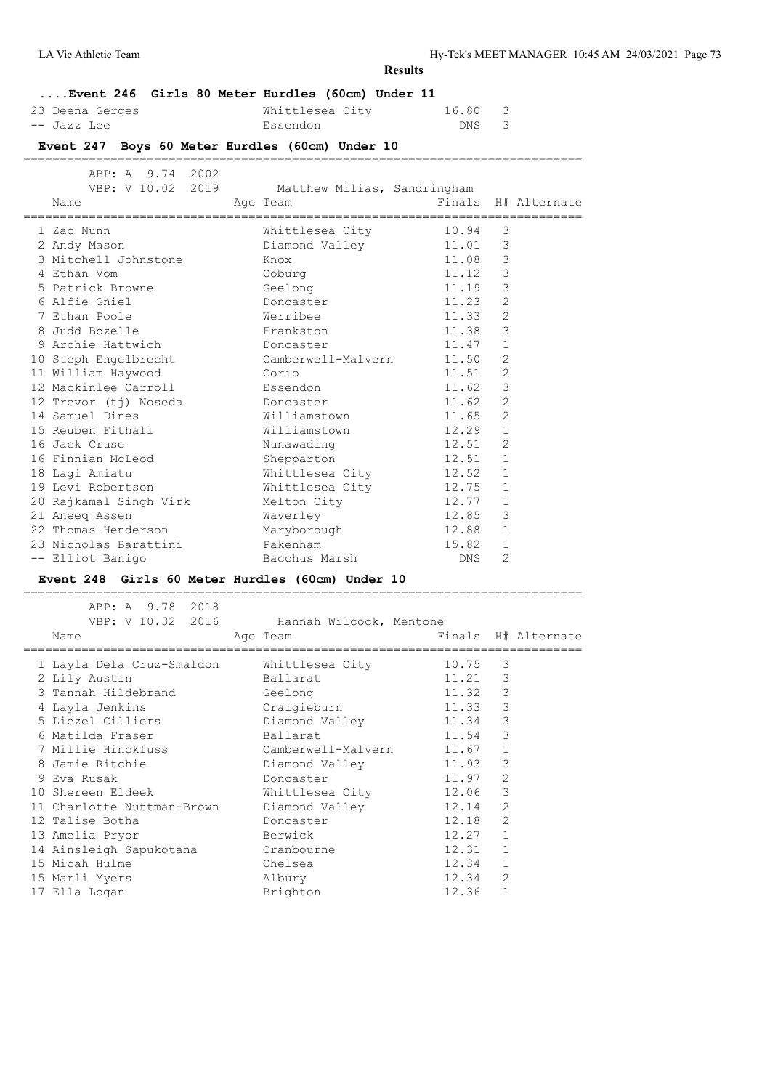**....Event 246 Girls 80 Meter Hurdles (60cm) Under 11** 23 Deena Gerges Whittlesea City 16.80 3 -- Jazz Lee Bissendon Bassendon DNS 3 **Event 247 Boys 60 Meter Hurdles (60cm) Under 10** ============================================================================= ABP: A 9.74 2002 VBP: V 10.02 2019 Matthew Milias, Sandringham Name Age Team Finals H# Alternate ============================================================================= 1 Zac Nunn Whittlesea City 10.94 3 2 Andy Mason Diamond Valley 11.01 3 3 Mitchell Johnstone Knox 11.08 3 2 Andy Mason Diamond Valley 11.01 3<br>
3 Mitchell Johnstone Knox 11.08 3<br>
4 Ethan Vom Coburg 11.12 3<br>
5 Patrick Browne Geelong 11.19 3<br>
Noncaster 11.23 2 5 Patrick Browne Geelong Geelong 11.19 3 6 Alfie Gniel Doncaster 11.23 2 7 Ethan Poole Werribee 11.33 2 8 Judd Bozelle Frankston 11.38 3 9 Archie Hattwich Doncaster 11.47 1 10 Steph Engelbrecht Camberwell-Malvern 11.50 2 11 William Haywood Corio 11.51 2 12 Mackinlee Carroll **Essendon** 11.62 3 12 Trevor (tj) Noseda Doncaster 11.62 2 14 Samuel Dines Milliamstown 11.65 2 15 Reuben Fithall Williamstown 12.29 1 16 Jack Cruse 2012 2014 Nunawading 212.51 2 16 Finnian McLeod Shepparton 12.51 1 18 Lagi Amiatu Whittlesea City 12.52 1 19 Levi Robertson Whittlesea City 12.75 1 20 Rajkamal Singh Virk Melton City 12.77 1 21 Aneeq Assen Waverley 12.85 3 22 Thomas Henderson Maryborough 12.88 1 23 Nicholas Barattini Pakenham 15.82 1

**Results**

#### **Event 248 Girls 60 Meter Hurdles (60cm) Under 10**

-- Elliot Banigo Bacchus Marsh DNS 2

 ABP: A 9.78 2018 VBP: V 10.32 2016 Hannah Wilcock, Mentone Name **Age Team** Age Team Finals H# Alternate ============================================================================= 1 Layla Dela Cruz-Smaldon Whittlesea City 10.75 3 2 Lily Austin Ballarat 11.21 3 3 Tannah Hildebrand Geelong 11.32 3 4 Layla Jenkins Craigieburn 11.33 3 5 Liezel Cilliers Diamond Valley 11.34 3 6 Matilda Fraser Ballarat 11.54 3 7 Millie Hinckfuss Camberwell-Malvern 11.67 1 8 Jamie Ritchie Diamond Valley 11.93 3 9 Eva Rusak Doncaster 11.97 2 10 Shereen Eldeek Whittlesea City 12.06 3 11 Charlotte Nuttman-Brown Diamond Valley 12.14 2 12 Talise Botha Doncaster 12.18 2 13 Amelia Pryor Berwick 12.27 1 14 Ainsleigh Sapukotana Cranbourne 12.31 1 15 Micah Hulme Chelsea 12.34 1 15 Marli Myers Albury 12.34 2 17 Ella Logan **Brighton** Brighton 12.36 1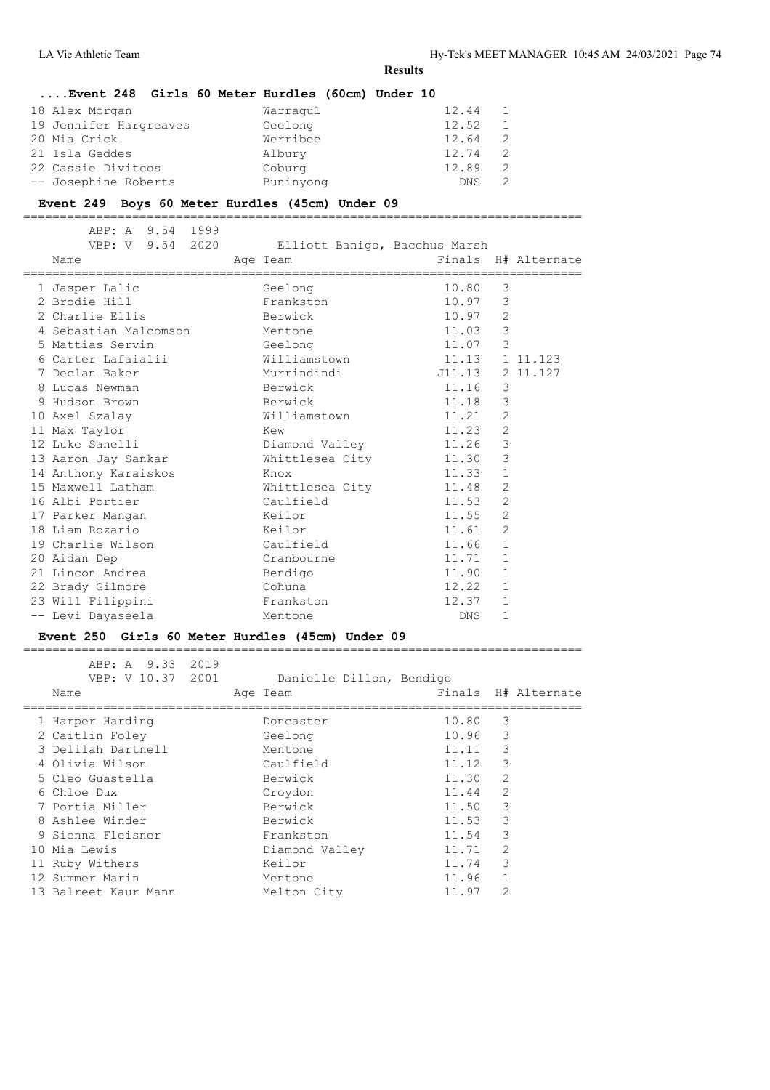|                        | Event 248 Girls 60 Meter Hurdles (60cm) Under 10 |             |
|------------------------|--------------------------------------------------|-------------|
| 18 Alex Morgan         | Warragul                                         | 12.44       |
| 19 Jennifer Hargreaves | Geelong                                          | 12.52       |
| 20 Mia Crick           | Werribee                                         | 12.64<br>-2 |
| 21 Isla Geddes         | Albury                                           | 12.74<br>-2 |
| 22 Cassie Divitcos     | Coburg                                           | 12.89<br>2  |
| -- Josephine Roberts   | Buninyong                                        | <b>DNS</b>  |

#### **Event 249 Boys 60 Meter Hurdles (45cm) Under 09**

=============================================================================

| ABP: A 9.54 1999<br>VBP: V 9.54 2020 Elliott Banigo, Bacchus Marsh<br>Name | Age Team        | Finals H# Alternate |               |          |
|----------------------------------------------------------------------------|-----------------|---------------------|---------------|----------|
| 1 Jasper Lalic                                                             | Geelong         | 10.80               | 3             |          |
| 2 Brodie Hill                                                              | Frankston       | 10.97 3             |               |          |
| 2 Charlie Ellis                                                            | Berwick         | $10.97$ 2           |               |          |
| 4 Sebastian Malcomson Mentone                                              |                 | 11.03               | $\mathcal{E}$ |          |
| 5 Mattias Servin                                                           | Geelong         | 11.07               | 3             |          |
| 6 Carter Lafaialii                       Williamstown                      |                 | 11.13 1 11.123      |               |          |
| 7 Declan Baker                                                             | Murrindindi     | J11.13              |               | 2 11.127 |
| 8 Lucas Newman                                                             | Berwick         | 11.16               | 3             |          |
| 9 Hudson Brown                                                             | Berwick         | 11.18               | $\mathsf 3$   |          |
| 10 Axel Szalay                                                             | Williamstown    | 11.21               | 2             |          |
| 11 Max Taylor                                                              | Kew             | 11.23               | 2             |          |
| 12 Luke Sanelli                                                            | Diamond Valley  | 11.26               | $\mathsf 3$   |          |
| 13 Aaron Jay Sankar                                                        | Whittlesea City | 11.30               | $\mathcal{E}$ |          |
| 14 Anthony Karaiskos                                                       | Knox            | 11.33               | 1             |          |
| 15 Maxwell Latham                                                          | Whittlesea City | 11.48               | 2             |          |
| 16 Albi Portier                                                            | Caulfield       | 11.53               | 2             |          |
| 17 Parker Mangan Meilor                                                    |                 | 11.55               | 2             |          |
| 18 Liam Rozario                                                            | Keilor          | 11.61               | 2             |          |
| 19 Charlie Wilson                                                          | Caulfield       | 11.66               | $\mathbf{1}$  |          |
| 20 Aidan Dep                                                               | Cranbourne      | 11.71               | 1             |          |
| 21 Lincon Andrea                                                           | Bendigo         | 11.90               | $\mathbf{1}$  |          |
| 22 Brady Gilmore                                                           | Cohuna          | 12.22               | $\mathbf{1}$  |          |
| 23 Will Filippini                                                          | Frankston       | 12.37               | $\mathbf{1}$  |          |
| -- Levi Dayaseela                                                          | Mentone         | DNS                 | $\mathbf{1}$  |          |

#### **Event 250 Girls 60 Meter Hurdles (45cm) Under 09**

| ABP: A 9.33 2019     |                          |       |                     |
|----------------------|--------------------------|-------|---------------------|
| VBP: V 10.37 2001    | Danielle Dillon, Bendigo |       |                     |
| Name                 | Age Team                 |       | Finals H# Alternate |
| 1 Harper Harding     | Doncaster                | 10.80 | -3                  |
| 2 Caitlin Foley      | Geelong                  | 10.96 | 3                   |
| 3 Delilah Dartnell   | Mentone                  | 11.11 | 3                   |
| 4 Olivia Wilson      | Caulfield                | 11.12 | 3                   |
| 5 Cleo Guastella     | Berwick                  | 11.30 | $\overline{2}$      |
| 6 Chloe Dux          | Croydon                  | 11.44 | $\mathfrak{D}$      |
| 7 Portia Miller      | Berwick                  | 11.50 | 3                   |
| 8 Ashlee Winder      | Berwick                  | 11.53 | 3                   |
| 9 Sienna Fleisner    | Frankston                | 11.54 | 3                   |
| 10 Mia Lewis         | Diamond Valley           | 11.71 | $\mathfrak{D}$      |
| 11 Ruby Withers      | Keilor                   | 11.74 | 3                   |
| 12 Summer Marin      | Mentone                  | 11.96 | $\mathbf{1}$        |
| 13 Balreet Kaur Mann | Melton City              | 11.97 | $\overline{2}$      |
|                      |                          |       |                     |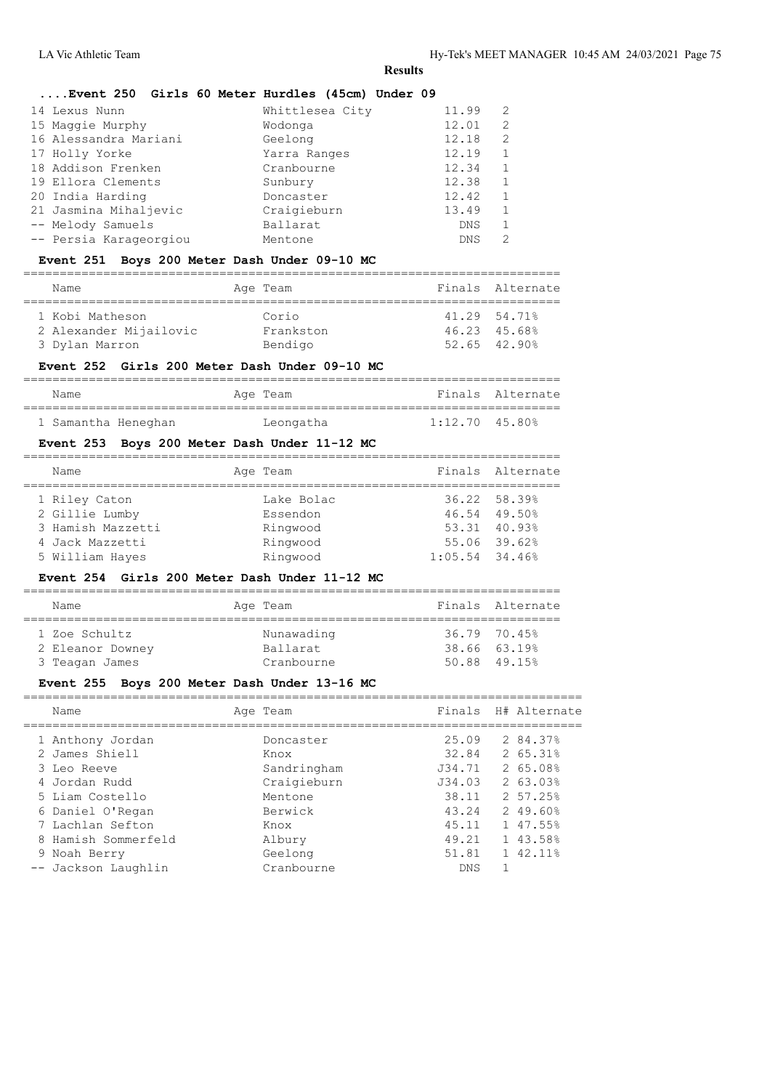#### **....Event 250 Girls 60 Meter Hurdles (45cm) Under 09**

| 14 Lexus Nunn          | Whittlesea City | 11.99      | 2 |
|------------------------|-----------------|------------|---|
| 15 Maggie Murphy       | Wodonga         | 12.01      | 2 |
| 16 Alessandra Mariani  | Geelong         | 12.18      | 2 |
| 17 Holly Yorke         | Yarra Ranges    | 12.19      |   |
| 18 Addison Frenken     | Cranbourne      | 12.34      |   |
| 19 Ellora Clements     | Sunbury         | 12.38      |   |
| 20 India Harding       | Doncaster       | 12.42      |   |
| 21 Jasmina Mihaljevic  | Craigieburn     | 13.49      |   |
| -- Melody Samuels      | Ballarat        | <b>DNS</b> |   |
| -- Persia Karageorgiou | Mentone         | <b>DNS</b> | っ |

## **Event 251 Boys 200 Meter Dash Under 09-10 MC**

| Name                                      | Age Team           | Finals Alternate             |
|-------------------------------------------|--------------------|------------------------------|
| 1 Kobi Matheson<br>2 Alexander Mijailovic | Corio<br>Frankston | 41.29 54.71%<br>46.23 45.68% |
| 3 Dylan Marron                            | Bendigo            | $52.65$ $42.90\%$            |

#### **Event 252 Girls 200 Meter Dash Under 09-10 MC**

| Name                | Age Team  |                  | Finals Alternate |
|---------------------|-----------|------------------|------------------|
|                     |           |                  |                  |
| 1 Samantha Heneghan | Leongatha | $1:12.70$ 45.80% |                  |

#### **Event 253 Boys 200 Meter Dash Under 11-12 MC**

| Name                                                 | Age Team                           |                  | Finals Alternate                             |
|------------------------------------------------------|------------------------------------|------------------|----------------------------------------------|
| 1 Riley Caton<br>2 Gillie Lumby<br>3 Hamish Mazzetti | Lake Bolac<br>Essendon<br>Ringwood |                  | 36.22 58.39%<br>46.54 49.50%<br>53.31 40.93% |
| 4 Jack Mazzetti<br>5 William Hayes                   | Ringwood<br>Ringwood               | $1:05.54$ 34.46% | 55.06 39.62%                                 |

#### **Event 254 Girls 200 Meter Dash Under 11-12 MC**

| Name             | Age Team   | Finals Alternate |
|------------------|------------|------------------|
| 1 Zoe Schultz    | Nunawading | 36.79 70.45%     |
| 2 Eleanor Downey | Ballarat   | 38.66 63.19%     |
| 3 Teagan James   | Cranbourne | 50.88 49.15%     |

#### **Event 255 Boys 200 Meter Dash Under 13-16 MC**

============================================================================= Name **Age Team** Age Team Finals H# Alternate ============================================================================= 1 Anthony Jordan Donca<br>2 James Shiell Knox 2 James Shiell Knox 32.84 2 65.31% 3 Leo Reeve Sandringham J34.71 2 65.08% 4 Jordan Rudd Craigieburn J34.03 2 63.03% 3 Leo Reeve Sandringham 3 Leo Reeve Sandringham 3 134.71 2 65.08%<br>
4 Jordan Rudd Craigieburn 38.11 2 57.25%<br>
6 Daniel O'Regan Berwick 43.24 2 49.60% 6 Daniel O'Regan Berwick 43.24 2 49.60% 7 Lachlan Sefton Knox 45.11 1 47.55% 8 Hamish Sommerfeld Albury 49.21 1 43.58% 9 Noah Berry Geelong 51.81 1 42.11% -- Jackson Laughlin Cranbourne DNS 1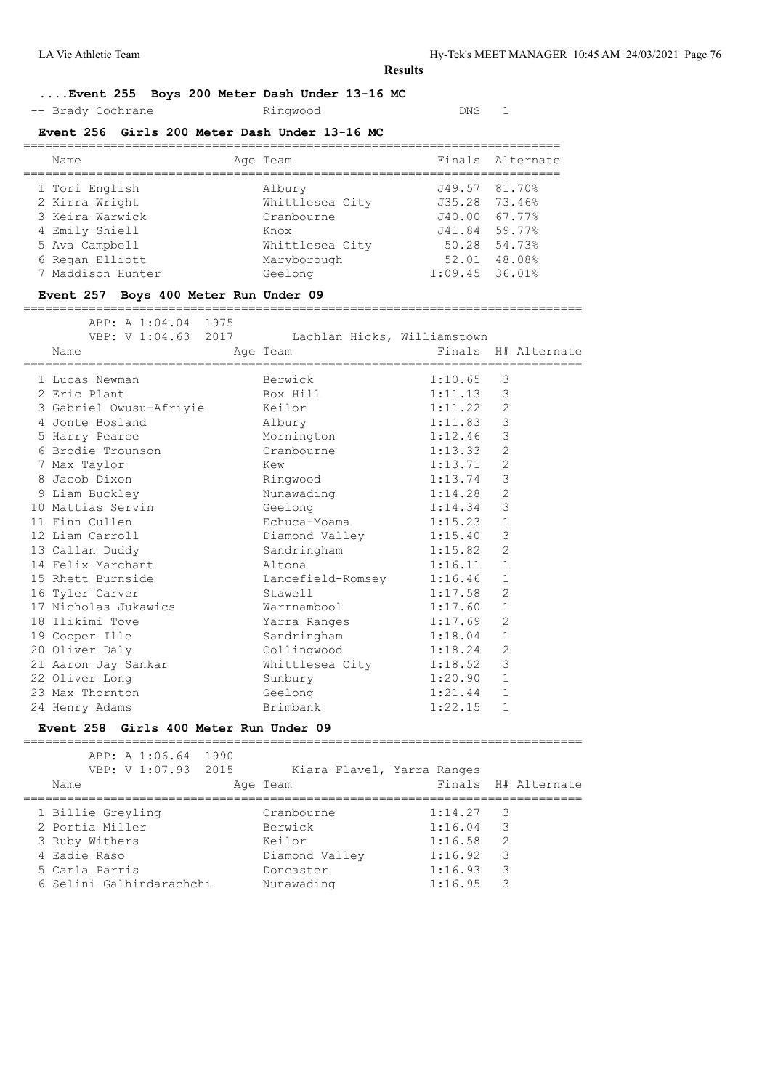## **....Event 255 Boys 200 Meter Dash Under 13-16 MC**

-- Brady Cochrane **Ringwood** DNS 1

#### **Event 256 Girls 200 Meter Dash Under 13-16 MC**

| Name              |                 |                  | Finals Alternate |
|-------------------|-----------------|------------------|------------------|
|                   | Age Team        |                  |                  |
| 1 Tori English    | Albury          | J49.57 81.70%    |                  |
| 2 Kirra Wright    | Whittlesea City | J35.28 73.46%    |                  |
| 3 Keira Warwick   | Cranbourne      | J40.00           | 67.77%           |
| 4 Emily Shiell    | Knox            | J41.84 59.77%    |                  |
| 5 Ava Campbell    | Whittlesea City |                  | 50.28 54.73%     |
| 6 Regan Elliott   | Maryborough     |                  | 52.01 48.08%     |
| 7 Maddison Hunter | Geelong         | $1:09.45$ 36.01% |                  |

#### **Event 257 Boys 400 Meter Run Under 09**

=============================================================================

|  |  | ABP: A 1:04.04 1975 |
|--|--|---------------------|
|  |  |                     |

| VBP: V 1:04.63 2017 Lachlan Hicks, Williamstown |                        |         |                     |
|-------------------------------------------------|------------------------|---------|---------------------|
| Name                                            | Age Team               |         | Finals H# Alternate |
|                                                 |                        |         |                     |
| 1 Lucas Newman                                  | Berwick                | 1:10.65 | 3                   |
| 2 Eric Plant                                    | Box Hill               | 1:11.13 | 3                   |
| 3 Gabriel Owusu-Afriyie Keilor                  |                        | 1:11.22 | $\overline{2}$      |
| 4 Jonte Bosland                                 | Albury                 | 1:11.83 | $\mathsf 3$         |
| 5 Harry Pearce                                  | Mornington             | 1:12.46 | 3                   |
|                                                 |                        | 1:13.33 | 2                   |
| 7 Max Taylor                                    | <b>Kew</b>             | 1:13.71 | $\overline{2}$      |
| 8 Jacob Dixon                                   | Ringwood               | 1:13.74 | $\mathfrak{Z}$      |
| 9 Liam Buckley                                  | Nunawading             | 1:14.28 | $\mathbf{2}$        |
| 10 Mattias Servin                               | Geelong                | 1:14.34 | 3                   |
| 11 Finn Cullen                                  | Echuca-Moama 1:15.23   |         | $\mathbf{1}$        |
| 12 Liam Carroll                                 | Diamond Valley 1:15.40 |         | 3                   |
| 13 Callan Duddy                                 | Sandringham 1:15.82    |         | $\mathbf{2}$        |
| 14 Felix Marchant                               | Altona                 | 1:16.11 | $\mathbf{1}$        |
| 15 Rhett Burnside                               | Lancefield-Romsey      | 1:16.46 | $\mathbf{1}$        |
| 16 Tyler Carver                                 | Stawell                | 1:17.58 | $\mathbf{2}$        |
| 17 Nicholas Jukawics                            | Warrnambool 1:17.60    |         | $\mathbf 1$         |
| 18 Ilikimi Tove                                 | Yarra Ranges 1:17.69   |         | $\mathbf{2}$        |
| 19 Cooper Ille                                  | Sandringham 1:18.04    |         | $\mathbf{1}$        |
| 20 Oliver Daly                                  | Collingwood 1:18.24    |         | $\mathbf{2}$        |
| 21 Aaron Jay Sankar                             | Whittlesea City        | 1:18.52 | 3                   |
| 22 Oliver Long                                  | Sunbury                | 1:20.90 | $\mathbf{1}$        |
| 23 Max Thornton                                 | Geelong                | 1:21.44 | $\mathbf{1}$        |
| 24 Henry Adams                                  | Brimbank               | 1:22.15 | 1                   |

## **Event 258 Girls 400 Meter Run Under 09**

| ABP: A 1:06.64<br>VBP: V 1:07.93 2015<br>Name | 1990<br>Kiara Flavel, Yarra Ranges<br>Age Team |         | Finals H# Alternate |
|-----------------------------------------------|------------------------------------------------|---------|---------------------|
| 1 Billie Greyling                             | Cranbourne                                     | 1:14.27 | 3                   |
| 2 Portia Miller                               | Berwick                                        | 1:16.04 | 3                   |
| 3 Ruby Withers                                | Keilor                                         | 1:16.58 | $\mathcal{L}$       |
| 4 Eadie Raso                                  | Diamond Valley                                 | 1:16.92 | 3                   |
| 5 Carla Parris                                | Doncaster                                      | 1:16.93 | 3                   |
| 6 Selini Galhindarachchi                      | Nunawading                                     | 1:16.95 | З                   |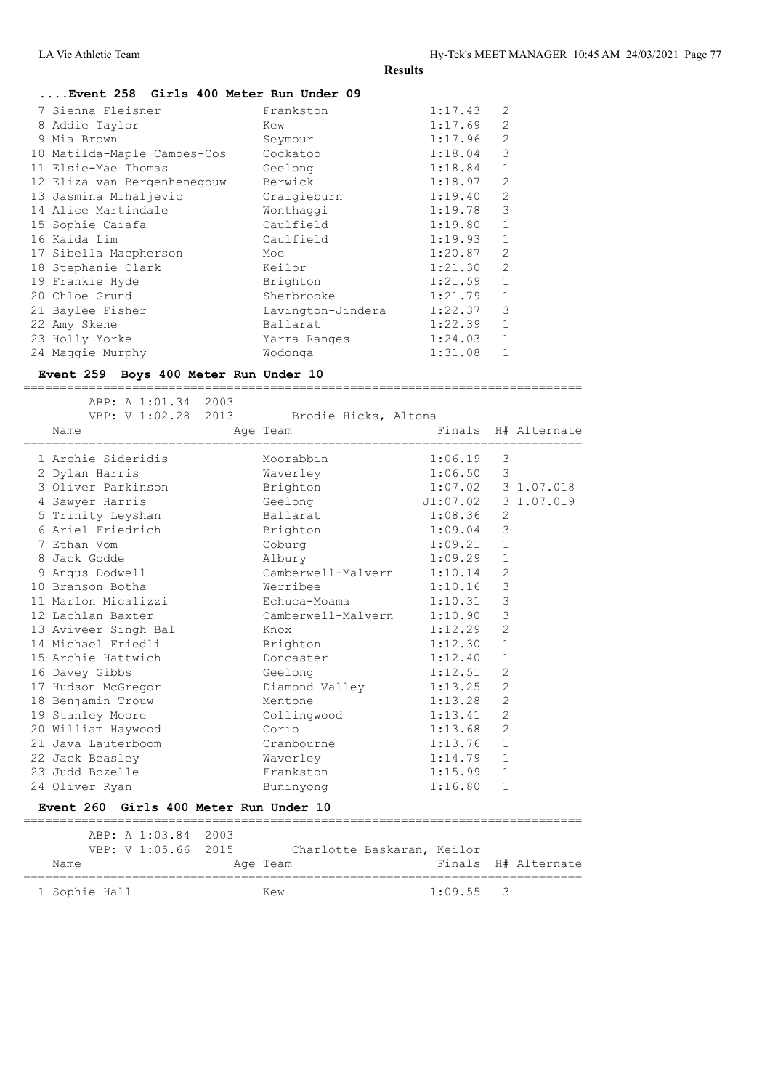| Event 258 Girls 400 Meter Run Under 09 |  |  |  |  |  |  |  |
|----------------------------------------|--|--|--|--|--|--|--|
|----------------------------------------|--|--|--|--|--|--|--|

| 7 Sienna Fleisner           | Frankston         | 1:17.43 | $\overline{2}$ |
|-----------------------------|-------------------|---------|----------------|
| 8 Addie Taylor              | Kew               | 1:17.69 | $\overline{2}$ |
| 9 Mia Brown                 | Seymour           | 1:17.96 | $\overline{2}$ |
| 10 Matilda-Maple Camoes-Cos | Cockatoo          | 1:18.04 | 3              |
| 11 Elsie-Mae Thomas         | Geelong           | 1:18.84 | $\mathbf{1}$   |
| 12 Eliza van Bergenhenegouw | Berwick           | 1:18.97 | $\overline{2}$ |
| 13 Jasmina Mihaljevic       | Craigieburn       | 1:19.40 | $\mathfrak{D}$ |
| 14 Alice Martindale         | Wonthaggi         | 1:19.78 | 3              |
| 15 Sophie Caiafa            | Caulfield         | 1:19.80 | $\mathbf{1}$   |
| 16 Kaida Lim                | Caulfield         | 1:19.93 | $\mathbf{1}$   |
| 17 Sibella Macpherson       | Moe               | 1:20.87 | $\mathfrak{D}$ |
| 18 Stephanie Clark          | Keilor            | 1:21.30 | $\overline{2}$ |
| 19 Frankie Hyde             | Brighton          | 1:21.59 | $\mathbf{1}$   |
| 20 Chloe Grund              | Sherbrooke        | 1:21.79 | 1              |
| 21 Baylee Fisher            | Lavington-Jindera | 1:22.37 | 3              |
| 22 Amy Skene                | Ballarat          | 1:22.39 | 1              |
| 23 Holly Yorke              | Yarra Ranges      | 1:24.03 | 1              |
| 24 Maggie Murphy            | Wodonga           | 1:31.08 | 1              |
|                             |                   |         |                |

#### **Event 259 Boys 400 Meter Run Under 10**

 ABP: A 1:01.34 2003 VBP: V 1:02.28 2013 Brodie Hicks, Altona Name **Age Team** Age Team Finals H# Alternate ============================================================================= 1 Archie Sideridis Moorabbin 1:06.19 3 2 Dylan Harris Waverley 1:06.50 3 3 Oliver Parkinson Brighton 1:07.02 3 1.07.018 4 Sawyer Harris Geelong J1:07.02 3 1.07.019 5 Trinity Leyshan Ballarat 1:08.36 2 6 Ariel Friedrich Brighton 1:09.04 3 7 Ethan Vom Coburg 1:09.21 1 8 Jack Godde Albury 1:09.29 1 9 Angus Dodwell Camberwell-Malvern 1:10.14 2 10 Branson Botha Werribee 1:10.16 3 11 Marlon Micalizzi Echuca-Moama 1:10.31 3 12 Lachlan Baxter Camberwell-Malvern 1:10.90 3 13 Aviveer Singh Bal Knox 1:12.29 2 14 Michael Friedli Brighton 1:12.30 1 15 Archie Hattwich Doncaster 1:12.40 1 16 Davey Gibbs Geelong 1:12.51 2 17 Hudson McGregor Diamond Valley 1:13.25 2 18 Benjamin Trouw Mentone 1:13.28 2 19 Stanley Moore Collingwood 1:13.41 2 20 William Haywood Corio 1:13.68 2 21 Java Lauterboom Cranbourne 1:13.76 1 22 Jack Beasley Waverley 1:14.79 1 23 Judd Bozelle Frankston 1:15.99 1 24 Oliver Ryan Buninyong 1:16.80 1 **Event 260 Girls 400 Meter Run Under 10** ============================================================================= ABP: A 1:03.84 2003  $C_0$ berlette Baskaran, Keil

|               |  | VBP: V L:U5.66 ZUI5 | Charlotte Baskaran, Keilor |             |                     |
|---------------|--|---------------------|----------------------------|-------------|---------------------|
| Name          |  |                     | Age Team                   |             | Finals H# Alternate |
|               |  |                     |                            |             |                     |
| 1 Sophie Hall |  |                     | Kew                        | $1:09.55$ 3 |                     |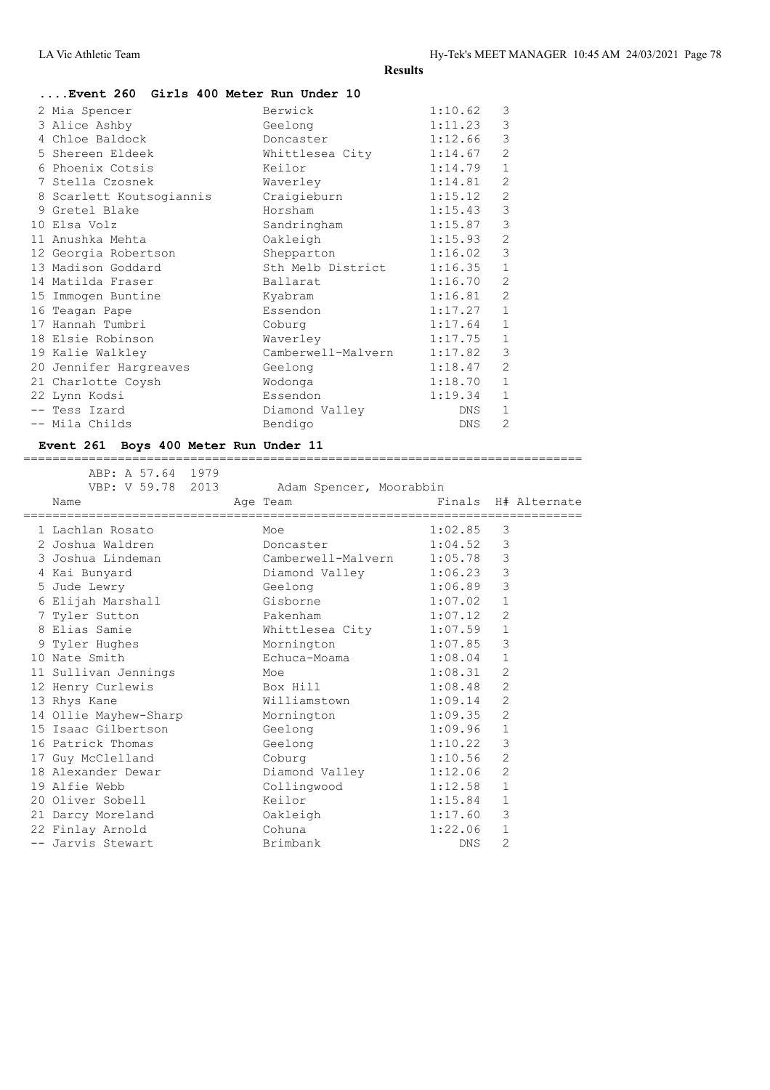| 2 Mia Spencer      |                          | Berwick            | 1:10.62    | 3              |
|--------------------|--------------------------|--------------------|------------|----------------|
| 3 Alice Ashby      |                          | Geelong            | 1:11.23    | 3              |
| 4 Chloe Baldock    |                          | Doncaster          | 1:12.66    | 3              |
| 5 Shereen Eldeek   |                          | Whittlesea City    | 1:14.67    | $\overline{2}$ |
| 6 Phoenix Cotsis   |                          | Keilor             | 1:14.79    | $\mathbf 1$    |
| 7 Stella Czosnek   |                          | Waverley           | 1:14.81    | $\overline{2}$ |
|                    | 8 Scarlett Koutsogiannis | Craigieburn        | 1:15.12    | $\overline{c}$ |
| 9 Gretel Blake     |                          | Horsham            | 1:15.43    | 3              |
| 10 Elsa Volz       |                          | Sandringham        | 1:15.87    | 3              |
| 11 Anushka Mehta   |                          | Oakleigh           | 1:15.93    | $\overline{c}$ |
|                    | 12 Georgia Robertson     | Shepparton         | 1:16.02    | 3              |
| 13 Madison Goddard |                          | Sth Melb District  | 1:16.35    | $1\,$          |
| 14 Matilda Fraser  |                          | Ballarat           | 1:16.70    | $\overline{c}$ |
| 15 Immogen Buntine |                          | Kyabram            | 1:16.81    | $\overline{c}$ |
| 16 Teagan Pape     |                          | Essendon           | 1:17.27    | $1\,$          |
| 17 Hannah Tumbri   |                          | Coburg             | 1:17.64    | $\mathbf{1}$   |
| 18 Elsie Robinson  |                          | Waverley           | 1:17.75    | $\mathbf{1}$   |
| 19 Kalie Walkley   |                          | Camberwell-Malvern | 1:17.82    | 3              |
|                    | 20 Jennifer Hargreaves   | Geelong            | 1:18.47    | $\overline{c}$ |
| 21 Charlotte Coysh |                          | Wodonga            | 1:18.70    | $\mathbf{1}$   |
| 22 Lynn Kodsi      |                          | Essendon           | 1:19.34    | $\mathbf{1}$   |
| -- Tess Izard      |                          | Diamond Valley     | DNS.       | $\mathbf{1}$   |
| -- Mila Childs     |                          | Bendigo            | <b>DNS</b> | $\overline{2}$ |
|                    |                          |                    |            |                |

## **Event 261 Boys 400 Meter Run Under 11**

|  | ABP: A 57.64 1979<br>VBP: V 59.78 2013<br>Name | Adam Spencer, Moorabbin<br>Age Team |         |                | Finals H# Alternate |
|--|------------------------------------------------|-------------------------------------|---------|----------------|---------------------|
|  |                                                |                                     |         |                |                     |
|  | 1 Lachlan Rosato                               | Moe                                 | 1:02.85 | 3              |                     |
|  | 2 Joshua Waldren                               | Doncaster 1:04.52                   |         | 3              |                     |
|  | 3 Joshua Lindeman                              | Camberwell-Malvern                  | 1:05.78 | 3              |                     |
|  | 4 Kai Bunyard                                  | Diamond Valley                      | 1:06.23 | $\mathcal{E}$  |                     |
|  | 5 Jude Lewry                                   | Geelong 1:06.89                     |         | 3              |                     |
|  | 6 Elijah Marshall                              | Gisborne                            | 1:07.02 | $\mathbf{1}$   |                     |
|  | 7 Tyler Sutton                                 | Pakenham                            | 1:07.12 | $\overline{2}$ |                     |
|  | 8 Elias Samie                                  | Whittlesea City 1:07.59             |         | $\mathbf{1}$   |                     |
|  | 9 Tyler Hughes                                 | Mornington                          | 1:07.85 | 3              |                     |
|  | 10 Nate Smith                                  | Echuca-Moama                        | 1:08.04 | $\mathbf{1}$   |                     |
|  | 11 Sullivan Jennings                           | Moe                                 | 1:08.31 | 2              |                     |
|  | 12 Henry Curlewis                              | Box Hill                            | 1:08.48 | $\overline{2}$ |                     |
|  | 13 Rhys Kane                                   | Williamstown                        | 1:09.14 | $\overline{2}$ |                     |
|  | 14 Ollie Mayhew-Sharp Mornington               |                                     | 1:09.35 | 2              |                     |
|  | 15 Isaac Gilbertson                            | Geelong                             | 1:09.96 | $\mathbf{1}$   |                     |
|  | 16 Patrick Thomas                              | Geelong                             | 1:10.22 | 3              |                     |
|  | 17 Guy McClelland                              | Coburg                              | 1:10.56 | 2              |                     |
|  | 18 Alexander Dewar                             | Diamond Valley                      | 1:12.06 | $\overline{2}$ |                     |
|  | 19 Alfie Webb                                  | Collingwood                         | 1:12.58 | $\mathbf{1}$   |                     |
|  | 20 Oliver Sobell                               | Keilor                              | 1:15.84 | 1              |                     |
|  | 21 Darcy Moreland                              | Oakleigh                            | 1:17.60 | 3              |                     |
|  | 22 Finlay Arnold                               | Cohuna                              | 1:22.06 | $\mathbf{1}$   |                     |
|  | -- Jarvis Stewart                              | Brimbank                            | DNS     | 2              |                     |
|  |                                                |                                     |         |                |                     |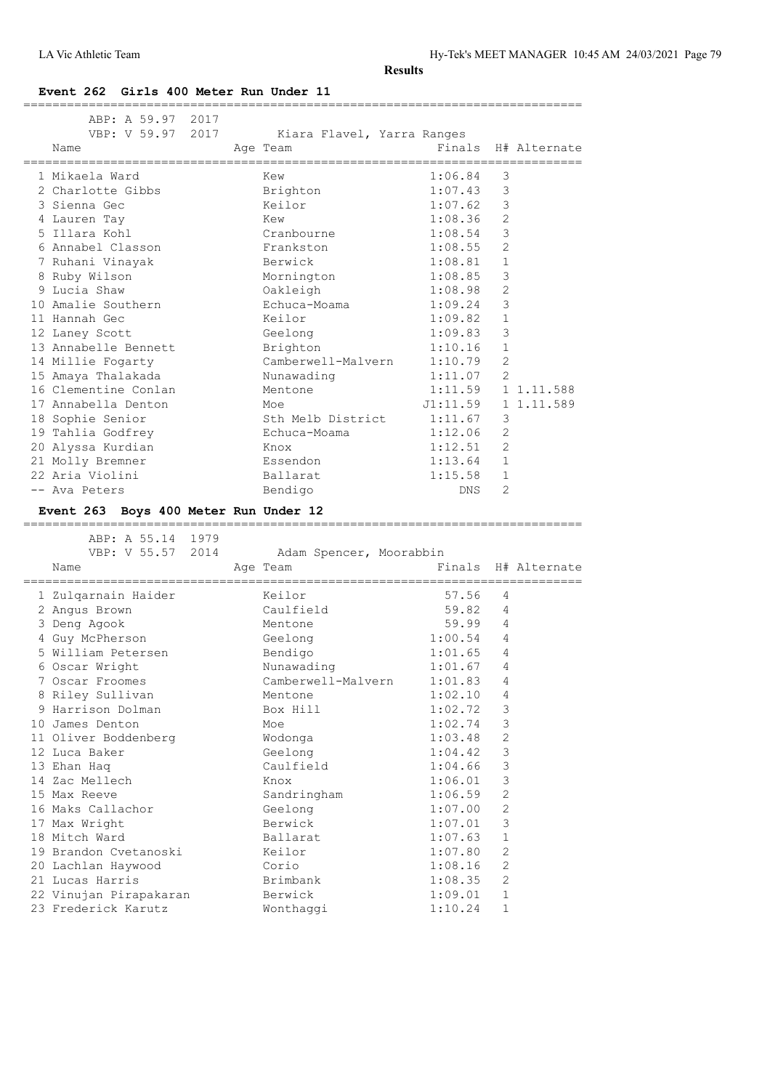=============================================================================

**Event 262 Girls 400 Meter Run Under 11**

|    | ABP: A 59.97 2017<br>VBP: V 59.97 2017<br>Name | Kiara Flavel, Yarra Ranges<br>Age Team |            |                | Finals H# Alternate |
|----|------------------------------------------------|----------------------------------------|------------|----------------|---------------------|
|    | 1 Mikaela Ward                                 | Kew                                    | 1:06.84    | 3              |                     |
|    | 2 Charlotte Gibbs                              | Brighton                               | 1:07.43    | 3              |                     |
|    | 3 Sienna Gec                                   | Keilor                                 | 1:07.62    | 3              |                     |
|    | 4 Lauren Tay                                   | Kew                                    | 1:08.36    | $\overline{2}$ |                     |
|    | 5 Illara Kohl                                  | Cranbourne                             | 1:08.54    | 3              |                     |
|    | 6 Annabel Classon                              | Frankston                              | 1:08.55    | $\overline{2}$ |                     |
|    | 7 Ruhani Vinayak                               | Berwick                                | 1:08.81    | $\mathbf{1}$   |                     |
|    | 8 Ruby Wilson                                  | Mornington                             | 1:08.85    | 3              |                     |
|    | 9 Lucia Shaw                                   | Oakleigh                               | 1:08.98    | $\overline{2}$ |                     |
|    | 10 Amalie Southern                             | Echuca-Moama                           | 1:09.24    | 3              |                     |
|    | 11 Hannah Gec                                  | Keilor                                 | 1:09.82    | $\mathbf 1$    |                     |
|    | 12 Laney Scott                                 | Geelong                                | 1:09.83    | 3              |                     |
|    | 13 Annabelle Bennett                           | Brighton                               | 1:10.16    | $\mathbf{1}$   |                     |
|    | 14 Millie Fogarty                              | Camberwell-Malvern                     | 1:10.79    | $\overline{2}$ |                     |
|    | 15 Amaya Thalakada                             | Nunawading                             | 1:11.07    | $\overline{2}$ |                     |
|    | 16 Clementine Conlan                           | Mentone                                | 1:11.59    |                | 1 1.11.588          |
|    | 17 Annabella Denton                            | Moe                                    | J1:11.59   |                | 1 1.11.589          |
| 18 | Sophie Senior                                  | Sth Melb District                      | 1:11.67    | 3              |                     |
|    | 19 Tahlia Godfrey                              | Echuca-Moama                           | 1:12.06    | $\overline{2}$ |                     |
|    | 20 Alyssa Kurdian                              | Knox                                   | 1:12.51    | $\overline{2}$ |                     |
|    | 21 Molly Bremner                               | Essendon                               | 1:13.64    | $\mathbf{1}$   |                     |
|    | 22 Aria Violini                                | Ballarat                               | 1:15.58    | $\mathbf{1}$   |                     |
|    | -- Ava Peters                                  | Bendigo                                | <b>DNS</b> | $\overline{2}$ |                     |

#### **Event 263 Boys 400 Meter Run Under 12**

ABP: A 55.14 1979<br>VBP: V 55.57 2014 Adam Spencer, Moorabbin Name **Age Team** Age Team Finals H# Alternate ============================================================================= 1 Zulqarnain Haider Keilor 57.56 4 2 Angus Brown Caulfield 59.82 4 3 Deng Agook Mentone 59.99 4 4 Guy McPherson Geelong 1:00.54 4 5 William Petersen Bendigo 1:01.65 4 6 Oscar Wright Nunawading 1:01.67 4 7 Oscar Froomes Camberwell-Malvern 1:01.83 4 8 Riley Sullivan Mentone 1:02.10 4 9 Harrison Dolman Box Hill 1:02.72 3 10 James Denton Moe 1:02.74 3 11 Oliver Boddenberg Wodonga 1:03.48 2 12 Luca Baker Geelong 1:04.42 3 13 Ehan Haq Caulfield 1:04.66 3 14 Zac Mellech Knox 1:06.01 3 15 Max Reeve Sandringham 1:06.59 2 16 Maks Callachor Geelong 1:07.00 2 17 Max Wright **Berwick** 1:07.01 3 18 Mitch Ward **Ballarat** 1:07.63 1 19 Brandon Cvetanoski Keilor 1:07.80 2 20 Lachlan Haywood Corio 1:08.16 2 21 Lucas Harris Brimbank 1:08.35 2 22 Vinujan Pirapakaran Berwick 1:09.01 1 23 Frederick Karutz Wonthaggi 1:10.24 1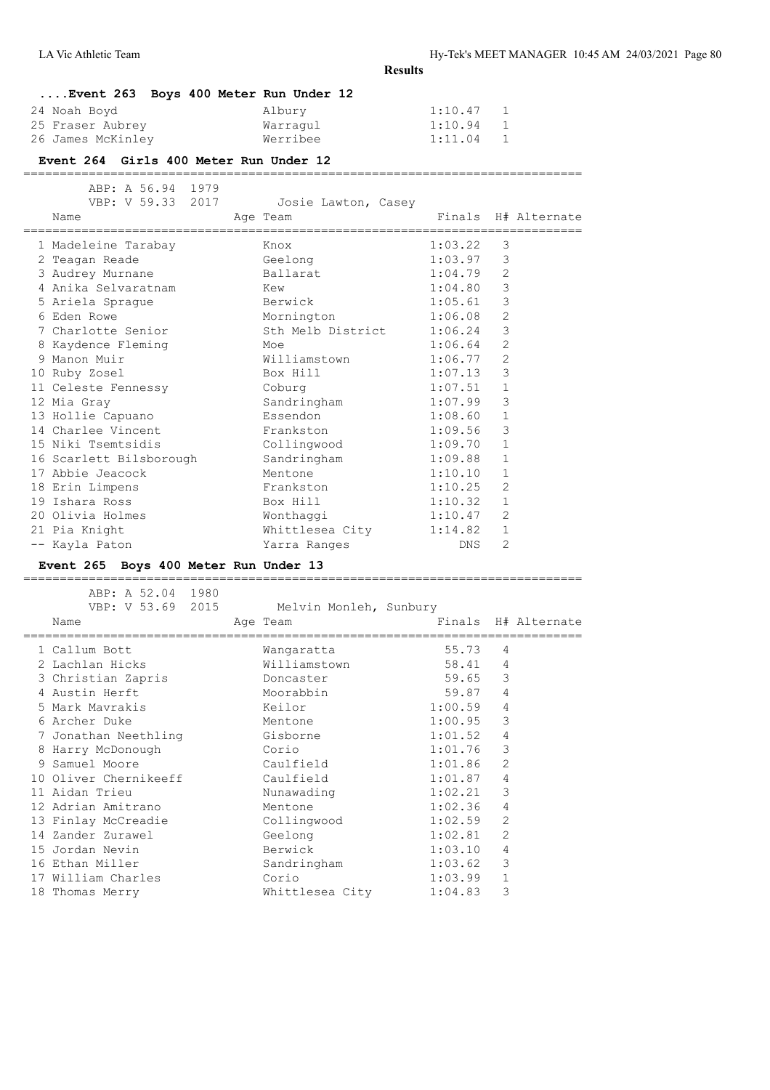| Event 263 Boys 400 Meter Run Under 12 |          |                           |
|---------------------------------------|----------|---------------------------|
| 24 Noah Boyd                          | Albury   | 1:10.47<br>$\overline{1}$ |
| 25 Fraser Aubrey                      | Warragul | 1:10.94<br>- 1            |
| 26 James McKinley                     | Werribee | 1:11.04<br>- 1            |

#### **Event 264 Girls 400 Meter Run Under 12**

=============================================================================

| ABP: A 56.94 1979<br>VBP: V 59.33 2017<br>Name | Josie Lawton, Casey<br>Age Team |         |                | Finals H# Alternate |
|------------------------------------------------|---------------------------------|---------|----------------|---------------------|
| 1 Madeleine Tarabay                            | Knox                            | 1:03.22 | 3              |                     |
| 2 Teagan Reade                                 | Geelong                         | 1:03.97 | 3              |                     |
| 3 Audrey Murnane                               | Ballarat                        | 1:04.79 | 2              |                     |
| 4 Anika Selvaratnam Kew                        |                                 | 1:04.80 | $\mathcal{E}$  |                     |
| 5 Ariela Sprague                               | Berwick                         | 1:05.61 | 3              |                     |
| 6 Eden Rowe                                    | Mornington<br>1:06.08           |         | 2              |                     |
| 7 Charlotte Senior                             | Sth Melb District               | 1:06.24 | 3              |                     |
| 8 Kaydence Fleming<br><u>Moe</u>               |                                 | 1:06.64 | 2              |                     |
| 9 Manon Muir                                   | Williamstown                    | 1:06.77 | 2              |                     |
| 10 Ruby Zosel                                  | Box Hill                        | 1:07.13 | 3              |                     |
| 11 Celeste Fennessy                            | Coburg                          | 1:07.51 | $\mathbf{1}$   |                     |
| 12 Mia Gray                                    | Sandringham                     | 1:07.99 | 3              |                     |
| 13 Hollie Capuano                              | Essendon                        | 1:08.60 | $\mathbf{1}$   |                     |
| 14 Charlee Vincent                             | Frankston                       | 1:09.56 | 3              |                     |
| 15 Niki Tsemtsidis                             | Collingwood                     | 1:09.70 | $\mathbf{1}$   |                     |
| 16 Scarlett Bilsborough                        | Sandringham                     | 1:09.88 | $\mathbf{1}$   |                     |
| 17 Abbie Jeacock                               | Mentone                         | 1:10.10 | $\mathbf{1}$   |                     |
| 18 Erin Limpens                                | Frankston                       | 1:10.25 | 2              |                     |
| 19 Ishara Ross                                 | Box Hill                        | 1:10.32 | $\mathbf{1}$   |                     |
| 20 Olivia Holmes                               | Wonthaggi                       | 1:10.47 | 2              |                     |
| 21 Pia Knight                                  | Whittlesea City                 | 1:14.82 | $\mathbf{1}$   |                     |
| -- Kayla Paton                                 | Yarra Ranges                    | DNS     | $\overline{2}$ |                     |

**Event 265 Boys 400 Meter Run Under 13**

| ABP: A 52.04 1980                                   |  |                        |         |                |                     |
|-----------------------------------------------------|--|------------------------|---------|----------------|---------------------|
| VBP: V 53.69 2015                                   |  | Melvin Monleh, Sunbury |         |                |                     |
| Name                                                |  | Age Team               |         |                | Finals H# Alternate |
| ==================================<br>1 Callum Bott |  | Wangaratta             | 55.73   | 4              |                     |
| 2 Lachlan Hicks                                     |  | Williamstown           | 58.41   | $\overline{4}$ |                     |
|                                                     |  |                        | 59.65   | 3              |                     |
| 3 Christian Zapris                                  |  | Doncaster              |         |                |                     |
| 4 Austin Herft                                      |  | Moorabbin              | 59.87   | $\overline{4}$ |                     |
| 5 Mark Mavrakis                                     |  | Keilor                 | 1:00.59 | $\overline{4}$ |                     |
| 6 Archer Duke                                       |  | Mentone                | 1:00.95 | 3              |                     |
| 7 Jonathan Neethling                                |  | Gisborne               | 1:01.52 | 4              |                     |
| 8 Harry McDonough                                   |  | <b>Corio</b>           | 1:01.76 | 3              |                     |
| 9 Samuel Moore                                      |  | Caulfield              | 1:01.86 | $\overline{2}$ |                     |
| 10 Oliver Chernikeeff                               |  | Caulfield              | 1:01.87 | 4              |                     |
| 11 Aidan Trieu                                      |  | Nunawading             | 1:02.21 | 3              |                     |
| 12 Adrian Amitrano                                  |  | Mentone                | 1:02.36 | $\overline{4}$ |                     |
| 13 Finlay McCreadie                                 |  | Collingwood            | 1:02.59 | $\overline{c}$ |                     |
| 14 Zander Zurawel                                   |  | Geelong                | 1:02.81 | $\overline{2}$ |                     |
| 15 Jordan Nevin                                     |  | Berwick                | 1:03.10 | $\overline{4}$ |                     |
| 16 Ethan Miller                                     |  | Sandringham            | 1:03.62 | 3              |                     |
| 17 William Charles                                  |  | Corio                  | 1:03.99 | $\mathbf{1}$   |                     |
| 18 Thomas Merry                                     |  | Whittlesea City        | 1:04.83 | 3              |                     |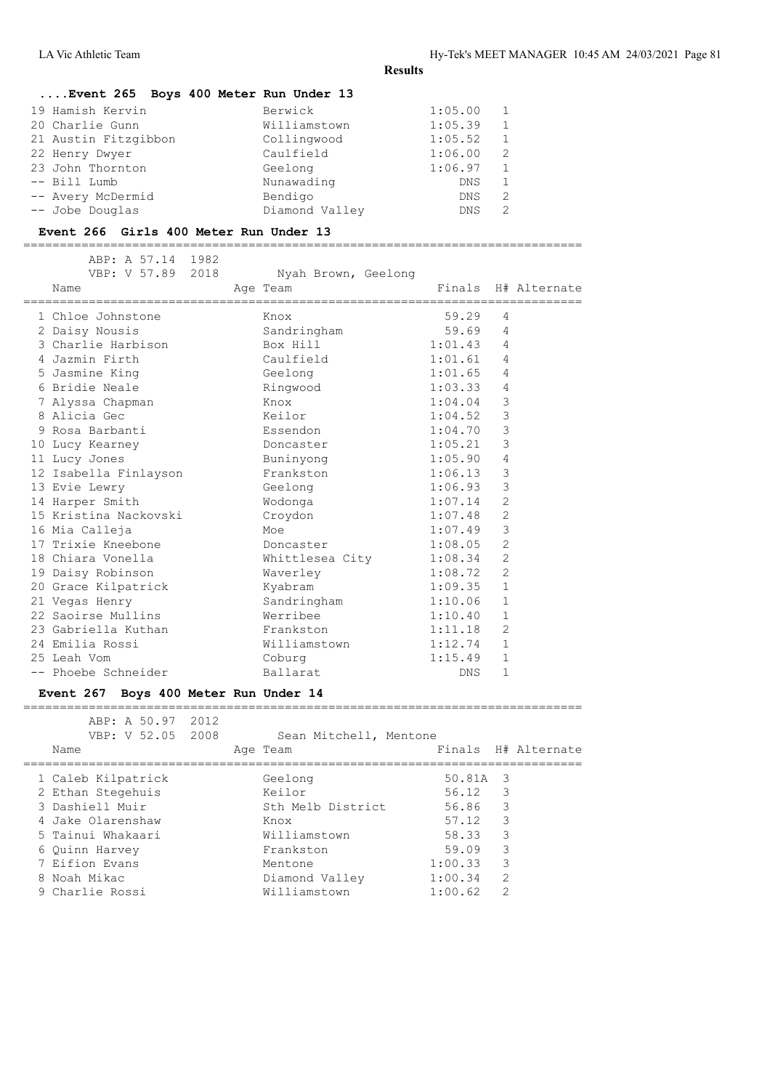| Event 265 Boys 400 Meter Run Under 13 |                |            |   |
|---------------------------------------|----------------|------------|---|
| 19 Hamish Kervin                      | Berwick        | 1:05.00    | 1 |
| 20 Charlie Gunn                       | Williamstown   | 1:05.39    | 1 |
| 21 Austin Fitzgibbon                  | Collingwood    | 1:05.52    | 1 |
| 22 Henry Dwyer                        | Caulfield      | 1:06.00    | 2 |
| 23 John Thornton                      | Geelong        | 1:06.97    | 1 |
| -- Bill Lumb                          | Nunawading     | DNS        | 1 |
| -- Avery McDermid                     | Bendigo        | <b>DNS</b> | 2 |
| -- Jobe Douglas                       | Diamond Valley | <b>DNS</b> | 2 |

#### **Event 266 Girls 400 Meter Run Under 13**

=============================================================================

| ABP: A 57.14 1982<br>VBP: V 57.89 2018 |                                 |            |                |                     |
|----------------------------------------|---------------------------------|------------|----------------|---------------------|
| Name                                   | Nyah Brown, Geelong<br>Age Team |            |                | Finals H# Alternate |
| 1 Chloe Johnstone                      | Knox                            | 59.29      | 4              |                     |
| 2 Daisy Nousis                         | Sandringham                     | 59.69      | 4              |                     |
| 3 Charlie Harbison                     | Box Hill                        | 1:01.43    | 4              |                     |
| 4 Jazmin Firth                         | Caulfield                       | 1:01.61    | 4              |                     |
| 5 Jasmine King                         | Geelong                         | 1:01.65    | 4              |                     |
| 6 Bridie Neale                         | Ringwood                        | 1:03.33    | 4              |                     |
| 7 Alyssa Chapman                       | Knox                            | 1:04.04    | 3              |                     |
| 8 Alicia Gec                           | Keilor                          | 1:04.52    | 3              |                     |
| 9 Rosa Barbanti                        | Essendon                        | 1:04.70    | 3              |                     |
| 10 Lucy Kearney                        | Doncaster                       | 1:05.21    | 3              |                     |
| 11 Lucy Jones                          | Buninyong                       | 1:05.90    | $\overline{4}$ |                     |
| 12 Isabella Finlayson                  | Frankston                       | 1:06.13    | 3              |                     |
| 13 Evie Lewry                          | Geelong                         | 1:06.93    | 3              |                     |
| 14 Harper Smith                        | Wodonga                         | 1:07.14    | $\overline{2}$ |                     |
| 15 Kristina Nackovski                  | Croydon                         | 1:07.48    | $\overline{2}$ |                     |
| 16 Mia Calleja                         | Moe                             | 1:07.49    | 3              |                     |
| 17 Trixie Kneebone                     | Doncaster                       | 1:08.05    | $\overline{2}$ |                     |
| 18 Chiara Vonella                      | Whittlesea City                 | 1:08.34    | 2              |                     |
| 19 Daisy Robinson                      | Waverley                        | 1:08.72    | 2              |                     |
| 20 Grace Kilpatrick                    | Kyabram                         | 1:09.35    | $\mathbf{1}$   |                     |
| 21 Vegas Henry                         | Sandringham                     | 1:10.06    | $\mathbf{1}$   |                     |
| 22 Saoirse Mullins                     | Werribee                        | 1:10.40    | $\mathbf{1}$   |                     |
| 23 Gabriella Kuthan                    | Frankston                       | 1:11.18    | 2              |                     |
| 24 Emilia Rossi                        | Williamstown                    | 1:12.74    | $\mathbf{1}$   |                     |
| 25 Leah Vom                            | Coburg                          | 1:15.49    | $\mathbf{1}$   |                     |
| -- Phoebe Schneider                    | Ballarat                        | <b>DNS</b> | $\mathbf{1}$   |                     |
|                                        |                                 |            |                |                     |

#### **Event 267 Boys 400 Meter Run Under 14** =============================================================================

| ABP: A 50.97 2012<br>VBP: V 52.05 2008<br>Name | Sean Mitchell, Mentone<br>Age Team |          | Finals H# Alternate |
|------------------------------------------------|------------------------------------|----------|---------------------|
|                                                |                                    |          |                     |
| 1 Caleb Kilpatrick                             | Geelong                            | 50.81A 3 |                     |
| 2 Ethan Stegehuis                              | Keilor                             | 56.12    | -3                  |
| 3 Dashiell Muir                                | Sth Melb District                  | 56.86    | -3                  |
| 4 Jake Olarenshaw                              | Knox                               | 57.12    | 3                   |
| 5 Tainui Whakaari                              | Williamstown                       | 58.33    | 3                   |
| 6 Ouinn Harvey                                 | Frankston                          | 59.09    | 3                   |
| 7 Eifion Evans                                 | Mentone                            | 1:00.33  | 3                   |
| 8 Noah Mikac                                   | Diamond Valley                     | 1:00.34  | $\overline{2}$      |
| 9 Charlie Rossi                                | Williamstown                       | 1:00.62  | 2                   |
|                                                |                                    |          |                     |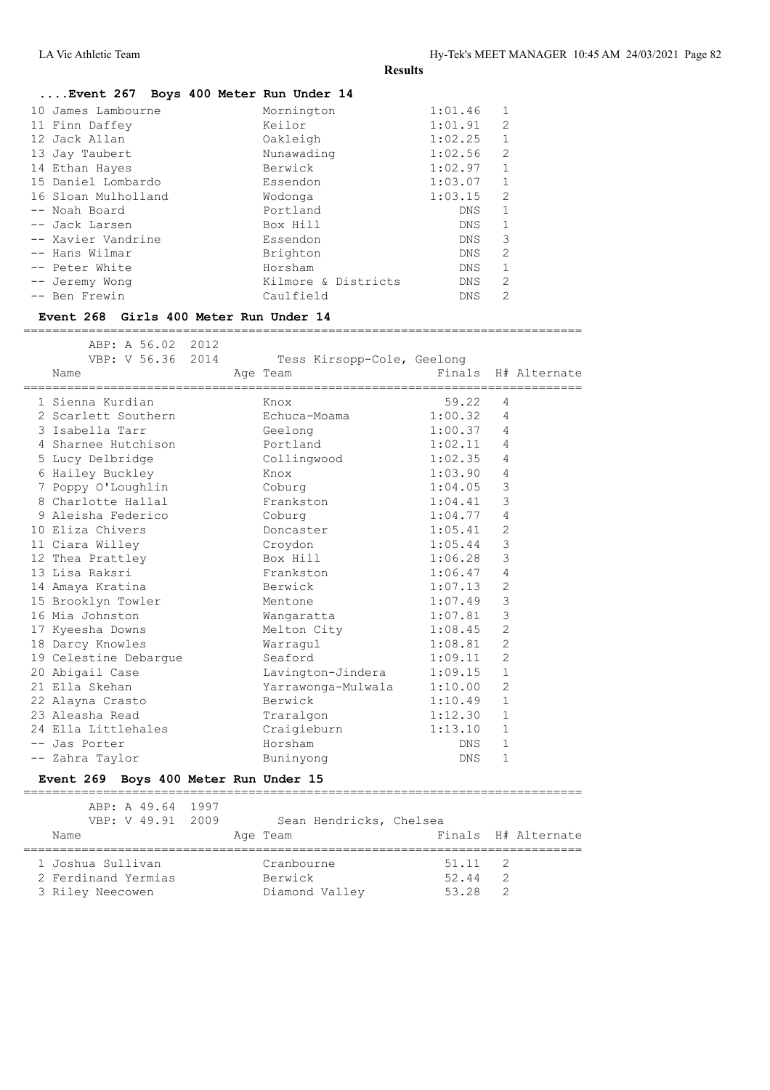|                     | Event 267 Boys 400 Meter Run Under 14 |         |                |
|---------------------|---------------------------------------|---------|----------------|
| 10 James Lambourne  | Mornington                            | 1:01.46 | $\mathbf{1}$   |
| 11 Finn Daffey      | Keilor                                | 1:01.91 | 2              |
| 12 Jack Allan       | Oakleigh                              | 1:02.25 | $\mathbf{1}$   |
| 13 Jay Taubert      | Nunawading                            | 1:02.56 | 2              |
| 14 Ethan Hayes      | Berwick                               | 1:02.97 | $\mathbf{1}$   |
| 15 Daniel Lombardo  | Essendon                              | 1:03.07 | $\mathbf{1}$   |
| 16 Sloan Mulholland | Wodonga                               | 1:03.15 | 2              |
| -- Noah Board       | Portland                              | DNS.    | $\mathbf{1}$   |
| -- Jack Larsen      | Box Hill                              | DNS.    | $\mathbf{1}$   |
| -- Xavier Vandrine  | Essendon                              | DNS.    | 3              |
| -- Hans Wilmar      | Brighton                              | DNS.    | $\mathfrak{D}$ |
| -- Peter White      | Horsham                               | DNS.    | $\mathbf{1}$   |
| -- Jeremy Wonq      | Kilmore & Districts                   | DNS.    | 2              |
| -- Ben Frewin       | Caulfield                             | DNS     | 2              |
|                     |                                       |         |                |

#### **Event 268 Girls 400 Meter Run Under 14**

| ABP: A 56.02<br>2012                  |                            |         |                |
|---------------------------------------|----------------------------|---------|----------------|
| VBP: V 56.36 2014                     | Tess Kirsopp-Cole, Geelong | Finals  |                |
| Name                                  | Age Team                   |         | H# Alternate   |
| 1 Sienna Kurdian                      | Knox                       | 59.22   | 4              |
| 2 Scarlett Southern                   | Echuca-Moama               | 1:00.32 | 4              |
| 3 Isabella Tarr                       | Geelong                    | 1:00.37 | 4              |
| 4 Sharnee Hutchison                   | Portland                   | 1:02.11 | 4              |
| 5 Lucy Delbridge                      | Collingwood                | 1:02.35 | 4              |
| 6 Hailey Buckley                      | Knox                       | 1:03.90 | 4              |
| 7 Poppy O'Loughlin                    | Coburg                     | 1:04.05 | 3              |
| 8 Charlotte Hallal                    | Frankston                  | 1:04.41 | $\mathsf 3$    |
| 9 Aleisha Federico                    | Coburg                     | 1:04.77 | 4              |
| 10 Eliza Chivers                      | Doncaster                  | 1:05.41 | $\overline{2}$ |
| 11 Ciara Willey                       | Croydon                    | 1:05.44 | $\mathsf 3$    |
| 12 Thea Prattley                      | Box Hill                   | 1:06.28 | $\mathsf 3$    |
| 13 Lisa Raksri                        | Frankston                  | 1:06.47 | 4              |
| 14 Amaya Kratina                      | Berwick                    | 1:07.13 | $\overline{c}$ |
| 15 Brooklyn Towler                    | Mentone                    | 1:07.49 | $\mathcal{E}$  |
| 16 Mia Johnston                       | Wangaratta                 | 1:07.81 | 3              |
| 17 Kyeesha Downs                      | Melton City                | 1:08.45 | $\overline{2}$ |
| 18 Darcy Knowles                      | Warraqul                   | 1:08.81 | $\overline{2}$ |
| 19 Celestine Debargue                 | Seaford                    | 1:09.11 | $\overline{2}$ |
| 20 Abigail Case                       | Lavington-Jindera          | 1:09.15 | $\mathbf{1}$   |
| 21 Ella Skehan                        | Yarrawonga-Mulwala         | 1:10.00 | $\overline{2}$ |
| 22 Alayna Crasto                      | Berwick                    | 1:10.49 | $\mathbf{1}$   |
| 23 Aleasha Read                       | Traralgon                  | 1:12.30 | $\mathbf{1}$   |
| 24 Ella Littlehales                   | Craigieburn                | 1:13.10 | $\mathbf{1}$   |
| -- Jas Porter                         | Horsham                    | DNS     | 1              |
| -- Zahra Taylor                       | Buninyong                  | DNS.    | $\mathbf{1}$   |
| Event 269 Boys 400 Meter Run Under 15 |                            |         |                |
| ABP: A 49.64 1997                     |                            |         |                |
| VBP: V 49.91<br>2009                  | Sean Hendricks, Chelsea    |         |                |

| Name                | Age Team       |                 | Finals H# Alternate |
|---------------------|----------------|-----------------|---------------------|
| 1 Joshua Sullivan   | Cranbourne     | $51.11 \quad 2$ |                     |
| 2 Ferdinand Yermias | Berwick        | 52.44           |                     |
| 3 Riley Neecowen    | Diamond Valley | 53.28           |                     |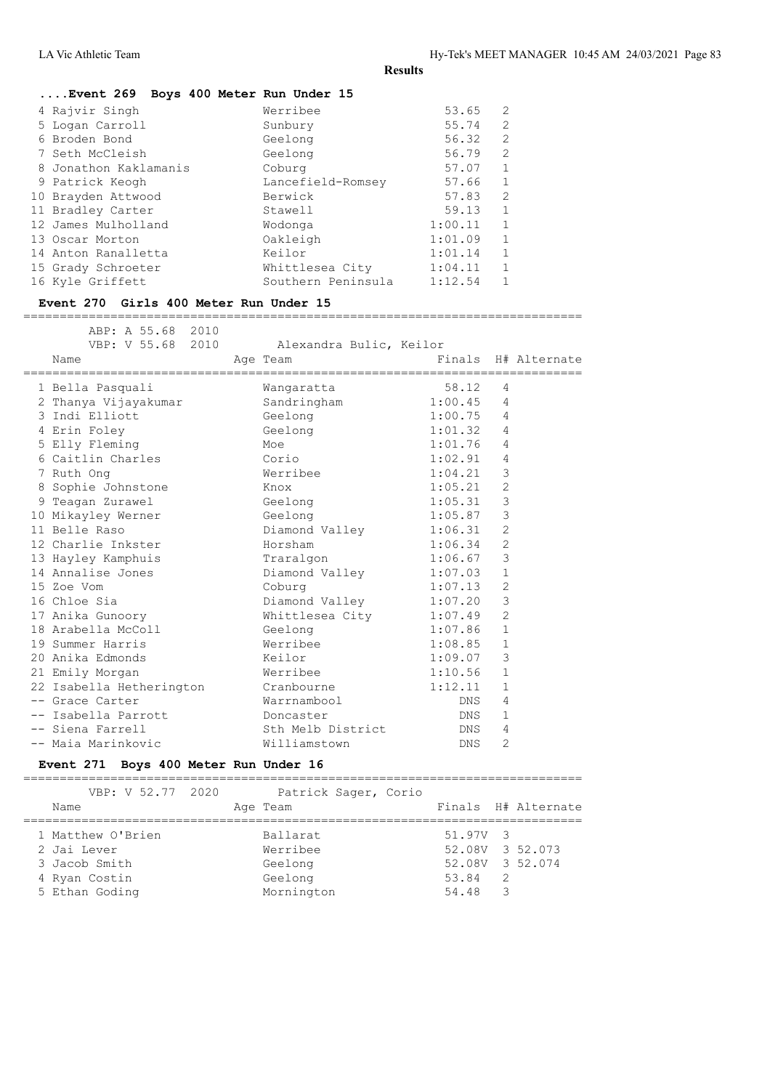| Event 269 Boys 400 Meter Run Under 15 |                    |         |                |
|---------------------------------------|--------------------|---------|----------------|
| 4 Rajvir Singh                        | Werribee           | 53.65   | 2              |
| 5 Logan Carroll                       | Sunbury            | 55.74   | 2              |
| 6 Broden Bond                         | Geelong            | 56.32   | 2              |
| 7 Seth McCleish                       | Geelong            | 56.79   | 2              |
| 8 Jonathon Kaklamanis                 | Coburg             | 57.07   | $\mathbf{1}$   |
| 9 Patrick Keogh                       | Lancefield-Romsey  | 57.66   | 1              |
| 10 Brayden Attwood                    | Berwick            | 57.83   | $\overline{2}$ |
| 11 Bradley Carter                     | Stawell            | 59.13   | $\mathbf{1}$   |
| 12 James Mulholland                   | Wodonga            | 1:00.11 | $\mathbf{1}$   |
| 13 Oscar Morton                       | Oakleigh           | 1:01.09 | 1              |
| 14 Anton Ranalletta                   | Keilor             | 1:01.14 | $\mathbf{1}$   |
| 15 Grady Schroeter                    | Whittlesea City    | 1:04.11 | $\mathbf{1}$   |
| 16 Kyle Griffett                      | Southern Peninsula | 1:12.54 | 1              |
|                                       |                    |         |                |

#### **Event 270 Girls 400 Meter Run Under 15**

=============================================================================

| ABP: A 55.68 2010<br>VBP: V 55.68 2010<br>Name<br>:====================== | Alexandra Bulic, Keilor<br>Age Team | =================================== |                | Finals H# Alternate |
|---------------------------------------------------------------------------|-------------------------------------|-------------------------------------|----------------|---------------------|
| 1 Bella Pasquali                                                          | Wangaratta                          | 58.12                               | $\overline{4}$ |                     |
| 2 Thanya Vijayakumar                                                      | Sandringham                         | $1:00.45$ 4                         |                |                     |
| 3 Indi Elliott                                                            | Geelong                             | 1:00.75                             | $\overline{4}$ |                     |
| 4 Erin Foley                                                              | Geelong                             | 1:01.32                             | $\overline{4}$ |                     |
| 5 Elly Fleming                                                            | Moe                                 | 1:01.76                             | $\overline{4}$ |                     |
| 6 Caitlin Charles                                                         | Corio                               | 1:02.91                             | $\overline{4}$ |                     |
| 7 Ruth Ong                                                                | Werribee                            | 1:04.21                             | 3              |                     |
| 8 Sophie Johnstone                                                        | Knox                                | 1:05.21                             | 2              |                     |
| 9 Teagan Zurawel                                                          | Geelong                             | 1:05.31                             | 3              |                     |
| 10 Mikayley Werner                                                        | Geelong                             | 1:05.87                             | $\mathcal{S}$  |                     |
| 11 Belle Raso                                                             | Diamond Valley 1:06.31              |                                     | 2              |                     |
| 12 Charlie Inkster                                                        | Horsham                             | 1:06.34                             | 2              |                     |
| 13 Hayley Kamphuis                                                        | Traralgon                           | 1:06.67                             | 3              |                     |
| 14 Annalise Jones                                                         | Diamond Valley                      | 1:07.03                             | $\mathbf{1}$   |                     |
| 15 Zoe Vom                                                                | Coburg                              | 1:07.13                             | 2              |                     |
| 16 Chloe Sia                                                              | Diamond Valley 1:07.20              |                                     | 3              |                     |
| 17 Anika Gunoory                                                          | Whittlesea City                     | 1:07.49                             | 2              |                     |
| 18 Arabella McColl                                                        | Geelong                             | 1:07.86                             | $\mathbf{1}$   |                     |
| 19 Summer Harris                                                          | Werribee                            | 1:08.85                             | $\mathbf{1}$   |                     |
| 20 Anika Edmonds                                                          | Keilor                              | 1:09.07                             | 3              |                     |
| 21 Emily Morgan                                                           | Werribee                            | 1:10.56                             | 1              |                     |
| 22 Isabella Hetherington                                                  | Cranbourne                          | 1:12.11                             | $\mathbf{1}$   |                     |
| -- Grace Carter                                                           | Warrnambool                         | DNS                                 | 4              |                     |
| -- Isabella Parrott                                                       | Doncaster                           | DNS                                 | 1              |                     |
| -- Siena Farrell                                                          | Sth Melb District                   | DNS                                 | 4              |                     |
| -- Maia Marinkovic                                                        | Williamstown                        | DNS.                                | $\overline{2}$ |                     |

#### **Event 271 Boys 400 Meter Run Under 16**

| VBP: V 52.77 2020<br>Name                                                            | Patrick Sager, Corio<br>Age Team                         | Finals H# Alternate                                                                                 |
|--------------------------------------------------------------------------------------|----------------------------------------------------------|-----------------------------------------------------------------------------------------------------|
| 1 Matthew O'Brien<br>2 Jai Lever<br>3 Jacob Smith<br>4 Ryan Costin<br>5 Ethan Goding | Ballarat<br>Werribee<br>Geelong<br>Geelong<br>Mornington | 51.97V 3<br>52.08V 3 52.073<br>52.08V 3 52.074<br>- 2<br>53.84<br>54.48<br>$\overline{\phantom{a}}$ |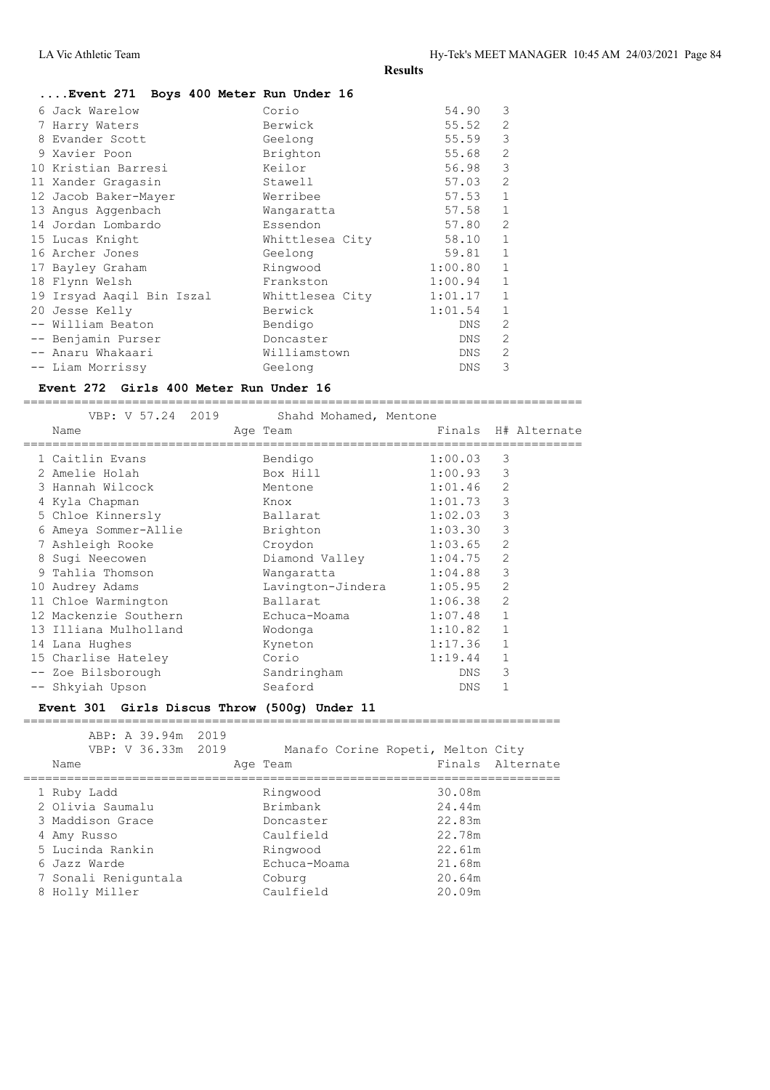| Event 271 Boys 400 Meter Run Under 16 |                 |         |                |
|---------------------------------------|-----------------|---------|----------------|
| 6 Jack Warelow                        | Corio           | 54.90   | 3              |
| 7 Harry Waters                        | Berwick         | 55.52   | $\overline{2}$ |
| 8 Evander Scott                       | Geelong         | 55.59   | 3              |
| 9 Xavier Poon                         | Brighton        | 55.68   | $\overline{2}$ |
| 10 Kristian Barresi                   | Keilor          | 56.98   | 3              |
| 11 Xander Gragasin                    | Stawell         | 57.03   | $\mathfrak{D}$ |
| 12 Jacob Baker-Mayer                  | Werribee        | 57.53   | $\mathbf 1$    |
| 13 Angus Aggenbach                    | Wangaratta      | 57.58   | $\mathbf{1}$   |
| 14 Jordan Lombardo                    | Essendon        | 57.80   | 2              |
| 15 Lucas Knight                       | Whittlesea City | 58.10   | $\mathbf{1}$   |
| 16 Archer Jones                       | Geelong         | 59.81   | $\mathbf{1}$   |
| 17 Bayley Graham                      | Ringwood        | 1:00.80 | $\mathbf 1$    |
| 18 Flynn Welsh                        | Frankston       | 1:00.94 | $\mathbf{1}$   |
| 19 Irsyad Aaqil Bin Iszal             | Whittlesea City | 1:01.17 | $\mathbf{1}$   |
| 20 Jesse Kelly                        | Berwick         | 1:01.54 | $\mathbf{1}$   |
| -- William Beaton                     | Bendigo         | DNS     | 2              |
| -- Benjamin Purser                    | Doncaster       | DNS     | $\mathcal{L}$  |
| -- Anaru Whakaari                     | Williamstown    | DNS     | $\overline{2}$ |
| -- Liam Morrissy                      | Geelong         | DNS     | 3              |
|                                       |                 |         |                |

#### **Event 272 Girls 400 Meter Run Under 16**

=============================================================================

| VBP: V 57.24 2019     | Shahd Mohamed, Mentone |         |                |                     |
|-----------------------|------------------------|---------|----------------|---------------------|
| Name                  | Age Team               |         |                | Finals H# Alternate |
| 1 Caitlin Evans       | Bendigo                | 1:00.03 | 3              |                     |
| 2 Amelie Holah        | Box Hill               | 1:00.93 | 3              |                     |
| 3 Hannah Wilcock      | Mentone                | 1:01.46 | $\overline{2}$ |                     |
| 4 Kyla Chapman        | Knox                   | 1:01.73 | 3              |                     |
| 5 Chloe Kinnersly     | Ballarat               | 1:02.03 | 3              |                     |
| 6 Ameya Sommer-Allie  | Brighton               | 1:03.30 | 3              |                     |
| 7 Ashleigh Rooke      | Croydon                | 1:03.65 | 2              |                     |
| 8 Sugi Neecowen       | Diamond Valley         | 1:04.75 | 2              |                     |
| 9 Tahlia Thomson      | Wangaratta             | 1:04.88 | 3              |                     |
| 10 Audrey Adams       | Lavington-Jindera      | 1:05.95 | 2              |                     |
| 11 Chloe Warmington   | Ballarat               | 1:06.38 | $\overline{2}$ |                     |
| 12 Mackenzie Southern | Echuca-Moama           | 1:07.48 | $\mathbf{1}$   |                     |
| 13 Illiana Mulholland | Wodonga                | 1:10.82 | $\mathbf{1}$   |                     |
| 14 Lana Hughes        | Kyneton                | 1:17.36 | $\mathbf{1}$   |                     |
| 15 Charlise Hateley   | Corio                  | 1:19.44 | $\mathbf{1}$   |                     |
| -- Zoe Bilsborough    | Sandringham            | DNS     | 3              |                     |
| -- Shkyiah Upson      | Seaford                | DNS     | 1              |                     |

#### **Event 301 Girls Discus Throw (500g) Under 11**

| ABP: A 39.94m 2019   |              |                                   |
|----------------------|--------------|-----------------------------------|
| VBP: V 36.33m 2019   |              | Manafo Corine Ropeti, Melton City |
| Name                 | Age Team     | Finals Alternate                  |
|                      |              |                                   |
| 1 Ruby Ladd          | Ringwood     | 30.08m                            |
| 2 Olivia Saumalu     | Brimbank     | 24.44m                            |
| 3 Maddison Grace     | Doncaster    | 22.83m                            |
| 4 Amy Russo          | Caulfield    | 22.78m                            |
| 5 Lucinda Rankin     | Ringwood     | 22.61m                            |
| 6 Jazz Warde         | Echuca-Moama | 21.68m                            |
| 7 Sonali Reniguntala | Coburg       | 20.64m                            |
| 8 Holly Miller       | Caulfield    | 20.09m                            |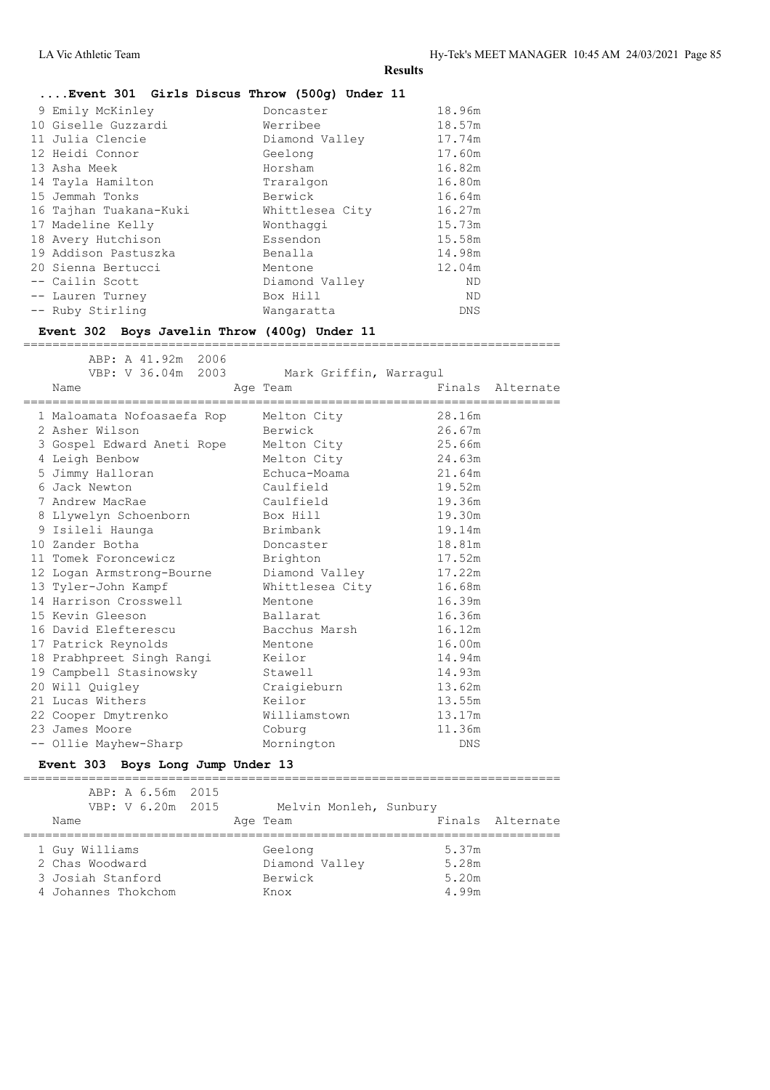## **....Event 301 Girls Discus Throw (500g) Under 11**

| 9 Emily McKinley<br>10 Giselle Guzzardi<br>11 Julia Clencie<br>12 Heidi Connor<br>13 Asha Meek<br>14 Tayla Hamilton<br>15 Jemmah Tonks<br>16 Tajhan Tuakana-Kuki<br>17 Madeline Kelly<br>18 Avery Hutchison<br>19 Addison Pastuszka | Doncaster<br>Werribee<br>Diamond Valley<br>Geelong<br>Horsham<br>Traralgon<br>Berwick<br>Whittlesea City<br>Wonthaggi<br>Essendon<br>Benalla | 18.96m<br>18.57m<br>17.74m<br>17.60m<br>16.82m<br>16.80m<br>16.64m<br>16.27m<br>15.73m<br>15.58m<br>14.98m |
|-------------------------------------------------------------------------------------------------------------------------------------------------------------------------------------------------------------------------------------|----------------------------------------------------------------------------------------------------------------------------------------------|------------------------------------------------------------------------------------------------------------|
|                                                                                                                                                                                                                                     |                                                                                                                                              |                                                                                                            |
|                                                                                                                                                                                                                                     |                                                                                                                                              |                                                                                                            |
| 20 Sienna Bertucci                                                                                                                                                                                                                  | Mentone                                                                                                                                      | 12.04m                                                                                                     |
| -- Cailin Scott<br>-- Lauren Turney                                                                                                                                                                                                 | Diamond Valley<br>Box Hill                                                                                                                   | ND.<br>ND.                                                                                                 |
| -- Ruby Stirling                                                                                                                                                                                                                    | Wangaratta                                                                                                                                   | <b>DNS</b>                                                                                                 |

#### **Event 302 Boys Javelin Throw (400g) Under 11**

ABP: A 41.92m 2006

==========================================================================

| VBP: V 36.04m 2003 Mark Griffin, Warragul |                 |        |                  |
|-------------------------------------------|-----------------|--------|------------------|
| Name                                      | Age Team        |        | Finals Alternate |
|                                           |                 |        | ============     |
| 1 Maloamata Nofoasaefa Rop Melton City    |                 | 28.16m |                  |
| 2 Asher Wilson                            | Berwick         | 26.67m |                  |
| 3 Gospel Edward Aneti Rope                | Melton City     | 25.66m |                  |
| 4 Leigh Benbow                            | Melton City     | 24.63m |                  |
| 5 Jimmy Halloran                          | Echuca-Moama    | 21.64m |                  |
| 6 Jack Newton                             | Caulfield       | 19.52m |                  |
| 7 Andrew MacRae                           | Caulfield       | 19.36m |                  |
| 8 Llywelyn Schoenborn                     | Box Hill        | 19.30m |                  |
| 9 Isileli Haunga                          | Brimbank        | 19.14m |                  |
| 10 Zander Botha                           | Doncaster       | 18.81m |                  |
| 11 Tomek Foroncewicz                      | Brighton        | 17.52m |                  |
| 12 Logan Armstrong-Bourne                 | Diamond Valley  | 17.22m |                  |
| 13 Tyler-John Kampf                       | Whittlesea City | 16.68m |                  |
| 14 Harrison Crosswell                     | Mentone         | 16.39m |                  |
| 15 Kevin Gleeson                          | Ballarat        | 16.36m |                  |
| 16 David Elefterescu                      | Bacchus Marsh   | 16.12m |                  |
| 17 Patrick Reynolds                       | Mentone         | 16.00m |                  |
| 18 Prabhpreet Singh Rangi                 | Keilor          | 14.94m |                  |
| 19 Campbell Stasinowsky                   | Stawell         | 14.93m |                  |
| 20 Will Quigley                           | Craigieburn     | 13.62m |                  |
| 21 Lucas Withers                          | Keilor          | 13.55m |                  |
| 22 Cooper Dmytrenko                       | Williamstown    | 13.17m |                  |
| 23 James Moore                            | Coburg          | 11.36m |                  |
| -- Ollie Mayhew-Sharp                     | Mornington      | DNS.   |                  |
|                                           |                 |        |                  |

#### **Event 303 Boys Long Jump Under 13**

| ABP: A 6.56m 2015<br>VBP: V 6.20m 2015<br>Name | Melvin Monleh, Sunbury<br>Age Team | Finals Alternate |
|------------------------------------------------|------------------------------------|------------------|
| 1 Guy Williams                                 | Geelong                            | 5.37m            |
| 2 Chas Woodward                                | Diamond Valley                     | 5.28m            |
| 3 Josiah Stanford                              | Berwick                            | 5.20m            |
| 4 Johannes Thokchom                            | Knox                               | 4.99m            |

===================================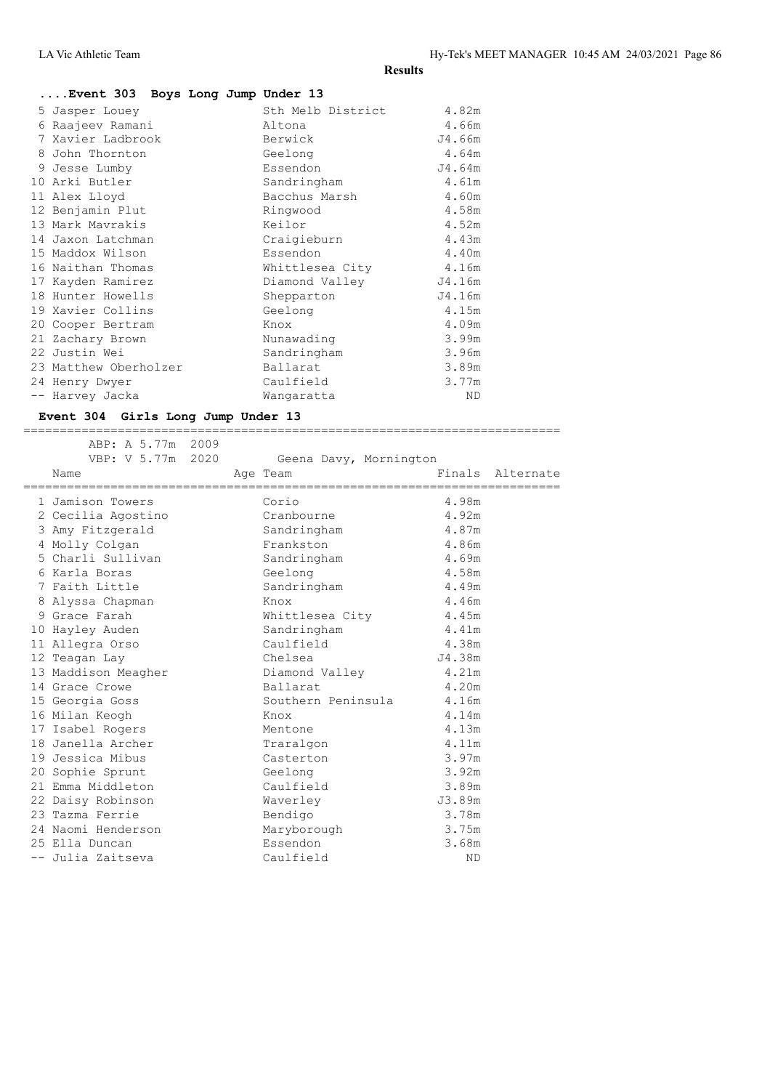| Event 303 Boys Long Jump Under 13 |                   |        |
|-----------------------------------|-------------------|--------|
| 5 Jasper Louey                    | Sth Melb District | 4.82m  |
| 6 Raajeev Ramani                  | Altona            | 4.66m  |
| 7 Xavier Ladbrook                 | Berwick           | J4.66m |
| 8 John Thornton                   | Geelong           | 4.64m  |
| 9 Jesse Lumby                     | Essendon          | J4.64m |
| 10 Arki Butler                    | Sandringham       | 4.61m  |
| 11 Alex Lloyd                     | Bacchus Marsh     | 4.60m  |
| 12 Benjamin Plut                  | Ringwood          | 4.58m  |
| 13 Mark Mavrakis                  | Keilor            | 4.52m  |
| 14 Jaxon Latchman                 | Craigieburn       | 4.43m  |
| 15 Maddox Wilson                  | Essendon          | 4.40m  |
| 16 Naithan Thomas                 | Whittlesea City   | 4.16m  |
| 17 Kayden Ramirez                 | Diamond Valley    | J4.16m |
| 18 Hunter Howells                 | Shepparton        | J4.16m |
| 19 Xavier Collins                 | Geelong           | 4.15m  |
| 20 Cooper Bertram                 | Knox              | 4.09m  |
| 21 Zachary Brown                  | Nunawading        | 3.99m  |
| 22 Justin Wei                     | Sandringham       | 3.96m  |
| 23 Matthew Oberholzer             | Ballarat          | 3.89m  |
| 24 Henry Dwyer                    | Caulfield         | 3.77m  |
| Harvey Jacka                      | Wangaratta        | ND     |

#### **Event 304 Girls Long Jump Under 13** ==========================================================================

| ABP: A 5.77m<br>VBP: V 5.77m 2020<br>Name<br>---------------------- | 2009 | Geena Davy, Mornington<br>Age Team |           | Finals Alternate |
|---------------------------------------------------------------------|------|------------------------------------|-----------|------------------|
| 1 Jamison Towers                                                    |      | Corio                              | 4.98m     |                  |
| 2 Cecilia Agostino                                                  |      | Cranbourne                         | 4.92m     |                  |
| 3 Amy Fitzgerald                                                    |      | Sandringham                        | 4.87m     |                  |
| 4 Molly Colgan                                                      |      | Frankston                          | 4.86m     |                  |
| 5 Charli Sullivan                                                   |      | Sandringham                        | 4.69m     |                  |
| 6 Karla Boras                                                       |      | Geelong                            | 4.58m     |                  |
| 7 Faith Little                                                      |      | Sandringham                        | 4.49m     |                  |
| 8 Alyssa Chapman                                                    |      | Knox                               | 4.46m     |                  |
| 9 Grace Farah                                                       |      | Whittlesea City                    | 4.45m     |                  |
| 10 Hayley Auden                                                     |      | Sandringham                        | 4.41m     |                  |
| 11 Allegra Orso                                                     |      | Caulfield                          | 4.38m     |                  |
| 12 Teagan Lay                                                       |      | Chelsea                            | J4.38m    |                  |
| 13 Maddison Meagher                                                 |      | Diamond Valley                     | 4.21m     |                  |
| 14 Grace Crowe                                                      |      | Ballarat                           | 4.20m     |                  |
| 15 Georgia Goss                                                     |      | Southern Peninsula                 | 4.16m     |                  |
| 16 Milan Keogh                                                      |      | Knox                               | 4.14m     |                  |
| 17 Isabel Rogers                                                    |      | Mentone                            | 4.13m     |                  |
| 18 Janella Archer                                                   |      | Traralgon                          | 4.11m     |                  |
| 19 Jessica Mibus                                                    |      | Casterton                          | 3.97m     |                  |
| 20 Sophie Sprunt                                                    |      | Geelong                            | 3.92m     |                  |
| 21 Emma Middleton                                                   |      | Caulfield                          | 3.89m     |                  |
| 22 Daisy Robinson                                                   |      | Waverley                           | J3.89m    |                  |
| 23 Tazma Ferrie                                                     |      | Bendigo                            | 3.78m     |                  |
| 24 Naomi Henderson                                                  |      | Maryborough                        | 3.75m     |                  |
| 25 Ella Duncan                                                      |      | Essendon                           | 3.68m     |                  |
| -- Julia Zaitseva                                                   |      | Caulfield                          | <b>ND</b> |                  |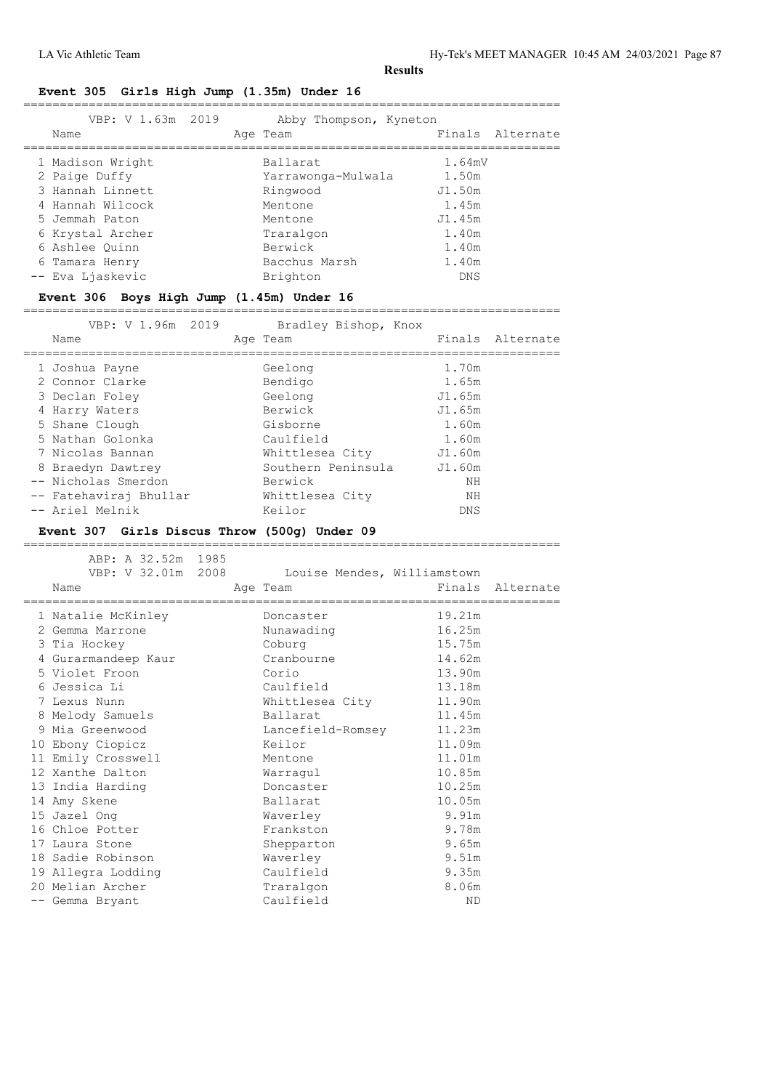## **Event 305 Girls High Jump (1.35m) Under 16**

|  | VBP: V 1.63m 2019<br>Name | Abby Thompson, Kyneton<br>Age Team | Finals Alternate |
|--|---------------------------|------------------------------------|------------------|
|  | 1 Madison Wright          | Ballarat                           | 1.64mV           |
|  | 2 Paige Duffy             | Yarrawonga-Mulwala                 | 1.50m            |
|  | 3 Hannah Linnett          | Ringwood                           | J1.50m           |
|  | 4 Hannah Wilcock          | Mentone                            | 1.45m            |
|  | 5 Jemmah Paton            | Mentone                            | J1.45m           |
|  | 6 Krystal Archer          | Traralgon                          | 1.40m            |
|  | 6 Ashlee Ouinn            | Berwick                            | 1.40m            |
|  | 6 Tamara Henry            | Bacchus Marsh                      | 1.40m            |
|  | -- Eva Ljaskevic          | Brighton                           | <b>DNS</b>       |
|  |                           |                                    |                  |

## **Event 306 Boys High Jump (1.45m) Under 16**

==========================================================================

| VBP: V 1.96m 2019      | Bradley Bishop, Knox |            |                  |
|------------------------|----------------------|------------|------------------|
| Name                   | Age Team             |            | Finals Alternate |
| 1 Joshua Payne         | Geelong              | 1.70m      |                  |
| 2 Connor Clarke        | Bendigo              | 1.65m      |                  |
| 3 Declan Foley         | Geelong              | J1.65m     |                  |
| 4 Harry Waters         | Berwick              | J1.65m     |                  |
| 5 Shane Clough         | Gisborne             | 1.60m      |                  |
| 5 Nathan Golonka       | Caulfield            | 1.60m      |                  |
| 7 Nicolas Bannan       | Whittlesea City      | J1.60m     |                  |
| 8 Braedyn Dawtrey      | Southern Peninsula   | J1.60m     |                  |
| -- Nicholas Smerdon    | Berwick              | NH         |                  |
| -- Fatehaviraj Bhullar | Whittlesea City      | ΝH         |                  |
| -- Ariel Melnik        | Keilor               | <b>DNS</b> |                  |

#### **Event 307 Girls Discus Throw (500g) Under 09**

| ABP: A 32.52m 1985<br>VBP: V 32.01m 2008<br>Name | Louise Mendes, Williamstown<br>Age Team<br>----------------------- | Finals | Alternate |
|--------------------------------------------------|--------------------------------------------------------------------|--------|-----------|
| 1 Natalie McKinley                               | Doncaster                                                          | 19.21m |           |
| 2 Gemma Marrone                                  | Nunawading                                                         | 16.25m |           |
| 3 Tia Hockey                                     | Coburg                                                             | 15.75m |           |
| 4 Gurarmandeep Kaur                              | Cranbourne                                                         | 14.62m |           |
| 5 Violet Froon                                   | Corio                                                              | 13.90m |           |
| 6 Jessica Li                                     | Caulfield                                                          | 13.18m |           |
| 7 Lexus Nunn                                     | Whittlesea City                                                    | 11.90m |           |
| 8 Melody Samuels                                 | Ballarat                                                           | 11.45m |           |
| 9 Mia Greenwood                                  | Lancefield-Romsey                                                  | 11.23m |           |
| 10 Ebony Ciopicz                                 | Keilor                                                             | 11.09m |           |
| 11 Emily Crosswell                               | Mentone                                                            | 11.01m |           |
| 12 Xanthe Dalton                                 | Warragul                                                           | 10.85m |           |
| 13 India Harding                                 | Doncaster                                                          | 10.25m |           |
| 14 Amy Skene                                     | Ballarat                                                           | 10.05m |           |
| 15 Jazel Ong                                     | Waverley                                                           | 9.91m  |           |
| 16 Chloe Potter                                  | Frankston                                                          | 9.78m  |           |
| 17 Laura Stone                                   | Shepparton                                                         | 9.65m  |           |
| 18 Sadie Robinson                                | Waverley                                                           | 9.51m  |           |
| 19 Allegra Lodding                               | Caulfield                                                          | 9.35m  |           |
| 20 Melian Archer                                 | Traralgon                                                          | 8.06m  |           |
| -- Gemma Bryant                                  | Caulfield                                                          | ND     |           |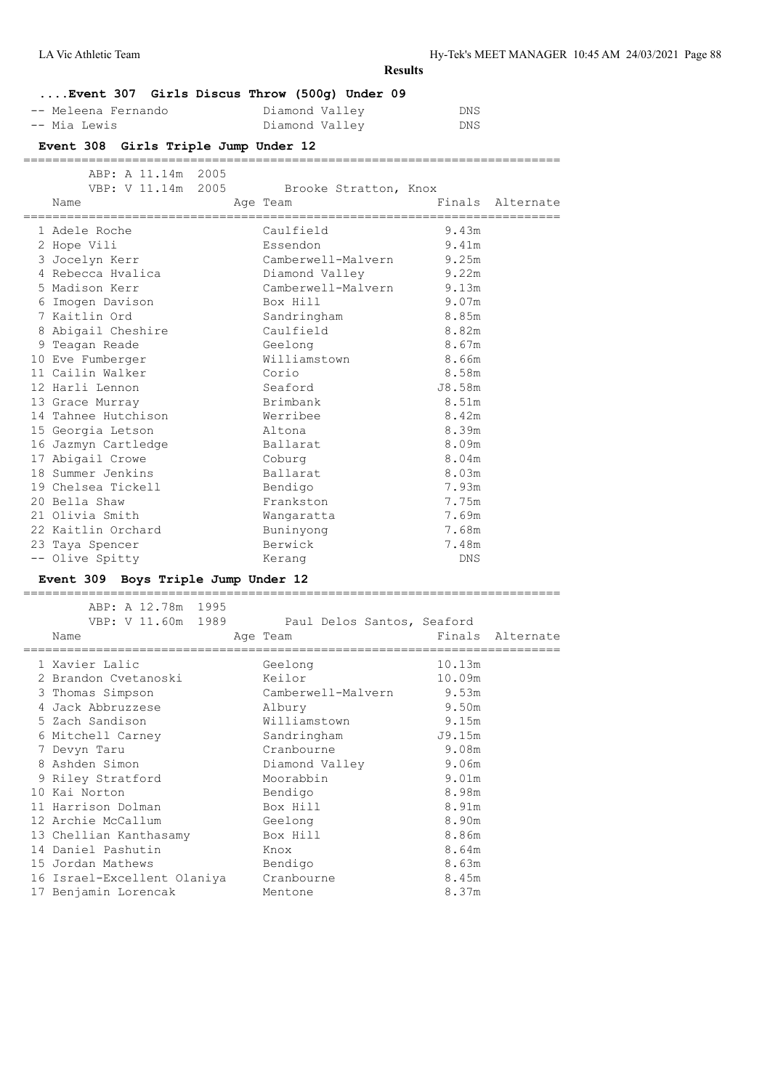| LA Vic Athletic Team |  |  |  |  |  |
|----------------------|--|--|--|--|--|
|----------------------|--|--|--|--|--|

| Event 307 Girls Discus Throw (500q) Under 09 |  |  |                |  |      |
|----------------------------------------------|--|--|----------------|--|------|
| -- Meleena Fernando                          |  |  | Diamond Valley |  | DNS. |
| -- Mia Lewis                                 |  |  | Diamond Valley |  | DNS. |

# **Event 308 Girls Triple Jump Under 12**

#### ==========================================================================

| ABP: A 11.14m 2005<br>VBP: V 11.14m 2005<br>Name |  | Brooke Stratton, Knox<br>Age Team |        | Finals Alternate |
|--------------------------------------------------|--|-----------------------------------|--------|------------------|
| 1 Adele Roche                                    |  | Caulfield                         | 9.43m  |                  |
| 2 Hope Vili                                      |  | Essendon                          | 9.41m  |                  |
| 3 Jocelyn Kerr                                   |  | Camberwell-Malvern 9.25m          |        |                  |
| 4 Rebecca Hyalica                                |  | Diamond Valley                    | 9.22m  |                  |
| 5 Madison Kerr                                   |  | Camberwell-Malvern 9.13m          |        |                  |
| 6 Imogen Davison                                 |  | Box Hill                          | 9.07m  |                  |
| 7 Kaitlin Ord                                    |  | Sandringham                       | 8.85m  |                  |
| 8 Abigail Cheshire                               |  | Caulfield                         | 8.82m  |                  |
| 9 Teagan Reade                                   |  | Geelong                           | 8.67m  |                  |
| 10 Eve Fumberger                                 |  | Williamstown                      | 8.66m  |                  |
| 11 Cailin Walker                                 |  | Corio                             | 8.58m  |                  |
| 12 Harli Lennon                                  |  | Seaford                           | J8.58m |                  |
| 13 Grace Murray                                  |  | Brimbank                          | 8.51m  |                  |
| 14 Tahnee Hutchison                              |  | Werribee                          | 8.42m  |                  |
| 15 Georgia Letson                                |  | Altona                            | 8.39m  |                  |
| 16 Jazmyn Cartledge                              |  | Ballarat                          | 8.09m  |                  |
| 17 Abigail Crowe                                 |  | Coburg                            | 8.04m  |                  |
| 18 Summer Jenkins                                |  | Ballarat                          | 8.03m  |                  |
| 19 Chelsea Tickell                               |  | Bendigo                           | 7.93m  |                  |
| 20 Bella Shaw                                    |  | Frankston                         | 7.75m  |                  |
| 21 Olivia Smith                                  |  | Wangaratta                        | 7.69m  |                  |
| 22 Kaitlin Orchard                               |  | Buninyong                         | 7.68m  |                  |
| 23 Taya Spencer                                  |  | Berwick                           | 7.48m  |                  |
| -- Olive Spitty                                  |  | Kerang                            | DNS    |                  |
|                                                  |  |                                   |        |                  |

# **Event 309 Boys Triple Jump Under 12**

| ABP: A 12.78m 1995                     |                            |        |                  |
|----------------------------------------|----------------------------|--------|------------------|
| VBP: V 11.60m 1989                     | Paul Delos Santos, Seaford |        |                  |
| Name                                   | Age Team                   |        | Finals Alternate |
| ==================================     | =======================    |        |                  |
| 1 Xavier Lalic                         | Geelong                    | 10.13m |                  |
| 2 Brandon Cvetanoski                   | Keilor                     | 10.09m |                  |
| 3 Thomas Simpson                       | Camberwell-Malvern 9.53m   |        |                  |
| 4 Jack Abbruzzese Albury               |                            | 9.50m  |                  |
| 5 Zach Sandison                        | Williamstown               | 9.15m  |                  |
| 6 Mitchell Carney                      | Sandringham                | J9.15m |                  |
| 7 Devyn Taru                           | Cranbourne                 | 9.08m  |                  |
| 8 Ashden Simon                         | Diamond Valley             | 9.06m  |                  |
| 9 Riley Stratford                      | Moorabbin                  | 9.01m  |                  |
| 10 Kai Norton                          | Bendigo                    | 8.98m  |                  |
| 11 Harrison Dolman                     | Box Hill                   | 8.91m  |                  |
| 12 Archie McCallum                     | Geelong                    | 8.90m  |                  |
| 13 Chellian Kanthasamy Box Hill        |                            | 8.86m  |                  |
| 14 Daniel Pashutin                     | Knox                       | 8.64m  |                  |
| 15 Jordan Mathews                      | Bendigo                    | 8.63m  |                  |
| 16 Israel-Excellent Olaniya Cranbourne |                            | 8.45m  |                  |
| 17 Benjamin Lorencak                   | Mentone                    | 8.37m  |                  |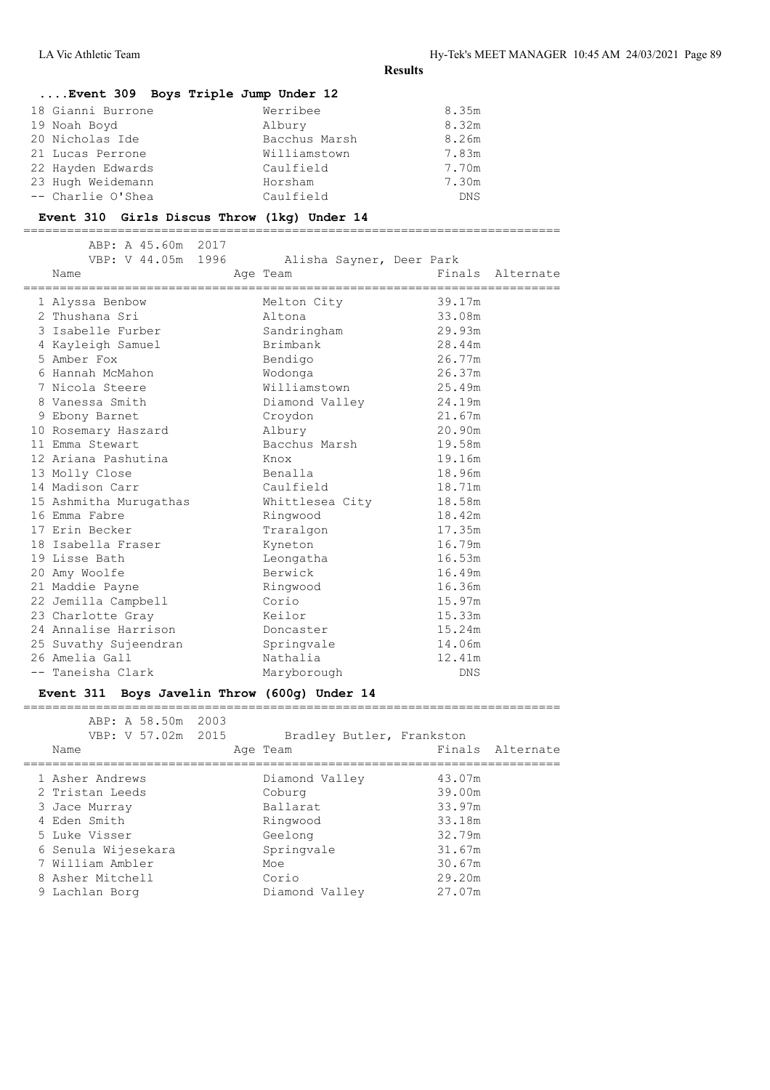#### **....Event 309 Boys Triple Jump Under 12**

| 18 Gianni Burrone | Werribee      | 8.35m      |
|-------------------|---------------|------------|
| 19 Noah Boyd      | Albury        | 8.32m      |
| 20 Nicholas Ide   | Bacchus Marsh | 8.26m      |
| 21 Lucas Perrone  | Williamstown  | 7.83m      |
| 22 Hayden Edwards | Caulfield     | 7.70m      |
| 23 Hugh Weidemann | Horsham       | 7.30m      |
| -- Charlie O'Shea | Caulfield     | <b>DNS</b> |

#### **Event 310 Girls Discus Throw (1kg) Under 14**

==========================================================================

| ABP: A 45.60m 2017<br>VBP: V 44.05m 1996<br>Name<br>================================== | Alisha Sayner, Deer Park<br>Age Team | ===================================== | Finals Alternate |
|----------------------------------------------------------------------------------------|--------------------------------------|---------------------------------------|------------------|
| 1 Alyssa Benbow                                                                        | Melton City                          | 39.17m                                |                  |
| 2 Thushana Sri                                                                         | Altona                               | 33.08m                                |                  |
| 3 Isabelle Furber                                                                      | Sandringham                          | 29.93m                                |                  |
| 4 Kayleigh Samuel                                                                      | Brimbank                             | 28.44m                                |                  |
| 5 Amber Fox                                                                            | Bendigo                              | 26.77m                                |                  |
| 6 Hannah McMahon                                                                       | Wodonga                              | 26.37m                                |                  |
| 7 Nicola Steere                                                                        | Williamstown                         | 25.49m                                |                  |
| 8 Vanessa Smith                                                                        | Diamond Valley                       | 24.19m                                |                  |
| 9 Ebony Barnet                                                                         | Croydon                              | 21.67m                                |                  |
| 10 Rosemary Haszard                                                                    | Albury                               | 20.90m                                |                  |
| 11 Emma Stewart                                                                        | Bacchus Marsh                        | 19.58m                                |                  |
| 12 Ariana Pashutina                                                                    | Knox                                 | 19.16m                                |                  |
| 13 Molly Close                                                                         | Benalla                              | 18.96m                                |                  |
| 14 Madison Carr                                                                        | Caulfield                            | 18.71m                                |                  |
| 15 Ashmitha Murugathas                                                                 | Whittlesea City                      | 18.58m                                |                  |
| 16 Emma Fabre                                                                          | Ringwood                             | 18.42m                                |                  |
| 17 Erin Becker                                                                         | Traralgon                            | 17.35m                                |                  |
| 18 Isabella Fraser                                                                     | Kyneton                              | 16.79m                                |                  |
| 19 Lisse Bath                                                                          | Leongatha                            | 16.53m                                |                  |
| 20 Amy Woolfe                                                                          | Berwick                              | 16.49m                                |                  |
| 21 Maddie Payne                                                                        | Ringwood                             | 16.36m                                |                  |
| 22 Jemilla Campbell                                                                    | Corio                                | 15.97m                                |                  |
| 23 Charlotte Gray                                                                      | Keilor                               | 15.33m                                |                  |
| 24 Annalise Harrison                                                                   | Doncaster                            | 15.24m                                |                  |
| 25 Suvathy Sujeendran                                                                  | Springvale                           | 14.06m                                |                  |
| 26 Amelia Gall                                                                         | Nathalia                             | 12.41m                                |                  |
| -- Taneisha Clark                                                                      | Maryborough                          | <b>DNS</b>                            |                  |
|                                                                                        |                                      |                                       |                  |

#### **Event 311 Boys Javelin Throw (600g) Under 14**

|  | VBP: V 57.02m 2015  |  | Bradley Butler, Frankston |        |                  |
|--|---------------------|--|---------------------------|--------|------------------|
|  | Name                |  | Age Team                  |        | Finals Alternate |
|  | 1 Asher Andrews     |  | Diamond Valley            | 43.07m |                  |
|  | 2 Tristan Leeds     |  | Coburg                    | 39.00m |                  |
|  | 3 Jace Murray       |  | Ballarat                  | 33.97m |                  |
|  | 4 Eden Smith        |  | Ringwood                  | 33.18m |                  |
|  | 5 Luke Visser       |  | Geelong                   | 32.79m |                  |
|  | 6 Senula Wijesekara |  | Springvale                | 31.67m |                  |
|  | 7 William Ambler    |  | Moe                       | 30.67m |                  |
|  | 8 Asher Mitchell    |  | Corio                     | 29.20m |                  |
|  | 9 Lachlan Borg      |  | Diamond Valley            | 27.07m |                  |
|  |                     |  |                           |        |                  |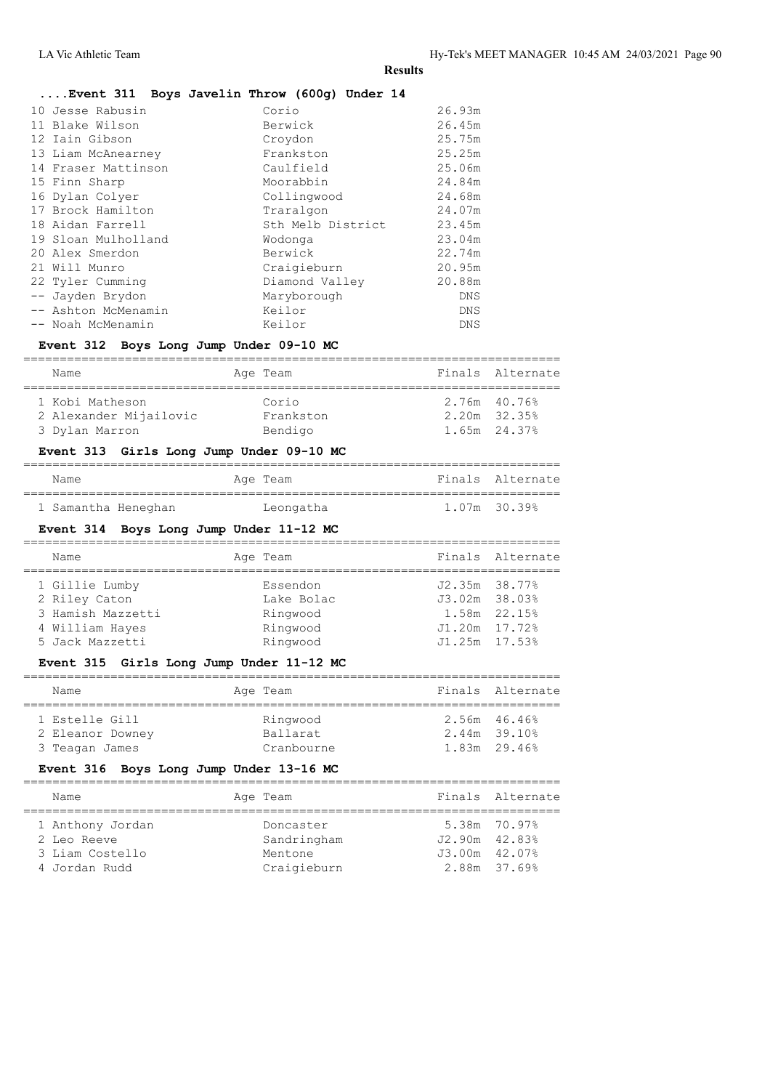## **....Event 311 Boys Javelin Throw (600g) Under 14**

| 10 Jesse Rabusin    | Corio             | 26.93m     |
|---------------------|-------------------|------------|
| 11 Blake Wilson     | Berwick           | 26.45m     |
| 12 Iain Gibson      | Croydon           | 25.75m     |
| 13 Liam McAnearney  | Frankston         | 25.25m     |
| 14 Fraser Mattinson | Caulfield         | 25.06m     |
| 15 Finn Sharp       | Moorabbin         | 24.84m     |
| 16 Dylan Colyer     | Collingwood       | 24.68m     |
| 17 Brock Hamilton   | Traralgon         | 24.07m     |
| 18 Aidan Farrell    | Sth Melb District | 23.45m     |
| 19 Sloan Mulholland | Wodonga           | 23.04m     |
| 20 Alex Smerdon     | Berwick           | 22.74m     |
| 21 Will Munro       | Craigieburn       | 20.95m     |
| 22 Tyler Cumming    | Diamond Valley    | 20.88m     |
| -- Jayden Brydon    | Maryborough       | <b>DNS</b> |
| -- Ashton McMenamin | Keilor            | <b>DNS</b> |
| -- Noah McMenamin   | Keilor            | DNS        |
|                     |                   |            |

#### **Event 312 Boys Long Jump Under 09-10 MC**

| Name                   | Age Team  | Finals Alternate |
|------------------------|-----------|------------------|
| 1 Kobi Matheson        | Corio     | 2.76m 40.76%     |
| 2 Alexander Mijailovic | Frankston | $2.20m$ $32.35%$ |
| 3 Dylan Marron         | Bendigo   | $1.65m$ 24.37%   |

## **Event 313 Girls Long Jump Under 09-10 MC**

| Name                | Age Team  | Finals Alternate |
|---------------------|-----------|------------------|
|                     |           |                  |
| 1 Samantha Heneghan | Leongatha | 1.07m 30.39%     |

#### **Event 314 Boys Long Jump Under 11-12 MC**

| Name              | Age Team   |                   | Finals Alternate |
|-------------------|------------|-------------------|------------------|
| 1 Gillie Lumby    | Essendon   | $J2.35m$ $38.77%$ |                  |
| 2 Riley Caton     | Lake Bolac | $J3.02m$ $38.03%$ |                  |
| 3 Hamish Mazzetti | Ringwood   |                   | 1.58m 22.15%     |
| 4 William Hayes   | Ringwood   | $J1.20m$ $17.72%$ |                  |
| 5 Jack Mazzetti   | Ringwood   | $J1.25m$ $17.53%$ |                  |
|                   |            |                   |                  |

#### **Event 315 Girls Long Jump Under 11-12 MC**

| Name             | Age Team   |                | Finals Alternate |
|------------------|------------|----------------|------------------|
| 1 Estelle Gill   | Ringwood   | 2.56m 46.46%   |                  |
| 2 Eleanor Downey | Ballarat   | $2.44m$ 39.10% |                  |
| 3 Teagan James   | Cranbourne | 1.83m 29.46%   |                  |

## **Event 316 Boys Long Jump Under 13-16 MC**

| Name                             | Age Team                 |                                   | Finals Alternate |
|----------------------------------|--------------------------|-----------------------------------|------------------|
| 1 Anthony Jordan<br>2 Leo Reeve  | Doncaster<br>Sandringham | 5.38m 70.97%<br>$J2.90m$ $42.83%$ |                  |
| 3 Liam Costello<br>4 Jordan Rudd | Mentone<br>Craigieburn   | $J3.00m$ $42.07%$<br>2.88m 37.69% |                  |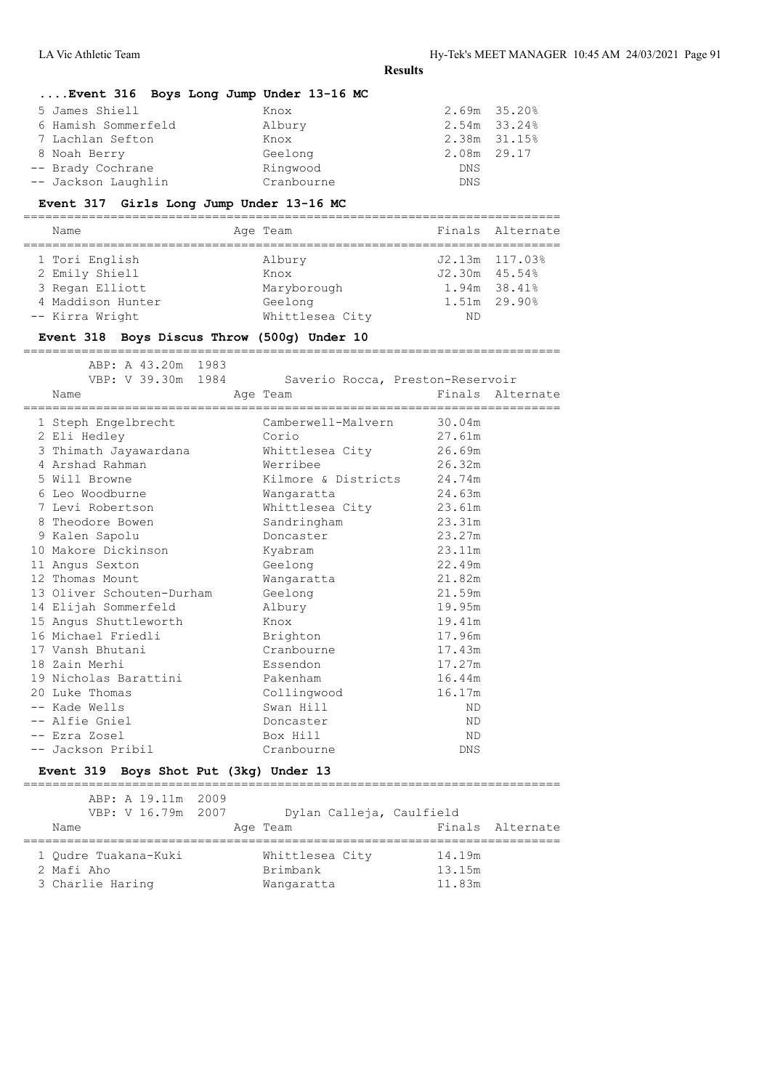# **....Event 316 Boys Long Jump Under 13-16 MC** 5 James Shiell Knox 2.69m 35.20%

| 6 Hamish Sommerfeld | Albury     |             | 2.54m 33.24% |
|---------------------|------------|-------------|--------------|
| 7 Lachlan Sefton    | Knox       |             | 2.38m 31.15% |
| 8 Noah Berry        | Geelong    | 2.08m 29.17 |              |
| -- Brady Cochrane   | Ringwood   | DNS         |              |
| -- Jackson Laughlin | Cranbourne | <b>DNS</b>  |              |
|                     |            |             |              |

## **Event 317 Girls Long Jump Under 13-16 MC**

| Name              | Age Team        |                   | Finals Alternate |
|-------------------|-----------------|-------------------|------------------|
| 1 Tori English    | Albury          | J2.13m 117.03%    |                  |
| 2 Emily Shiell    | Knox            | $J2.30m$ $45.54%$ |                  |
| 3 Regan Elliott   | Maryborough     | 1.94m 38.41%      |                  |
| 4 Maddison Hunter | Geelong         | 1.51m 29.90%      |                  |
| -- Kirra Wright   | Whittlesea City | ND                |                  |

#### **Event 318 Boys Discus Throw (500g) Under 10**

==========================================================================

| ABP: A 43.20m 1983<br>VBP: V 39.30m 1984<br>Name | Age Team                   | Saverio Rocca, Preston-Reservoir<br>Finals Alternate |
|--------------------------------------------------|----------------------------|------------------------------------------------------|
| 1 Steph Engelbrecht                              | Camberwell-Malvern 30.04m  |                                                      |
| 2 Eli Hedley                                     | Corio                      | 27.61m                                               |
| 3 Thimath Jayawardana                            | Whittlesea City            | 26.69m                                               |
| 4 Arshad Rahman                                  | Werribee                   | 26.32m                                               |
| 5 Will Browne                                    | Kilmore & Districts 24.74m |                                                      |
| 6 Leo Woodburne                                  | Wangaratta                 | 24.63m                                               |
| 7 Levi Robertson                                 | Whittlesea City 23.61m     |                                                      |
| 8 Theodore Bowen                                 | Sandringham                | 23.31m                                               |
| 9 Kalen Sapolu                                   | Doncaster                  | 23.27m                                               |
| 10 Makore Dickinson                              | Kyabram                    | 23.11m                                               |
| 11 Angus Sexton                                  | Geelong                    | 22.49m                                               |
| 12 Thomas Mount                                  | Wangaratta                 | 21.82m                                               |
| 13 Oliver Schouten-Durham                        | Geelong                    | 21.59m                                               |
| 14 Elijah Sommerfeld                             | Albury                     | 19.95m                                               |
| 15 Angus Shuttleworth                            | Knox                       | 19.41m                                               |
| 16 Michael Friedli                               | Brighton                   | 17.96m                                               |
| 17 Vansh Bhutani                                 | Cranbourne                 | 17.43m                                               |
| 18 Zain Merhi                                    | Essendon                   | 17.27m                                               |
| 19 Nicholas Barattini                            | Pakenham                   | 16.44m                                               |
| 20 Luke Thomas                                   | Collingwood                | 16.17m                                               |
| -- Kade Wells                                    | Swan Hill                  | ND.                                                  |
| -- Alfie Gniel                                   | Doncaster                  | <b>ND</b>                                            |
| -- Ezra Zosel                                    | Box Hill                   | ND                                                   |
| -- Jackson Pribil                                | Cranbourne                 | DNS                                                  |

## **Event 319 Boys Shot Put (3kg) Under 13**

| ABP: A 19.11m 2009   |                          |                  |
|----------------------|--------------------------|------------------|
| VBP: V 16.79m 2007   | Dylan Calleja, Caulfield |                  |
| Name                 | Age Team                 | Finals Alternate |
| 1 Oudre Tuakana-Kuki | Whittlesea City          | 14.19m           |
| 2 Mafi Aho           | Brimbank                 | 13.15m           |
| 3 Charlie Haring     | Wangaratta               | 11.83m           |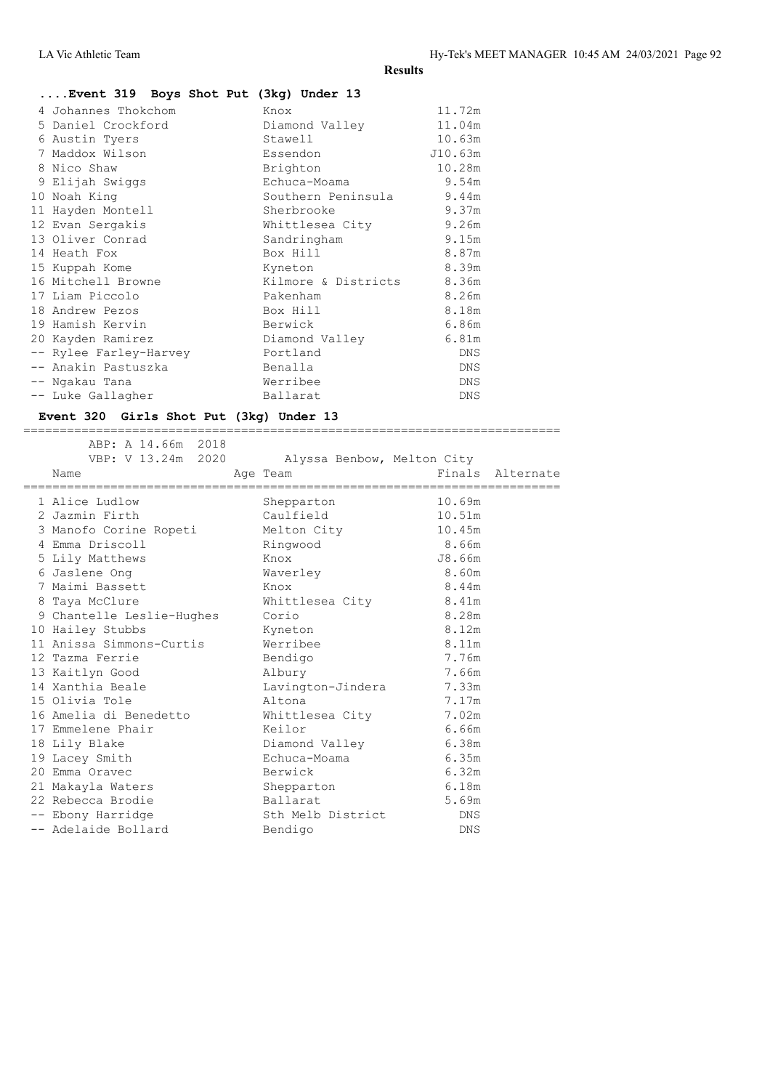# **....Event 319 Boys Shot Put (3kg) Under 13**

| 4 Johannes Thokchom    | Knox                | 11.72m     |
|------------------------|---------------------|------------|
| 5 Daniel Crockford     | Diamond Valley      | 11.04m     |
| 6 Austin Tyers         | Stawell             | 10.63m     |
| 7 Maddox Wilson        | Essendon            | J10.63m    |
| 8 Nico Shaw            | Brighton            | 10.28m     |
| 9 Elijah Swiggs        | Echuca-Moama        | 9.54m      |
| 10 Noah King           | Southern Peninsula  | 9.44m      |
| 11 Hayden Montell      | Sherbrooke          | 9.37m      |
| 12 Evan Sergakis       | Whittlesea City     | 9.26m      |
| 13 Oliver Conrad       | Sandringham         | 9.15m      |
| 14 Heath Fox           | Box Hill            | 8.87m      |
| 15 Kuppah Kome         | Kyneton             | 8.39m      |
| 16 Mitchell Browne     | Kilmore & Districts | 8.36m      |
| 17 Liam Piccolo        | Pakenham            | 8.26m      |
| 18 Andrew Pezos        | Box Hill            | 8.18m      |
| 19 Hamish Kervin       | Berwick             | 6.86m      |
| 20 Kayden Ramirez      | Diamond Valley      | 6.81m      |
| -- Rylee Farley-Harvey | Portland            | DNS        |
| -- Anakin Pastuszka    | Benalla             | <b>DNS</b> |
| -- Ngakau Tana         | Werribee            | <b>DNS</b> |
| -- Luke Gallagher      | Ballarat            | DNS        |

## **Event 320 Girls Shot Put (3kg) Under 13**

| VBP: V 13.24m 2020 Alyssa Benbow, Melton City        |                         |            |                  |
|------------------------------------------------------|-------------------------|------------|------------------|
| Name                                                 | Age Team                |            | Finals Alternate |
| ==================================<br>1 Alice Ludlow | Shepparton              | 10.69m     |                  |
| 2 Jazmin Firth                                       | Caulfield               | 10.51m     |                  |
| 3 Manofo Corine Ropeti                               | Melton City             | 10.45m     |                  |
| 4 Emma Driscoll                                      | Ringwood                | 8.66m      |                  |
| 5 Lily Matthews                                      | Knox                    | J8.66m     |                  |
| 6 Jaslene Ong                                        | Waverley                | 8.60m      |                  |
| 7 Maimi Bassett                                      | Knox                    | 8.44m      |                  |
| 8 Taya McClure                                       | Whittlesea City 8.41m   |            |                  |
| 9 Chantelle Leslie-Hughes                            | Corio                   | 8.28m      |                  |
| 10 Hailey Stubbs                                     | Kyneton                 | 8.12m      |                  |
| 11 Anissa Simmons-Curtis                             | Werribee                | 8.11m      |                  |
| 12 Tazma Ferrie                                      | Bendigo                 | 7.76m      |                  |
| 13 Kaitlyn Good                                      | Albury                  | 7.66m      |                  |
| 14 Xanthia Beale                                     | Lavington-Jindera 7.33m |            |                  |
| 15 Olivia Tole                                       | Altona                  | 7.17m      |                  |
| 16 Amelia di Benedetto Mhittlesea City 7.02m         |                         |            |                  |
| 17 Emmelene Phair                                    | Keilor                  | 6.66m      |                  |
| 18 Lily Blake                                        | Diamond Valley 6.38m    |            |                  |
| 19 Lacey Smith                                       | Echuca-Moama            | 6.35m      |                  |
| 20 Emma Oravec                                       | Berwick                 | 6.32m      |                  |
| 21 Makayla Waters                                    | Shepparton              | 6.18m      |                  |
| 22 Rebecca Brodie                                    | Ballarat                | 5.69m      |                  |
| -- Ebony Harridge                                    | Sth Melb District       | <b>DNS</b> |                  |
| -- Adelaide Bollard                                  | Bendigo                 | <b>DNS</b> |                  |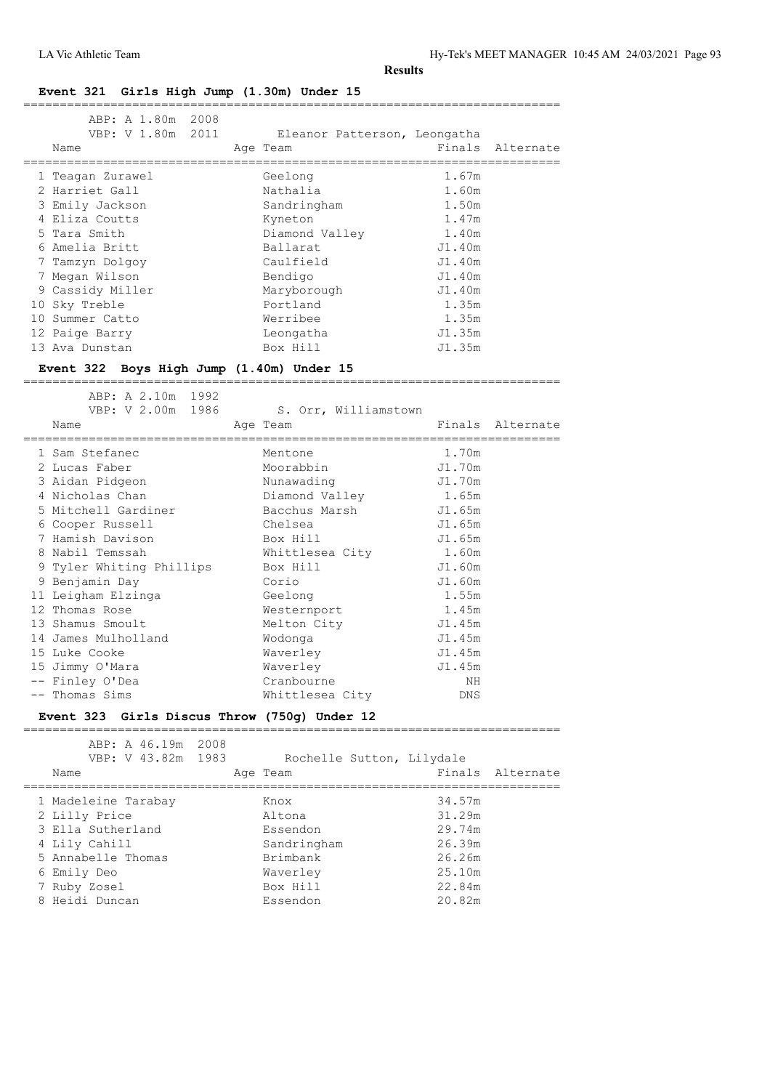## **Event 321 Girls High Jump (1.30m) Under 15**

| ABP: A 1.80m 2008                            |      |                              |                                   |                              |
|----------------------------------------------|------|------------------------------|-----------------------------------|------------------------------|
| VBP: V 1.80m 2011                            |      | Eleanor Patterson, Leongatha |                                   |                              |
| Name                                         |      | Age Team                     | Finals<br>======================= | Alternate                    |
| 1 Teagan Zurawel                             |      | Geelong                      | 1.67m                             |                              |
| 2 Harriet Gall                               |      | Nathalia                     | 1.60m                             |                              |
| 3 Emily Jackson                              |      | Sandringham                  | 1.50m                             |                              |
| 4 Eliza Coutts                               |      | Kyneton                      | 1.47m                             |                              |
| 5 Tara Smith                                 |      | Diamond Valley               | 1.40m                             |                              |
| 6 Amelia Britt                               |      | Ballarat                     | J1.40m                            |                              |
| 7 Tamzyn Dolgoy                              |      | Caulfield                    | J1.40m                            |                              |
| 7 Megan Wilson                               |      | Bendigo                      | J1.40m                            |                              |
| 9 Cassidy Miller                             |      | Maryborough                  | J1.40m                            |                              |
| 10 Sky Treble                                |      | Portland                     | 1.35m                             |                              |
| 10 Summer Catto                              |      | Werribee                     | 1.35m                             |                              |
| 12 Paige Barry                               |      | Leongatha                    | J1.35m                            |                              |
| 13 Ava Dunstan                               |      | Box Hill                     | J1.35m                            |                              |
|                                              |      |                              |                                   |                              |
| Event 322 Boys High Jump (1.40m) Under 15    |      |                              |                                   |                              |
| ABP: A 2.10m 1992                            |      |                              |                                   |                              |
| VBP: V 2.00m 1986                            |      | S. Orr, Williamstown         |                                   |                              |
| Name                                         |      | Age Team                     |                                   | Finals Alternate             |
| ==============                               |      |                              | _______________________           |                              |
| 1 Sam Stefanec                               |      | Mentone                      | 1.70m                             |                              |
| 2 Lucas Faber                                |      | Moorabbin                    | J1.70m                            |                              |
| 3 Aidan Pidgeon                              |      | Nunawading                   | J1.70m                            |                              |
| 4 Nicholas Chan                              |      | Diamond Valley               | 1.65m                             |                              |
| 5 Mitchell Gardiner                          |      | Bacchus Marsh                | J1.65m                            |                              |
| 6 Cooper Russell                             |      | Chelsea                      | J1.65m                            |                              |
| 7 Hamish Davison                             |      | Box Hill                     | J1.65m                            |                              |
| 8 Nabil Temssah                              |      | Whittlesea City              | 1.60m                             |                              |
| 9 Tyler Whiting Phillips                     |      | Box Hill                     | J1.60m                            |                              |
| 9 Benjamin Day                               |      | Corio                        | J1.60m                            |                              |
| 11 Leigham Elzinga                           |      | Geelong                      | 1.55m                             |                              |
| 12 Thomas Rose                               |      | Westernport                  | 1.45m                             |                              |
| 13 Shamus Smoult                             |      | Melton City                  | J1.45m                            |                              |
| 14 James Mulholland                          |      | Wodonga                      | J1.45m                            |                              |
| 15 Luke Cooke                                |      | Waverley                     | J1.45m                            |                              |
| 15 Jimmy O'Mara                              |      | Waverley                     | J1.45m                            |                              |
| -- Finley O'Dea                              |      | Cranbourne                   | NH                                |                              |
| -- Thomas Sims                               |      | Whittlesea City              | DNS                               |                              |
| Event 323 Girls Discus Throw (750g) Under 12 |      |                              |                                   |                              |
|                                              |      |                              |                                   |                              |
| ABP: A 46.19m                                | 2008 |                              |                                   |                              |
| VBP: V 43.82m                                | 1983 | Rochelle Sutton, Lilydale    |                                   |                              |
| Name<br>--------------                       |      | Age Team                     | Finals                            | Alternate<br>=============== |
| l Madeleine Tarabay                          |      | Knox                         | 34.57m                            |                              |
| 2 Lilly Price                                |      | Altona                       | 31.29m                            |                              |
| 3 Ella Sutherland                            |      | Essendon                     | 29.74m                            |                              |

 4 Lily Cahill Sandringham 26.39m 5 Annabelle Thomas Brimbank 26.26m 6 Emily Deo Waverley 25.10m 7 Ruby Zosel Box Hill 22.84m 8 Heidi Duncan Essendon 20.82m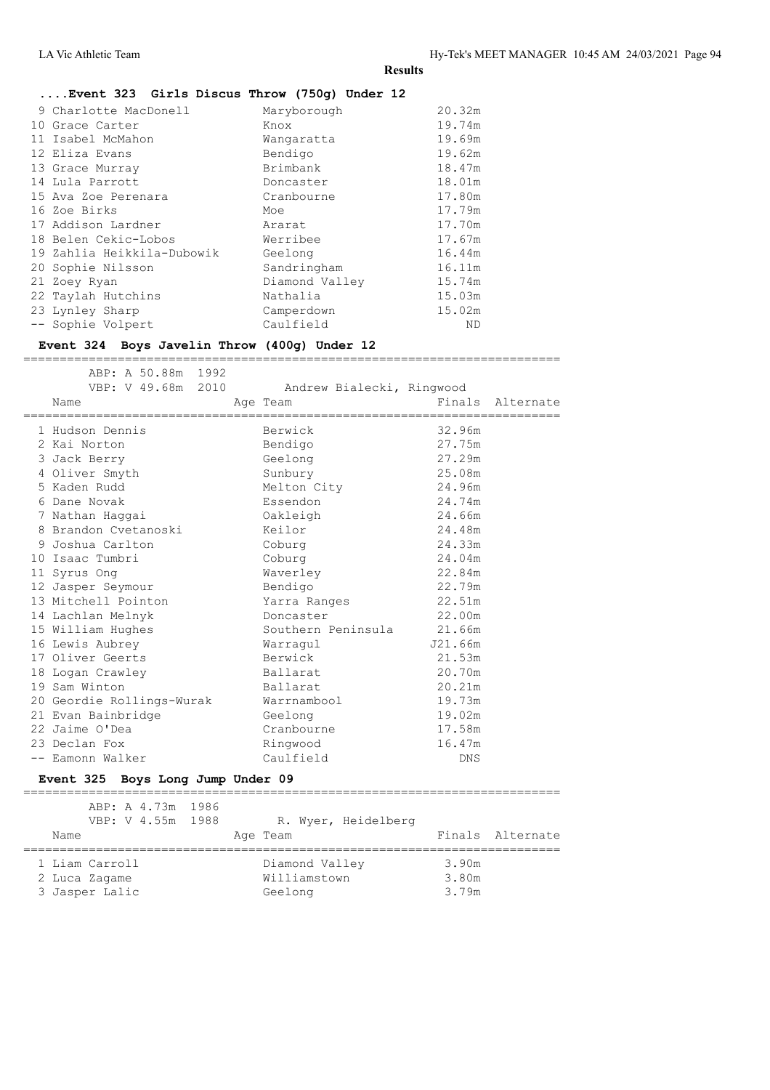#### **....Event 323 Girls Discus Throw (750g) Under 12**

| 9 Charlotte MacDonell      | Maryborough    | 20.32m |
|----------------------------|----------------|--------|
| 10 Grace Carter            | Knox           | 19.74m |
| 11 Isabel McMahon          | Wangaratta     | 19.69m |
| 12 Eliza Evans             | Bendigo        | 19.62m |
| 13 Grace Murray            | Brimbank       | 18.47m |
| 14 Lula Parrott            | Doncaster      | 18.01m |
| 15 Ava Zoe Perenara        | Cranbourne     | 17.80m |
| 16 Zoe Birks               | Moe            | 17.79m |
| 17 Addison Lardner         | Ararat         | 17.70m |
| 18 Belen Cekic-Lobos       | Werribee       | 17.67m |
| 19 Zahlia Heikkila-Dubowik | Geelong        | 16.44m |
| 20 Sophie Nilsson          | Sandringham    | 16.11m |
| 21 Zoey Ryan               | Diamond Valley | 15.74m |
| 22 Taylah Hutchins         | Nathalia       | 15.03m |
| 23 Lynley Sharp            | Camperdown     | 15.02m |
| -- Sophie Volpert          | Caulfield      | ND     |

#### **Event 324 Boys Javelin Throw (400g) Under 12** ==========================================================================

 ABP: A 50.88m 1992 VBP: V 49.68m 2010 Andrew Bialecki, Ringwood Name **Age Team** Age Team Finals Alternate ========================================================================== 1 Hudson Dennis Berwick 32.96m 2 Kai Norton Bendigo 27.75m 3 Jack Berry Geelong 27.29m 4 Oliver Smyth Sunbury 25.08m 5 Kaden Rudd Melton City 24.96m 6 Dane Novak Essendon 24.74m 7 Nathan Haggai Oakleigh 24.66m 8 Brandon Cvetanoski Keilor 24.48m 9 Joshua Carlton Coburg 24.33m 10 Isaac Tumbri Coburg 24.04m 11 Syrus Ong Waverley 22.84m 12 Jasper Seymour Bendigo 22.79m 13 Mitchell Pointon Yarra Ranges 22.51m 14 Lachlan Melnyk Doncaster 22.00m 15 William Hughes Southern Peninsula 21.66m 16 Lewis Aubrey Warragul J21.66m 17 Oliver Geerts Berwick 21.53m 18 Logan Crawley Ballarat 20.70m 19 Sam Winton Ballarat 20.21m 20 Geordie Rollings-Wurak Warrnambool 19.73m 21 Evan Bainbridge Geelong 19.02m 22 Jaime O'Dea Cranbourne 17.58m 23 Declan Fox Ringwood 16.47m -- Eamonn Walker Caulfield DNS

#### **Event 325 Boys Long Jump Under 09**

| ABP: A 4.73m 1986<br>VBP: V 4.55m 1988 | R. Wyer, Heidelberg |       |                  |
|----------------------------------------|---------------------|-------|------------------|
| Name                                   | Age Team            |       | Finals Alternate |
| 1 Liam Carroll                         | Diamond Valley      | 3.90m |                  |
| 2 Luca Zagame                          | Williamstown        | 3.80m |                  |
| 3 Jasper Lalic                         | Geelong             | 3.79m |                  |

 $=$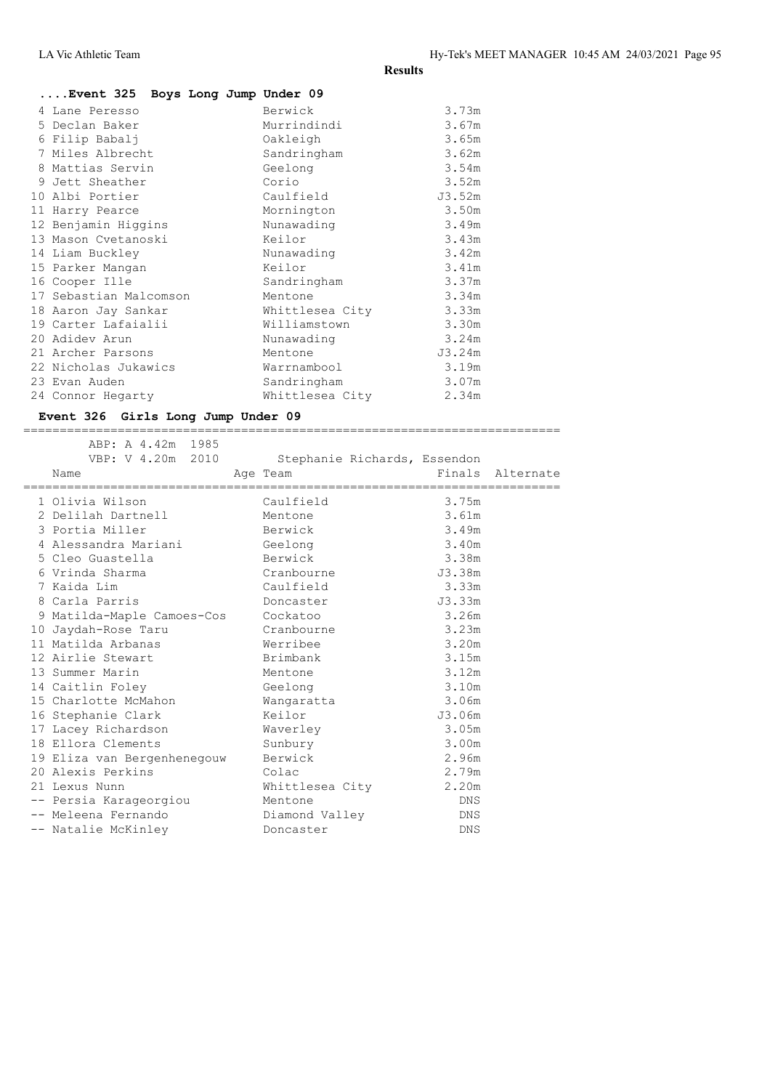| Event 325 Boys Long Jump Under 09 |                 |        |
|-----------------------------------|-----------------|--------|
| 4 Lane Peresso                    | Berwick         | 3.73m  |
| 5 Declan Baker                    | Murrindindi     | 3.67m  |
| 6 Filip Babalj                    | Oakleigh        | 3.65m  |
| 7 Miles Albrecht                  | Sandringham     | 3.62m  |
| 8 Mattias Servin                  | Geelong         | 3.54m  |
| 9 Jett Sheather                   | Corio           | 3.52m  |
| 10 Albi Portier                   | Caulfield       | J3.52m |
| 11 Harry Pearce                   | Mornington      | 3.50m  |
| 12 Benjamin Hiqqins               | Nunawading      | 3.49m  |
| 13 Mason Cvetanoski               | Keilor          | 3.43m  |
| 14 Liam Buckley                   | Nunawading      | 3.42m  |
| 15 Parker Mangan                  | Keilor          | 3.41m  |
| 16 Cooper Ille                    | Sandringham     | 3.37m  |
| 17 Sebastian Malcomson            | Mentone         | 3.34m  |
| 18 Aaron Jay Sankar               | Whittlesea City | 3.33m  |
| 19 Carter Lafaialii               | Williamstown    | 3.30m  |
| 20 Adidev Arun                    | Nunawading      | 3.24m  |
| 21 Archer Parsons                 | Mentone         | J3.24m |
| 22 Nicholas Jukawics              | Warrnambool     | 3.19m  |
| 23 Evan Auden                     | Sandringham     | 3.07m  |
| 24 Connor Hegarty                 | Whittlesea City | 2.34m  |

# **Event 326 Girls Long Jump Under 09**

|                                           | ___<br>___ |
|-------------------------------------------|------------|
| r<br>-47<br>▵<br>∸<br>----<br>----<br>. . | чх         |

| VBP: V 4.20m 2010                   | Stephanie Richards, Essendon |            |                  |
|-------------------------------------|------------------------------|------------|------------------|
| Name                                | Age Team                     |            | Finals Alternate |
| 1 Olivia Wilson                     | Caulfield                    | 3.75m      |                  |
| 2 Delilah Dartnell                  | Mentone                      | 3.61m      |                  |
| 3 Portia Miller                     | Berwick                      | 3.49m      |                  |
| 4 Alessandra Mariani                | Geelong                      | 3.40m      |                  |
| 5 Cleo Guastella                    | Berwick                      | 3.38m      |                  |
| 6 Vrinda Sharma                     | Cranbourne                   | J3.38m     |                  |
| 7 Kaida Lim                         | Caulfield                    | 3.33m      |                  |
| 8 Carla Parris                      | Doncaster                    | J3.33m     |                  |
| 9 Matilda-Maple Camoes-Cos Cockatoo |                              | 3.26m      |                  |
| 10 Jaydah-Rose Taru                 | Cranbourne                   | 3.23m      |                  |
| 11 Matilda Arbanas                  | Werribee                     | 3.20m      |                  |
| 12 Airlie Stewart                   | Brimbank                     | 3.15m      |                  |
| 13 Summer Marin                     | Mentone                      | 3.12m      |                  |
| 14 Caitlin Foley                    | Geelong                      | 3.10m      |                  |
| 15 Charlotte McMahon                | Wangaratta                   | 3.06m      |                  |
| 16 Stephanie Clark                  | Keilor                       | J3.06m     |                  |
| 17 Lacey Richardson                 | Waverley                     | 3.05m      |                  |
| 18 Ellora Clements                  | Sunbury                      | 3.00m      |                  |
| 19 Eliza van Bergenhenegouw Berwick |                              | 2.96m      |                  |
| 20 Alexis Perkins                   | Colac                        | 2.79m      |                  |
| 21 Lexus Nunn                       | Whittlesea City 2.20m        |            |                  |
| -- Persia Karageorgiou              | Mentone                      | DNS.       |                  |
| -- Meleena Fernando                 | Diamond Valley               | DNS        |                  |
| -- Natalie McKinley                 | Doncaster                    | <b>DNS</b> |                  |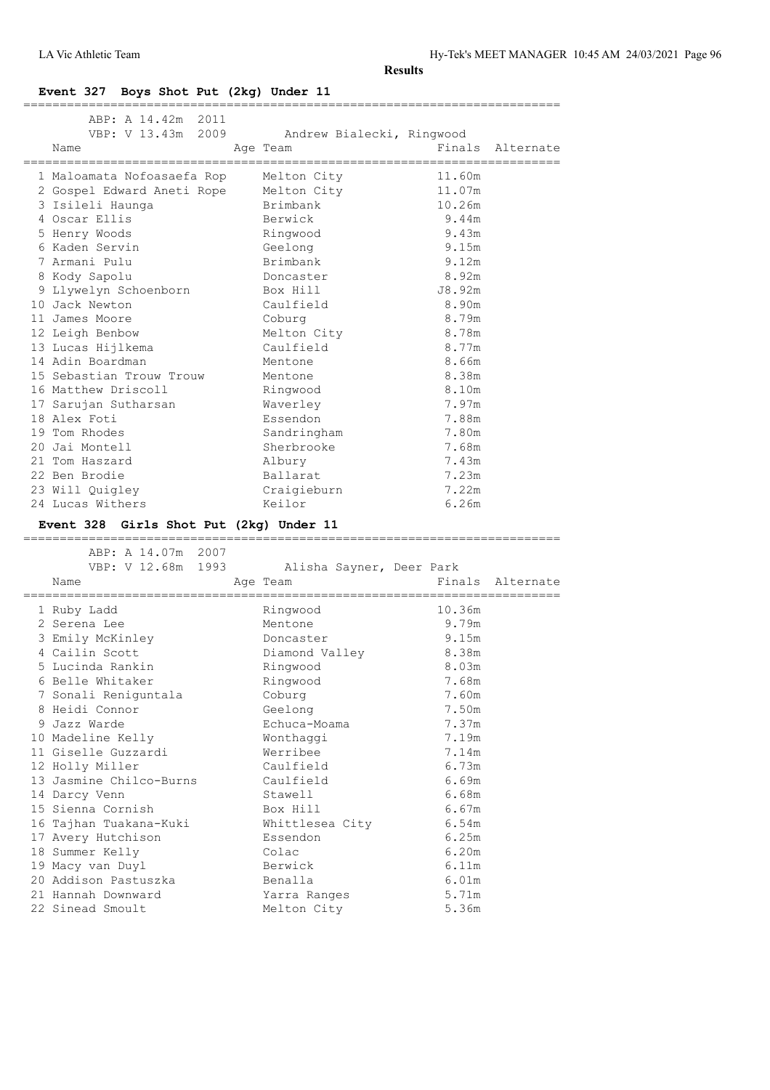## **Event 327 Boys Shot Put (2kg) Under 11**

| ABP: A 14.42m<br>2011<br>VBP: V 13.43m 2009<br>Name<br>================= | Andrew Bialecki, Ringwood<br>Age Team<br>,,,,,,,,,,,,,,,,,,,,,,,,,, | Finals<br>,,,,,,,,,,,,,,,,,,,,,,,, | Alternate        |
|--------------------------------------------------------------------------|---------------------------------------------------------------------|------------------------------------|------------------|
| 1 Maloamata Nofoasaefa Rop                                               | Melton City                                                         | 11.60m                             |                  |
| 2 Gospel Edward Aneti Rope                                               | Melton City                                                         | 11.07m                             |                  |
| 3 Isileli Haunga                                                         | Brimbank                                                            | 10.26m                             |                  |
| 4 Oscar Ellis                                                            | Berwick                                                             | 9.44m                              |                  |
| 5 Henry Woods                                                            | Ringwood                                                            | 9.43m                              |                  |
| 6 Kaden Servin                                                           | Geelong                                                             | 9.15m                              |                  |
| 7 Armani Pulu                                                            | Brimbank                                                            | 9.12m                              |                  |
| 8 Kody Sapolu                                                            | Doncaster                                                           | 8.92m                              |                  |
| 9 Llywelyn Schoenborn                                                    | Box Hill                                                            | J8.92m                             |                  |
| 10 Jack Newton                                                           | Caulfield                                                           | 8.90m                              |                  |
| 11 James Moore                                                           | Coburg                                                              | 8.79m                              |                  |
| 12 Leigh Benbow                                                          | Melton City                                                         | 8.78m                              |                  |
| 13 Lucas Hijlkema                                                        | Caulfield                                                           | 8.77m                              |                  |
| 14 Adin Boardman                                                         | Mentone                                                             | 8.66m                              |                  |
| 15 Sebastian Trouw Trouw                                                 | Mentone                                                             | 8.38m                              |                  |
| 16 Matthew Driscoll                                                      | Ringwood                                                            | 8.10m                              |                  |
| 17 Sarujan Sutharsan                                                     | Waverley                                                            | 7.97m                              |                  |
| 18 Alex Foti                                                             | Essendon                                                            | 7.88m                              |                  |
| 19 Tom Rhodes                                                            | Sandringham                                                         | 7.80m                              |                  |
| 20 Jai Montell                                                           | Sherbrooke                                                          | 7.68m                              |                  |
| 21 Tom Haszard                                                           | Albury                                                              | 7.43m                              |                  |
| 22 Ben Brodie                                                            | Ballarat                                                            | 7.23m                              |                  |
| 23 Will Quigley                                                          | Craigieburn                                                         | 7.22m                              |                  |
| 24 Lucas Withers                                                         | Keilor                                                              | 6.26m                              |                  |
|                                                                          |                                                                     |                                    |                  |
| Event 328 Girls Shot Put (2kg) Under 11                                  |                                                                     |                                    |                  |
| =========<br>ABP: A 14.07m<br>2007                                       |                                                                     |                                    |                  |
| VBP: V 12.68m 1993                                                       |                                                                     |                                    |                  |
| Name                                                                     | Alisha Sayner, Deer Park<br>Age Team                                |                                    | Finals Alternate |
|                                                                          |                                                                     | ____________________               |                  |
| 1 Ruby Ladd                                                              | Ringwood                                                            | 10.36m                             |                  |
| 2 Serena Lee                                                             | Mentone                                                             | 9.79m                              |                  |
| 3 Emily McKinley                                                         | Doncaster                                                           | 9.15m                              |                  |
| 4 Cailin Scott                                                           | Diamond Valley                                                      | 8.38m                              |                  |
| 5 Lucinda Rankin                                                         | Ringwood                                                            | 8.03m                              |                  |
| 6 Belle Whitaker                                                         | Ringwood                                                            | 7.68m                              |                  |
| 7 Sonali Reniguntala                                                     | Coburg                                                              | 7.60m                              |                  |
| 8 Heidi Connor                                                           | Geelong                                                             | 7.50m                              |                  |
| 9 Jazz Warde                                                             | Echuca-Moama                                                        | 7.37m                              |                  |
| 10 Madeline Kelly                                                        | Wonthaggi                                                           | 7.19m                              |                  |
| 11 Giselle Guzzardi                                                      | Werribee<br>Caulfield                                               | 7.14m                              |                  |
| 12 Holly Miller                                                          | Caulfield                                                           | 6.73m<br>6.69m                     |                  |
| 13 Jasmine Chilco-Burns                                                  | Stawell                                                             | 6.68m                              |                  |
| 14 Darcy Venn<br>15 Sienna Cornish                                       | Box Hill                                                            | 6.67m                              |                  |
|                                                                          |                                                                     |                                    |                  |
| 16 Tajhan Tuakana-Kuki                                                   | Whittlesea City<br>Essendon                                         | $6.54m$                            |                  |
| 17 Avery Hutchison                                                       |                                                                     | 6.25m                              |                  |
| 18 Summer Kelly                                                          | Colac                                                               | 6.20m                              |                  |
| 19 Macy van Duyl                                                         | Berwick                                                             | 6.11m                              |                  |
| 20 Addison Pastuszka<br>21 Hannah Downward                               | Benalla<br>Yarra Ranges                                             | 6.01m<br>5.71m                     |                  |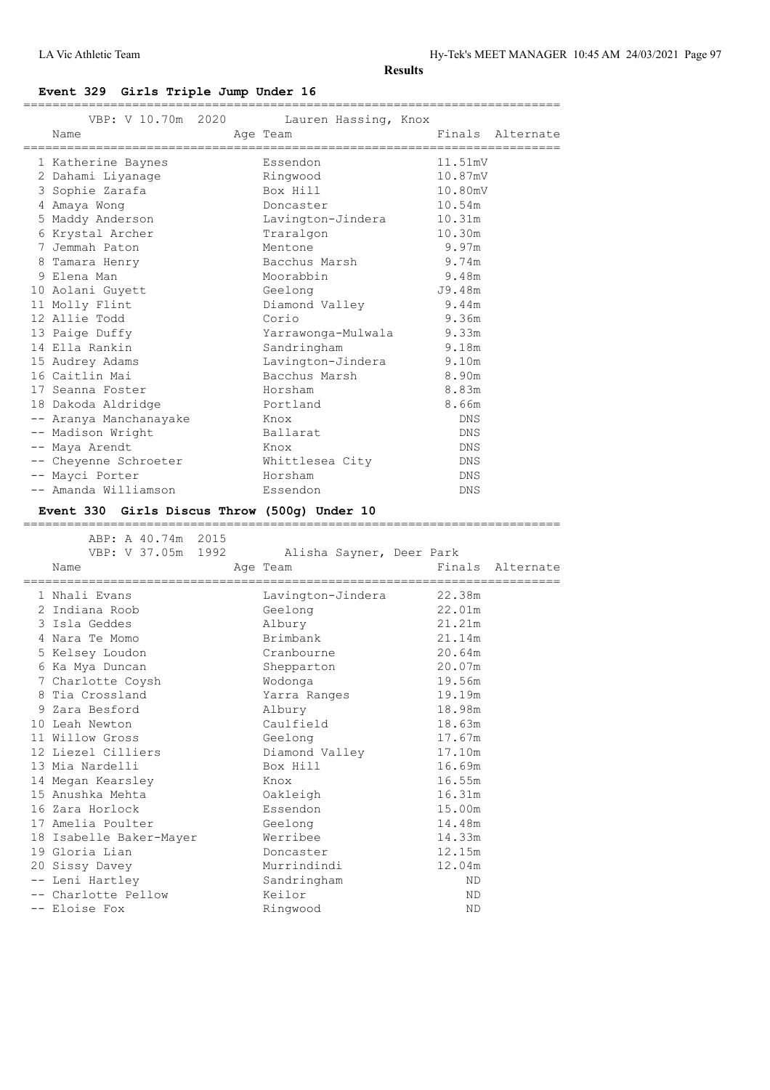LA Vic Athletic Team Hy-Tek's MEET MANAGER 10:45 AM 24/03/2021 Page 97

**Results**

## **Event 329 Girls Triple Jump Under 16**

|   |                                              | VBP: V 10.70m 2020 Lauren Hassing, Knox          |            |                  |
|---|----------------------------------------------|--------------------------------------------------|------------|------------------|
|   | Name<br>==================================== | Age Team<br>;=================================== |            | Finals Alternate |
|   | 1 Katherine Baynes                           | Essendon                                         | 11.51mV    |                  |
|   | 2 Dahami Liyanaqe                            | Ringwood                                         | 10.87mV    |                  |
|   | 3 Sophie Zarafa                              | Box Hill                                         | 10.80mV    |                  |
|   | 4 Amaya Wong                                 | Doncaster                                        | 10.54m     |                  |
|   | 5 Maddy Anderson                             | Lavington-Jindera                                | 10.31m     |                  |
|   | 6 Krystal Archer                             | Traralgon                                        | 10.30m     |                  |
|   | 7 Jemmah Paton                               | Mentone                                          | 9.97m      |                  |
| 8 | Tamara Henry                                 | Bacchus Marsh                                    | 9.74m      |                  |
|   | 9 Elena Man                                  | Moorabbin                                        | 9.48m      |                  |
|   | 10 Aolani Guyett                             | Geelong                                          | J9.48m     |                  |
|   | 11 Molly Flint                               | Diamond Valley                                   | 9.44m      |                  |
|   | 12 Allie Todd                                | Corio                                            | 9.36m      |                  |
|   | 13 Paige Duffy                               | Yarrawonga-Mulwala 9.33m                         |            |                  |
|   | 14 Ella Rankin                               | Sandringham                                      | 9.18m      |                  |
|   | 15 Audrey Adams                              | Lavington-Jindera 9.10m                          |            |                  |
|   | 16 Caitlin Mai                               | Bacchus Marsh                                    | 8.90m      |                  |
|   | 17 Seanna Foster                             | Horsham                                          | 8.83m      |                  |
|   | 18 Dakoda Aldridge                           | Portland                                         | 8.66m      |                  |
|   | -- Aranya Manchanayake                       | Knox                                             | DNS        |                  |
|   | -- Madison Wright                            | Ballarat                                         | DNS        |                  |
|   | -- Maya Arendt                               | Knox                                             | DNS        |                  |
|   | -- Cheyenne Schroeter                        | Whittlesea City                                  | DNS        |                  |
|   | -- Mayci Porter                              | Horsham                                          | DNS        |                  |
|   | -- Amanda Williamson                         | Essendon                                         | <b>DNS</b> |                  |
|   |                                              |                                                  |            |                  |

## **Event 330 Girls Discus Throw (500g) Under 10**

|  | ABP: A 40.74m 2015                  |                          |        |                  |
|--|-------------------------------------|--------------------------|--------|------------------|
|  | VBP: V 37.05m 1992                  | Alisha Sayner, Deer Park |        |                  |
|  | Name                                | Age Team                 |        | Finals Alternate |
|  | =================================== |                          |        |                  |
|  | 1 Nhali Evans                       | Lavington-Jindera        | 22.38m |                  |
|  | 2 Indiana Roob                      | Geelong                  | 22.01m |                  |
|  | 3 Isla Geddes                       | Albury                   | 21.21m |                  |
|  | 4 Nara Te Momo                      | Brimbank                 | 21.14m |                  |
|  | 5 Kelsey Loudon                     | Cranbourne               | 20.64m |                  |
|  | 6 Ka Mya Duncan                     | Shepparton               | 20.07m |                  |
|  | 7 Charlotte Coysh                   | Wodonga                  | 19.56m |                  |
|  | 8 Tia Crossland                     | Yarra Ranges             | 19.19m |                  |
|  | 9 Zara Besford                      | Albury                   | 18.98m |                  |
|  | 10 Leah Newton                      | Caulfield                | 18.63m |                  |
|  | 11 Willow Gross                     | Geelong                  | 17.67m |                  |
|  | 12 Liezel Cilliers                  | Diamond Valley           | 17.10m |                  |
|  | 13 Mia Nardelli                     | Box Hill                 | 16.69m |                  |
|  | 14 Megan Kearsley                   | Knox                     | 16.55m |                  |
|  | 15 Anushka Mehta                    | Oakleigh                 | 16.31m |                  |
|  | 16 Zara Horlock                     | Essendon                 | 15.00m |                  |
|  | 17 Amelia Poulter                   | Geelong                  | 14.48m |                  |
|  | 18 Isabelle Baker-Mayer             | Werribee                 | 14.33m |                  |
|  | 19 Gloria Lian                      | Doncaster                | 12.15m |                  |
|  | 20 Sissy Davey                      | Murrindindi              | 12.04m |                  |
|  | -- Leni Hartley                     | Sandringham              | ND.    |                  |
|  | -- Charlotte Pellow                 | Keilor                   | ND.    |                  |
|  | -- Eloise Fox                       | Ringwood                 | ΝD     |                  |
|  |                                     |                          |        |                  |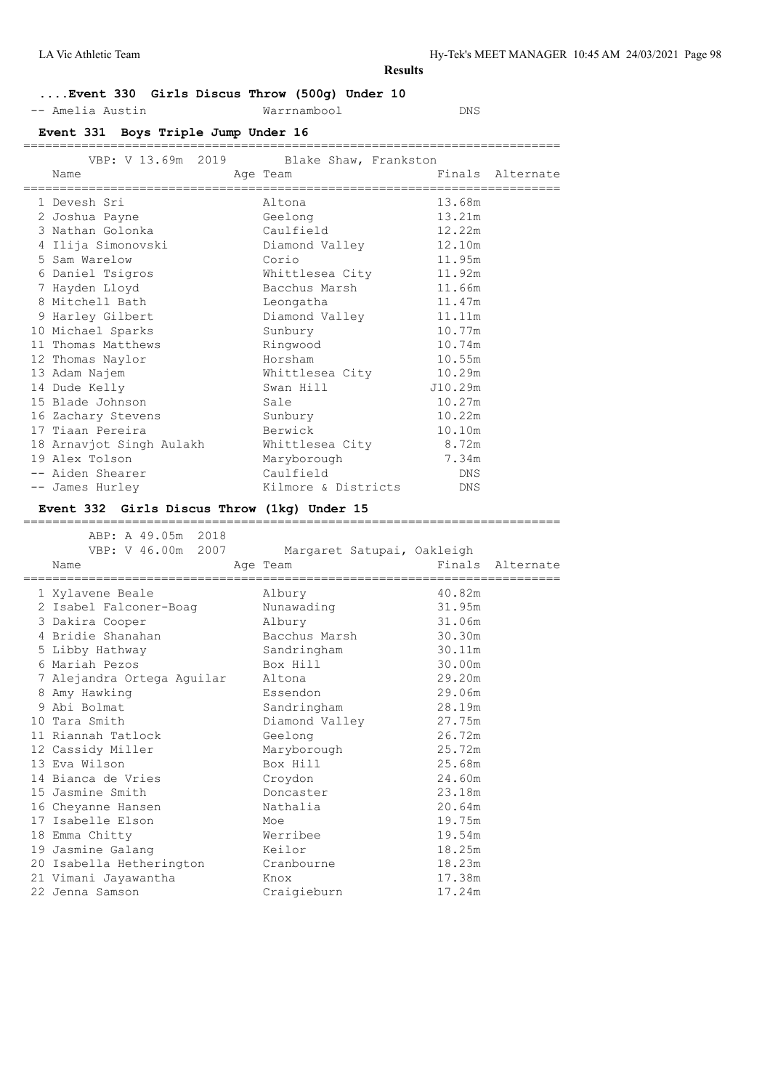LA Vic Athletic Team Hy-Tek's MEET MANAGER 10:45 AM 24/03/2021 Page 98

#### **Results**

## **....Event 330 Girls Discus Throw (500g) Under 10**

-- Amelia Austin Warrnambool DNS

## **Event 331 Boys Triple Jump Under 16**

| VBP: V 13.69m 2019 Blake Shaw, Frankston    |                        |                  |  |
|---------------------------------------------|------------------------|------------------|--|
| Name                                        | Age Team               | Finals Alternate |  |
|                                             |                        |                  |  |
| 1 Devesh Sri                                | Altona                 | 13.68m           |  |
| 2 Joshua Payne                              | Geelong                | 13.21m           |  |
| 3 Nathan Golonka                            | Caulfield              | 12.22m           |  |
| 4 Ilija Simonovski                          | Diamond Valley         | 12.10m           |  |
| 5 Sam Warelow                               | Corio                  | 11.95m           |  |
| 6 Daniel Tsigros                            | Whittlesea City 11.92m |                  |  |
| 7 Hayden Lloyd                              | Bacchus Marsh          | 11.66m           |  |
| 8 Mitchell Bath                             | Leongatha              | 11.47m           |  |
| 9 Harley Gilbert                            | Diamond Valley 11.11m  |                  |  |
| 10 Michael Sparks                           | Sunbury                | 10.77m           |  |
| 11 Thomas Matthews                          | Ringwood               | 10.74m           |  |
| 12 Thomas Naylor                            | Horsham                | 10.55m           |  |
| 13 Adam Najem                               | Whittlesea City 10.29m |                  |  |
| 14 Dude Kelly                               | Swan Hill              | J10.29m          |  |
| 15 Blade Johnson                            | Sale                   | 10.27m           |  |
| 16 Zachary Stevens                          | Sunbury                | 10.22m           |  |
| 17 Tiaan Pereira                            | Berwick                | 10.10m           |  |
| 18 Arnavjot Singh Aulakh                    | Whittlesea City        | 8.72m            |  |
| 19 Alex Tolson                              | Maryborough            | 7.34m            |  |
| -- Aiden Shearer                            | Caulfield              | DNS              |  |
| -- James Hurley                             | Kilmore & Districts    | DNS              |  |
| Event 332 Girls Discus Throw (1kg) Under 15 |                        |                  |  |
|                                             |                        |                  |  |

 ABP: A 49.05m 2018 VBP: V 46.00m 2007 Margaret Satupai, Oakleigh Name Age Team Finals Alternate ========================================================================== 1 Xylavene Beale Albury 40.82m 2 Isabel Falconer-Boag Nunawading 31.95m 3 Dakira Cooper Albury 31.06m 4 Bridie Shanahan Bacchus Marsh 30.30m 5 Libby Hathway Sandringham 30.11m 6 Mariah Pezos Box Hill 30.00m 7 Alejandra Ortega Aguilar Altona 29.20m 8 Amy Hawking Essendon 29.06m 9 Abi Bolmat Sandringham 28.19m 10 Tara Smith Diamond Valley 27.75m 11 Riannah Tatlock Geelong 26.72m 12 Cassidy Miller Maryborough 25.72m 13 Eva Wilson Box Hill 25.68m 14 Bianca de Vries Croydon 24.60m 15 Jasmine Smith Doncaster 23.18m 16 Cheyanne Hansen Nathalia 20.64m 17 Isabelle Elson Moe 19.75m 18 Emma Chitty Werribee 19.54m 19 Jasmine Galang Keilor 18.25m 20 Isabella Hetherington Cranbourne 18.23m 21 Vimani Jayawantha Knox 17.38m 22 Jenna Samson Craigieburn 17.24m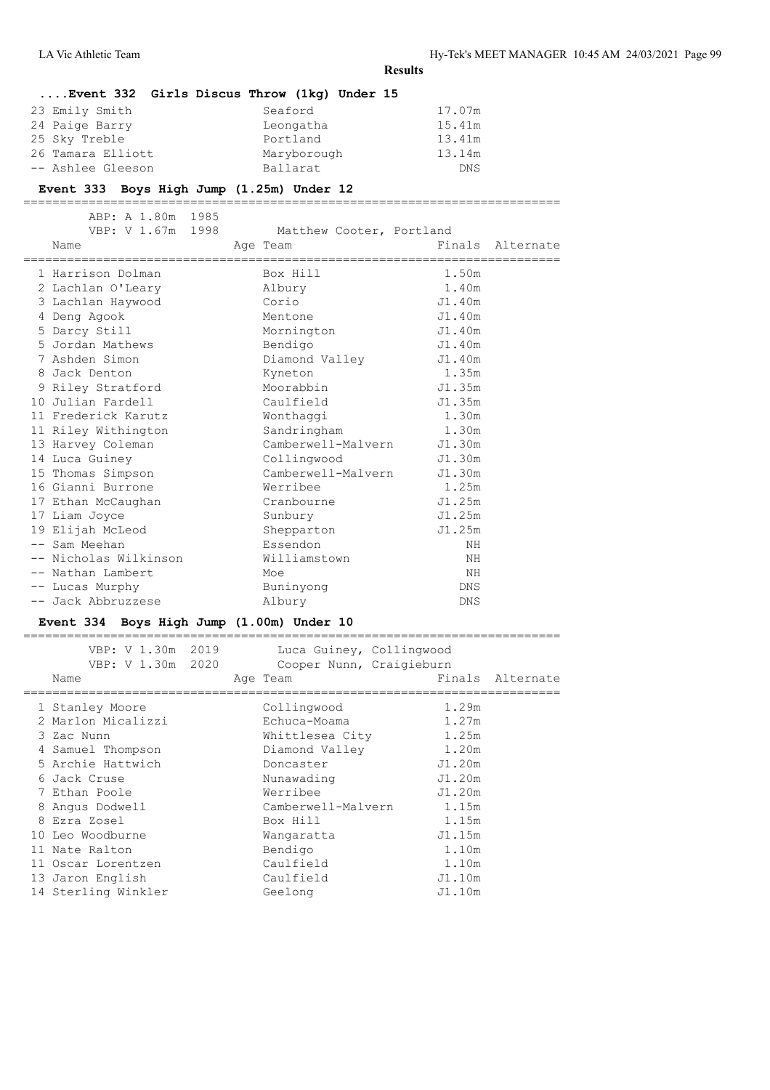|                                           |                   |                                             | <b>Results</b> |                  |
|-------------------------------------------|-------------------|---------------------------------------------|----------------|------------------|
|                                           |                   | Event 332 Girls Discus Throw (1kq) Under 15 |                |                  |
| 23 Emily Smith                            |                   | Seaford                                     | 17.07m         |                  |
| 24 Paige Barry                            |                   | Leongatha                                   | 15.41m         |                  |
| 25 Sky Treble                             |                   | Portland                                    | 13.41m         |                  |
| 26 Tamara Elliott                         |                   | Maryborough                                 | 13.14m         |                  |
| -- Ashlee Gleeson                         |                   | Ballarat                                    | DNS            |                  |
| Event 333 Boys High Jump (1.25m) Under 12 |                   |                                             |                |                  |
|                                           | ABP: A 1.80m 1985 |                                             |                |                  |
|                                           | VBP: V 1.67m 1998 | Matthew Cooter, Portland                    |                |                  |
| Name                                      |                   | Age Team                                    |                | Finals Alternate |
|                                           |                   |                                             |                |                  |
| 1 Harrison Dolman                         |                   | Box Hill                                    | 1.50m          |                  |
| 2 Lachlan O'Leary                         |                   | Albury                                      | 1.40m          |                  |
| 3 Lachlan Haywood                         |                   | Corio                                       | J1.40m         |                  |
| 4 Deng Agook                              |                   | Mentone                                     | J1.40m         |                  |
| 5 Darcy Still                             |                   | Mornington                                  | J1.40m         |                  |
| 5 Jordan Mathews                          |                   | Bendigo                                     | J1.40m         |                  |
| 7 Ashden Simon                            |                   | Diamond Valley                              | J1.40m         |                  |
| 8 Jack Denton                             |                   | Kyneton                                     | 1.35m          |                  |
| 9 Riley Stratford                         |                   | Moorabbin                                   | J1.35m         |                  |
| 10 Julian Fardell                         |                   | Caulfield                                   | J1.35m         |                  |
| 11 Frederick Karutz                       |                   | Wonthaggi                                   | 1.30m          |                  |
| 11 Riley Withington                       |                   | Sandringham                                 | 1.30m          |                  |
| 13 Harvey Coleman                         |                   | Camberwell-Malvern                          | J1.30m         |                  |
| 14 Luca Guiney                            |                   | Collingwood                                 | J1.30m         |                  |
| 15 Thomas Simpson                         |                   | Camberwell-Malvern                          | J1.30m         |                  |
| 16 Gianni Burrone                         |                   | Werribee                                    | 1.25m          |                  |
| 17 Ethan McCaughan                        |                   | Cranbourne                                  | J1.25m         |                  |
| 17 Liam Joyce                             |                   | Sunbury                                     | J1.25m         |                  |
| 19 Elijah McLeod                          |                   | Shepparton                                  | J1.25m         |                  |
| -- Sam Meehan                             |                   | Essendon                                    | ΝH             |                  |
| -- Nicholas Wilkinson                     |                   | Williamstown                                | ΝH             |                  |
| -- Nathan Lambert                         |                   | Moe                                         | NH             |                  |
| -- Lucas Murphy                           |                   | Buninyong                                   | <b>DNS</b>     |                  |
| -- Jack Abbruzzese                        |                   | Albury                                      | <b>DNS</b>     |                  |

## **Event 334 Boys High Jump (1.00m) Under 10**

| 1.29m<br>Collingwood<br>1 Stanley Moore<br>2 Marlon Micalizzi<br>1.27m<br>Echuca-Moama<br>1.25m<br>Whittlesea City<br>3 Zac Nunn<br>1.20m<br>Diamond Valley<br>4 Samuel Thompson<br>5 Archie Hattwich<br>J1.20m<br>Doncaster<br>J1.20m<br>6 Jack Cruse<br>Nunawading<br>Werribee<br>J1.20m<br>7 Ethan Poole<br>Camberwell-Malvern<br>1.15m<br>Angus Dodwell<br>8<br>1.15m<br>8 Ezra Zosel<br>Box Hill<br>10 Leo Woodburne<br>J1.15m<br>Wangaratta<br>1.10m<br>Bendigo<br>11 Nate Ralton<br>1.10m<br>Caulfield<br>11 Oscar Lorentzen<br>Caulfield<br>J1.10m<br>13 Jaron English<br>14 Sterling Winkler<br>J1.10m<br>Geelong | VBP: V 1.30m 2019<br>VBP: V 1.30m 2020<br>Name | Luca Guiney, Collingwood<br>Cooper Nunn, Craigieburn<br>Age Team | Finals Alternate |
|----------------------------------------------------------------------------------------------------------------------------------------------------------------------------------------------------------------------------------------------------------------------------------------------------------------------------------------------------------------------------------------------------------------------------------------------------------------------------------------------------------------------------------------------------------------------------------------------------------------------------|------------------------------------------------|------------------------------------------------------------------|------------------|
|                                                                                                                                                                                                                                                                                                                                                                                                                                                                                                                                                                                                                            |                                                |                                                                  |                  |
|                                                                                                                                                                                                                                                                                                                                                                                                                                                                                                                                                                                                                            |                                                |                                                                  |                  |
|                                                                                                                                                                                                                                                                                                                                                                                                                                                                                                                                                                                                                            |                                                |                                                                  |                  |
|                                                                                                                                                                                                                                                                                                                                                                                                                                                                                                                                                                                                                            |                                                |                                                                  |                  |
|                                                                                                                                                                                                                                                                                                                                                                                                                                                                                                                                                                                                                            |                                                |                                                                  |                  |
|                                                                                                                                                                                                                                                                                                                                                                                                                                                                                                                                                                                                                            |                                                |                                                                  |                  |
|                                                                                                                                                                                                                                                                                                                                                                                                                                                                                                                                                                                                                            |                                                |                                                                  |                  |
|                                                                                                                                                                                                                                                                                                                                                                                                                                                                                                                                                                                                                            |                                                |                                                                  |                  |
|                                                                                                                                                                                                                                                                                                                                                                                                                                                                                                                                                                                                                            |                                                |                                                                  |                  |
|                                                                                                                                                                                                                                                                                                                                                                                                                                                                                                                                                                                                                            |                                                |                                                                  |                  |
|                                                                                                                                                                                                                                                                                                                                                                                                                                                                                                                                                                                                                            |                                                |                                                                  |                  |
|                                                                                                                                                                                                                                                                                                                                                                                                                                                                                                                                                                                                                            |                                                |                                                                  |                  |
|                                                                                                                                                                                                                                                                                                                                                                                                                                                                                                                                                                                                                            |                                                |                                                                  |                  |
|                                                                                                                                                                                                                                                                                                                                                                                                                                                                                                                                                                                                                            |                                                |                                                                  |                  |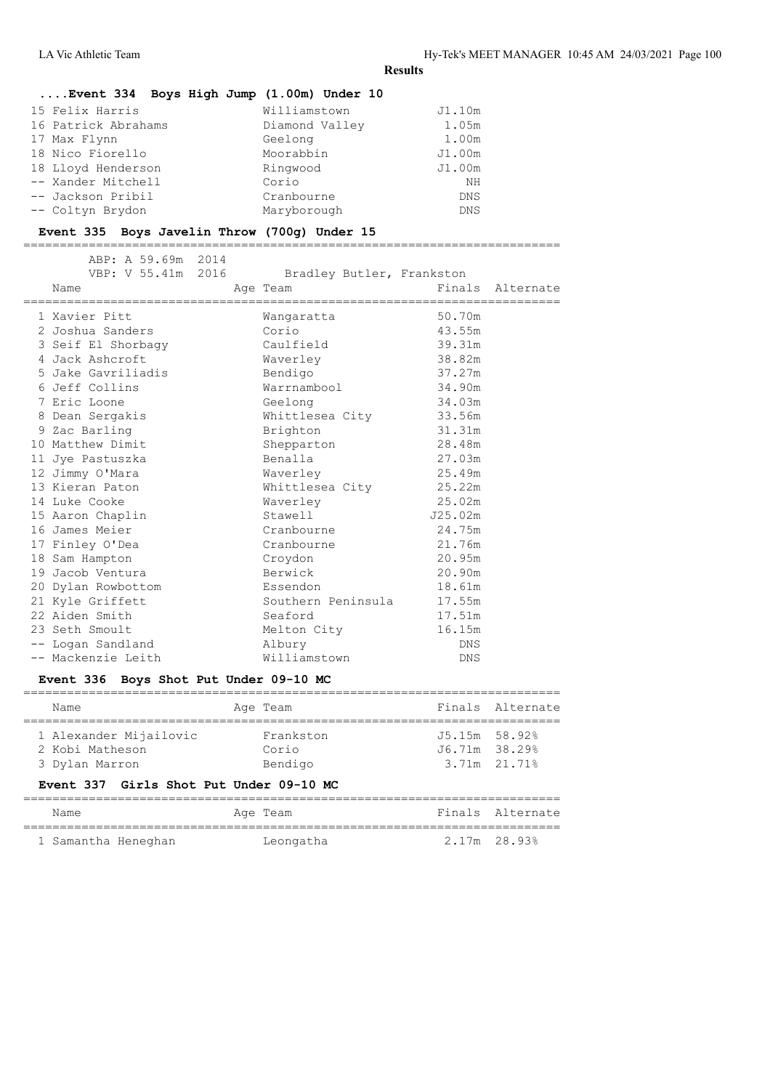#### **....Event 334 Boys High Jump (1.00m) Under 10**

| 15 Felix Harris     | Williamstown   | J1.10m     |
|---------------------|----------------|------------|
| 16 Patrick Abrahams | Diamond Valley | 1.05m      |
| 17 Max Flynn        | Geelong        | 1.00m      |
| 18 Nico Fiorello    | Moorabbin      | J1.00m     |
| 18 Lloyd Henderson  | Ringwood       | J1.00m     |
| -- Xander Mitchell  | Corio          | ΝH         |
| -- Jackson Pribil   | Cranbourne     | <b>DNS</b> |
| -- Coltyn Brydon    | Maryborough    | <b>DNS</b> |

#### **Event 335 Boys Javelin Throw (700g) Under 15**

==========================================================================

|  | ABP: A 59.69m 2014<br>Name<br>================================= | VBP: V 55.41m 2016 Bradley Butler, Frankston<br>Age Team |            | Finals Alternate |
|--|-----------------------------------------------------------------|----------------------------------------------------------|------------|------------------|
|  | 1 Xavier Pitt                                                   | Wanqaratta                                               | 50.70m     |                  |
|  | 2 Joshua Sanders                                                | Corio                                                    | 43.55m     |                  |
|  | 3 Seif El Shorbagy                                              | Caulfield                                                | 39.31m     |                  |
|  | 4 Jack Ashcroft                                                 | Waverley                                                 | 38.82m     |                  |
|  | 5 Jake Gavriliadis                                              | Bendigo                                                  | 37.27m     |                  |
|  | 6 Jeff Collins                                                  | Warrnambool                                              | 34.90m     |                  |
|  | 7 Eric Loone                                                    | Geelong                                                  | 34.03m     |                  |
|  | 8 Dean Sergakis                                                 | Whittlesea City 33.56m                                   |            |                  |
|  | 9 Zac Barling                                                   | Brighton                                                 | 31.31m     |                  |
|  | 10 Matthew Dimit                                                | Shepparton                                               | 28.48m     |                  |
|  | 11 Jye Pastuszka                                                | Benalla                                                  | 27.03m     |                  |
|  | 12 Jimmy O'Mara                                                 | Waverley                                                 | 25.49m     |                  |
|  | 13 Kieran Paton                                                 | Whittlesea City                                          | 25.22m     |                  |
|  | 14 Luke Cooke                                                   | Waverley                                                 | 25.02m     |                  |
|  | 15 Aaron Chaplin                                                | Stawell                                                  | J25.02m    |                  |
|  | 16 James Meier                                                  | Cranbourne                                               | 24.75m     |                  |
|  | 17 Finley O'Dea                                                 | Cranbourne                                               | 21.76m     |                  |
|  | 18 Sam Hampton                                                  | Croydon                                                  | 20.95m     |                  |
|  | 19 Jacob Ventura                                                | Berwick                                                  | 20.90m     |                  |
|  | 20 Dylan Rowbottom                                              | Essendon                                                 | 18.61m     |                  |
|  | 21 Kyle Griffett                                                | Southern Peninsula                                       | 17.55m     |                  |
|  | 22 Aiden Smith                                                  | Seaford                                                  | 17.51m     |                  |
|  | 23 Seth Smoult                                                  | Melton City                                              | 16.15m     |                  |
|  | -- Logan Sandland                                               | Albury                                                   | <b>DNS</b> |                  |
|  | -- Mackenzie Leith                                              | Williamstown                                             | DNS        |                  |
|  |                                                                 |                                                          |            |                  |

#### **Event 336 Boys Shot Put Under 09-10 MC**

| Name                   |  | Age Team  |               | Finals Alternate |  |  |
|------------------------|--|-----------|---------------|------------------|--|--|
| 1 Alexander Mijailovic |  | Frankston | J5.15m 58.92% |                  |  |  |
| 2 Kobi Matheson        |  | Corio     | J6.71m 38.29% |                  |  |  |
| 3 Dylan Marron         |  | Bendigo   | 3.71m 21.71%  |                  |  |  |

## **Event 337 Girls Shot Put Under 09-10 MC**

| Name                | Age Team  |              | Finals Alternate |
|---------------------|-----------|--------------|------------------|
| 1 Samantha Heneghan | Leongatha | 2.17m 28.93% |                  |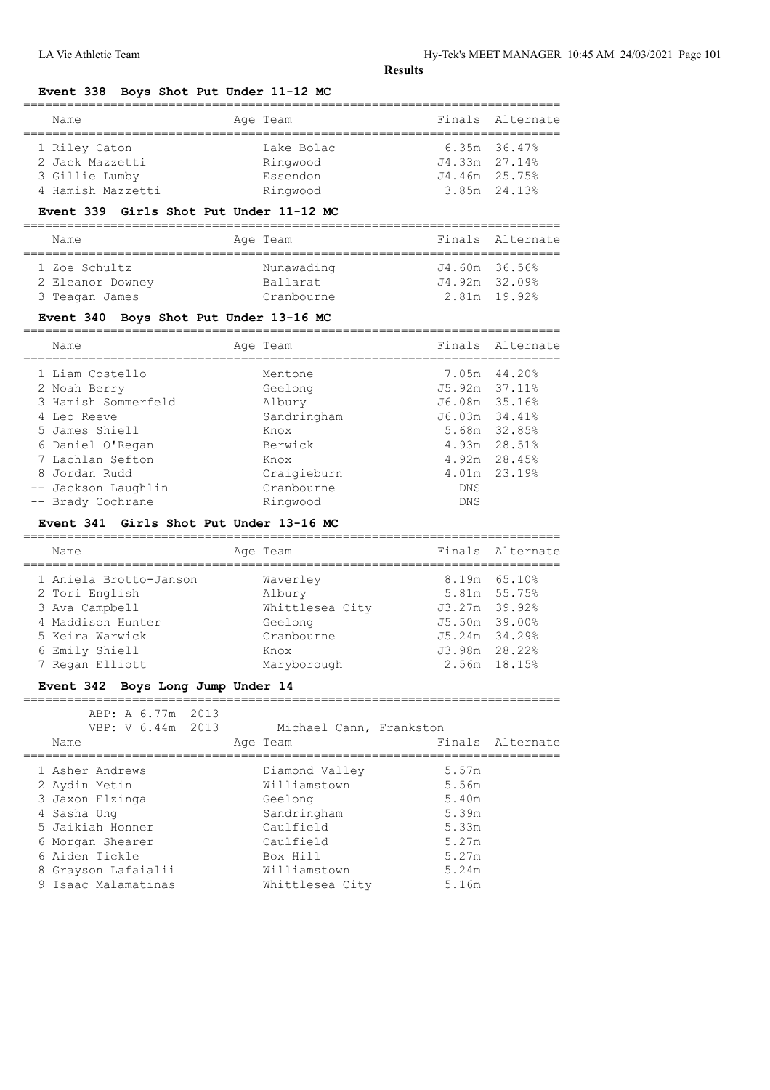## **Event 338 Boys Shot Put Under 11-12 MC**

| Name              |  | Age Team   |                   | Finals Alternate  |  |  |
|-------------------|--|------------|-------------------|-------------------|--|--|
| 1 Riley Caton     |  | Lake Bolac |                   | $6.35m$ $36.47\%$ |  |  |
| 2 Jack Mazzetti   |  | Ringwood   | $J4.33m$ $27.14%$ |                   |  |  |
| 3 Gillie Lumby    |  | Essendon   | J4.46m 25.75%     |                   |  |  |
| 4 Hamish Mazzetti |  | Ringwood   |                   | 3.85m 24.13%      |  |  |

#### **Event 339 Girls Shot Put Under 11-12 MC**

| Name             |  | Age Team   |                   | Finals Alternate |  |  |
|------------------|--|------------|-------------------|------------------|--|--|
|                  |  |            |                   |                  |  |  |
| 1 Zoe Schultz    |  | Nunawading | J4.60m 36.56%     |                  |  |  |
| 2 Eleanor Downey |  | Ballarat   | $J4.92m$ $32.09%$ |                  |  |  |
| 3 Teagan James   |  | Cranbourne | 2.81m 19.92%      |                  |  |  |

## **Event 340 Boys Shot Put Under 13-16 MC**

| Name                | Age Team    |                    | Finals Alternate |
|---------------------|-------------|--------------------|------------------|
| 1 Liam Costello     | Mentone     |                    | 7.05m 44.20%     |
| 2 Noah Berry        | Geelong     | $J5.92m$ $37.11\%$ |                  |
| 3 Hamish Sommerfeld | Albury      | J6.08m 35.16%      |                  |
| 4 Leo Reeve         | Sandringham | $J6.03m$ $34.41\%$ |                  |
| 5 James Shiell      | Knox        |                    | 5.68m 32.85%     |
| 6 Daniel O'Regan    | Berwick     |                    | 4.93m 28.51%     |
| 7 Lachlan Sefton    | Knox        |                    | 4.92m 28.45%     |
| 8 Jordan Rudd       | Craigieburn |                    | 4.01m 23.19%     |
| -- Jackson Laughlin | Cranbourne  | <b>DNS</b>         |                  |
| -- Brady Cochrane   | Ringwood    | <b>DNS</b>         |                  |
|                     |             |                    |                  |

#### **Event 341 Girls Shot Put Under 13-16 MC**

| Name                   | Age Team        | Finals Alternate  |
|------------------------|-----------------|-------------------|
| 1 Aniela Brotto-Janson | Waverley        | $8.19m$ $65.108$  |
| 2 Tori English         | Albury          | 5.81m 55.75%      |
| 3 Ava Campbell         | Whittlesea City | J3.27m 39.92%     |
| 4 Maddison Hunter      | Geelong         | J5.50m 39.00%     |
| 5 Keira Warwick        | Cranbourne      | $J5.24m$ $34.298$ |
| 6 Emily Shiell         | Knox            | J3.98m 28.22%     |
| 7 Regan Elliott        | Maryborough     | 2.56m 18.15%      |
|                        |                 |                   |

==========================================================================

#### **Event 342 Boys Long Jump Under 14**

| ABP: A 6.77m 2013<br>VBP: V 6.44m 2013<br>Name |  | Michael Cann, Frankston<br>Age Team |       | Finals Alternate |
|------------------------------------------------|--|-------------------------------------|-------|------------------|
| 1 Asher Andrews                                |  | Diamond Valley                      | 5.57m |                  |
| 2 Aydin Metin                                  |  | Williamstown                        | 5.56m |                  |
| 3 Jaxon Elzinga                                |  | Geelong                             | 5.40m |                  |
| 4 Sasha Ung                                    |  | Sandringham                         | 5.39m |                  |
| 5 Jaikiah Honner                               |  | Caulfield                           | 5.33m |                  |
| 6 Morgan Shearer                               |  | Caulfield                           | 5.27m |                  |
| 6 Aiden Tickle                                 |  | Box Hill                            | 5.27m |                  |
| 8 Grayson Lafaialii                            |  | Williamstown                        | 5.24m |                  |
| 9 Isaac Malamatinas                            |  | Whittlesea City                     | 5.16m |                  |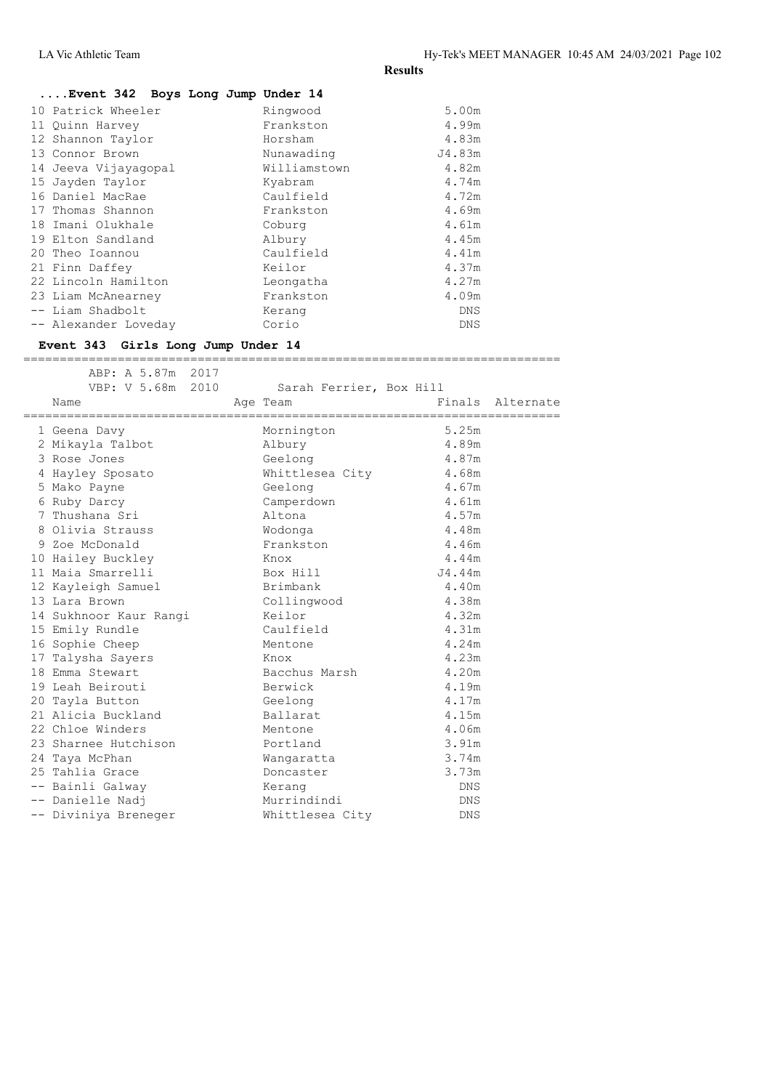| Event 342 Boys Long Jump Under 14 |              |            |
|-----------------------------------|--------------|------------|
| 10 Patrick Wheeler                | Ringwood     | 5.00m      |
| 11 Quinn Harvey                   | Frankston    | 4.99m      |
| 12 Shannon Taylor                 | Horsham      | 4.83m      |
| 13 Connor Brown                   | Nunawading   | J4.83m     |
| 14 Jeeva Vijayaqopal              | Williamstown | 4.82m      |
| 15 Jayden Taylor                  | Kyabram      | 4.74m      |
| 16 Daniel MacRae                  | Caulfield    | 4.72m      |
| 17 Thomas Shannon                 | Frankston    | 4.69m      |
| 18 Imani Olukhale                 | Coburg       | 4.61m      |
| 19 Elton Sandland                 | Albury       | 4.45m      |
| 20 Theo Ioannou                   | Caulfield    | 4.41m      |
| 21 Finn Daffey                    | Keilor       | 4.37m      |
| 22 Lincoln Hamilton               | Leongatha    | 4.27m      |
| 23 Liam McAnearney                | Frankston    | 4.09m      |
| -- Liam Shadbolt                  | Kerang       | <b>DNS</b> |
| -- Alexander Loveday              | Corio        | <b>DNS</b> |

#### **Event 343 Girls Long Jump Under 14**

 ABP: A 5.87m 2017 VBP: V 5.68m 2010 Sarah Ferrier, Box Hill Name **Age Team** Age Team Finals Alternate ========================================================================== 1 Geena Davy Mornington 5.25m 2 Mikayla Talbot Albury 4.89m 3 Rose Jones Geelong 4.87m 4 Hayley Sposato Whittlesea City 4.68m 5 Mako Payne Geelong 4.67m 6 Ruby Darcy Camperdown 4.61m 7 Thushana Sri Altona 4.57m 8 Olivia Strauss Wodonga 4.48m 9 Zoe McDonald Frankston 4.46m 10 Hailey Buckley Knox 4.44m 11 Maia Smarrelli Box Hill J4.44m 12 Kayleigh Samuel Brimbank 4.40m 13 Lara Brown Collingwood 4.38m 14 Sukhnoor Kaur Rangi Keilor 4.32m 15 Emily Rundle Caulfield 4.31m 16 Sophie Cheep Mentone 4.24m 17 Talysha Sayers Knox 4.23m 18 Emma Stewart Bacchus Marsh 4.20m 19 Leah Beirouti Berwick 4.19m 20 Tayla Button Geelong 4.17m 21 Alicia Buckland Ballarat 4.15m 22 Chloe Winders Mentone 4.06m 23 Sharnee Hutchison **Portland** 3.91m 24 Taya McPhan Wangaratta 3.74m 25 Tahlia Grace Doncaster 3.73m -- Bainli Galway Kerang DNS -- Danielle Nadj Murrindindi DNS -- Diviniya Breneger Whittlesea City DNS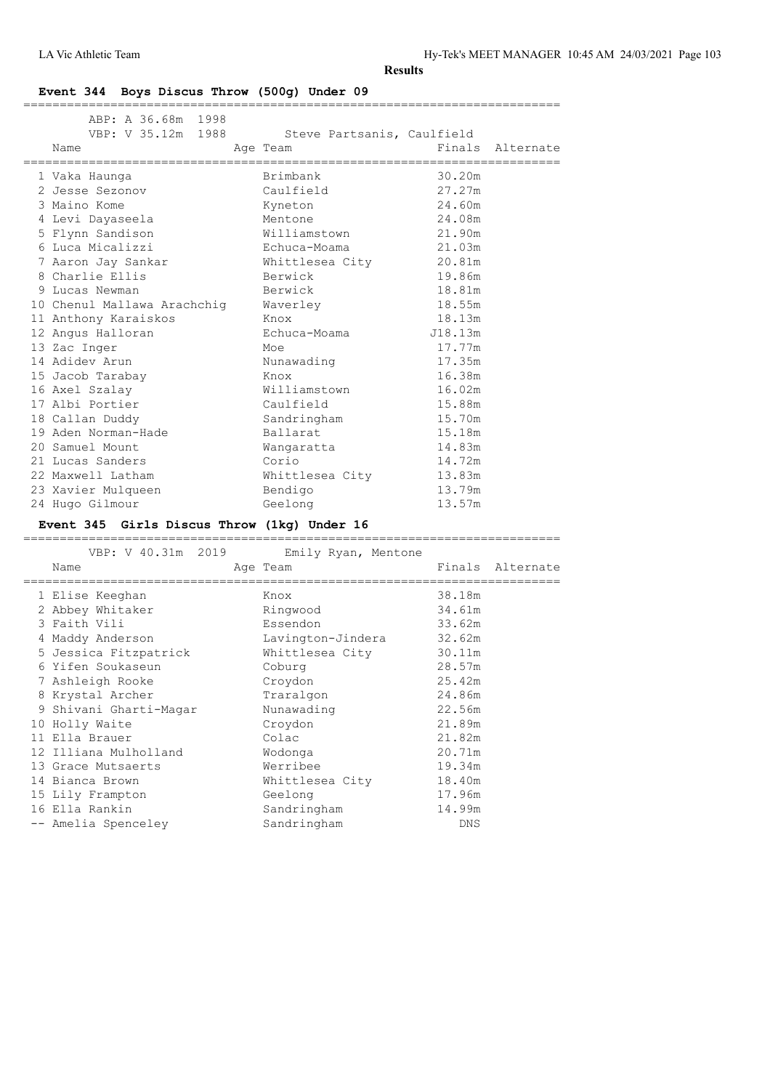## **Event 344 Boys Discus Throw (500g) Under 09**

| ABP: A 36.68m 1998<br>VBP: V 35.12m 1988 Steve Partsanis, Caulfield<br>Name<br>------------------------------------ | Age Team<br>----------------------------------- |         | Finals Alternate |
|---------------------------------------------------------------------------------------------------------------------|-------------------------------------------------|---------|------------------|
| 1 Vaka Haunga                                                                                                       | Brimbank                                        | 30.20m  |                  |
| 2 Jesse Sezonov                                                                                                     | Caulfield                                       | 27.27m  |                  |
| 3 Maino Kome                                                                                                        | Kyneton                                         | 24.60m  |                  |
| 4 Levi Dayaseela                                                                                                    | Mentone                                         | 24.08m  |                  |
| 5 Flynn Sandison                                                                                                    | Williamstown                                    | 21.90m  |                  |
| 6 Luca Micalizzi                                                                                                    | Echuca-Moama                                    | 21.03m  |                  |
| 7 Aaron Jay Sankar                                                                                                  | Whittlesea City 20.81m                          |         |                  |
| 8 Charlie Ellis                                                                                                     | Berwick                                         | 19.86m  |                  |
| 9 Lucas Newman                                                                                                      | Berwick                                         | 18.81m  |                  |
| 10 Chenul Mallawa Arachchig Waverley                                                                                |                                                 | 18.55m  |                  |
| 11 Anthony Karaiskos                                                                                                | Knox                                            | 18.13m  |                  |
| 12 Angus Halloran                                                                                                   | Echuca-Moama                                    | J18.13m |                  |
| 13 Zac Inger                                                                                                        | Moe                                             | 17.77m  |                  |
| 14 Adidey Arun                                                                                                      | Nunawading                                      | 17.35m  |                  |
| 15 Jacob Tarabay                                                                                                    | Knox                                            | 16.38m  |                  |
| 16 Axel Szalay                                                                                                      | Williamstown                                    | 16.02m  |                  |
| 17 Albi Portier                                                                                                     | Caulfield                                       | 15.88m  |                  |
| 18 Callan Duddy                                                                                                     | Sandringham                                     | 15.70m  |                  |
| 19 Aden Norman-Hade                                                                                                 | Ballarat                                        | 15.18m  |                  |
| 20 Samuel Mount                                                                                                     | Wangaratta                                      | 14.83m  |                  |
| 21 Lucas Sanders                                                                                                    | Corio                                           | 14.72m  |                  |
| 22 Maxwell Latham                                                                                                   | Whittlesea City 13.83m                          |         |                  |
| 23 Xavier Mulqueen                                                                                                  | Bendigo                                         | 13.79m  |                  |
| 24 Hugo Gilmour                                                                                                     | Geelong                                         | 13.57m  |                  |
|                                                                                                                     |                                                 |         |                  |

# **Event 345 Girls Discus Throw (1kg) Under 16**

|   | VBP: V 40.31m 2019<br>Name | Emily Ryan, Mentone<br>Age Team | Finals Alternate |
|---|----------------------------|---------------------------------|------------------|
|   | 1 Elise Keeghan            | Knox                            | 38.18m           |
|   | 2 Abbey Whitaker           | Ringwood                        | 34.61m           |
|   | 3 Faith Vili               | Essendon                        | 33.62m           |
| 4 | Maddy Anderson             | Lavington-Jindera               | 32.62m           |
|   | 5 Jessica Fitzpatrick      | Whittlesea City                 | 30.11m           |
|   | 6 Yifen Soukaseun          | Coburg                          | 28.57m           |
|   | 7 Ashleigh Rooke           | Croydon                         | 25.42m           |
|   | 8 Krystal Archer           | Traralgon                       | 24.86m           |
|   | 9 Shivani Gharti-Magar     | Nunawading                      | 22.56m           |
|   | 10 Holly Waite             | Croydon                         | 21.89m           |
|   | 11 Ella Brauer             | Colac                           | 21.82m           |
|   | 12 Illiana Mulholland      | Wodonga                         | 20.71m           |
|   | 13 Grace Mutsaerts         | Werribee                        | 19.34m           |
|   | 14 Bianca Brown            | Whittlesea City                 | 18.40m           |
|   | 15 Lily Frampton           | Geelong                         | 17.96m           |
|   | 16 Ella Rankin             | Sandringham                     | 14.99m           |
|   | -- Amelia Spenceley        | Sandringham                     | DNS              |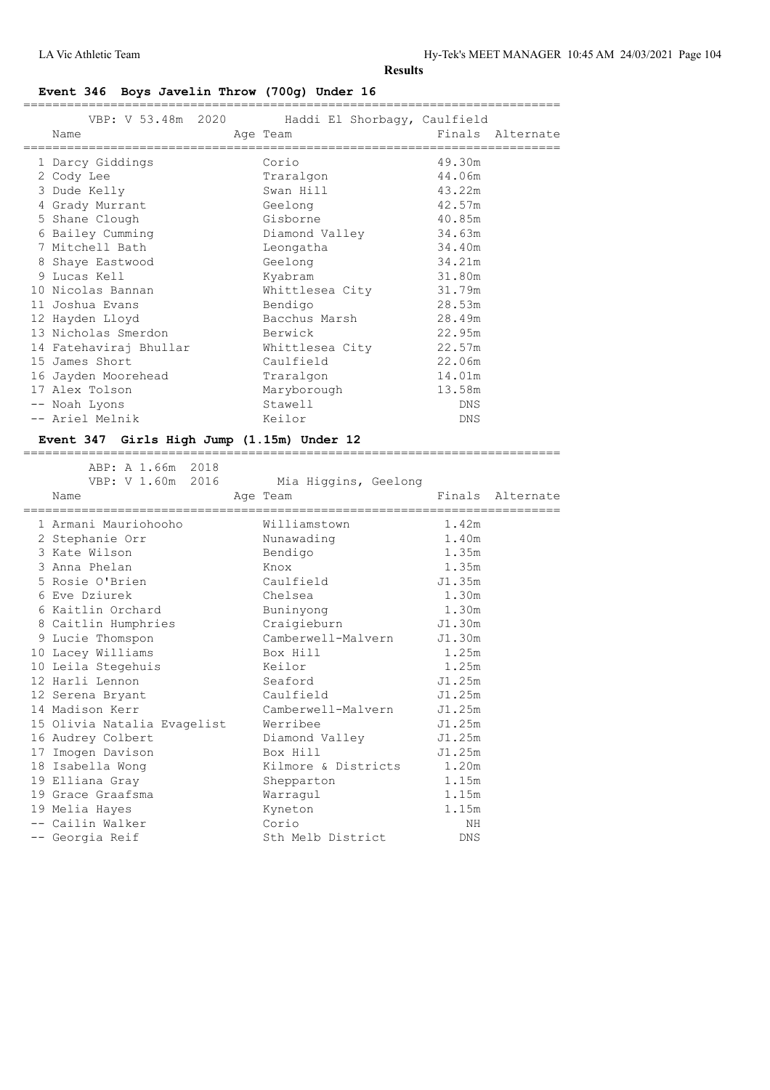## **Event 346 Boys Javelin Throw (700g) Under 16**

|   | VBP: V 53.48m 2020<br>Name | Haddi El Shorbaqy, Caulfield<br>Age Team | Finals Alternate |
|---|----------------------------|------------------------------------------|------------------|
|   |                            |                                          |                  |
|   | 1 Darcy Giddings           | Corio                                    | 49.30m           |
|   | 2 Cody Lee                 | Traralgon                                | 44.06m           |
|   | 3 Dude Kelly               | Swan Hill                                | 43.22m           |
|   | 4 Grady Murrant            | Geelong                                  | 42.57m           |
|   | 5 Shane Clough             | Gisborne                                 | 40.85m           |
|   | 6 Bailey Cumming           | Diamond Valley                           | 34.63m           |
|   | 7 Mitchell Bath            | Leongatha                                | 34.40m           |
| 8 | Shaye Eastwood             | Geelong                                  | 34.21m           |
|   | 9 Lucas Kell               | Kyabram                                  | 31.80m           |
|   | 10 Nicolas Bannan          | Whittlesea City 31.79m                   |                  |
|   | 11 Joshua Evans            | Bendigo                                  | 28.53m           |
|   | 12 Hayden Lloyd            | Bacchus Marsh                            | 28.49m           |
|   | 13 Nicholas Smerdon        | Berwick                                  | 22.95m           |
|   | 14 Fatehaviraj Bhullar     | Whittlesea City                          | 22.57m           |
|   | 15 James Short             | Caulfield                                | 22.06m           |
|   | 16 Jayden Moorehead        | Traralgon                                | 14.01m           |
|   | 17 Alex Tolson             | Maryborough                              | 13.58m           |
|   | -- Noah Lyons              | Stawell                                  | DNS              |
|   | -- Ariel Melnik            | Keilor                                   | DNS              |
|   |                            |                                          |                  |

==========================================================================

## **Event 347 Girls High Jump (1.15m) Under 12**

| ABP: A 1.66m 2018<br>VBP: V 1.60m 2016<br>Name | Mia Higgins, Geelong<br>Age Team |        | Finals Alternate |
|------------------------------------------------|----------------------------------|--------|------------------|
| 1 Armani Mauriohooho                           | Williamstown                     | 1.42m  |                  |
| 2 Stephanie Orr                                | Nunawading                       | 1.40m  |                  |
| 3 Kate Wilson                                  | Bendigo                          | 1.35m  |                  |
| 3 Anna Phelan                                  | Knox                             | 1.35m  |                  |
| 5 Rosie O'Brien                                | Caulfield                        | J1.35m |                  |
| 6 Eve Dziurek                                  | Chelsea                          | 1.30m  |                  |
| 6 Kaitlin Orchard                              | Buninyong                        | 1.30m  |                  |
| 8 Caitlin Humphries                            | Craigieburn                      | J1.30m |                  |
| 9 Lucie Thomspon                               | Camberwell-Malvern               | J1.30m |                  |
| 10 Lacey Williams                              | Box Hill                         | 1.25m  |                  |
| 10 Leila Stegehuis                             | Keilor                           | 1.25m  |                  |
| 12 Harli Lennon                                | Seaford                          | J1.25m |                  |
| 12 Serena Bryant                               | Caulfield                        | J1.25m |                  |
| 14 Madison Kerr                                | Camberwell-Malvern               | J1.25m |                  |
| 15 Olivia Natalia Evagelist                    | Werribee                         | J1.25m |                  |
| 16 Audrey Colbert                              | Diamond Valley                   | J1.25m |                  |
| 17 Imogen Davison                              | Box Hill                         | J1.25m |                  |
| 18 Isabella Wong                               | Kilmore & Districts 1.20m        |        |                  |
| 19 Elliana Gray                                | Shepparton                       | 1.15m  |                  |
| 19 Grace Graafsma                              | Warraqul                         | 1.15m  |                  |
| 19 Melia Hayes                                 | Kyneton                          | 1.15m  |                  |
| -- Cailin Walker                               | Corio                            | NH     |                  |
| -- Georgia Reif                                | Sth Melb District                | DNS    |                  |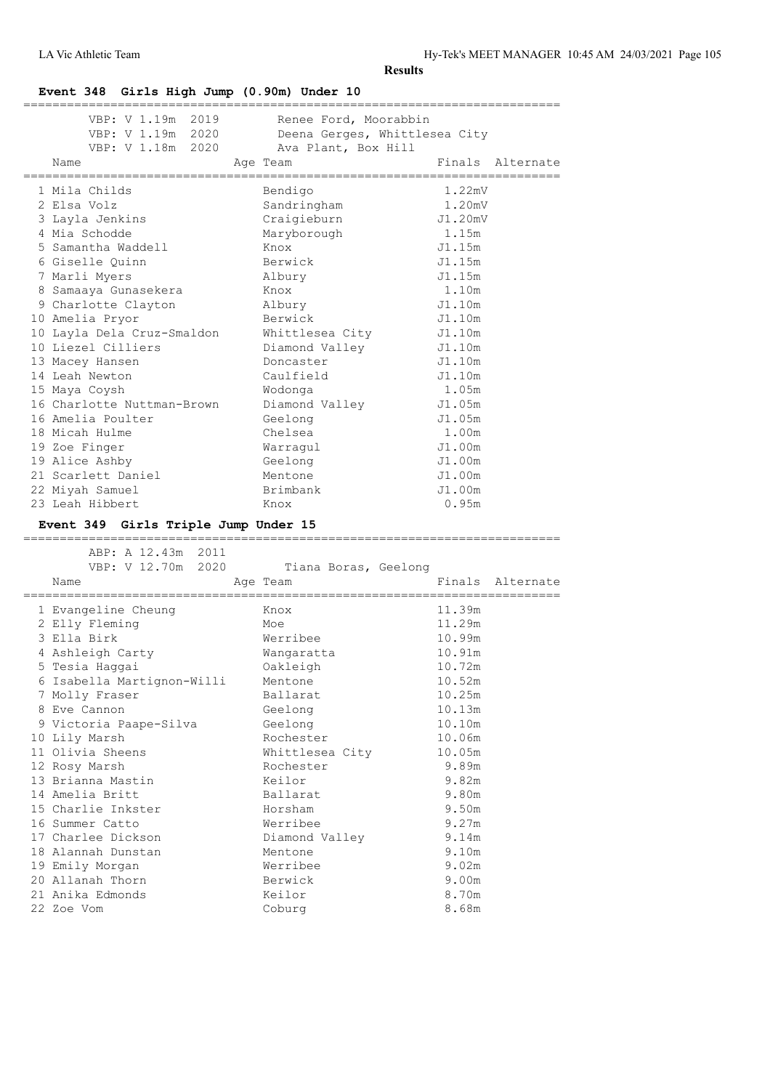#### **Event 348 Girls High Jump (0.90m) Under 10**

| VBP: V 1.19m 2019<br>VBP: V 1.19m 2020<br>VBP: V 1.18m 2020<br>Name | Renee Ford, Moorabbin<br>Deena Gerges, Whittlesea City<br>Ava Plant, Box Hill<br>Age Team | Finals  | Alternate |
|---------------------------------------------------------------------|-------------------------------------------------------------------------------------------|---------|-----------|
|                                                                     |                                                                                           |         |           |
| 1 Mila Childs                                                       | Bendigo                                                                                   | 1.22mV  |           |
| 2 Elsa Volz                                                         | Sandringham                                                                               | 1.20mV  |           |
| 3 Layla Jenkins                                                     | Craigieburn                                                                               | J1.20mV |           |
| 4 Mia Schodde                                                       | Maryborough                                                                               | 1.15m   |           |
| 5 Samantha Waddell                                                  | Knox                                                                                      | J1.15m  |           |
| 6 Giselle Quinn                                                     | Berwick                                                                                   | J1.15m  |           |
| 7 Marli Myers                                                       | Albury                                                                                    | J1.15m  |           |
| 8 Samaaya Gunasekera                                                | Knox                                                                                      | 1.10m   |           |
| 9 Charlotte Clayton                                                 | Albury                                                                                    | J1.10m  |           |
| 10 Amelia Pryor                                                     | Berwick                                                                                   | J1.10m  |           |
| 10 Layla Dela Cruz-Smaldon                                          | Whittlesea City                                                                           | J1.10m  |           |
| 10 Liezel Cilliers                                                  | Diamond Valley                                                                            | J1.10m  |           |
| 13 Macey Hansen                                                     | Doncaster                                                                                 | J1.10m  |           |
| 14 Leah Newton                                                      | Caulfield                                                                                 | J1.10m  |           |
| 15 Maya Coysh                                                       | Wodonga                                                                                   | 1.05m   |           |
| 16 Charlotte Nuttman-Brown                                          | Diamond Valley                                                                            | J1.05m  |           |
| 16 Amelia Poulter                                                   | Geelong                                                                                   | J1.05m  |           |
| 18 Micah Hulme                                                      | Chelsea                                                                                   | 1.00m   |           |
| 19 Zoe Finger                                                       | Warragul                                                                                  | J1.00m  |           |
| 19 Alice Ashby                                                      | Geelong                                                                                   | J1.00m  |           |
| 21 Scarlett Daniel                                                  | Mentone                                                                                   | J1.00m  |           |
| 22 Miyah Samuel                                                     | Brimbank                                                                                  | J1.00m  |           |
| 23 Leah Hibbert                                                     | Knox                                                                                      | 0.95m   |           |
|                                                                     |                                                                                           |         |           |
| Event 349 Girls Triple Jump Under 15                                |                                                                                           |         |           |
| ABP: A 12.43m 2011                                                  |                                                                                           |         |           |
| VBP: V 12.70m 2020                                                  | Tiana Boras, Geelong                                                                      |         |           |
| Name                                                                | Age Team                                                                                  | Finals  | Alternate |
|                                                                     |                                                                                           |         |           |
| 1 Evangeline Cheung                                                 | Knox                                                                                      | 11.39m  |           |
| 2 Elly Fleming                                                      | Moe                                                                                       | 11.29m  |           |
| 3 Ella Birk                                                         | Werribee                                                                                  | 10.99m  |           |
| 4 Ashleigh Carty                                                    | Wangaratta                                                                                | 10.91m  |           |
| 5 Tesia Haggai                                                      | Oakleigh                                                                                  | 10.72m  |           |
| 6 Isabella Martignon-Willi                                          | Mentone                                                                                   | 10.52m  |           |
| 7 Molly Fraser                                                      | Ballarat                                                                                  | 10.25m  |           |
| 8 Eve Cannon                                                        | Geelong                                                                                   | 10.13m  |           |
| 9 Victoria Paape-Silva                                              | Geelong                                                                                   | 10.10m  |           |
| 10 Lily Marsh                                                       | Rochester                                                                                 | 10.06m  |           |
| 11 Olivia Sheens                                                    | Whittlesea City                                                                           | 10.05m  |           |
| 12 Rosy Marsh                                                       | Rochester                                                                                 | 9.89m   |           |
| 13 Brianna Mastin                                                   | Keilor                                                                                    | 9.82m   |           |
| 14 Amelia Britt                                                     | Ballarat                                                                                  | 9.80m   |           |
| 15 Charlie Inkster                                                  | Horsham                                                                                   | 9.50m   |           |
| 16 Summer Catto                                                     | Werribee                                                                                  | 9.27m   |           |
| 17 Charlee Dickson                                                  | Diamond Valley                                                                            | 9.14m   |           |
| 18 Alannah Dunstan                                                  | Mentone                                                                                   | 9.10m   |           |
| 19 Emily Morgan                                                     | Werribee                                                                                  | 9.02m   |           |
| 20 Allanah Thorn                                                    | Berwick                                                                                   | 9.00m   |           |
| 21 Anika Edmonds<br>22 Zoe Vom                                      | Keilor                                                                                    | 8.70m   |           |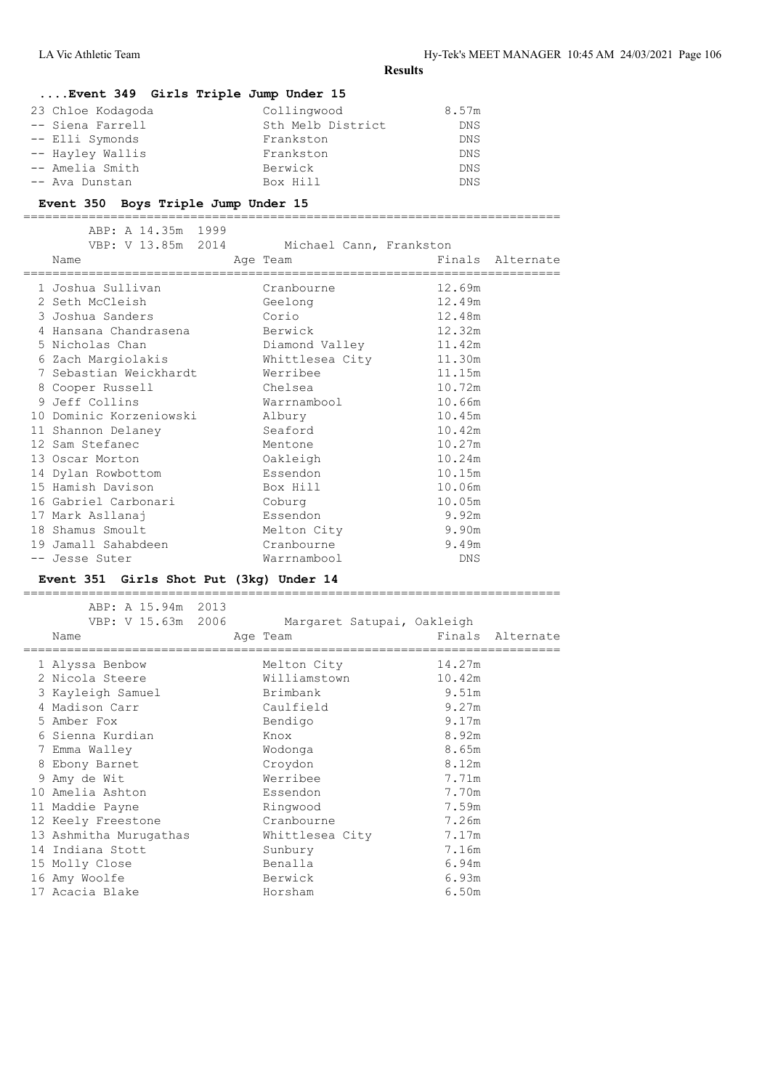## **....Event 349 Girls Triple Jump Under 15**

| 23 Chloe Kodagoda | Collingwood       | 8.57m      |
|-------------------|-------------------|------------|
| -- Siena Farrell  | Sth Melb District | <b>DNS</b> |
| -- Elli Symonds   | Frankston         | <b>DNS</b> |
| -- Hayley Wallis  | Frankston         | <b>DNS</b> |
| -- Amelia Smith   | Berwick           | <b>DNS</b> |
| -- Ava Dunstan    | Box Hill          | <b>DNS</b> |

#### **Event 350 Boys Triple Jump Under 15**

==========================================================================

| ABP: A 14.35m 1999<br>VBP: V 13.85m 2014        | Michael Cann, Frankston |        |                  |
|-------------------------------------------------|-------------------------|--------|------------------|
| Name                                            | Age Team                |        | Finals Alternate |
| 1 Joshua Sullivan                               | Cranbourne              | 12.69m |                  |
| 2 Seth McCleish                                 | Geelong                 | 12.49m |                  |
| 3 Joshua Sanders                                | Corio                   | 12.48m |                  |
| 4 Hansana Chandrasena                   Berwick |                         | 12.32m |                  |
| 5 Nicholas Chan                                 | Diamond Valley 11.42m   |        |                  |
| 6 Zach Margiolakis                              | Whittlesea City 11.30m  |        |                  |
| 7 Sebastian Weickhardt Merribee                 |                         | 11.15m |                  |
| 8 Cooper Russell                                | Chelsea                 | 10.72m |                  |
| 9 Jeff Collins                                  | Warrnambool             | 10.66m |                  |
| 10 Dominic Korzeniowski                         | Albury                  | 10.45m |                  |
| 11 Shannon Delaney                              | seaford Seaford         | 10.42m |                  |
| 12 Sam Stefanec                                 | Mentone                 | 10.27m |                  |
| 13 Oscar Morton                                 | Oakleigh                | 10.24m |                  |
| 14 Dylan Rowbottom                              | Essendon                | 10.15m |                  |
| 15 Hamish Davison                               | Box Hill                | 10.06m |                  |
| 16 Gabriel Carbonari                            | Coburg                  | 10.05m |                  |
| 17 Mark Asllanaj                                | Essendon                | 9.92m  |                  |
| 18 Shamus Smoult                                | Melton City             | 9.90m  |                  |
| 19 Jamall Sahabdeen                             | Cranbourne              | 9.49m  |                  |
| -- Jesse Suter                                  | Warrnambool             | DNS    |                  |

## **Event 351 Girls Shot Put (3kg) Under 14**

========================================================================== ABP: A 15.94m 2013 VBP: V 15.63m 2006 Margaret Satupai, Oakleigh Name **Age Team** Age Team Finals Alternate ========================================================================== 1 Alyssa Benbow Melton City 14.27m 2 Nicola Steere Williamstown 10.42m 3 Kayleigh Samuel Brimbank 9.51m 4 Madison Carr Caulfield 9.27m 5 Amber Fox Bendigo 9.17m 6 Sienna Kurdian Knox 8.92m 7 Emma Walley Wodonga 8.65m 8 Ebony Barnet Croydon 8.12m 9 Amy de Wit Werribee 7.71m 10 Amelia Ashton Essendon 7.70m 11 Maddie Payne Ringwood 7.59m 12 Keely Freestone Cranbourne 7.26m 13 Ashmitha Murugathas Whittlesea City 7.17m 14 Indiana Stott Sunbury 7.16m 15 Molly Close Benalla 6.94m 16 Amy Woolfe Berwick 6.93m 17 Acacia Blake Horsham 6.50m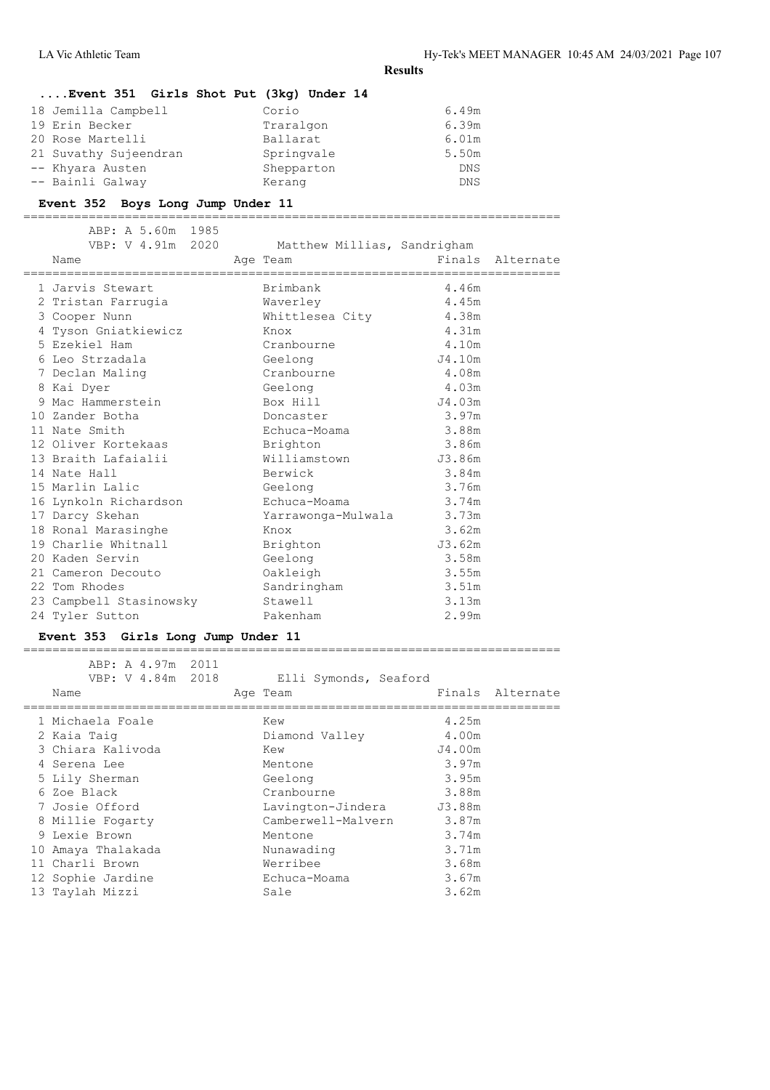| Event 351 Girls Shot Put (3kg) Under 14 |            |            |
|-----------------------------------------|------------|------------|
| 18 Jemilla Campbell                     | Corio      | 6.49m      |
| 19 Erin Becker                          | Traralgon  | 6.39m      |
| 20 Rose Martelli                        | Ballarat   | 6.01m      |
| 21 Suvathy Sujeendran                   | Springvale | 5.50m      |
| -- Khyara Austen                        | Shepparton | <b>DNS</b> |
| -- Bainli Galway                        | Kerang     | <b>DNS</b> |

#### **Event 352 Boys Long Jump Under 11**

==========================================================================

| ABP: A 5.60m 1985<br>VBP: V 4.91m 2020 Matthew Millias, Sandrigham<br>Name | Age Team                 | Einals Alternate |  |
|----------------------------------------------------------------------------|--------------------------|------------------|--|
| 1 Jarvis Stewart                                                           | Brimbank                 | 4.46m            |  |
| 2 Tristan Farrugia                                                         | Waverley                 | 4.45m            |  |
| 3 Cooper Nunn                                                              | Whittlesea City 4.38m    |                  |  |
| 4 Tyson Gniatkiewicz                                                       | in it is the Knox        | 4.31m            |  |
| 5 Ezekiel Ham                                                              | Cranbourne               | 4.10m            |  |
| 6 Leo Strzadala                                                            | Geelong                  | J4.10m           |  |
| 7 Declan Maling                                                            | Cranbourne               | 4.08m            |  |
| 8 Kai Dyer                                                                 | Geelong                  | 4.03m            |  |
| 9 Mac Hammerstein                                                          | Box Hill                 | J4.03m           |  |
| 10 Zander Botha                                                            | Doncaster                | 3.97m            |  |
| 11 Nate Smith                                                              | Echuca-Moama             | 3.88m            |  |
| 12 Oliver Kortekaas                                                        | Brighton                 | 3.86m            |  |
| 13 Braith Lafaialii                                                        | Williamstown             | J3.86m           |  |
| 14 Nate Hall                                                               | Berwick                  | 3.84m            |  |
| 15 Marlin Lalic                                                            | Geelong                  | 3.76m            |  |
| 16 Lynkoln Richardson                                                      | Echuca-Moama             | 3.74m            |  |
| 17 Darcy Skehan                                                            | Yarrawonga-Mulwala 3.73m |                  |  |
| 18 Ronal Marasinghe                                                        | Knox                     | 3.62m            |  |
| 19 Charlie Whitnall                                                        | Brighton                 | J3.62m           |  |
| 20 Kaden Servin                                                            | Geelong                  | 3.58m            |  |
| 21 Cameron Decouto                                                         | Oakleigh                 | 3.55m            |  |
| 22 Tom Rhodes                                                              | Sandringham              | 3.51m            |  |
| 23 Campbell Stasinowsky Stawell                                            |                          | 3.13m            |  |
| 24 Tyler Sutton                                                            | Pakenham                 | 2.99m            |  |
|                                                                            |                          |                  |  |

#### **Event 353 Girls Long Jump Under 11**

========================================================================== ABP: A 4.97m 2011 VBP: V 4.84m 2018 Elli Symonds, Seaford Name **Age Team** Age Team Finals Alternate ========================================================================== 1 Michaela Foale Kew 4.25m 2 Kaia Taig Diamond Valley 4.00m 3 Chiara Kalivoda Kew J4.00m 4 Serena Lee Mentone 3.97m 5 Lily Sherman Geelong 3.95m 6 Zoe Black Cranbourne 3.88m 7 Josie Offord Lavington-Jindera J3.88m 8 Millie Fogarty Camberwell-Malvern 3.87m 9 Lexie Brown Mentone 3.74m

 10 Amaya Thalakada Nunawading 3.71m 11 Charli Brown Werribee 3.68m 12 Sophie Jardine Echuca-Moama 3.67m 13 Taylah Mizzi Sale 3.62m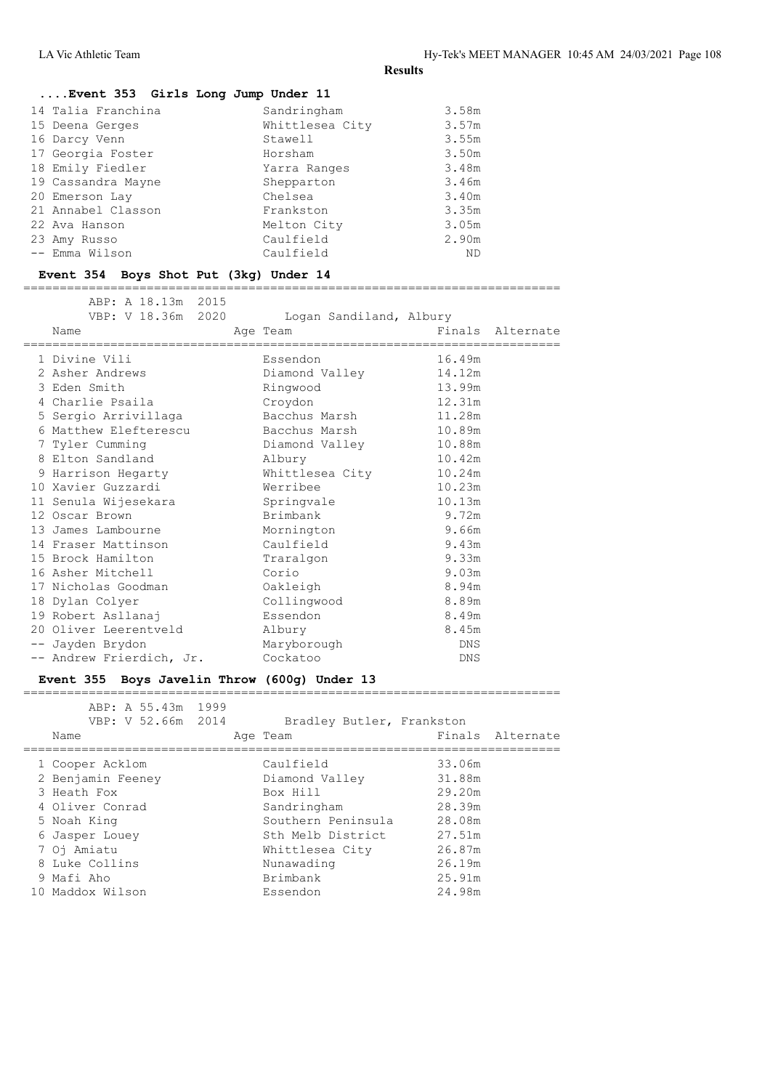| Event 353 Girls Long Jump Under 11 |                 |       |
|------------------------------------|-----------------|-------|
| 14 Talia Franchina                 | Sandringham     | 3.58m |
| 15 Deena Gerges                    | Whittlesea City | 3.57m |
| 16 Darcy Venn                      | Stawell         | 3.55m |
| 17 Georgia Foster                  | Horsham         | 3.50m |
| 18 Emily Fiedler                   | Yarra Ranges    | 3.48m |
| 19 Cassandra Mayne                 | Shepparton      | 3.46m |
| 20 Emerson Lay                     | Chelsea         | 3.40m |
| 21 Annabel Classon                 | Frankston       | 3.35m |
| 22 Ava Hanson                      | Melton City     | 3.05m |
| 23 Amy Russo                       | Caulfield       | 2.90m |
| -- Emma Wilson                     | Caulfield       | ND.   |

## **Event 354 Boys Shot Put (3kg) Under 14**

==========================================================================

| ABP: A 18.13m 2015<br>VBP: V 18.36m 2020<br>Name | Logan Sandiland, Albury<br>Age Team |            | Finals Alternate |
|--------------------------------------------------|-------------------------------------|------------|------------------|
| 1 Divine Vili                                    | Essendon                            | 16.49m     |                  |
| 2 Asher Andrews                                  | Diamond Valley                      | 14.12m     |                  |
| 3 Eden Smith                                     | Ringwood                            | 13.99m     |                  |
| 4 Charlie Psaila                                 | Croydon                             | 12.31m     |                  |
| 5 Sergio Arrivillaga                             | Bacchus Marsh                       | 11.28m     |                  |
| 6 Matthew Elefterescu                            | Bacchus Marsh                       | 10.89m     |                  |
| 7 Tyler Cumming                                  | Diamond Valley                      | 10.88m     |                  |
| 8 Elton Sandland                                 | Albury                              | 10.42m     |                  |
| 9 Harrison Hegarty                               | Whittlesea City                     | 10.24m     |                  |
| 10 Xavier Guzzardi                               | Werribee                            | 10.23m     |                  |
| 11 Senula Wijesekara                             | Springvale                          | 10.13m     |                  |
| 12 Oscar Brown                                   | Brimbank                            | 9.72m      |                  |
| 13 James Lambourne                               | Mornington                          | 9.66m      |                  |
| 14 Fraser Mattinson                              | Caulfield                           | 9.43m      |                  |
| 15 Brock Hamilton                                | Traralgon                           | 9.33m      |                  |
| 16 Asher Mitchell                                | Corio                               | 9.03m      |                  |
| 17 Nicholas Goodman                              | Oakleigh                            | 8.94m      |                  |
| 18 Dylan Colyer                                  | Collingwood                         | 8.89m      |                  |
| 19 Robert Asllanaj                               | Essendon                            | 8.49m      |                  |
| 20 Oliver Leerentveld                            | Albury                              | 8.45m      |                  |
| -- Jayden Brydon                                 | Maryborough                         | DNS        |                  |
| -- Andrew Frierdich, Jr.                         | Cockatoo                            | <b>DNS</b> |                  |

#### **Event 355 Boys Javelin Throw (600g) Under 13**

| ABP: A 55.43m<br>VBP: V 52.66m 2014<br>Name | 1999 | Bradley Butler, Frankston<br>Age Team |        | Finals Alternate |
|---------------------------------------------|------|---------------------------------------|--------|------------------|
| 1 Cooper Acklom                             |      | Caulfield                             | 33.06m |                  |
| 2 Benjamin Feeney                           |      | Diamond Valley                        | 31.88m |                  |
| 3 Heath Fox                                 |      | Box Hill                              | 29.20m |                  |
| 4 Oliver Conrad                             |      | Sandringham                           | 28.39m |                  |
| 5 Noah King                                 |      | Southern Peninsula                    | 28.08m |                  |
| 6 Jasper Louey                              |      | Sth Melb District                     | 27.51m |                  |
| 7 Oj Amiatu                                 |      | Whittlesea City                       | 26.87m |                  |
| 8 Luke Collins                              |      | Nunawading                            | 26.19m |                  |
| 9 Mafi Aho                                  |      | Brimbank                              | 25.91m |                  |
| 10 Maddox Wilson                            |      | Essendon                              | 24.98m |                  |